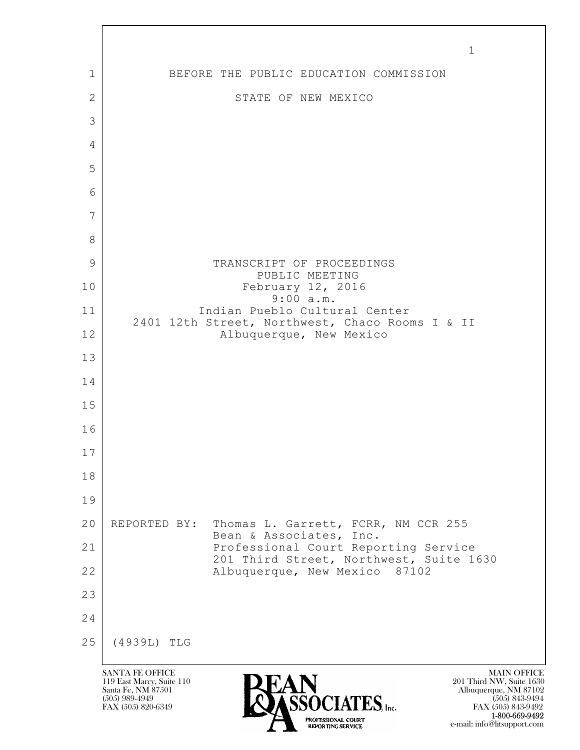$\mathbf{L}$  SANTA FE OFFICE MAIN OFFICE MAIN OFFICE MAIN OFFICE MAIN OFFICE 119 East Marcy, Suite 110<br>Santa Fe, NM 87501 Santa Fe, NM 87501 Albuquerque, NM 87102  $\sum_{\text{FAX (505) 889-4949}} \sum_{\text{FAX (505) 843-9492}} \sum_{\text{FAX (505) 843-9492}} \sum_{\text{FAX (505) 843-9492}}$ FAX (505) 843-9492 1-800-669-9492 1 1 BEFORE THE PUBLIC EDUCATION COMMISSION 2 STATE OF NEW MEXICO 3 4 5 6 7 8 9 | TRANSCRIPT OF PROCEEDINGS PUBLIC MEETING 10 February 12, 2016 9:00 a.m. 11 Indian Pueblo Cultural Center 2401 12th Street, Northwest, Chaco Rooms I & II 12 | **Albuquerque, New Mexico** 13 14 15 16 17 18 19 20 REPORTED BY: Thomas L. Garrett, FCRR, NM CCR 255 Bean & Associates, Inc. 21 Professional Court Reporting Service 201 Third Street, Northwest, Suite 1630 22 | Albuquerque, New Mexico 87102 23 24 25 (4939L) TLG

e-mail: info@litsupport.com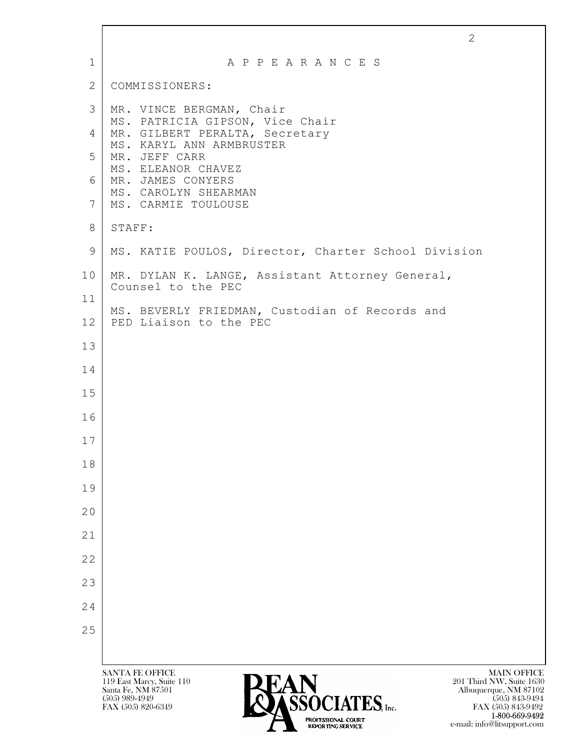|             | 2                                                                                                                                                                                                                                                                           |
|-------------|-----------------------------------------------------------------------------------------------------------------------------------------------------------------------------------------------------------------------------------------------------------------------------|
| $\mathbf 1$ | A P P E A R A N C E S                                                                                                                                                                                                                                                       |
| 2           | COMMISSIONERS:                                                                                                                                                                                                                                                              |
| 3           | MR. VINCE BERGMAN, Chair                                                                                                                                                                                                                                                    |
| 4           | MS. PATRICIA GIPSON, Vice Chair<br>MR. GILBERT PERALTA, Secretary                                                                                                                                                                                                           |
| 5           | MS. KARYL ANN ARMBRUSTER<br>MR. JEFF CARR<br>MS. ELEANOR CHAVEZ                                                                                                                                                                                                             |
| 6           | MR. JAMES CONYERS<br>MS. CAROLYN SHEARMAN                                                                                                                                                                                                                                   |
| 7           | MS. CARMIE TOULOUSE                                                                                                                                                                                                                                                         |
| 8           | STAFF:                                                                                                                                                                                                                                                                      |
| 9           | MS. KATIE POULOS, Director, Charter School Division                                                                                                                                                                                                                         |
| 10<br>11    | MR. DYLAN K. LANGE, Assistant Attorney General,<br>Counsel to the PEC                                                                                                                                                                                                       |
| 12          | MS. BEVERLY FRIEDMAN, Custodian of Records and<br>PED Liaison to the PEC                                                                                                                                                                                                    |
| 13          |                                                                                                                                                                                                                                                                             |
| 14          |                                                                                                                                                                                                                                                                             |
| 15          |                                                                                                                                                                                                                                                                             |
| 16          |                                                                                                                                                                                                                                                                             |
| 17          |                                                                                                                                                                                                                                                                             |
| 18          |                                                                                                                                                                                                                                                                             |
| 19          |                                                                                                                                                                                                                                                                             |
| 20          |                                                                                                                                                                                                                                                                             |
| 21          |                                                                                                                                                                                                                                                                             |
| 22          |                                                                                                                                                                                                                                                                             |
| 23          |                                                                                                                                                                                                                                                                             |
| 24          |                                                                                                                                                                                                                                                                             |
| 25          |                                                                                                                                                                                                                                                                             |
|             |                                                                                                                                                                                                                                                                             |
|             | <b>SANTA FE OFFICE</b><br><b>MAIN OFFICE</b><br>119 East Marcy, Suite 110<br>201 Third NW, Suite 1630<br><b>CAN<br/>ASSOCIATES, Inc.</b><br>Santa Fe, NM 87501<br>Albuquerque, NM 87102<br>$(505)$ 989-4949<br>$(505)$ 843-9494<br>FAX (505) 820-6349<br>FAX (505) 843-9492 |

 $\sqrt{ }$ 

**1-800-669-9492** e-mail: info@litsupport.com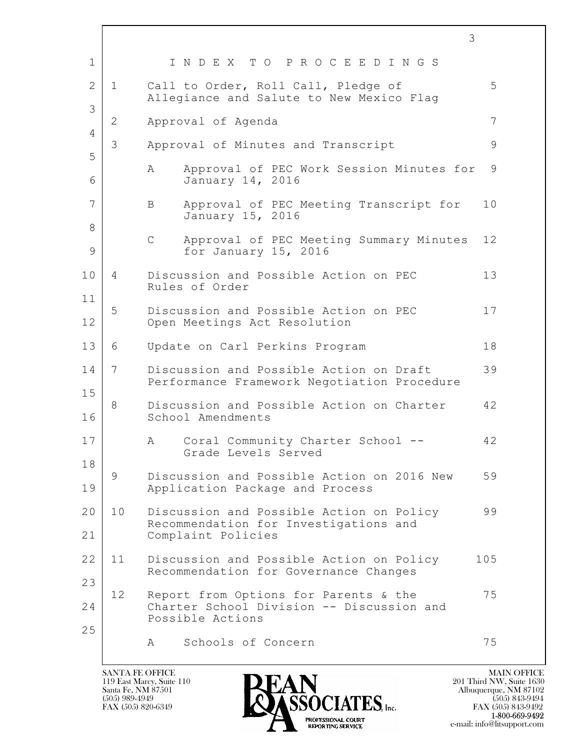|                |              | 3                                                                                      |             |
|----------------|--------------|----------------------------------------------------------------------------------------|-------------|
| $\mathbf 1$    |              | INDEX TO PROCEEDINGS                                                                   |             |
| $\overline{2}$ | $\mathbf 1$  | Call to Order, Roll Call, Pledge of<br>Allegiance and Salute to New Mexico Flag        | 5           |
| 3              | $\mathbf{2}$ | Approval of Agenda                                                                     | 7           |
| 4<br>5         | 3            | Approval of Minutes and Transcript                                                     | $\mathsf 9$ |
| 6              |              | Approval of PEC Work Session Minutes for<br>A<br>January 14, 2016                      | 9           |
| 7              |              | Approval of PEC Meeting Transcript for<br>B<br>January 15, 2016                        | 10          |
| 8<br>9         |              | $\mathsf C$<br>Approval of PEC Meeting Summary Minutes<br>for January 15, 2016         | 12          |
| 10             | 4            | Discussion and Possible Action on PEC<br>Rules of Order                                | 13          |
| 11             | 5            | Discussion and Possible Action on PEC                                                  | 17          |
| 12             |              | Open Meetings Act Resolution                                                           |             |
| 13             | 6            | Update on Carl Perkins Program                                                         | 18          |
| 14<br>15       | 7            | Discussion and Possible Action on Draft<br>Performance Framework Negotiation Procedure | 39          |
| 16             | 8            | Discussion and Possible Action on Charter<br>School Amendments                         | 42          |
| 17             |              | Coral Community Charter School --<br>Α<br>Grade Levels Served                          | 42          |
| 18<br>19       | 9            | Discussion and Possible Action on 2016 New<br>Application Package and Process          | 59          |
| 20             | 10           | Discussion and Possible Action on Policy                                               | 99          |
| 21             |              | Recommendation for Investigations and<br>Complaint Policies                            |             |
| 22             | 11           | Discussion and Possible Action on Policy<br>Recommendation for Governance Changes      | 105         |
| 23<br>24       | 12           | Report from Options for Parents & the<br>Charter School Division -- Discussion and     | 75          |
| 25             |              | Possible Actions                                                                       |             |
|                |              | Schools of Concern<br>A                                                                | 75          |

 $\overline{\phantom{a}}$ 

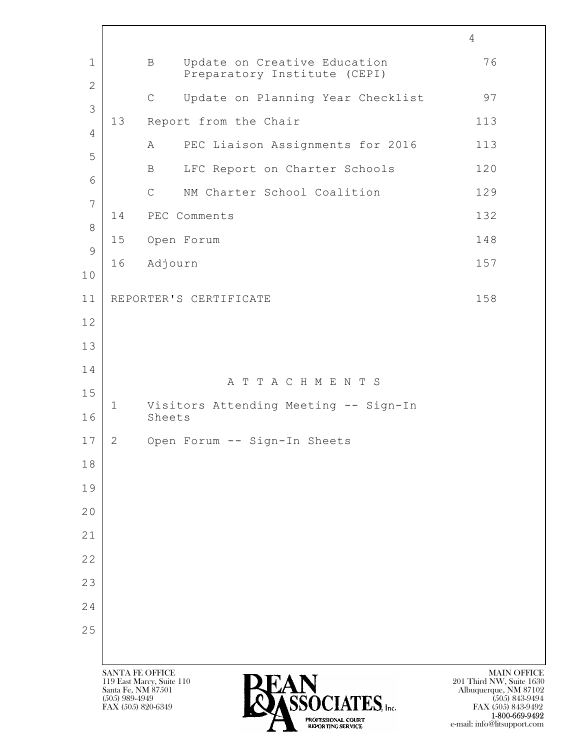$\mathbf{L}$  SANTA FE OFFICE MAIN OFFICE MAIN OFFICE MAIN OFFICE MAIN OFFICE 119 East Marcy, Suite 110<br>Santa Fe, NM 87501 Santa Fe, NM 87501 Albuquerque, NM 87102  $\sum_{\text{FAX (505) 889-4949}} \sum_{\text{FAX (505) 843-9492}} \sum_{\text{FAX (505) 843-9492}} \sum_{\text{FAX (505) 843-9492}}$ FAX (505) 843-9492 4 1 B Update on Creative Education 76 Preparatory Institute (CEPI) 2 C Update on Planning Year Checklist 97 3 13 Report from the Chair 113 4 A PEC Liaison Assignments for 2016 113 5 B LFC Report on Charter Schools 120 6 C NM Charter School Coalition 129 7 14 PEC Comments 132 8 15 Open Forum 148 9 16 Adjourn 157 10 11 | REPORTER'S CERTIFICATE 158 12 13 14 A T T A C H M E N T S 15 1 Visitors Attending Meeting -- Sign-In 16 Sheets 17 2 Open Forum -- Sign-In Sheets 18 19 20 21 22 23 24 25

1-800-669-9492

e-mail: info@litsupport.com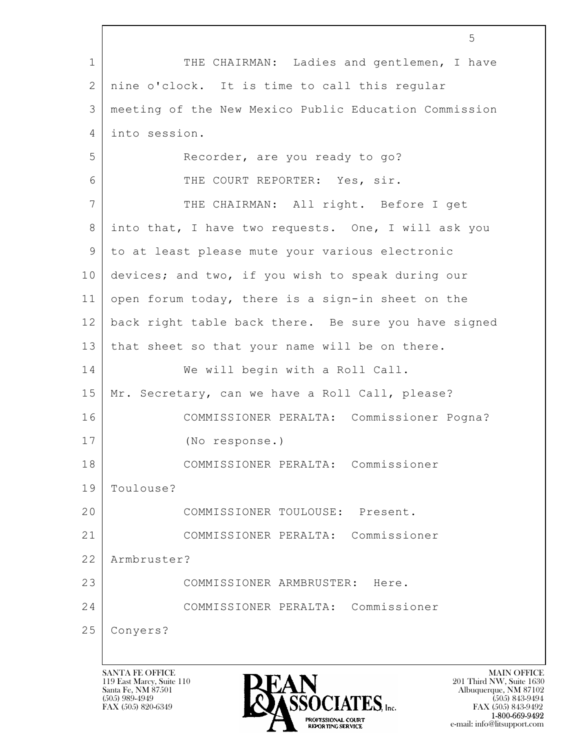|              | 5                                                     |
|--------------|-------------------------------------------------------|
| $\mathbf 1$  | THE CHAIRMAN: Ladies and gentlemen, I have            |
| $\mathbf{2}$ | nine o'clock. It is time to call this regular         |
| 3            | meeting of the New Mexico Public Education Commission |
| 4            | into session.                                         |
| 5            | Recorder, are you ready to go?                        |
| 6            | THE COURT REPORTER: Yes, sir.                         |
| 7            | THE CHAIRMAN: All right. Before I get                 |
| 8            | into that, I have two requests. One, I will ask you   |
| 9            | to at least please mute your various electronic       |
| 10           | devices; and two, if you wish to speak during our     |
| 11           | open forum today, there is a sign-in sheet on the     |
| 12           | back right table back there. Be sure you have signed  |
| 13           | that sheet so that your name will be on there.        |
| 14           | We will begin with a Roll Call.                       |
| 15           | Mr. Secretary, can we have a Roll Call, please?       |
| 16           | COMMISSIONER PERALTA: Commissioner Pogna?             |
| 17           | (No response.)                                        |
| 18           | COMMISSIONER PERALTA: Commissioner                    |
| 19           | Toulouse?                                             |
| 20           | COMMISSIONER TOULOUSE: Present.                       |
| 21           | Commissioner<br>COMMISSIONER PERALTA:                 |
| 22           | Armbruster?                                           |
| 23           | COMMISSIONER ARMBRUSTER:<br>Here.                     |
| 24           | Commissioner<br>COMMISSIONER PERALTA:                 |
| 25           | Conyers?                                              |
|              |                                                       |

 $\sqrt{ }$ 

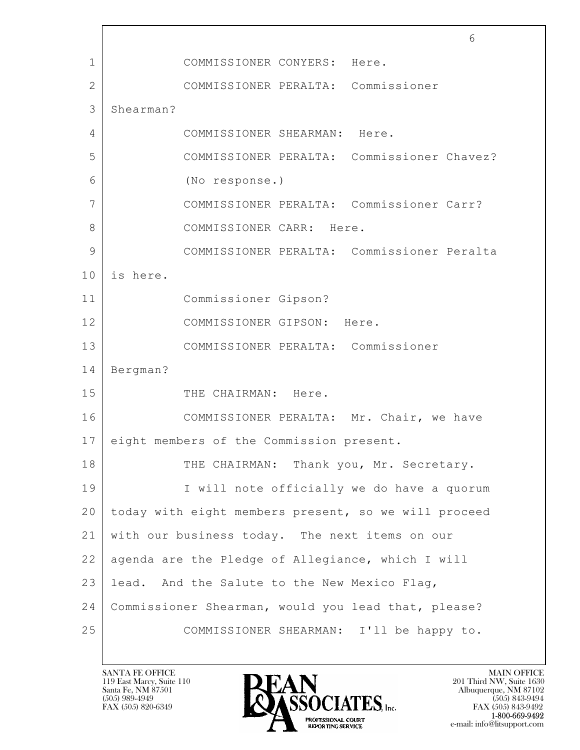$\mathbf{L}$  6 1 COMMISSIONER CONYERS: Here. 2 COMMISSIONER PERALTA: Commissioner 3 Shearman? 4 COMMISSIONER SHEARMAN: Here. 5 COMMISSIONER PERALTA: Commissioner Chavez? 6 (No response.) 7 COMMISSIONER PERALTA: Commissioner Carr? 8 COMMISSIONER CARR: Here. 9 COMMISSIONER PERALTA: Commissioner Peralta 10 is here. 11 Commissioner Gipson? 12 COMMISSIONER GIPSON: Here. 13 COMMISSIONER PERALTA: Commissioner 14 Bergman? 15 THE CHAIRMAN: Here. 16 COMMISSIONER PERALTA: Mr. Chair, we have 17 eight members of the Commission present. 18 THE CHAIRMAN: Thank you, Mr. Secretary. 19 | I will note officially we do have a quorum 20 today with eight members present, so we will proceed 21 with our business today. The next items on our 22 agenda are the Pledge of Allegiance, which I will 23 | lead. And the Salute to the New Mexico Flag, 24 Commissioner Shearman, would you lead that, please? 25 COMMISSIONER SHEARMAN: I'll be happy to.

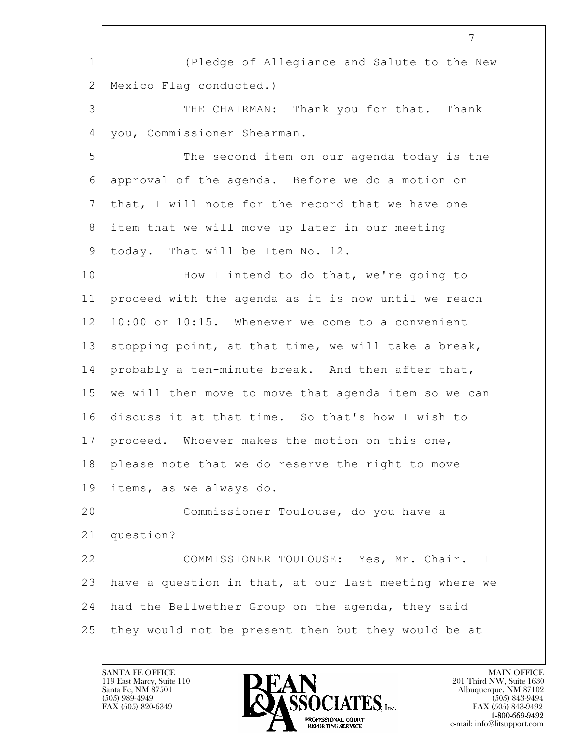|              | 7                                                     |
|--------------|-------------------------------------------------------|
| $\mathbf 1$  | (Pledge of Allegiance and Salute to the New           |
| $\mathbf{2}$ | Mexico Flag conducted.)                               |
| 3            | THE CHAIRMAN: Thank you for that. Thank               |
| 4            | you, Commissioner Shearman.                           |
| 5            | The second item on our agenda today is the            |
| 6            | approval of the agenda. Before we do a motion on      |
| 7            | that, I will note for the record that we have one     |
| 8            | item that we will move up later in our meeting        |
| 9            | today. That will be Item No. 12.                      |
| 10           | How I intend to do that, we're going to               |
| 11           | proceed with the agenda as it is now until we reach   |
| 12           | 10:00 or 10:15. Whenever we come to a convenient      |
| 13           | stopping point, at that time, we will take a break,   |
| 14           | probably a ten-minute break. And then after that,     |
| 15           | we will then move to move that agenda item so we can  |
| 16           | discuss it at that time. So that's how I wish to      |
| 17           | proceed. Whoever makes the motion on this one,        |
| 18           | please note that we do reserve the right to move      |
| 19           | items, as we always do.                               |
| 20           | Commissioner Toulouse, do you have a                  |
| 21           | question?                                             |
| 22           | COMMISSIONER TOULOUSE: Yes, Mr. Chair.<br>Ι           |
| 23           | have a question in that, at our last meeting where we |
| 24           | had the Bellwether Group on the agenda, they said     |
| 25           | they would not be present then but they would be at   |
|              |                                                       |

 $\overline{\phantom{a}}$ 

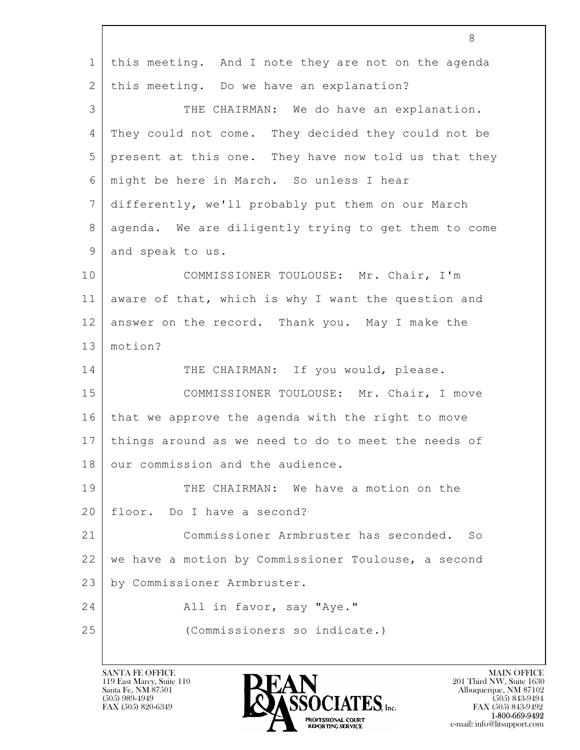|                 | 8                                                    |
|-----------------|------------------------------------------------------|
| $\mathbf 1$     | this meeting. And I note they are not on the agenda  |
| $\overline{2}$  | this meeting. Do we have an explanation?             |
| 3               | THE CHAIRMAN: We do have an explanation.             |
| 4               | They could not come. They decided they could not be  |
| 5               | present at this one. They have now told us that they |
| 6               | might be here in March. So unless I hear             |
| $7\phantom{.0}$ | differently, we'll probably put them on our March    |
| 8               | agenda. We are diligently trying to get them to come |
| 9               | and speak to us.                                     |
| 10              | COMMISSIONER TOULOUSE: Mr. Chair, I'm                |
| 11              | aware of that, which is why I want the question and  |
| 12              | answer on the record. Thank you. May I make the      |
| 13              | motion?                                              |
| 14              | THE CHAIRMAN: If you would, please.                  |
| 15              | COMMISSIONER TOULOUSE: Mr. Chair, I move             |
| 16              | that we approve the agenda with the right to move    |
| 17              | things around as we need to do to meet the needs of  |
| 18              | our commission and the audience.                     |
| 19              | THE CHAIRMAN: We have a motion on the                |
| 20              | floor. Do I have a second?                           |
| 21              | Commissioner Armbruster has seconded.<br>SO          |
| 22              | we have a motion by Commissioner Toulouse, a second  |
| 23              | by Commissioner Armbruster.                          |
| 24              | All in favor, say "Aye."                             |
| 25              | (Commissioners so indicate.)                         |
|                 |                                                      |

 $\lceil$ 

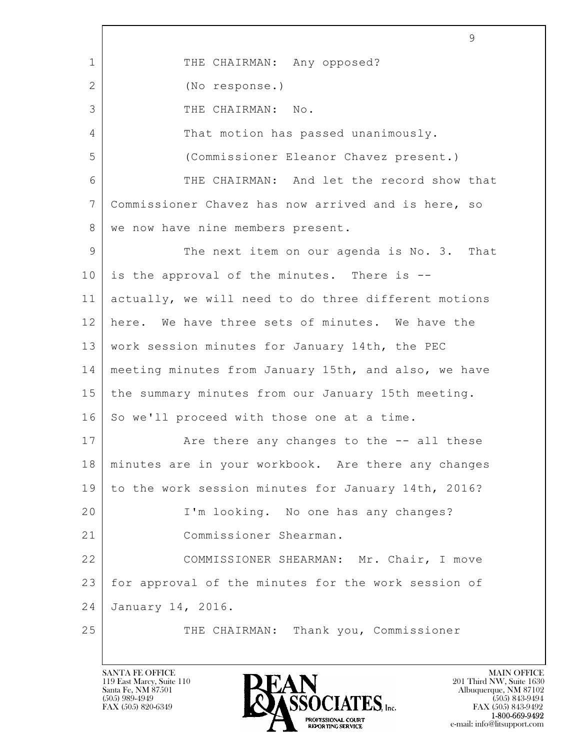$\mathbf{L}$  9 1 THE CHAIRMAN: Any opposed? 2 (No response.) 3 THE CHAIRMAN: No. 4 That motion has passed unanimously. 5 (Commissioner Eleanor Chavez present.) 6 THE CHAIRMAN: And let the record show that 7 Commissioner Chavez has now arrived and is here, so 8 | we now have nine members present. 9 The next item on our agenda is No. 3. That  $10$  is the approval of the minutes. There is  $-$ 11 actually, we will need to do three different motions 12 here. We have three sets of minutes. We have the 13 work session minutes for January 14th, the PEC 14 meeting minutes from January 15th, and also, we have 15 the summary minutes from our January 15th meeting. 16 So we'll proceed with those one at a time. 17 | The there any changes to the  $-$  all these 18 minutes are in your workbook. Are there any changes 19 to the work session minutes for January 14th, 2016? 20 I'm looking. No one has any changes? 21 Commissioner Shearman. 22 COMMISSIONER SHEARMAN: Mr. Chair, I move 23 for approval of the minutes for the work session of 24 January 14, 2016. 25 THE CHAIRMAN: Thank you, Commissioner

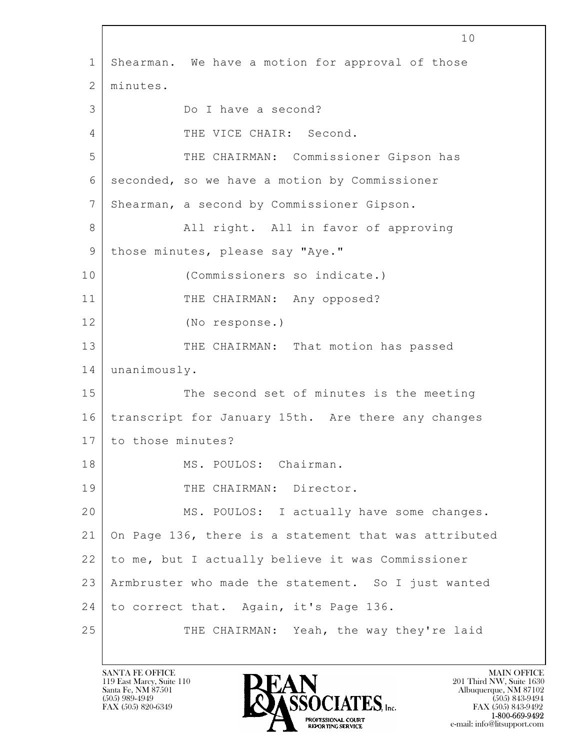$\mathbf{L}$  10 1 Shearman. We have a motion for approval of those 2 minutes. 3 Do I have a second? 4 THE VICE CHAIR: Second. 5 THE CHAIRMAN: Commissioner Gipson has 6 seconded, so we have a motion by Commissioner 7 Shearman, a second by Commissioner Gipson. 8 | All right. All in favor of approving 9 | those minutes, please say "Aye." 10 (Commissioners so indicate.) 11 THE CHAIRMAN: Any opposed? 12 (No response.) 13 THE CHAIRMAN: That motion has passed 14 unanimously. 15 The second set of minutes is the meeting 16 transcript for January 15th. Are there any changes 17 to those minutes? 18 MS. POULOS: Chairman. 19 THE CHAIRMAN: Director. 20 | MS. POULOS: I actually have some changes. 21 On Page 136, there is a statement that was attributed 22 to me, but I actually believe it was Commissioner 23 Armbruster who made the statement. So I just wanted 24 to correct that. Again, it's Page 136. 25 THE CHAIRMAN: Yeah, the way they're laid

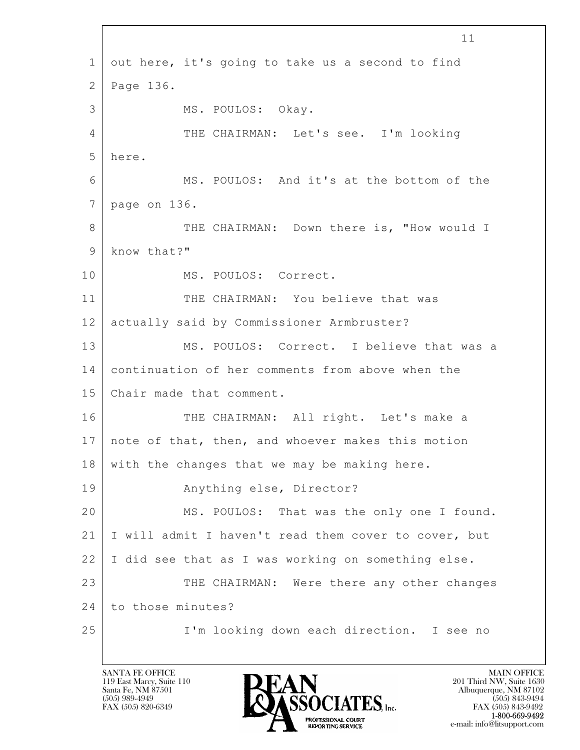$\mathbf{L}$  11 1 out here, it's going to take us a second to find 2 Page 136. 3 MS. POULOS: Okay. 4 THE CHAIRMAN: Let's see. I'm looking 5 here. 6 MS. POULOS: And it's at the bottom of the 7 page on 136. 8 THE CHAIRMAN: Down there is, "How would I 9 know that?" 10 MS. POULOS: Correct. 11 THE CHAIRMAN: You believe that was 12 actually said by Commissioner Armbruster? 13 MS. POULOS: Correct. I believe that was a 14 continuation of her comments from above when the 15 Chair made that comment. 16 THE CHAIRMAN: All right. Let's make a 17 note of that, then, and whoever makes this motion 18 with the changes that we may be making here. 19 | Anything else, Director? 20 MS. POULOS: That was the only one I found. 21 I will admit I haven't read them cover to cover, but 22 I did see that as I was working on something else. 23 THE CHAIRMAN: Were there any other changes 24 to those minutes? 25 | I'm looking down each direction. I see no

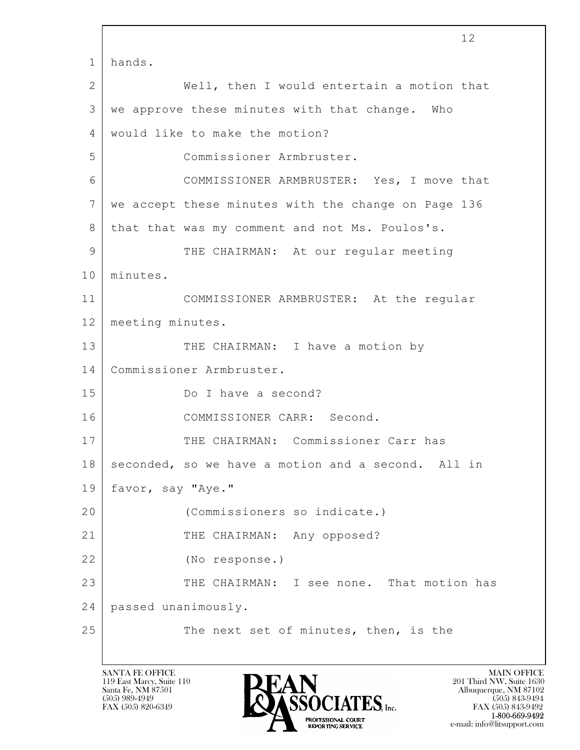$\mathbf{L}$  12 1 hands. 2 Well, then I would entertain a motion that  $3$  we approve these minutes with that change. Who 4 would like to make the motion? 5 Commissioner Armbruster. 6 COMMISSIONER ARMBRUSTER: Yes, I move that 7 we accept these minutes with the change on Page 136 8 | that that was my comment and not Ms. Poulos's. 9 THE CHAIRMAN: At our regular meeting 10 minutes. 11 COMMISSIONER ARMBRUSTER: At the regular 12 meeting minutes. 13 THE CHAIRMAN: I have a motion by 14 Commissioner Armbruster. 15 Do I have a second? 16 COMMISSIONER CARR: Second. 17 | THE CHAIRMAN: Commissioner Carr has 18 seconded, so we have a motion and a second. All in 19 favor, say "Aye." 20 (Commissioners so indicate.) 21 THE CHAIRMAN: Any opposed? 22 (No response.) 23 THE CHAIRMAN: I see none. That motion has 24 passed unanimously. 25 The next set of minutes, then, is the

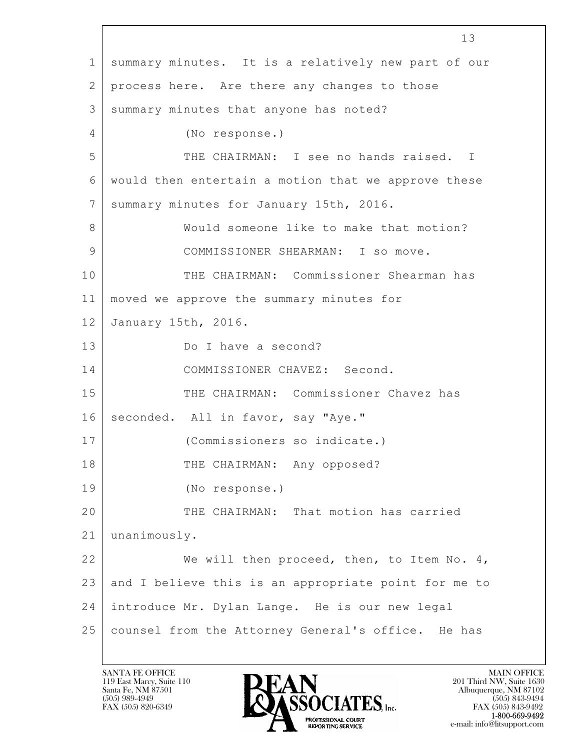$\mathbf{L}$  13 1 summary minutes. It is a relatively new part of our 2 process here. Are there any changes to those 3 summary minutes that anyone has noted? 4 (No response.) 5 THE CHAIRMAN: I see no hands raised. I 6 would then entertain a motion that we approve these 7 summary minutes for January 15th, 2016. 8 Would someone like to make that motion? 9 COMMISSIONER SHEARMAN: I so move. 10 THE CHAIRMAN: Commissioner Shearman has 11 moved we approve the summary minutes for 12 January 15th, 2016. 13 Do I have a second? 14 COMMISSIONER CHAVEZ: Second. 15 THE CHAIRMAN: Commissioner Chavez has 16 seconded. All in favor, say "Aye." 17 (Commissioners so indicate.) 18 THE CHAIRMAN: Any opposed? 19 (No response.) 20 THE CHAIRMAN: That motion has carried 21 unanimously. 22 We will then proceed, then, to Item No. 4, 23 and I believe this is an appropriate point for me to 24 introduce Mr. Dylan Lange. He is our new legal 25 counsel from the Attorney General's office. He has

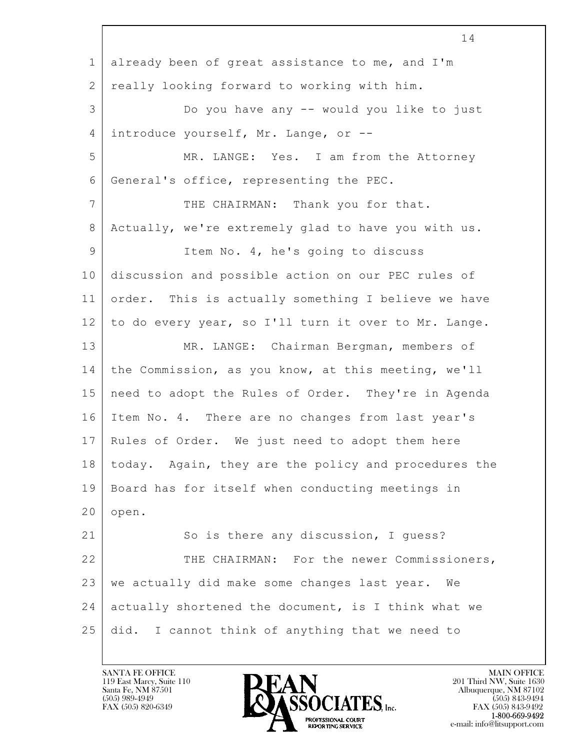$\mathbf{L}$  14 1 already been of great assistance to me, and I'm 2 really looking forward to working with him. 3 Do you have any -- would you like to just 4 introduce yourself, Mr. Lange, or -- 5 MR. LANGE: Yes. I am from the Attorney 6 General's office, representing the PEC. 7 THE CHAIRMAN: Thank you for that. 8 Actually, we're extremely glad to have you with us. 9 Item No. 4, he's going to discuss 10 discussion and possible action on our PEC rules of 11 order. This is actually something I believe we have 12 to do every year, so I'll turn it over to Mr. Lange. 13 MR. LANGE: Chairman Bergman, members of 14 the Commission, as you know, at this meeting, we'll 15 need to adopt the Rules of Order. They're in Agenda 16 Item No. 4. There are no changes from last year's 17 Rules of Order. We just need to adopt them here 18 today. Again, they are the policy and procedures the 19 Board has for itself when conducting meetings in  $20$  | open. 21 So is there any discussion, I quess? 22 THE CHAIRMAN: For the newer Commissioners, 23 we actually did make some changes last year. We 24 actually shortened the document, is I think what we 25 did. I cannot think of anything that we need to

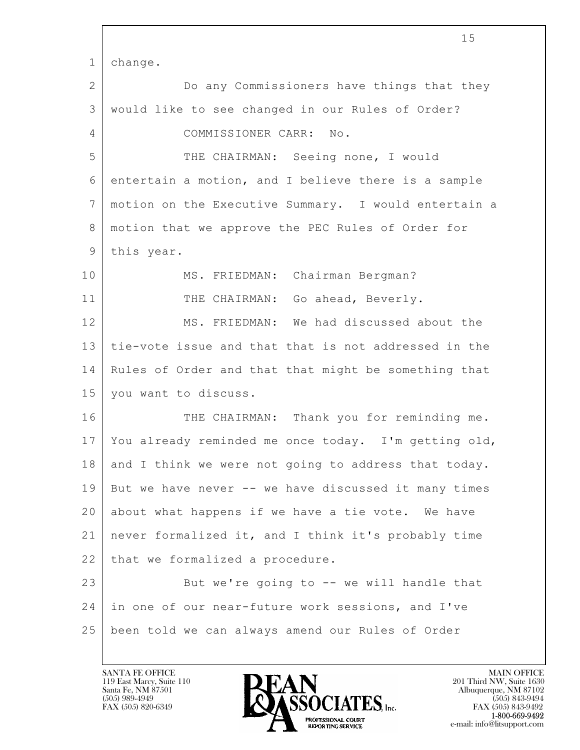|                 | 15                                                   |
|-----------------|------------------------------------------------------|
| $\mathbf 1$     | change.                                              |
| $\mathbf{2}$    | Do any Commissioners have things that they           |
| 3               | would like to see changed in our Rules of Order?     |
| 4               | COMMISSIONER CARR: No.                               |
| 5               | THE CHAIRMAN: Seeing none, I would                   |
| 6               | entertain a motion, and I believe there is a sample  |
| $7\phantom{.0}$ | motion on the Executive Summary. I would entertain a |
| 8               | motion that we approve the PEC Rules of Order for    |
| 9               | this year.                                           |
| 10              | MS. FRIEDMAN: Chairman Bergman?                      |
| 11              | THE CHAIRMAN: Go ahead, Beverly.                     |
| 12              | MS. FRIEDMAN: We had discussed about the             |
| 13              | tie-vote issue and that that is not addressed in the |
| 14              | Rules of Order and that that might be something that |
| 15              | you want to discuss.                                 |
| 16              | THE CHAIRMAN: Thank you for reminding me.            |
| 17              | You already reminded me once today. I'm getting old, |
| 18              | and I think we were not going to address that today. |
| 19              | But we have never -- we have discussed it many times |
| 20              | about what happens if we have a tie vote. We have    |
| 21              | never formalized it, and I think it's probably time  |
| 22              | that we formalized a procedure.                      |
| 23              | But we're going to -- we will handle that            |
| 24              | in one of our near-future work sessions, and I've    |
| 25              | been told we can always amend our Rules of Order     |
|                 |                                                      |

 $\overline{\phantom{a}}$ 

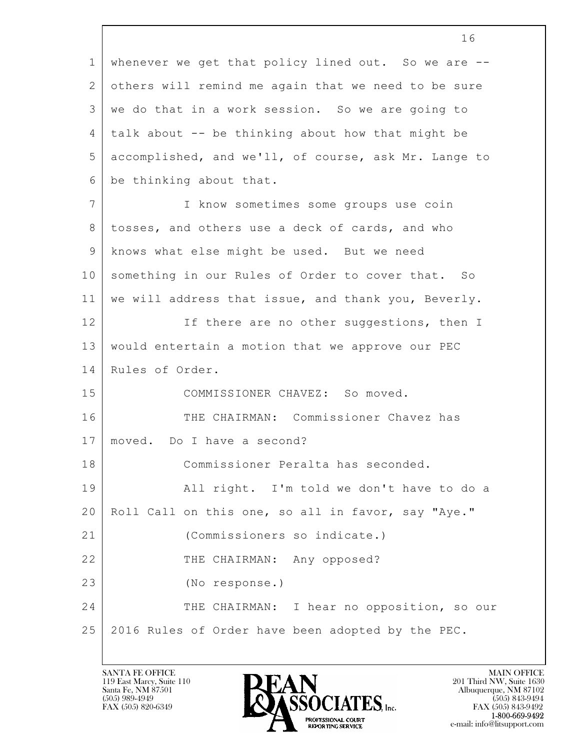$\mathbf{L}$  16 1 whenever we get that policy lined out. So we are --2 others will remind me again that we need to be sure 3 we do that in a work session. So we are going to  $4$  talk about  $-$  be thinking about how that might be 5 accomplished, and we'll, of course, ask Mr. Lange to 6 be thinking about that. 7 I know sometimes some groups use coin 8 | tosses, and others use a deck of cards, and who 9 knows what else might be used. But we need 10 something in our Rules of Order to cover that. So 11 we will address that issue, and thank you, Beverly. 12 If there are no other suggestions, then I 13 would entertain a motion that we approve our PEC 14 Rules of Order. 15 COMMISSIONER CHAVEZ: So moved. 16 THE CHAIRMAN: Commissioner Chavez has 17 moved. Do I have a second? 18 Commissioner Peralta has seconded. 19 | All right. I'm told we don't have to do a 20 Roll Call on this one, so all in favor, say "Aye." 21 (Commissioners so indicate.) 22 THE CHAIRMAN: Any opposed? 23 (No response.) 24 THE CHAIRMAN: I hear no opposition, so our 25 2016 Rules of Order have been adopted by the PEC.

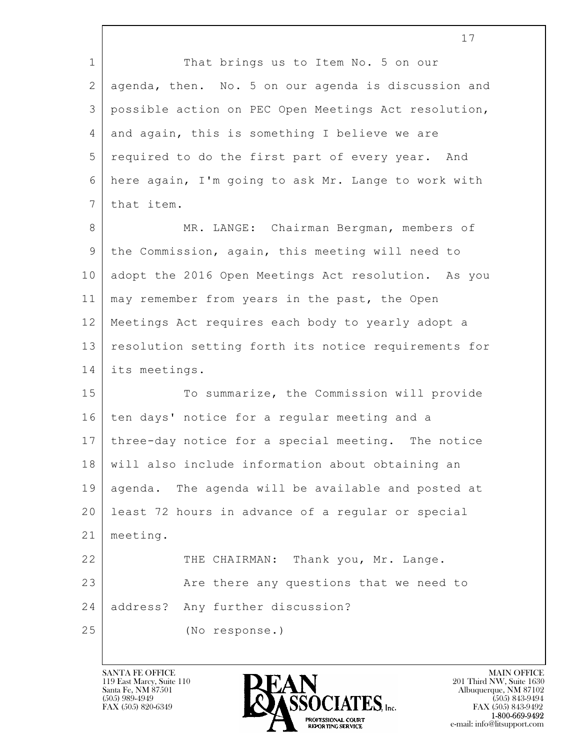$\mathbf{L}$  17 1 That brings us to Item No. 5 on our 2 agenda, then. No. 5 on our agenda is discussion and 3 possible action on PEC Open Meetings Act resolution, 4 and again, this is something I believe we are 5 required to do the first part of every year. And 6 here again, I'm going to ask Mr. Lange to work with 7 that item. 8 MR. LANGE: Chairman Bergman, members of 9 the Commission, again, this meeting will need to 10 adopt the 2016 Open Meetings Act resolution. As you 11 may remember from years in the past, the Open 12 Meetings Act requires each body to yearly adopt a 13 resolution setting forth its notice requirements for 14 its meetings. 15 To summarize, the Commission will provide 16 ten days' notice for a regular meeting and a 17 three-day notice for a special meeting. The notice 18 will also include information about obtaining an 19 agenda. The agenda will be available and posted at 20 least 72 hours in advance of a regular or special 21 meeting. 22 THE CHAIRMAN: Thank you, Mr. Lange. 23 Are there any questions that we need to 24 address? Any further discussion? 25 (No response.)

119 East Marcy, Suite 110<br>Santa Fe, NM 87501



FAX (505) 843-9492 e-mail: info@litsupport.com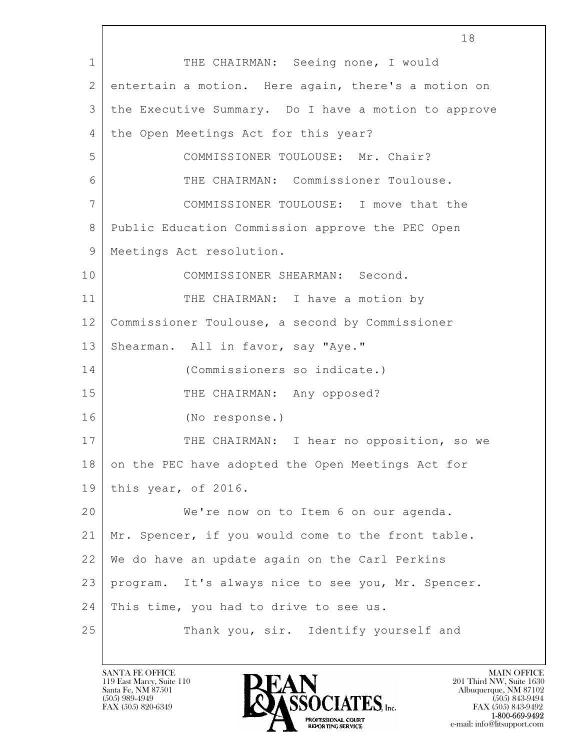$\mathbf{L}$  18 1 THE CHAIRMAN: Seeing none, I would 2 entertain a motion. Here again, there's a motion on 3 the Executive Summary. Do I have a motion to approve 4 the Open Meetings Act for this year? 5 COMMISSIONER TOULOUSE: Mr. Chair? 6 THE CHAIRMAN: Commissioner Toulouse. 7 COMMISSIONER TOULOUSE: I move that the 8 Public Education Commission approve the PEC Open 9 | Meetings Act resolution. 10 COMMISSIONER SHEARMAN: Second. 11 THE CHAIRMAN: I have a motion by 12 Commissioner Toulouse, a second by Commissioner 13 Shearman. All in favor, say "Aye." 14 (Commissioners so indicate.) 15 THE CHAIRMAN: Any opposed? 16 (No response.) 17 | THE CHAIRMAN: I hear no opposition, so we 18 on the PEC have adopted the Open Meetings Act for 19 this year, of 2016. 20 We're now on to Item 6 on our agenda. 21 Mr. Spencer, if you would come to the front table. 22 We do have an update again on the Carl Perkins 23 program. It's always nice to see you, Mr. Spencer. 24 | This time, you had to drive to see us. 25 Thank you, sir. Identify yourself and

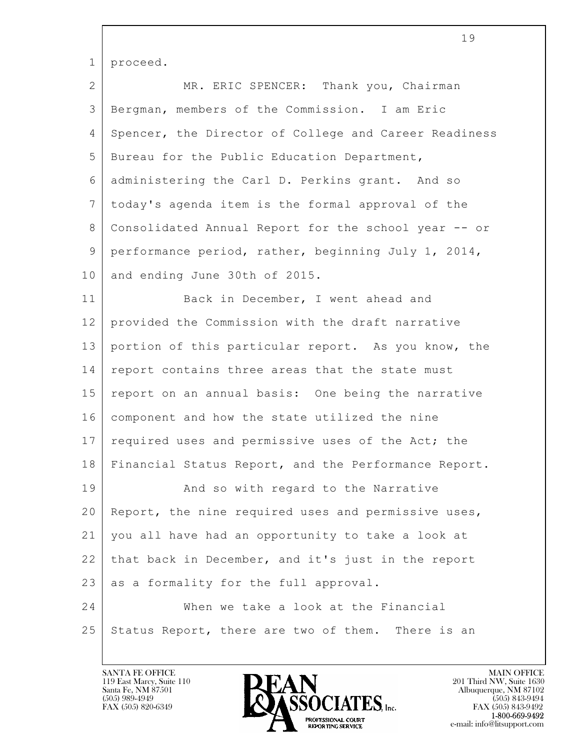| $\mathbf 1$  | proceed.                                              |
|--------------|-------------------------------------------------------|
| $\mathbf{2}$ | MR. ERIC SPENCER: Thank you, Chairman                 |
| 3            | Bergman, members of the Commission. I am Eric         |
| 4            | Spencer, the Director of College and Career Readiness |
| 5            | Bureau for the Public Education Department,           |
| 6            | administering the Carl D. Perkins grant. And so       |
| 7            | today's agenda item is the formal approval of the     |
| 8            | Consolidated Annual Report for the school year -- or  |
| 9            | performance period, rather, beginning July 1, 2014,   |
| 10           | and ending June 30th of 2015.                         |
| 11           | Back in December, I went ahead and                    |
| 12           | provided the Commission with the draft narrative      |
| 13           | portion of this particular report. As you know, the   |
| 14           | report contains three areas that the state must       |
| 15           | report on an annual basis: One being the narrative    |
| 16           | component and how the state utilized the nine         |
| 17           | required uses and permissive uses of the Act; the     |
| 18           | Financial Status Report, and the Performance Report.  |
| 19           | And so with regard to the Narrative                   |
| 20           | Report, the nine required uses and permissive uses,   |
| 21           | you all have had an opportunity to take a look at     |
| 22           | that back in December, and it's just in the report    |
| 23           | as a formality for the full approval.                 |
| 24           | When we take a look at the Financial                  |
| 25           | Status Report, there are two of them. There is an     |

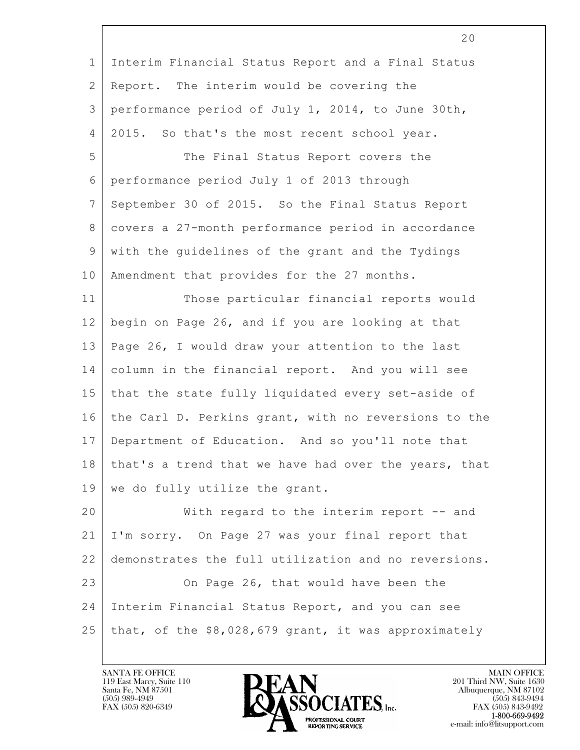| $\mathbf 1$     | Interim Financial Status Report and a Final Status   |
|-----------------|------------------------------------------------------|
| $\overline{2}$  | Report. The interim would be covering the            |
| 3               | performance period of July 1, 2014, to June 30th,    |
| $\overline{4}$  | 2015. So that's the most recent school year.         |
| 5               | The Final Status Report covers the                   |
| 6               | performance period July 1 of 2013 through            |
| $7\phantom{.}$  | September 30 of 2015. So the Final Status Report     |
| 8               | covers a 27-month performance period in accordance   |
| 9               | with the guidelines of the grant and the Tydings     |
| 10              | Amendment that provides for the 27 months.           |
| 11              | Those particular financial reports would             |
| 12              | begin on Page 26, and if you are looking at that     |
| 13              | Page 26, I would draw your attention to the last     |
| 14              | column in the financial report. And you will see     |
| 15              | that the state fully liquidated every set-aside of   |
| 16              | the Carl D. Perkins grant, with no reversions to the |
| 17              | Department of Education. And so you'll note that     |
| 18 <sup>1</sup> | that's a trend that we have had over the years, that |
| 19              | we do fully utilize the grant.                       |
| 20              | With regard to the interim report -- and             |
| 21              | I'm sorry. On Page 27 was your final report that     |
| 22              | demonstrates the full utilization and no reversions. |
| 23              | On Page 26, that would have been the                 |
| 24              | Interim Financial Status Report, and you can see     |
| 25              | that, of the \$8,028,679 grant, it was approximately |
|                 |                                                      |

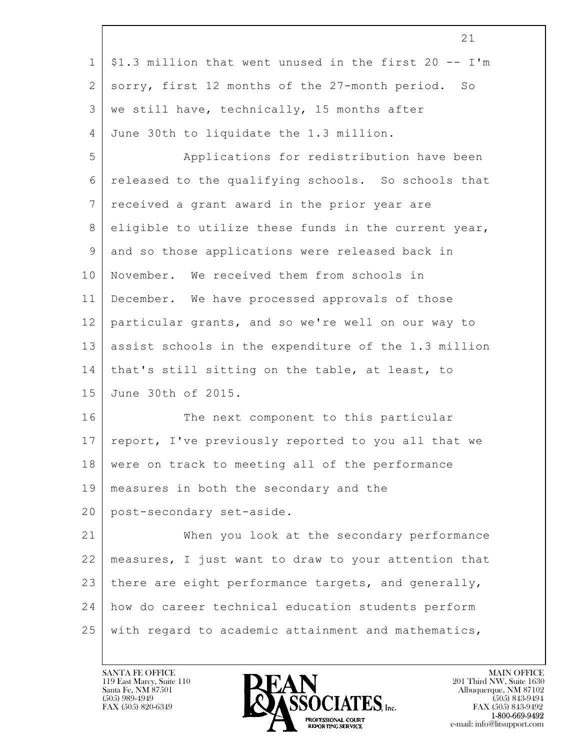|                | 21                                                    |
|----------------|-------------------------------------------------------|
| $\mathbf{1}$   | \$1.3 million that went unused in the first 20 -- I'm |
| 2              | sorry, first 12 months of the 27-month period. So     |
| 3              | we still have, technically, 15 months after           |
| 4              | June 30th to liquidate the 1.3 million.               |
| 5              | Applications for redistribution have been             |
| 6              | released to the qualifying schools. So schools that   |
| $7\phantom{.}$ | received a grant award in the prior year are          |
| 8              | eligible to utilize these funds in the current year,  |
| 9              | and so those applications were released back in       |
| 10             | November. We received them from schools in            |
| 11             | December. We have processed approvals of those        |
| 12             | particular grants, and so we're well on our way to    |
| 13             | assist schools in the expenditure of the 1.3 million  |
| 14             | that's still sitting on the table, at least, to       |
| 15             | June 30th of 2015.                                    |
| 16             | The next component to this particular                 |
| 17             | report, I've previously reported to you all that we   |
| 18             | were on track to meeting all of the performance       |
| 19             | measures in both the secondary and the                |
| 20             | post-secondary set-aside.                             |
| 21             | When you look at the secondary performance            |
| 22             | measures, I just want to draw to your attention that  |
| 23             | there are eight performance targets, and generally,   |
| 24             | how do career technical education students perform    |
| 25             | with regard to academic attainment and mathematics,   |

 $\overline{\phantom{a}}$ 

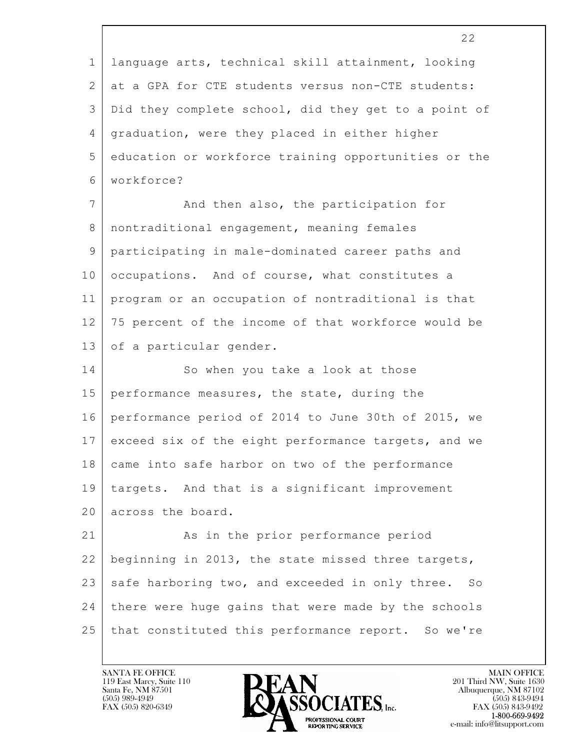|                | 22                                                   |
|----------------|------------------------------------------------------|
| $\mathbf 1$    | language arts, technical skill attainment, looking   |
| 2              | at a GPA for CTE students versus non-CTE students:   |
| 3              | Did they complete school, did they get to a point of |
| $\overline{4}$ | graduation, were they placed in either higher        |
| 5              | education or workforce training opportunities or the |
| 6              | workforce?                                           |
| $\overline{7}$ | And then also, the participation for                 |
| 8              | nontraditional engagement, meaning females           |
| 9              | participating in male-dominated career paths and     |
| 10             | occupations. And of course, what constitutes a       |
| 11             | program or an occupation of nontraditional is that   |
| 12             | 75 percent of the income of that workforce would be  |
| 13             | of a particular gender.                              |
| 14             | So when you take a look at those                     |
| 15             | performance measures, the state, during the          |
| 16             | performance period of 2014 to June 30th of 2015, we  |
| 17             | exceed six of the eight performance targets, and we  |
| 18             | came into safe harbor on two of the performance      |
| 19             | targets. And that is a significant improvement       |
| 20             | across the board.                                    |
| 21             | As in the prior performance period                   |
| 22             | beginning in 2013, the state missed three targets,   |
| 23             | safe harboring two, and exceeded in only three. So   |
| 24             | there were huge gains that were made by the schools  |
| 25             | that constituted this performance report. So we're   |
|                |                                                      |

 $\overline{\phantom{a}}$ 

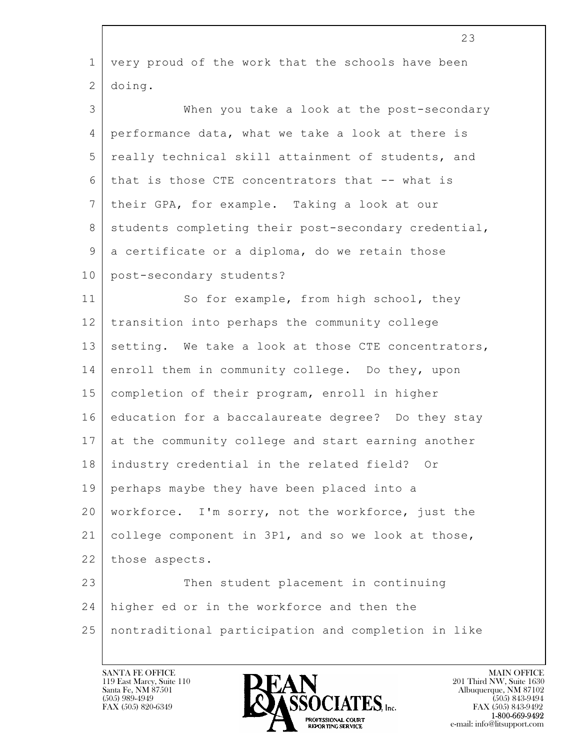|             | 23                                                   |
|-------------|------------------------------------------------------|
| $\mathbf 1$ | very proud of the work that the schools have been    |
| 2           | doing.                                               |
| 3           | When you take a look at the post-secondary           |
| 4           | performance data, what we take a look at there is    |
| 5           | really technical skill attainment of students, and   |
| 6           | that is those CTE concentrators that -- what is      |
| 7           | their GPA, for example. Taking a look at our         |
| 8           | students completing their post-secondary credential, |
| 9           | a certificate or a diploma, do we retain those       |
| 10          | post-secondary students?                             |
| 11          | So for example, from high school, they               |
| 12          | transition into perhaps the community college        |
| 13          | setting. We take a look at those CTE concentrators,  |
| 14          | enroll them in community college. Do they, upon      |
| 15          | completion of their program, enroll in higher        |
| 16          | education for a baccalaureate degree? Do they stay   |
| 17          | at the community college and start earning another   |
| 18          | industry credential in the related field? Or         |
| 19          | perhaps maybe they have been placed into a           |
| 20          | workforce. I'm sorry, not the workforce, just the    |
| 21          | college component in 3P1, and so we look at those,   |
| 22          | those aspects.                                       |
| 23          | Then student placement in continuing                 |
| 24          | higher ed or in the workforce and then the           |
| 25          | nontraditional participation and completion in like  |
|             |                                                      |

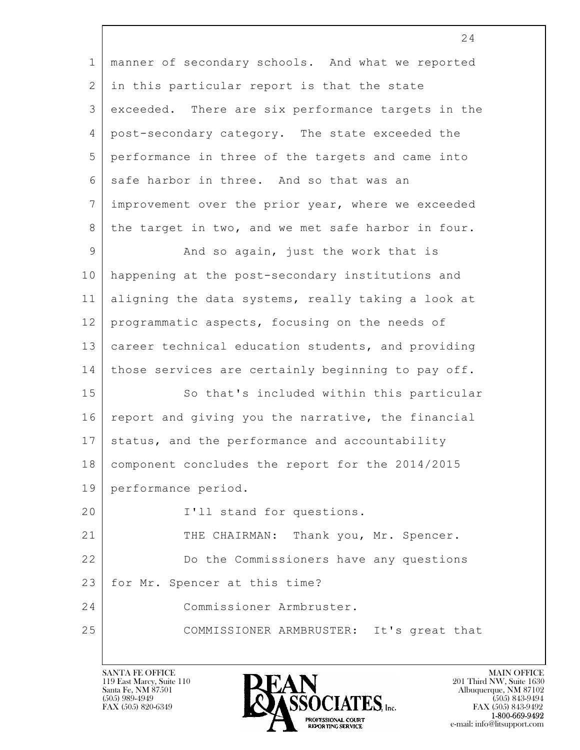| $\mathbf 1$ | manner of secondary schools. And what we reported  |
|-------------|----------------------------------------------------|
| 2           | in this particular report is that the state        |
| 3           | exceeded. There are six performance targets in the |
| 4           | post-secondary category. The state exceeded the    |
| 5           | performance in three of the targets and came into  |
| 6           | safe harbor in three. And so that was an           |
| 7           | improvement over the prior year, where we exceeded |
| 8           | the target in two, and we met safe harbor in four. |
| 9           | And so again, just the work that is                |
| 10          | happening at the post-secondary institutions and   |
| 11          | aligning the data systems, really taking a look at |
| 12          | programmatic aspects, focusing on the needs of     |
| 13          | career technical education students, and providing |
| 14          | those services are certainly beginning to pay off. |
| 15          | So that's included within this particular          |
| 16          | report and giving you the narrative, the financial |
| 17          | status, and the performance and accountability     |
| 18          | component concludes the report for the 2014/2015   |
| 19          | performance period.                                |
| 20          | I'll stand for questions.                          |
| 21          | THE CHAIRMAN: Thank you, Mr. Spencer.              |
| 22          | Do the Commissioners have any questions            |
| 23          | for Mr. Spencer at this time?                      |
| 24          | Commissioner Armbruster.                           |
| 25          | COMMISSIONER ARMBRUSTER: It's great that           |
|             |                                                    |



24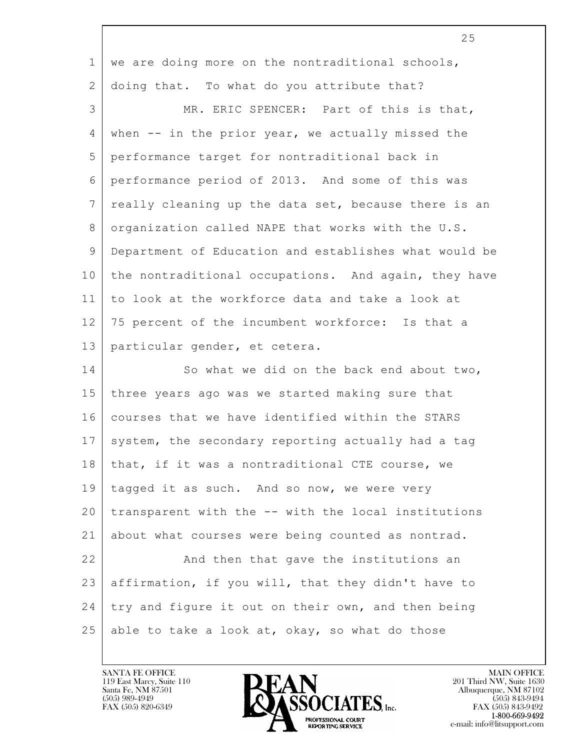|                | 25                                                    |
|----------------|-------------------------------------------------------|
| $\mathbf{1}$   | we are doing more on the nontraditional schools,      |
| 2              | doing that. To what do you attribute that?            |
| 3              | MR. ERIC SPENCER: Part of this is that,               |
| 4              | when $--$ in the prior year, we actually missed the   |
| 5              | performance target for nontraditional back in         |
| 6              | performance period of 2013. And some of this was      |
| $7\phantom{.}$ | really cleaning up the data set, because there is an  |
| 8              | organization called NAPE that works with the U.S.     |
| 9              | Department of Education and establishes what would be |
| 10             | the nontraditional occupations. And again, they have  |
| 11             | to look at the workforce data and take a look at      |
| 12             | 75 percent of the incumbent workforce: Is that a      |
| 13             | particular gender, et cetera.                         |
| 14             | So what we did on the back end about two,             |
| 15             | three years ago was we started making sure that       |
| 16             | courses that we have identified within the STARS      |
| 17             | system, the secondary reporting actually had a tag    |
| 18             | that, if it was a nontraditional CTE course, we       |
| 19             | tagged it as such. And so now, we were very           |
| 20             | transparent with the -- with the local institutions   |
| 21             | about what courses were being counted as nontrad.     |
| 22             | And then that gave the institutions an                |
| 23             | affirmation, if you will, that they didn't have to    |
| 24             | try and figure it out on their own, and then being    |
| 25             | able to take a look at, okay, so what do those        |

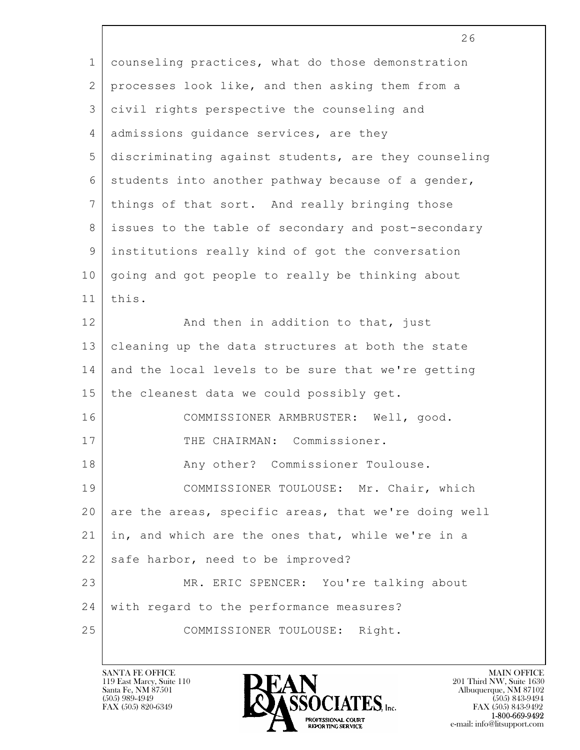|                 | 26                                                   |
|-----------------|------------------------------------------------------|
| $\mathbf{1}$    | counseling practices, what do those demonstration    |
| $\mathbf{2}$    | processes look like, and then asking them from a     |
| 3               | civil rights perspective the counseling and          |
| 4               | admissions quidance services, are they               |
| 5               | discriminating against students, are they counseling |
| 6               | students into another pathway because of a gender,   |
| $7\phantom{.0}$ | things of that sort. And really bringing those       |
| 8               | issues to the table of secondary and post-secondary  |
| $\mathsf 9$     | institutions really kind of got the conversation     |
| 10              | going and got people to really be thinking about     |
| 11              | this.                                                |
| 12              | And then in addition to that, just                   |
| 13              | cleaning up the data structures at both the state    |
| 14              | and the local levels to be sure that we're getting   |
| 15              | the cleanest data we could possibly get.             |
| 16              | COMMISSIONER ARMBRUSTER: Well, good.                 |
| 17              | THE CHAIRMAN: Commissioner.                          |
| 18              | Any other? Commissioner Toulouse.                    |
| 19              | COMMISSIONER TOULOUSE: Mr. Chair, which              |
| 20              | are the areas, specific areas, that we're doing well |
| 21              | in, and which are the ones that, while we're in a    |
| 22              | safe harbor, need to be improved?                    |
| 23              | MR. ERIC SPENCER: You're talking about               |
| 24              | with regard to the performance measures?             |
| 25              | COMMISSIONER TOULOUSE: Right.                        |
|                 |                                                      |

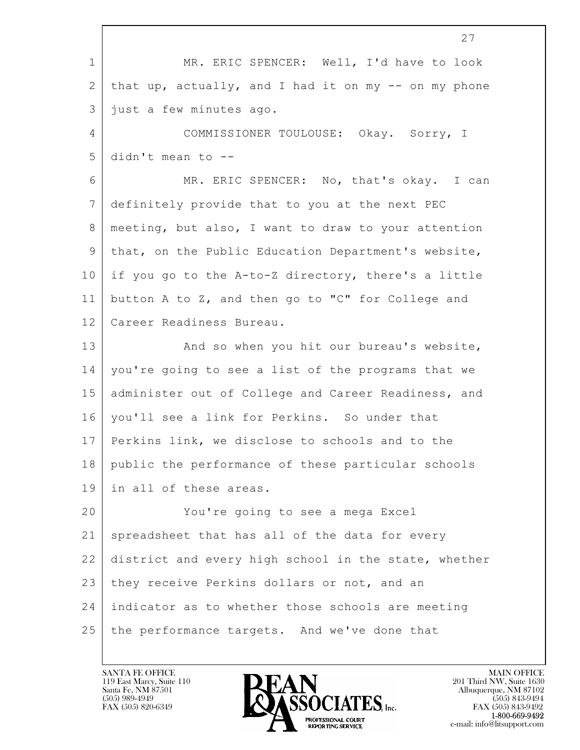$\mathbf{L}$  27 1 MR. ERIC SPENCER: Well, I'd have to look  $2$  that up, actually, and I had it on my  $--$  on my phone 3 just a few minutes ago. 4 COMMISSIONER TOULOUSE: Okay. Sorry, I  $5$  didn't mean to  $-$ 6 MR. ERIC SPENCER: No, that's okay. I can 7 definitely provide that to you at the next PEC 8 meeting, but also, I want to draw to your attention 9 that, on the Public Education Department's website, 10 if you go to the A-to-Z directory, there's a little 11 button A to Z, and then go to "C" for College and 12 Career Readiness Bureau. 13 And so when you hit our bureau's website, 14 you're going to see a list of the programs that we 15 administer out of College and Career Readiness, and 16 you'll see a link for Perkins. So under that 17 Perkins link, we disclose to schools and to the 18 public the performance of these particular schools 19 in all of these areas. 20 You're going to see a mega Excel 21 spreadsheet that has all of the data for every 22 district and every high school in the state, whether 23 they receive Perkins dollars or not, and an 24 indicator as to whether those schools are meeting 25 the performance targets. And we've done that

119 East Marcy, Suite 110<br>Santa Fe, NM 87501



FAX (505) 843-9492 e-mail: info@litsupport.com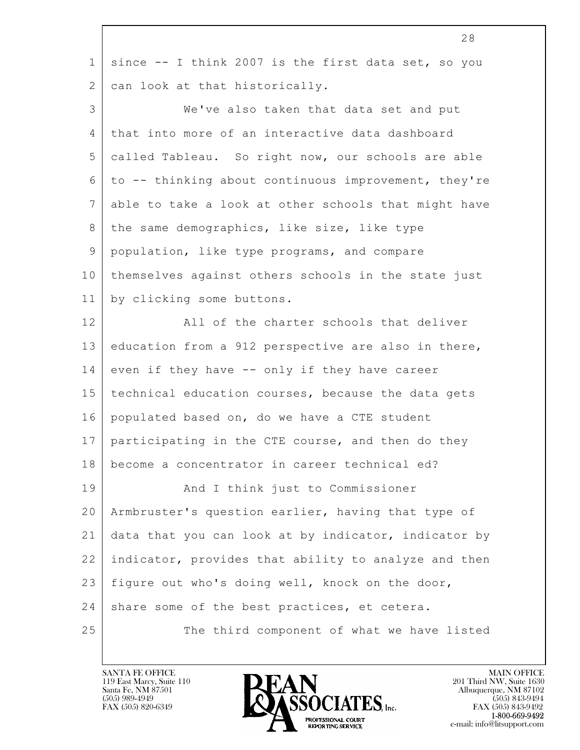|                | 28                                                   |
|----------------|------------------------------------------------------|
| $\mathbf 1$    | since -- I think 2007 is the first data set, so you  |
| 2              | can look at that historically.                       |
| 3              | We've also taken that data set and put               |
| 4              | that into more of an interactive data dashboard      |
| 5              | called Tableau. So right now, our schools are able   |
| 6              | to -- thinking about continuous improvement, they're |
| $7\phantom{.}$ | able to take a look at other schools that might have |
| 8              | the same demographics, like size, like type          |
| 9              | population, like type programs, and compare          |
| 10             | themselves against others schools in the state just  |
| 11             | by clicking some buttons.                            |
| 12             | All of the charter schools that deliver              |
| 13             | education from a 912 perspective are also in there,  |
| 14             | even if they have -- only if they have career        |
| 15             | technical education courses, because the data gets   |
| 16             | populated based on, do we have a CTE student         |
| 17             | participating in the CTE course, and then do they    |
| 18             | become a concentrator in career technical ed?        |
| 19             | And I think just to Commissioner                     |
| 20             | Armbruster's question earlier, having that type of   |
| 21             | data that you can look at by indicator, indicator by |
| 22             | indicator, provides that ability to analyze and then |
| 23             | figure out who's doing well, knock on the door,      |
| 24             | share some of the best practices, et cetera.         |
| 25             | The third component of what we have listed           |

 $\lceil$ 

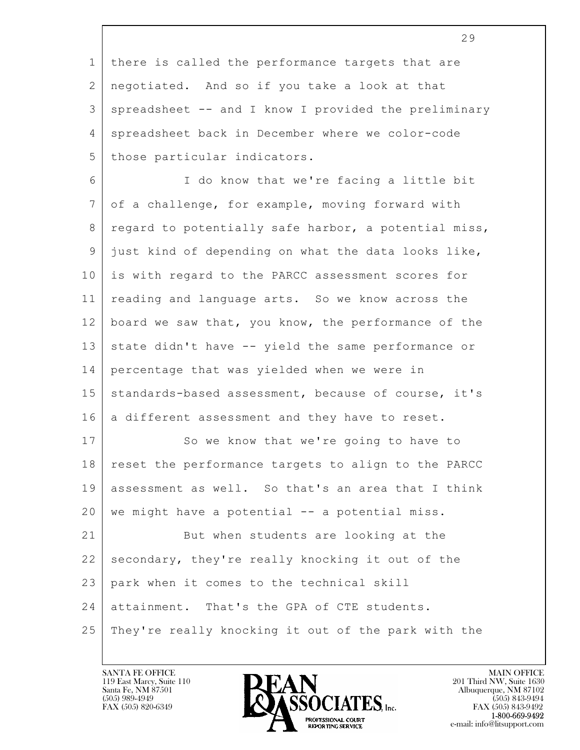|                | 29                                                   |
|----------------|------------------------------------------------------|
| $\mathbf{1}$   | there is called the performance targets that are     |
| 2              | negotiated. And so if you take a look at that        |
| 3              | spreadsheet -- and I know I provided the preliminary |
| 4              | spreadsheet back in December where we color-code     |
| 5              | those particular indicators.                         |
| 6              | I do know that we're facing a little bit             |
| $7\phantom{.}$ | of a challenge, for example, moving forward with     |
| 8              | regard to potentially safe harbor, a potential miss, |
| 9              | just kind of depending on what the data looks like,  |
| 10             | is with regard to the PARCC assessment scores for    |
| 11             | reading and language arts. So we know across the     |
| 12             | board we saw that, you know, the performance of the  |
| 13             | state didn't have -- yield the same performance or   |
| 14             | percentage that was yielded when we were in          |
| 15             | standards-based assessment, because of course, it's  |
| 16             | a different assessment and they have to reset.       |
| 17             | So we know that we're going to have to               |
| 18             | reset the performance targets to align to the PARCC  |
| 19             | assessment as well. So that's an area that I think   |
| 20             | we might have a potential -- a potential miss.       |
| 21             | But when students are looking at the                 |
| 22             | secondary, they're really knocking it out of the     |
| 23             | park when it comes to the technical skill            |
| 24             | attainment. That's the GPA of CTE students.          |
| 25             | They're really knocking it out of the park with the  |

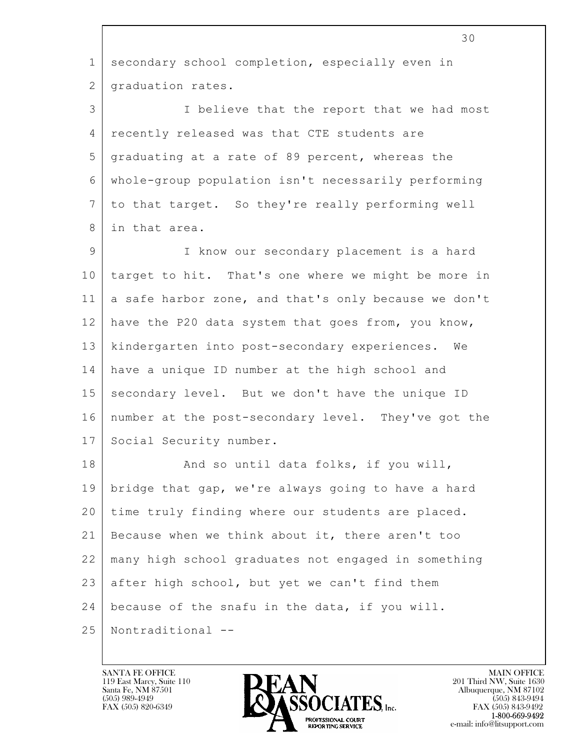|                | 30                                                   |
|----------------|------------------------------------------------------|
| $\mathbf 1$    | secondary school completion, especially even in      |
| $\overline{2}$ | graduation rates.                                    |
| 3              | I believe that the report that we had most           |
| 4              | recently released was that CTE students are          |
| 5              | graduating at a rate of 89 percent, whereas the      |
| 6              | whole-group population isn't necessarily performing  |
| 7              | to that target. So they're really performing well    |
| 8              | in that area.                                        |
| 9              | I know our secondary placement is a hard             |
| 10             | target to hit. That's one where we might be more in  |
| 11             | a safe harbor zone, and that's only because we don't |
| 12             | have the P20 data system that goes from, you know,   |
| 13             | kindergarten into post-secondary experiences. We     |
| 14             | have a unique ID number at the high school and       |
| 15             | secondary level. But we don't have the unique ID     |
| 16             | number at the post-secondary level. They've got the  |
| 17             | Social Security number.                              |
| 18             | And so until data folks, if you will,                |
| 19             | bridge that gap, we're always going to have a hard   |
| 20             | time truly finding where our students are placed.    |
| 21             | Because when we think about it, there aren't too     |
| 22             | many high school graduates not engaged in something  |
| 23             | after high school, but yet we can't find them        |
| 24             | because of the snafu in the data, if you will.       |
| 25             | Nontraditional --                                    |
|                |                                                      |

 $\lceil$ 

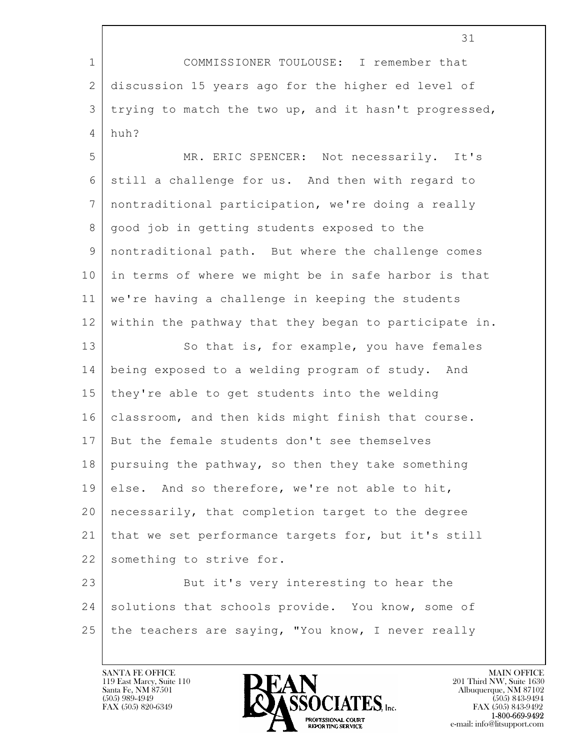$\mathbf{L}$  31 1 COMMISSIONER TOULOUSE: I remember that 2 discussion 15 years ago for the higher ed level of 3 trying to match the two up, and it hasn't progressed,  $4 \text{ huh?}$ 5 MR. ERIC SPENCER: Not necessarily. It's 6 still a challenge for us. And then with regard to 7 nontraditional participation, we're doing a really 8 | good job in getting students exposed to the 9 nontraditional path. But where the challenge comes 10 in terms of where we might be in safe harbor is that 11 we're having a challenge in keeping the students 12 within the pathway that they began to participate in. 13 So that is, for example, you have females 14 being exposed to a welding program of study. And 15 they're able to get students into the welding 16 classroom, and then kids might finish that course. 17 But the female students don't see themselves 18 pursuing the pathway, so then they take something 19 else. And so therefore, we're not able to hit, 20 necessarily, that completion target to the degree 21 that we set performance targets for, but it's still 22 something to strive for. 23 But it's very interesting to hear the 24 solutions that schools provide. You know, some of 25 the teachers are saying, "You know, I never really

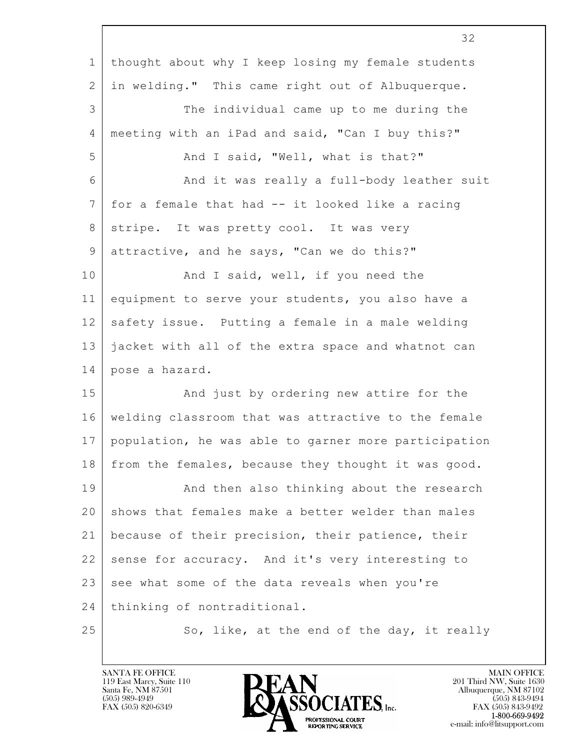|                 | 32                                                   |
|-----------------|------------------------------------------------------|
| $\mathbf 1$     | thought about why I keep losing my female students   |
| $\mathbf{2}$    | in welding." This came right out of Albuquerque.     |
| 3               | The individual came up to me during the              |
| 4               | meeting with an iPad and said, "Can I buy this?"     |
| 5               | And I said, "Well, what is that?"                    |
| 6               | And it was really a full-body leather suit           |
| $7\phantom{.0}$ | for a female that had -- it looked like a racing     |
| 8               | stripe. It was pretty cool. It was very              |
| 9               | attractive, and he says, "Can we do this?"           |
| 10              | And I said, well, if you need the                    |
| 11              | equipment to serve your students, you also have a    |
| 12              | safety issue. Putting a female in a male welding     |
| 13              | jacket with all of the extra space and whatnot can   |
| 14              | pose a hazard.                                       |
| 15              | And just by ordering new attire for the              |
| 16              | welding classroom that was attractive to the female  |
| 17              | population, he was able to garner more participation |
| 18              | from the females, because they thought it was good.  |
| 19              | And then also thinking about the research            |
| 20              | shows that females make a better welder than males   |
| 21              | because of their precision, their patience, their    |
| 22              | sense for accuracy. And it's very interesting to     |
| 23              | see what some of the data reveals when you're        |
| 24              | thinking of nontraditional.                          |
| 25              | So, like, at the end of the day, it really           |

Г

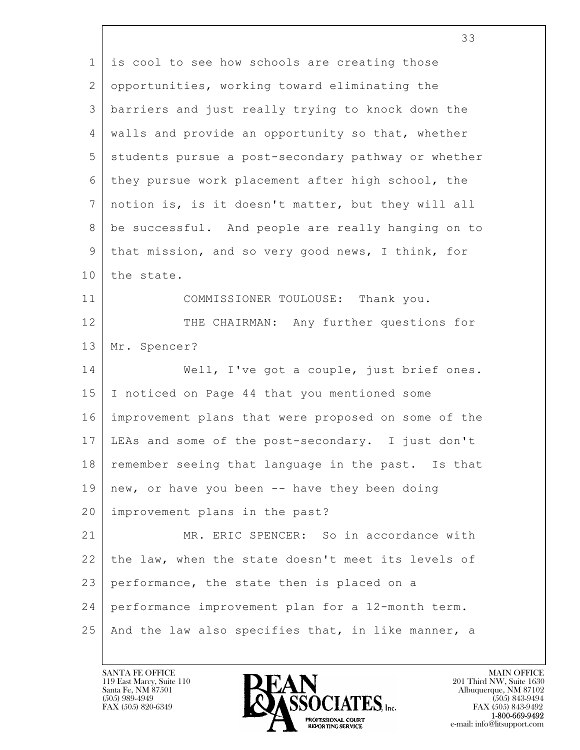| $\mathbf{1}$   | is cool to see how schools are creating those       |
|----------------|-----------------------------------------------------|
| $\overline{2}$ | opportunities, working toward eliminating the       |
| 3              | barriers and just really trying to knock down the   |
| 4              | walls and provide an opportunity so that, whether   |
| 5              | students pursue a post-secondary pathway or whether |
| 6              | they pursue work placement after high school, the   |
| $7\phantom{.}$ | notion is, is it doesn't matter, but they will all  |
| 8              | be successful. And people are really hanging on to  |
| 9              | that mission, and so very good news, I think, for   |
| 10             | the state.                                          |
| 11             | COMMISSIONER TOULOUSE: Thank you.                   |
| 12             | THE CHAIRMAN: Any further questions for             |
| 13             | Mr. Spencer?                                        |
| 14             | Well, I've got a couple, just brief ones.           |
| 15             | I noticed on Page 44 that you mentioned some        |
| 16             | improvement plans that were proposed on some of the |
| 17             | LEAs and some of the post-secondary. I just don't   |
| 18             | remember seeing that language in the past. Is that  |
| 19             | new, or have you been -- have they been doing       |
| 20             | improvement plans in the past?                      |
| 21             | MR. ERIC SPENCER: So in accordance with             |
| 22             | the law, when the state doesn't meet its levels of  |
| 23             | performance, the state then is placed on a          |
| 24             | performance improvement plan for a 12-month term.   |
| 25             | And the law also specifies that, in like manner, a  |

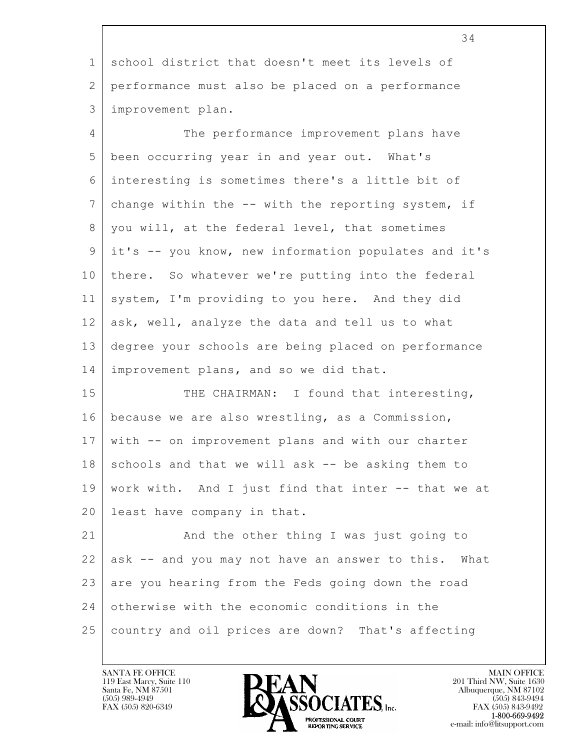|              | 34                                                   |
|--------------|------------------------------------------------------|
| $\mathbf 1$  | school district that doesn't meet its levels of      |
| $\mathbf{2}$ | performance must also be placed on a performance     |
| 3            | improvement plan.                                    |
| 4            | The performance improvement plans have               |
| 5            | been occurring year in and year out. What's          |
| 6            | interesting is sometimes there's a little bit of     |
| 7            | change within the -- with the reporting system, if   |
| 8            | you will, at the federal level, that sometimes       |
| 9            | it's -- you know, new information populates and it's |
| 10           | there. So whatever we're putting into the federal    |
| 11           | system, I'm providing to you here. And they did      |
| 12           | ask, well, analyze the data and tell us to what      |
| 13           | degree your schools are being placed on performance  |
| 14           | improvement plans, and so we did that.               |
| 15           | THE CHAIRMAN: I found that interesting,              |
| 16           | because we are also wrestling, as a Commission,      |
| 17           | with -- on improvement plans and with our charter    |
| 18           | schools and that we will ask -- be asking them to    |
| 19           | work with. And I just find that inter -- that we at  |
| 20           | least have company in that.                          |
| 21           | And the other thing I was just going to              |
| 22           | ask -- and you may not have an answer to this. What  |
| 23           | are you hearing from the Feds going down the road    |
| 24           | otherwise with the economic conditions in the        |
| 25           | country and oil prices are down? That's affecting    |

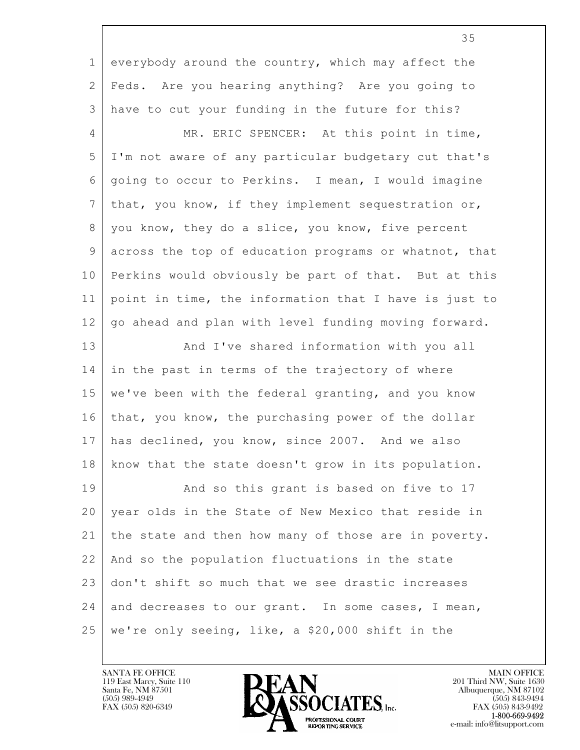| $\mathbf 1$    | everybody around the country, which may affect the    |
|----------------|-------------------------------------------------------|
| $\mathbf{2}$   | Feds. Are you hearing anything? Are you going to      |
| 3              | have to cut your funding in the future for this?      |
| 4              | MR. ERIC SPENCER: At this point in time,              |
| 5              | I'm not aware of any particular budgetary cut that's  |
| 6              | going to occur to Perkins. I mean, I would imagine    |
| $\overline{7}$ | that, you know, if they implement sequestration or,   |
| 8              | you know, they do a slice, you know, five percent     |
| 9              | across the top of education programs or whatnot, that |
| 10             | Perkins would obviously be part of that. But at this  |
| 11             | point in time, the information that I have is just to |
| 12             | go ahead and plan with level funding moving forward.  |
| 13             | And I've shared information with you all              |
| 14             | in the past in terms of the trajectory of where       |
| 15             | we've been with the federal granting, and you know    |
| 16             | that, you know, the purchasing power of the dollar    |
| 17             | has declined, you know, since 2007. And we also       |
| 18             | know that the state doesn't grow in its population.   |
| 19             | And so this grant is based on five to 17              |
| 20             | year olds in the State of New Mexico that reside in   |
| 21             | the state and then how many of those are in poverty.  |
| 22             | And so the population fluctuations in the state       |
| 23             | don't shift so much that we see drastic increases     |
| 24             | and decreases to our grant. In some cases, I mean,    |
| 25             | we're only seeing, like, a \$20,000 shift in the      |



35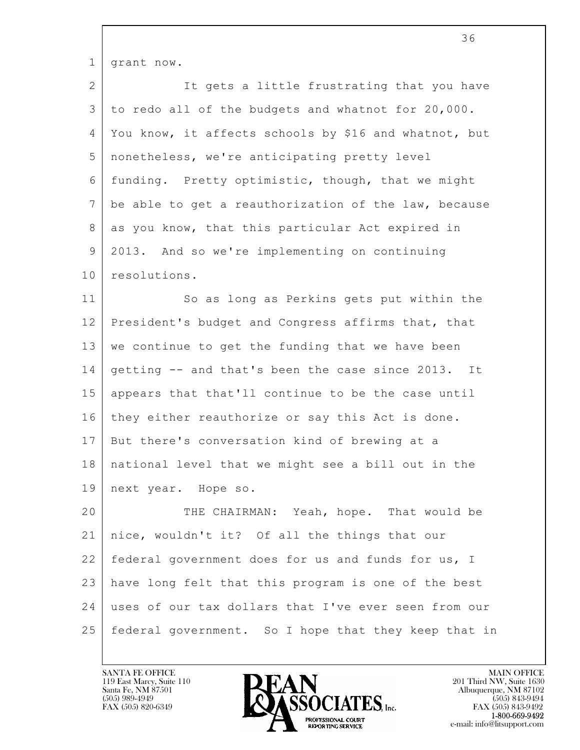| $\mathbf{1}$ | grant now.                                              |
|--------------|---------------------------------------------------------|
| 2            | It gets a little frustrating that you have              |
| 3            | to redo all of the budgets and whatnot for 20,000.      |
| 4            | You know, it affects schools by \$16 and whatnot, but   |
| 5            | nonetheless, we're anticipating pretty level            |
| 6            | funding. Pretty optimistic, though, that we might       |
| 7            | be able to get a reauthorization of the law, because    |
| 8            | as you know, that this particular Act expired in        |
| 9            | 2013. And so we're implementing on continuing           |
| 10           | resolutions.                                            |
| 11           | So as long as Perkins gets put within the               |
| 12           | President's budget and Congress affirms that, that      |
| 13           | we continue to get the funding that we have been        |
| 14           | getting -- and that's been the case since 2013. It      |
| 15           | appears that that'll continue to be the case until      |
| 16           | they either reauthorize or say this Act is done.        |
| 17           | But there's conversation kind of brewing at a           |
|              | 18   national level that we might see a bill out in the |
| 19           | next year. Hope so.                                     |
| 20           | THE CHAIRMAN: Yeah, hope. That would be                 |
| 21           | nice, wouldn't it? Of all the things that our           |
| 22           | federal government does for us and funds for us, I      |
| 23           | have long felt that this program is one of the best     |
| 24           | uses of our tax dollars that I've ever seen from our    |
| 25           | federal government. So I hope that they keep that in    |

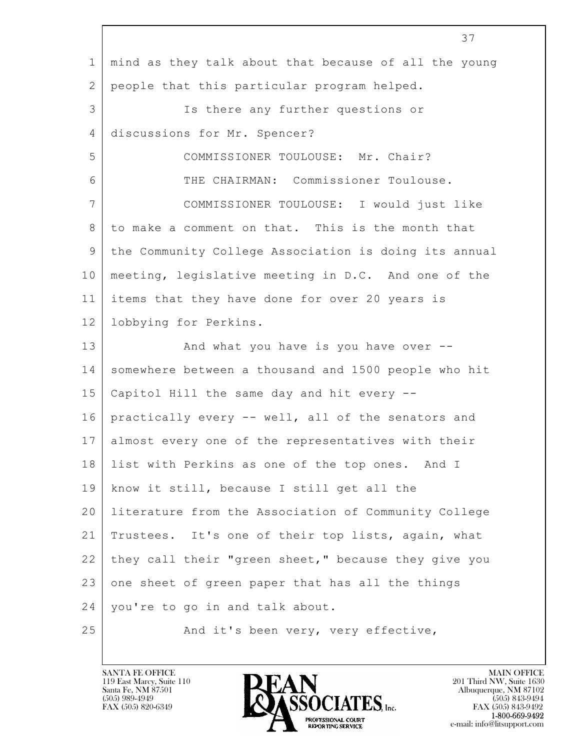|             | 37                                                    |
|-------------|-------------------------------------------------------|
| $\mathbf 1$ | mind as they talk about that because of all the young |
| 2           | people that this particular program helped.           |
| 3           | Is there any further questions or                     |
| 4           | discussions for Mr. Spencer?                          |
| 5           | COMMISSIONER TOULOUSE: Mr. Chair?                     |
| 6           | THE CHAIRMAN: Commissioner Toulouse.                  |
| 7           | COMMISSIONER TOULOUSE: I would just like              |
| 8           | to make a comment on that. This is the month that     |
| 9           | the Community College Association is doing its annual |
| 10          | meeting, legislative meeting in D.C. And one of the   |
| 11          | items that they have done for over 20 years is        |
| 12          | lobbying for Perkins.                                 |
| 13          | And what you have is you have over --                 |
| 14          | somewhere between a thousand and 1500 people who hit  |
| 15          | Capitol Hill the same day and hit every --            |
| 16          | practically every -- well, all of the senators and    |
| 17          | almost every one of the representatives with their    |
| 18          | list with Perkins as one of the top ones. And I       |
| 19          | know it still, because I still get all the            |
| 20          | literature from the Association of Community College  |
| 21          | Trustees. It's one of their top lists, again, what    |
| 22          | they call their "green sheet," because they give you  |
| 23          | one sheet of green paper that has all the things      |
| 24          | you're to go in and talk about.                       |
| 25          | And it's been very, very effective,                   |

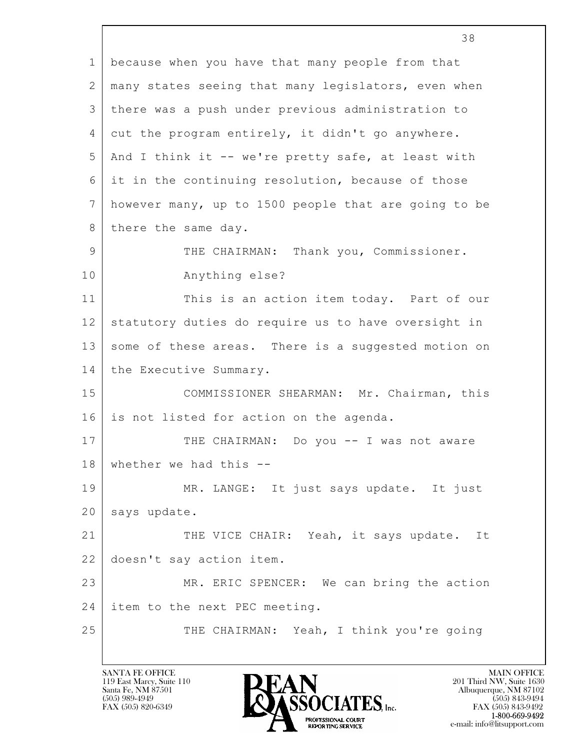|              | 38                                                   |  |  |  |  |  |
|--------------|------------------------------------------------------|--|--|--|--|--|
| $\mathbf{1}$ | because when you have that many people from that     |  |  |  |  |  |
| 2            | many states seeing that many legislators, even when  |  |  |  |  |  |
| 3            | there was a push under previous administration to    |  |  |  |  |  |
| 4            | cut the program entirely, it didn't go anywhere.     |  |  |  |  |  |
| 5            | And I think it -- we're pretty safe, at least with   |  |  |  |  |  |
| 6            | it in the continuing resolution, because of those    |  |  |  |  |  |
| 7            | however many, up to 1500 people that are going to be |  |  |  |  |  |
| 8            | there the same day.                                  |  |  |  |  |  |
| 9            | THE CHAIRMAN: Thank you, Commissioner.               |  |  |  |  |  |
| 10           | Anything else?                                       |  |  |  |  |  |
| 11           | This is an action item today. Part of our            |  |  |  |  |  |
| 12           | statutory duties do require us to have oversight in  |  |  |  |  |  |
| 13           | some of these areas. There is a suggested motion on  |  |  |  |  |  |
| 14           | the Executive Summary.                               |  |  |  |  |  |
| 15           | COMMISSIONER SHEARMAN: Mr. Chairman, this            |  |  |  |  |  |
| 16           | is not listed for action on the agenda.              |  |  |  |  |  |
| 17           | THE CHAIRMAN: Do you -- I was not aware              |  |  |  |  |  |
| 18           | whether we had this --                               |  |  |  |  |  |
| 19           | MR. LANGE: It just says update. It just              |  |  |  |  |  |
| 20           | says update.                                         |  |  |  |  |  |
| 21           | THE VICE CHAIR: Yeah, it says update. It             |  |  |  |  |  |
| 22           | doesn't say action item.                             |  |  |  |  |  |
| 23           | MR. ERIC SPENCER: We can bring the action            |  |  |  |  |  |
| 24           | item to the next PEC meeting.                        |  |  |  |  |  |
| 25           | THE CHAIRMAN: Yeah, I think you're going             |  |  |  |  |  |
|              |                                                      |  |  |  |  |  |

 $\overline{\phantom{a}}$ 

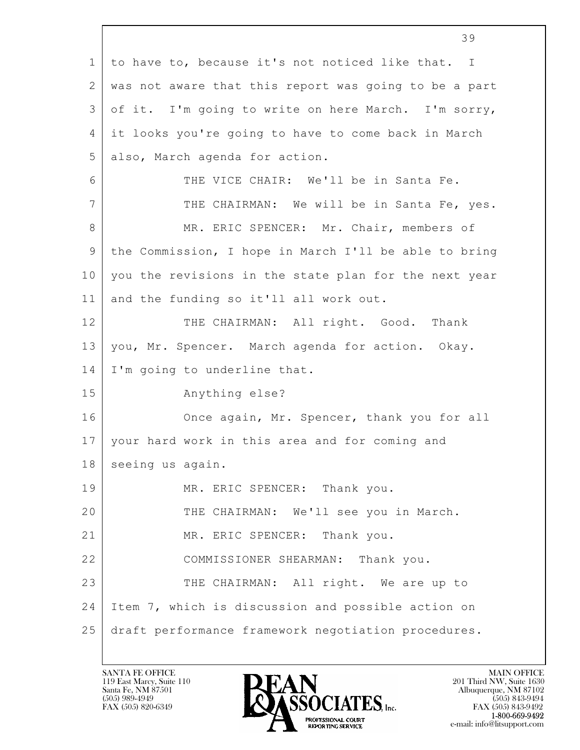|              | 39                                                    |  |  |  |  |  |
|--------------|-------------------------------------------------------|--|--|--|--|--|
| $\mathbf 1$  | to have to, because it's not noticed like that. I     |  |  |  |  |  |
| $\mathbf{2}$ | was not aware that this report was going to be a part |  |  |  |  |  |
| 3            | of it. I'm going to write on here March. I'm sorry,   |  |  |  |  |  |
| 4            | it looks you're going to have to come back in March   |  |  |  |  |  |
| 5            | also, March agenda for action.                        |  |  |  |  |  |
| 6            | THE VICE CHAIR: We'll be in Santa Fe.                 |  |  |  |  |  |
| 7            | THE CHAIRMAN: We will be in Santa Fe, yes.            |  |  |  |  |  |
| 8            | MR. ERIC SPENCER: Mr. Chair, members of               |  |  |  |  |  |
| 9            | the Commission, I hope in March I'll be able to bring |  |  |  |  |  |
| 10           | you the revisions in the state plan for the next year |  |  |  |  |  |
| 11           | and the funding so it'll all work out.                |  |  |  |  |  |
| 12           | THE CHAIRMAN: All right. Good. Thank                  |  |  |  |  |  |
| 13           | you, Mr. Spencer. March agenda for action. Okay.      |  |  |  |  |  |
| 14           | I'm going to underline that.                          |  |  |  |  |  |
| 15           | Anything else?                                        |  |  |  |  |  |
| 16           | Once again, Mr. Spencer, thank you for all            |  |  |  |  |  |
| 17           | your hard work in this area and for coming and        |  |  |  |  |  |
| 18           | seeing us again.                                      |  |  |  |  |  |
| 19           | MR. ERIC SPENCER: Thank you.                          |  |  |  |  |  |
| 20           | THE CHAIRMAN: We'll see you in March.                 |  |  |  |  |  |
| 21           | MR. ERIC SPENCER: Thank you.                          |  |  |  |  |  |
| 22           | COMMISSIONER SHEARMAN: Thank you.                     |  |  |  |  |  |
| 23           | THE CHAIRMAN: All right. We are up to                 |  |  |  |  |  |
| 24           | Item 7, which is discussion and possible action on    |  |  |  |  |  |
| 25           | draft performance framework negotiation procedures.   |  |  |  |  |  |
|              |                                                       |  |  |  |  |  |

Г

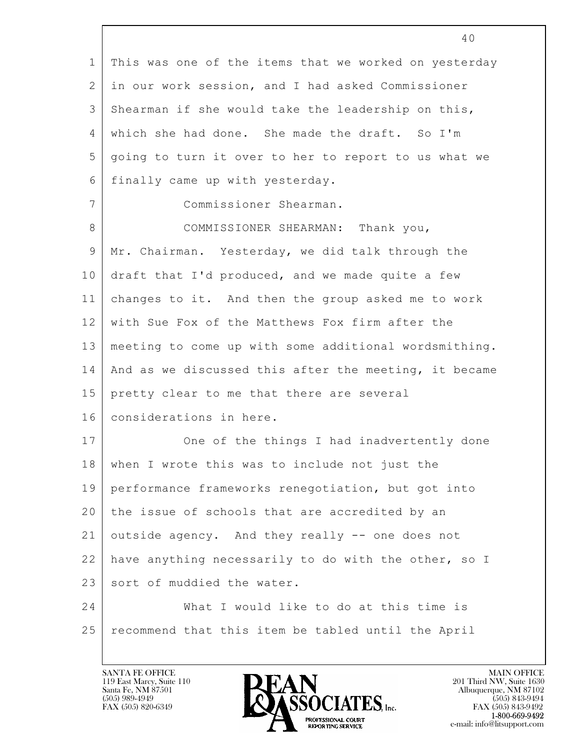|             | 40                                                    |  |  |  |  |  |
|-------------|-------------------------------------------------------|--|--|--|--|--|
| $\mathbf 1$ | This was one of the items that we worked on yesterday |  |  |  |  |  |
| 2           | in our work session, and I had asked Commissioner     |  |  |  |  |  |
| 3           | Shearman if she would take the leadership on this,    |  |  |  |  |  |
| 4           | which she had done. She made the draft. So I'm        |  |  |  |  |  |
| 5           | going to turn it over to her to report to us what we  |  |  |  |  |  |
| 6           | finally came up with yesterday.                       |  |  |  |  |  |
| 7           | Commissioner Shearman.                                |  |  |  |  |  |
| 8           | COMMISSIONER SHEARMAN: Thank you,                     |  |  |  |  |  |
| 9           | Mr. Chairman. Yesterday, we did talk through the      |  |  |  |  |  |
| 10          | draft that I'd produced, and we made quite a few      |  |  |  |  |  |
| 11          | changes to it. And then the group asked me to work    |  |  |  |  |  |
| 12          | with Sue Fox of the Matthews Fox firm after the       |  |  |  |  |  |
| 13          | meeting to come up with some additional wordsmithing. |  |  |  |  |  |
| 14          | And as we discussed this after the meeting, it became |  |  |  |  |  |
| 15          | pretty clear to me that there are several             |  |  |  |  |  |
| 16          | considerations in here.                               |  |  |  |  |  |
| 17          | One of the things I had inadvertently done            |  |  |  |  |  |
| 18          | when I wrote this was to include not just the         |  |  |  |  |  |
| 19          | performance frameworks renegotiation, but got into    |  |  |  |  |  |
| 20          | the issue of schools that are accredited by an        |  |  |  |  |  |
| 21          | outside agency. And they really -- one does not       |  |  |  |  |  |
| 22          | have anything necessarily to do with the other, so I  |  |  |  |  |  |
| 23          | sort of muddied the water.                            |  |  |  |  |  |
| 24          | What I would like to do at this time is               |  |  |  |  |  |
| 25          | recommend that this item be tabled until the April    |  |  |  |  |  |

 $\sqrt{ }$ 

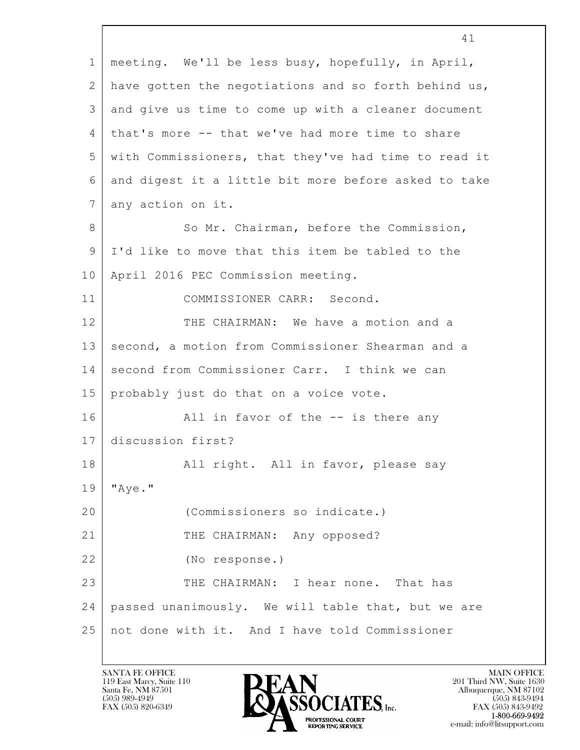|                 | 41                                                   |  |  |  |  |  |  |
|-----------------|------------------------------------------------------|--|--|--|--|--|--|
| $\mathbf 1$     | meeting. We'll be less busy, hopefully, in April,    |  |  |  |  |  |  |
| $\mathbf{2}$    | have gotten the negotiations and so forth behind us, |  |  |  |  |  |  |
| 3               | and give us time to come up with a cleaner document  |  |  |  |  |  |  |
| 4               | that's more -- that we've had more time to share     |  |  |  |  |  |  |
| 5               | with Commissioners, that they've had time to read it |  |  |  |  |  |  |
| 6               | and digest it a little bit more before asked to take |  |  |  |  |  |  |
| $7\overline{ }$ | any action on it.                                    |  |  |  |  |  |  |
| 8               | So Mr. Chairman, before the Commission,              |  |  |  |  |  |  |
| 9               | I'd like to move that this item be tabled to the     |  |  |  |  |  |  |
| 10              | April 2016 PEC Commission meeting.                   |  |  |  |  |  |  |
| 11              | COMMISSIONER CARR: Second.                           |  |  |  |  |  |  |
| 12              | THE CHAIRMAN: We have a motion and a                 |  |  |  |  |  |  |
| 13              | second, a motion from Commissioner Shearman and a    |  |  |  |  |  |  |
| 14              | second from Commissioner Carr. I think we can        |  |  |  |  |  |  |
| 15              | probably just do that on a voice vote.               |  |  |  |  |  |  |
| 16              | All in favor of the -- is there any                  |  |  |  |  |  |  |
| 17              | discussion first?                                    |  |  |  |  |  |  |
| 18              | All right. All in favor, please say                  |  |  |  |  |  |  |
| 19              | "Aye."                                               |  |  |  |  |  |  |
| 20              | (Commissioners so indicate.)                         |  |  |  |  |  |  |
| 21              | THE CHAIRMAN: Any opposed?                           |  |  |  |  |  |  |
| 22              | (No response.)                                       |  |  |  |  |  |  |
| 23              | THE CHAIRMAN: I hear none. That has                  |  |  |  |  |  |  |
| 24              | passed unanimously. We will table that, but we are   |  |  |  |  |  |  |
| 25              | not done with it. And I have told Commissioner       |  |  |  |  |  |  |

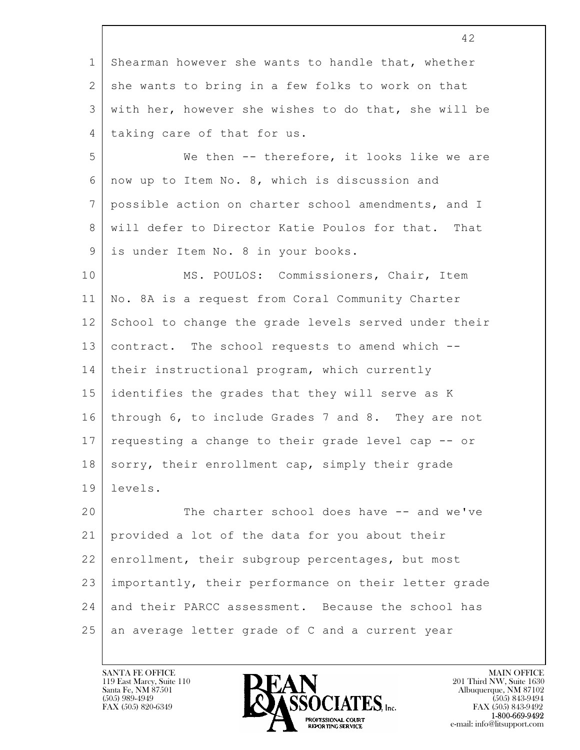|             | 42                                                   |  |  |  |  |  |
|-------------|------------------------------------------------------|--|--|--|--|--|
| $\mathbf 1$ | Shearman however she wants to handle that, whether   |  |  |  |  |  |
| 2           | she wants to bring in a few folks to work on that    |  |  |  |  |  |
| 3           | with her, however she wishes to do that, she will be |  |  |  |  |  |
| 4           | taking care of that for us.                          |  |  |  |  |  |
| 5           | We then -- therefore, it looks like we are           |  |  |  |  |  |
| 6           | now up to Item No. 8, which is discussion and        |  |  |  |  |  |
| 7           | possible action on charter school amendments, and I  |  |  |  |  |  |
| 8           | will defer to Director Katie Poulos for that. That   |  |  |  |  |  |
| 9           | is under Item No. 8 in your books.                   |  |  |  |  |  |
| 10          | MS. POULOS: Commissioners, Chair, Item               |  |  |  |  |  |
| 11          | No. 8A is a request from Coral Community Charter     |  |  |  |  |  |
| 12          | School to change the grade levels served under their |  |  |  |  |  |
| 13          | contract. The school requests to amend which --      |  |  |  |  |  |
| 14          | their instructional program, which currently         |  |  |  |  |  |
| 15          | identifies the grades that they will serve as K      |  |  |  |  |  |
| 16          | through 6, to include Grades 7 and 8. They are not   |  |  |  |  |  |
| 17          | requesting a change to their grade level cap -- or   |  |  |  |  |  |
| 18          | sorry, their enrollment cap, simply their grade      |  |  |  |  |  |
| 19          | levels.                                              |  |  |  |  |  |
| 20          | The charter school does have -- and we've            |  |  |  |  |  |
| 21          | provided a lot of the data for you about their       |  |  |  |  |  |
| 22          | enrollment, their subgroup percentages, but most     |  |  |  |  |  |
| 23          | importantly, their performance on their letter grade |  |  |  |  |  |
| 24          | and their PARCC assessment. Because the school has   |  |  |  |  |  |
| 25          | an average letter grade of C and a current year      |  |  |  |  |  |

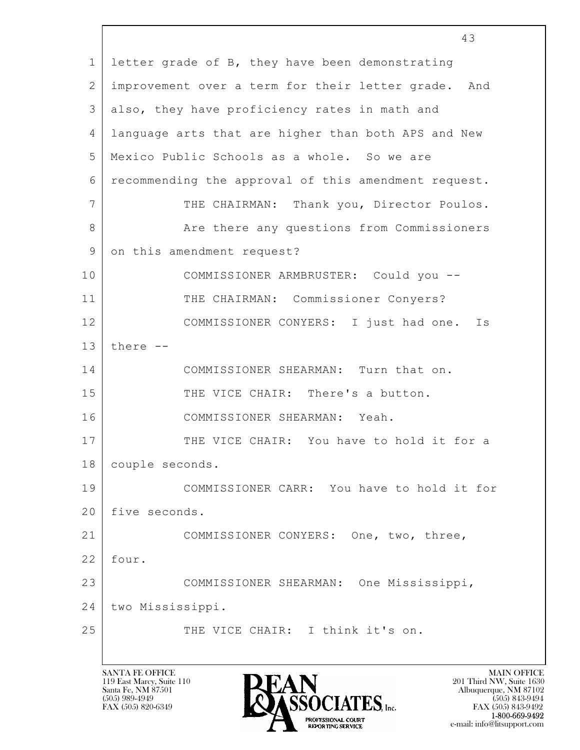|              | 43                                                   |  |  |  |  |  |
|--------------|------------------------------------------------------|--|--|--|--|--|
| $\mathbf{1}$ | letter grade of B, they have been demonstrating      |  |  |  |  |  |
| 2            | improvement over a term for their letter grade. And  |  |  |  |  |  |
| 3            | also, they have proficiency rates in math and        |  |  |  |  |  |
| 4            | language arts that are higher than both APS and New  |  |  |  |  |  |
| 5            | Mexico Public Schools as a whole. So we are          |  |  |  |  |  |
| 6            | recommending the approval of this amendment request. |  |  |  |  |  |
| 7            | THE CHAIRMAN: Thank you, Director Poulos.            |  |  |  |  |  |
| 8            | Are there any questions from Commissioners           |  |  |  |  |  |
| 9            | on this amendment request?                           |  |  |  |  |  |
| 10           | COMMISSIONER ARMBRUSTER: Could you --                |  |  |  |  |  |
| 11           | THE CHAIRMAN: Commissioner Conyers?                  |  |  |  |  |  |
| 12           | COMMISSIONER CONYERS: I just had one.<br>Is          |  |  |  |  |  |
| 13           | there --                                             |  |  |  |  |  |
| 14           | COMMISSIONER SHEARMAN: Turn that on.                 |  |  |  |  |  |
| 15           | THE VICE CHAIR: There's a button.                    |  |  |  |  |  |
| 16           | COMMISSIONER SHEARMAN: Yeah.                         |  |  |  |  |  |
| 17           | THE VICE CHAIR: You have to hold it for a            |  |  |  |  |  |
| 18           | couple seconds.                                      |  |  |  |  |  |
| 19           | COMMISSIONER CARR: You have to hold it for           |  |  |  |  |  |
| 20           | five seconds.                                        |  |  |  |  |  |
| 21           | COMMISSIONER CONYERS: One, two, three,               |  |  |  |  |  |
| 22           | four.                                                |  |  |  |  |  |
| 23           | COMMISSIONER SHEARMAN: One Mississippi,              |  |  |  |  |  |
| 24           | two Mississippi.                                     |  |  |  |  |  |
| 25           | THE VICE CHAIR: I think it's on.                     |  |  |  |  |  |
|              |                                                      |  |  |  |  |  |

 $\vert$ 

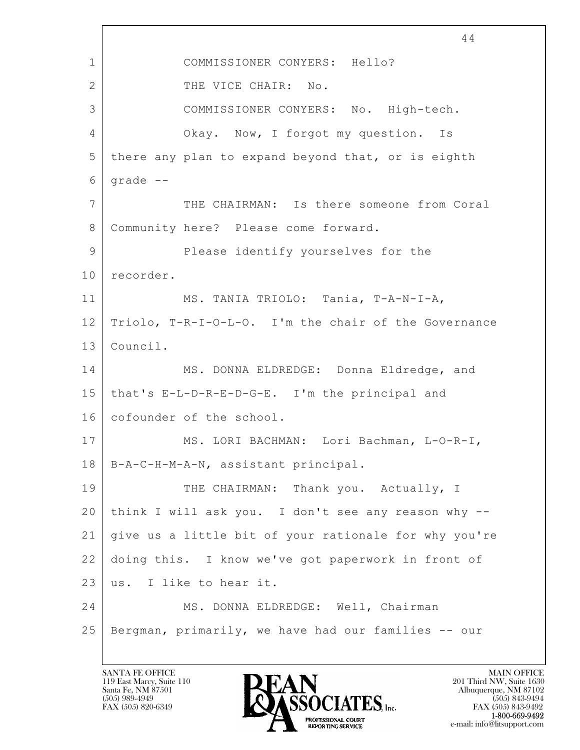$\mathbf{L}$  44 1 COMMISSIONER CONYERS: Hello? 2 THE VICE CHAIR: No. 3 COMMISSIONER CONYERS: No. High-tech. 4 Okay. Now, I forgot my question. Is 5 there any plan to expand beyond that, or is eighth  $6$  grade  $-$ 7 THE CHAIRMAN: Is there someone from Coral 8 | Community here? Please come forward. 9 Please identify yourselves for the 10 recorder. 11 | MS. TANIA TRIOLO: Tania, T-A-N-I-A, 12 Triolo, T-R-I-O-L-O. I'm the chair of the Governance 13 Council. 14 MS. DONNA ELDREDGE: Donna Eldredge, and 15 that's E-L-D-R-E-D-G-E. I'm the principal and 16 cofounder of the school. 17 | MS. LORI BACHMAN: Lori Bachman, L-O-R-I, 18 B-A-C-H-M-A-N, assistant principal. 19 THE CHAIRMAN: Thank you. Actually, I 20 think I will ask you. I don't see any reason why -- 21 give us a little bit of your rationale for why you're 22 doing this. I know we've got paperwork in front of 23 | us. I like to hear it. 24 MS. DONNA ELDREDGE: Well, Chairman 25 Bergman, primarily, we have had our families -- our

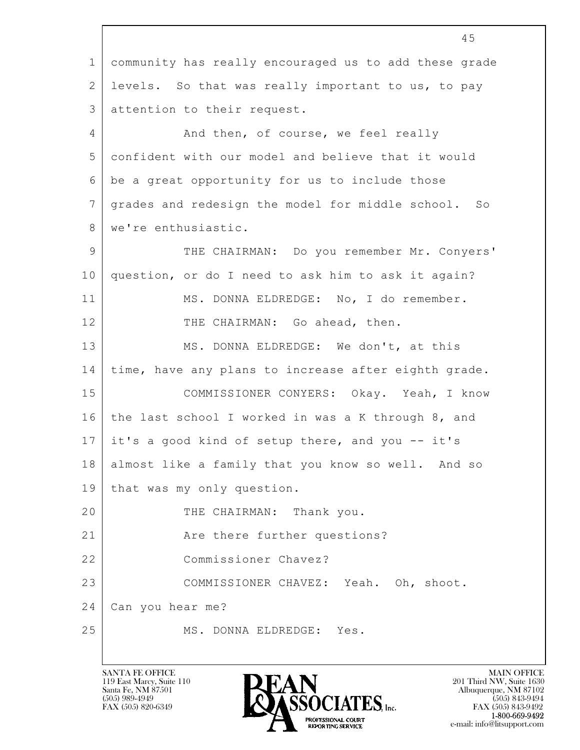$\mathbf{L}$  45 1 community has really encouraged us to add these grade 2 levels. So that was really important to us, to pay 3 attention to their request. 4 And then, of course, we feel really 5 confident with our model and believe that it would 6 be a great opportunity for us to include those 7 grades and redesign the model for middle school. So 8 we're enthusiastic. 9 THE CHAIRMAN: Do you remember Mr. Conyers' 10 question, or do I need to ask him to ask it again? 11 | MS. DONNA ELDREDGE: No, I do remember. 12 THE CHAIRMAN: Go ahead, then. 13 MS. DONNA ELDREDGE: We don't, at this 14 time, have any plans to increase after eighth grade. 15 | COMMISSIONER CONYERS: Okay. Yeah, I know 16 the last school I worked in was a K through 8, and 17 it's a good kind of setup there, and you -- it's 18 almost like a family that you know so well. And so 19 | that was my only question. 20 THE CHAIRMAN: Thank you. 21 | Rickell Are there further questions? 22 Commissioner Chavez? 23 COMMISSIONER CHAVEZ: Yeah. Oh, shoot. 24 Can you hear me? 25 MS. DONNA ELDREDGE: Yes.

119 East Marcy, Suite 110<br>Santa Fe, NM 87501



FAX (505) 843-9492 e-mail: info@litsupport.com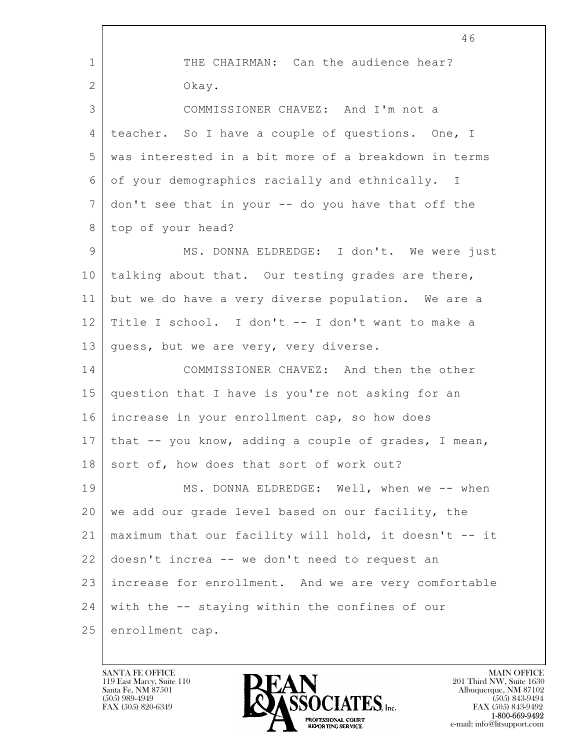|              | 46                                                    |  |  |  |  |  |
|--------------|-------------------------------------------------------|--|--|--|--|--|
| $\mathbf{1}$ | THE CHAIRMAN: Can the audience hear?                  |  |  |  |  |  |
| $\mathbf{2}$ | Okay.                                                 |  |  |  |  |  |
| 3            | COMMISSIONER CHAVEZ: And I'm not a                    |  |  |  |  |  |
| 4            | teacher. So I have a couple of questions. One, I      |  |  |  |  |  |
| 5            | was interested in a bit more of a breakdown in terms  |  |  |  |  |  |
| 6            | of your demographics racially and ethnically. I       |  |  |  |  |  |
| 7            | don't see that in your -- do you have that off the    |  |  |  |  |  |
| 8            | top of your head?                                     |  |  |  |  |  |
| 9            | MS. DONNA ELDREDGE: I don't. We were just             |  |  |  |  |  |
| 10           | talking about that. Our testing grades are there,     |  |  |  |  |  |
| 11           | but we do have a very diverse population. We are a    |  |  |  |  |  |
| 12           | Title I school. I don't -- I don't want to make a     |  |  |  |  |  |
| 13           | guess, but we are very, very diverse.                 |  |  |  |  |  |
| 14           | COMMISSIONER CHAVEZ: And then the other               |  |  |  |  |  |
| 15           | question that I have is you're not asking for an      |  |  |  |  |  |
| 16           | increase in your enrollment cap, so how does          |  |  |  |  |  |
| 17           | that -- you know, adding a couple of grades, I mean,  |  |  |  |  |  |
| 18           | sort of, how does that sort of work out?              |  |  |  |  |  |
| 19           | MS. DONNA ELDREDGE: Well, when we -- when             |  |  |  |  |  |
| 20           | we add our grade level based on our facility, the     |  |  |  |  |  |
| 21           | maximum that our facility will hold, it doesn't -- it |  |  |  |  |  |
| 22           | doesn't increa -- we don't need to request an         |  |  |  |  |  |
| 23           | increase for enrollment. And we are very comfortable  |  |  |  |  |  |
| 24           | with the -- staying within the confines of our        |  |  |  |  |  |
| 25           | enrollment cap.                                       |  |  |  |  |  |

 $\overline{\phantom{a}}$ 

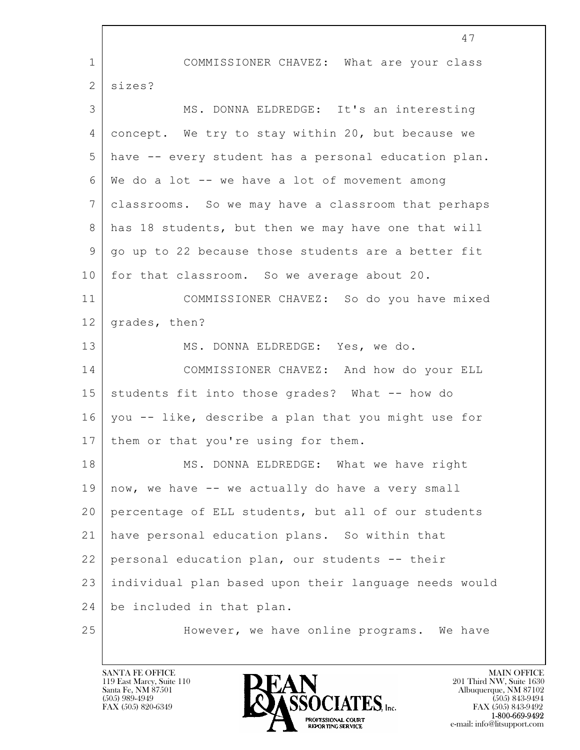|                | 47                                                    |  |  |  |  |  |  |
|----------------|-------------------------------------------------------|--|--|--|--|--|--|
| $\mathbf 1$    | COMMISSIONER CHAVEZ: What are your class              |  |  |  |  |  |  |
| $\mathbf{2}$   | sizes?                                                |  |  |  |  |  |  |
| 3              | MS. DONNA ELDREDGE: It's an interesting               |  |  |  |  |  |  |
| $\overline{4}$ | concept. We try to stay within 20, but because we     |  |  |  |  |  |  |
| 5              | have -- every student has a personal education plan.  |  |  |  |  |  |  |
| 6              | We do a lot -- we have a lot of movement among        |  |  |  |  |  |  |
| 7              | classrooms. So we may have a classroom that perhaps   |  |  |  |  |  |  |
| 8              | has 18 students, but then we may have one that will   |  |  |  |  |  |  |
| 9              | go up to 22 because those students are a better fit   |  |  |  |  |  |  |
| 10             | for that classroom. So we average about 20.           |  |  |  |  |  |  |
| 11             | COMMISSIONER CHAVEZ: So do you have mixed             |  |  |  |  |  |  |
| 12             | grades, then?                                         |  |  |  |  |  |  |
| 13             | MS. DONNA ELDREDGE: Yes, we do.                       |  |  |  |  |  |  |
| 14             | COMMISSIONER CHAVEZ: And how do your ELL              |  |  |  |  |  |  |
| 15             | students fit into those grades? What -- how do        |  |  |  |  |  |  |
| 16             | you -- like, describe a plan that you might use for   |  |  |  |  |  |  |
| 17             | them or that you're using for them.                   |  |  |  |  |  |  |
| 18             | MS. DONNA ELDREDGE: What we have right                |  |  |  |  |  |  |
| 19             | now, we have -- we actually do have a very small      |  |  |  |  |  |  |
| 20             | percentage of ELL students, but all of our students   |  |  |  |  |  |  |
| 21             | have personal education plans. So within that         |  |  |  |  |  |  |
| 22             | personal education plan, our students -- their        |  |  |  |  |  |  |
| 23             | individual plan based upon their language needs would |  |  |  |  |  |  |
| 24             | be included in that plan.                             |  |  |  |  |  |  |
| 25             | However, we have online programs. We have             |  |  |  |  |  |  |

Г

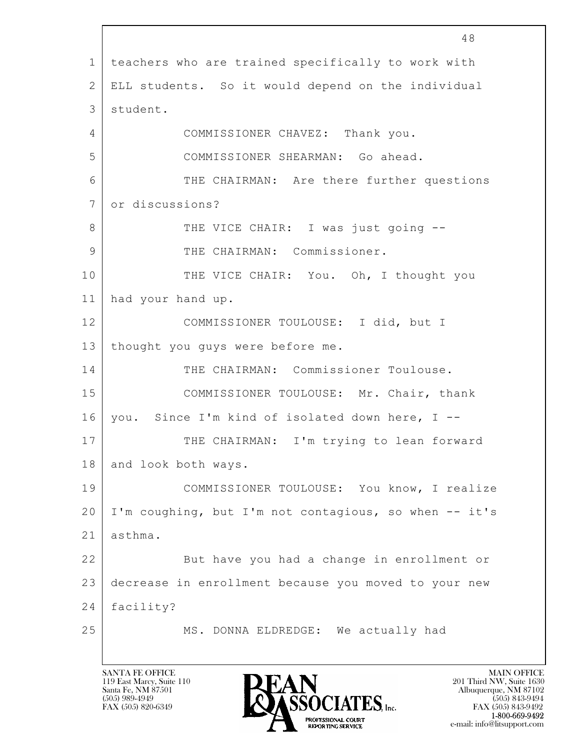|              | 48                                                    |  |  |  |  |  |  |
|--------------|-------------------------------------------------------|--|--|--|--|--|--|
| 1            | teachers who are trained specifically to work with    |  |  |  |  |  |  |
| $\mathbf{2}$ | ELL students. So it would depend on the individual    |  |  |  |  |  |  |
| 3            | student.                                              |  |  |  |  |  |  |
| 4            | COMMISSIONER CHAVEZ: Thank you.                       |  |  |  |  |  |  |
| 5            | COMMISSIONER SHEARMAN: Go ahead.                      |  |  |  |  |  |  |
| 6            | THE CHAIRMAN: Are there further questions             |  |  |  |  |  |  |
| 7            | or discussions?                                       |  |  |  |  |  |  |
| 8            | THE VICE CHAIR: I was just going --                   |  |  |  |  |  |  |
| 9            | THE CHAIRMAN: Commissioner.                           |  |  |  |  |  |  |
| 10           | THE VICE CHAIR: You. Oh, I thought you                |  |  |  |  |  |  |
| 11           | had your hand up.                                     |  |  |  |  |  |  |
| 12           | COMMISSIONER TOULOUSE: I did, but I                   |  |  |  |  |  |  |
| 13           | thought you guys were before me.                      |  |  |  |  |  |  |
| 14           | THE CHAIRMAN: Commissioner Toulouse.                  |  |  |  |  |  |  |
| 15           | COMMISSIONER TOULOUSE: Mr. Chair, thank               |  |  |  |  |  |  |
| 16           | you. Since I'm kind of isolated down here, I --       |  |  |  |  |  |  |
| 17           | THE CHAIRMAN: I'm trying to lean forward              |  |  |  |  |  |  |
| 18           | and look both ways.                                   |  |  |  |  |  |  |
| 19           | COMMISSIONER TOULOUSE: You know, I realize            |  |  |  |  |  |  |
| 20           | I'm coughing, but I'm not contagious, so when -- it's |  |  |  |  |  |  |
| 21           | asthma.                                               |  |  |  |  |  |  |
| 22           | But have you had a change in enrollment or            |  |  |  |  |  |  |
| 23           | decrease in enrollment because you moved to your new  |  |  |  |  |  |  |
| 24           | facility?                                             |  |  |  |  |  |  |
| 25           | MS. DONNA ELDREDGE: We actually had                   |  |  |  |  |  |  |
|              |                                                       |  |  |  |  |  |  |

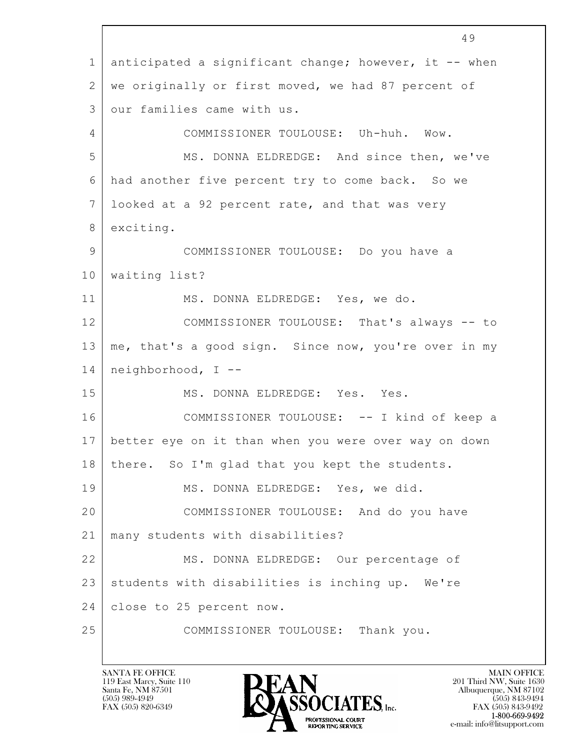$\mathbf{L}$  49 1 anticipated a significant change; however, it -- when 2 | we originally or first moved, we had 87 percent of 3 our families came with us. 4 COMMISSIONER TOULOUSE: Uh-huh. Wow. 5 MS. DONNA ELDREDGE: And since then, we've 6 had another five percent try to come back. So we 7 looked at a 92 percent rate, and that was very 8 exciting. 9 COMMISSIONER TOULOUSE: Do you have a 10 waiting list? 11 MS. DONNA ELDREDGE: Yes, we do. 12 COMMISSIONER TOULOUSE: That's always -- to 13 | me, that's a good sign. Since now, you're over in my 14 neighborhood, I -- 15 MS. DONNA ELDREDGE: Yes. Yes. 16 COMMISSIONER TOULOUSE: -- I kind of keep a 17 better eye on it than when you were over way on down 18 | there. So I'm glad that you kept the students. 19 MS. DONNA ELDREDGE: Yes, we did. 20 COMMISSIONER TOULOUSE: And do you have 21 many students with disabilities? 22 MS. DONNA ELDREDGE: Our percentage of 23 | students with disabilities is inching up. We're 24 close to 25 percent now. 25 COMMISSIONER TOULOUSE: Thank you.

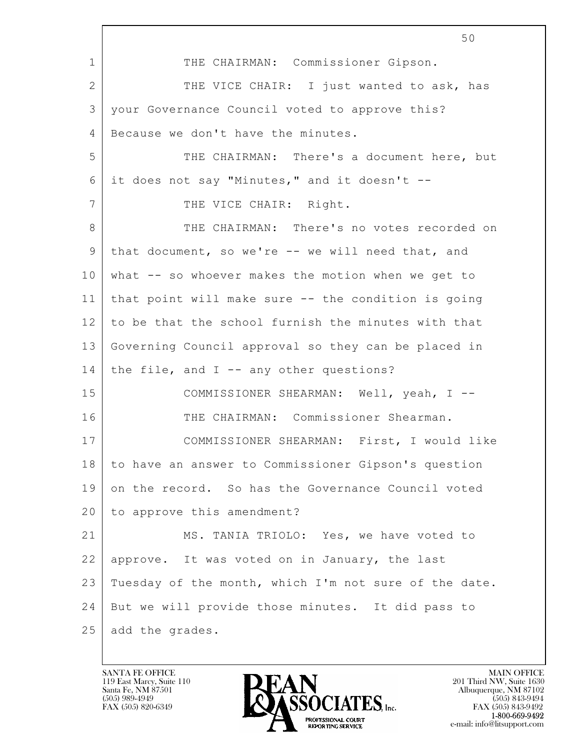$\mathbf{L}$  50 1 THE CHAIRMAN: Commissioner Gipson. 2 | THE VICE CHAIR: I just wanted to ask, has 3 your Governance Council voted to approve this? 4 Because we don't have the minutes. 5 THE CHAIRMAN: There's a document here, but  $6$  it does not say "Minutes," and it doesn't --7 | THE VICE CHAIR: Right. 8 THE CHAIRMAN: There's no votes recorded on 9 that document, so we're -- we will need that, and 10 what -- so whoever makes the motion when we get to 11 that point will make sure -- the condition is going 12 to be that the school furnish the minutes with that 13 Governing Council approval so they can be placed in 14 | the file, and  $I$  -- any other questions? 15 COMMISSIONER SHEARMAN: Well, yeah, I -- 16 THE CHAIRMAN: Commissioner Shearman. 17 COMMISSIONER SHEARMAN: First, I would like 18 to have an answer to Commissioner Gipson's question 19 on the record. So has the Governance Council voted 20 to approve this amendment? 21 MS. TANIA TRIOLO: Yes, we have voted to 22 approve. It was voted on in January, the last 23 Tuesday of the month, which I'm not sure of the date. 24 But we will provide those minutes. It did pass to 25 add the grades.

119 East Marcy, Suite 110<br>Santa Fe, NM 87501



FAX (505) 843-9492 e-mail: info@litsupport.com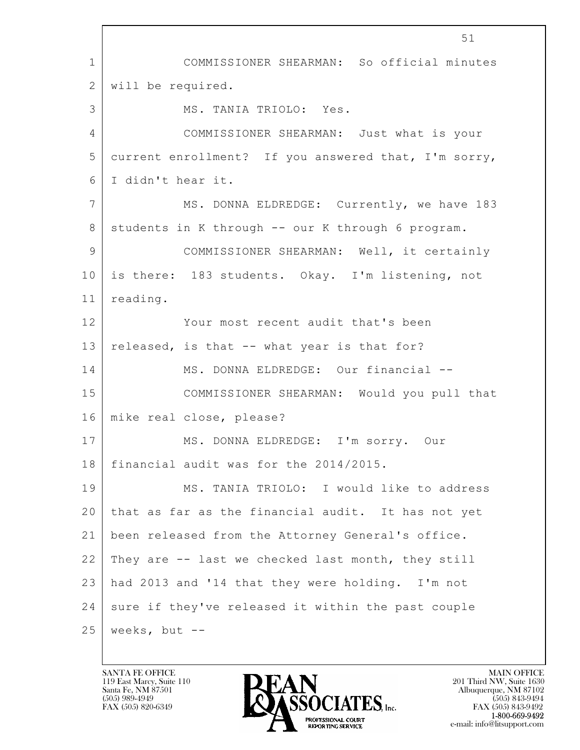$\mathbf{L}$  51 1 COMMISSIONER SHEARMAN: So official minutes 2 will be required. 3 MS. TANIA TRIOLO: Yes. 4 COMMISSIONER SHEARMAN: Just what is your 5 current enrollment? If you answered that, I'm sorry, 6 I didn't hear it. 7 MS. DONNA ELDREDGE: Currently, we have 183 8 | students in K through -- our K through 6 program. 9 COMMISSIONER SHEARMAN: Well, it certainly 10 is there: 183 students. Okay. I'm listening, not 11 reading. 12 Your most recent audit that's been 13 released, is that  $-$ - what year is that for? 14 | MS. DONNA ELDREDGE: Our financial --15 COMMISSIONER SHEARMAN: Would you pull that 16 mike real close, please? 17 | MS. DONNA ELDREDGE: I'm sorry. Our 18 financial audit was for the 2014/2015. 19 MS. TANIA TRIOLO: I would like to address 20 that as far as the financial audit. It has not yet 21 been released from the Attorney General's office. 22 They are -- last we checked last month, they still 23 had 2013 and '14 that they were holding. I'm not  $24$  sure if they've released it within the past couple  $25$  weeks, but  $-$ 

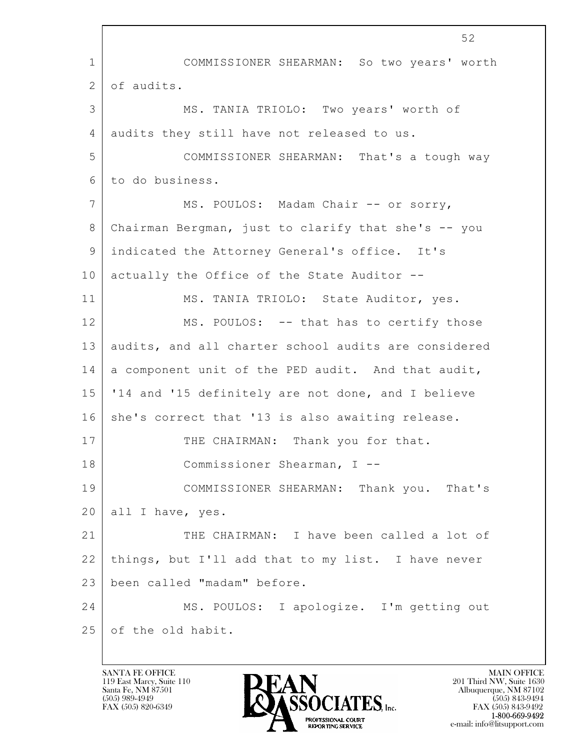$\mathbf{L}$  52 1 COMMISSIONER SHEARMAN: So two years' worth 2 of audits. 3 MS. TANIA TRIOLO: Two years' worth of 4 audits they still have not released to us. 5 COMMISSIONER SHEARMAN: That's a tough way 6 to do business. 7 | MS. POULOS: Madam Chair -- or sorry, 8 Chairman Bergman, just to clarify that she's -- you 9 indicated the Attorney General's office. It's 10 actually the Office of the State Auditor --11 | MS. TANIA TRIOLO: State Auditor, yes. 12 MS. POULOS: -- that has to certify those 13 audits, and all charter school audits are considered 14 a component unit of the PED audit. And that audit, 15 '14 and '15 definitely are not done, and I believe 16 she's correct that '13 is also awaiting release. 17 THE CHAIRMAN: Thank you for that. 18 Commissioner Shearman, I -- 19 COMMISSIONER SHEARMAN: Thank you. That's 20 | all I have, yes. 21 THE CHAIRMAN: I have been called a lot of 22 things, but I'll add that to my list. I have never 23 been called "madam" before. 24 MS. POULOS: I apologize. I'm getting out 25 of the old habit.

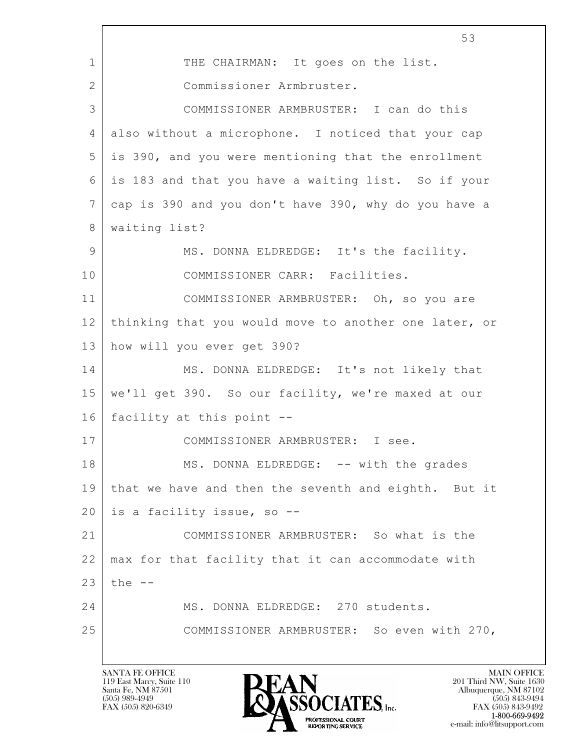$\mathbf{L}$  53 1 THE CHAIRMAN: It goes on the list. 2 Commissioner Armbruster. 3 COMMISSIONER ARMBRUSTER: I can do this 4 also without a microphone. I noticed that your cap 5 is 390, and you were mentioning that the enrollment 6 is 183 and that you have a waiting list. So if your 7 cap is 390 and you don't have 390, why do you have a 8 waiting list? 9 MS. DONNA ELDREDGE: It's the facility. 10 COMMISSIONER CARR: Facilities. 11 COMMISSIONER ARMBRUSTER: Oh, so you are 12 thinking that you would move to another one later, or 13 how will you ever get 390? 14 MS. DONNA ELDREDGE: It's not likely that 15 we'll get 390. So our facility, we're maxed at our 16 facility at this point -- 17 COMMISSIONER ARMBRUSTER: I see. 18 MS. DONNA ELDREDGE: -- with the grades 19 that we have and then the seventh and eighth. But it 20 is a facility issue, so -- 21 COMMISSIONER ARMBRUSTER: So what is the 22 max for that facility that it can accommodate with  $23$  the  $-$ 24 MS. DONNA ELDREDGE: 270 students. 25 COMMISSIONER ARMBRUSTER: So even with 270,

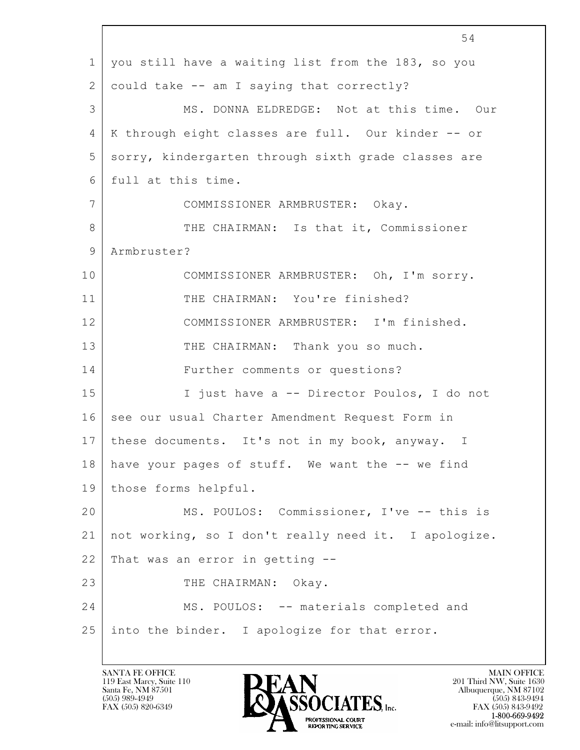|                 | 54                                                   |  |  |  |  |  |
|-----------------|------------------------------------------------------|--|--|--|--|--|
| $\mathbf 1$     | you still have a waiting list from the 183, so you   |  |  |  |  |  |
| $\mathbf{2}$    | could take -- am I saying that correctly?            |  |  |  |  |  |
| 3               | MS. DONNA ELDREDGE: Not at this time. Our            |  |  |  |  |  |
| 4               | K through eight classes are full. Our kinder -- or   |  |  |  |  |  |
| 5               | sorry, kindergarten through sixth grade classes are  |  |  |  |  |  |
| 6               | full at this time.                                   |  |  |  |  |  |
| $7\overline{ }$ | COMMISSIONER ARMBRUSTER: Okay.                       |  |  |  |  |  |
| 8               | THE CHAIRMAN: Is that it, Commissioner               |  |  |  |  |  |
| 9               | Armbruster?                                          |  |  |  |  |  |
| 10              | COMMISSIONER ARMBRUSTER: Oh, I'm sorry.              |  |  |  |  |  |
| 11              | THE CHAIRMAN: You're finished?                       |  |  |  |  |  |
| 12              | COMMISSIONER ARMBRUSTER: I'm finished.               |  |  |  |  |  |
| 13              | THE CHAIRMAN: Thank you so much.                     |  |  |  |  |  |
| 14              | Further comments or questions?                       |  |  |  |  |  |
| 15              | I just have a -- Director Poulos, I do not           |  |  |  |  |  |
| 16              | see our usual Charter Amendment Request Form in      |  |  |  |  |  |
| 17              | these documents. It's not in my book, anyway. I      |  |  |  |  |  |
| 18              | have your pages of stuff. We want the -- we find     |  |  |  |  |  |
| 19              | those forms helpful.                                 |  |  |  |  |  |
| 20              | MS. POULOS: Commissioner, I've -- this is            |  |  |  |  |  |
| 21              | not working, so I don't really need it. I apologize. |  |  |  |  |  |
| 22              | That was an error in getting --                      |  |  |  |  |  |
| 23              | THE CHAIRMAN: Okay.                                  |  |  |  |  |  |
| 24              | MS. POULOS: -- materials completed and               |  |  |  |  |  |
| 25              | into the binder. I apologize for that error.         |  |  |  |  |  |
|                 |                                                      |  |  |  |  |  |

 $\overline{\phantom{a}}$ 

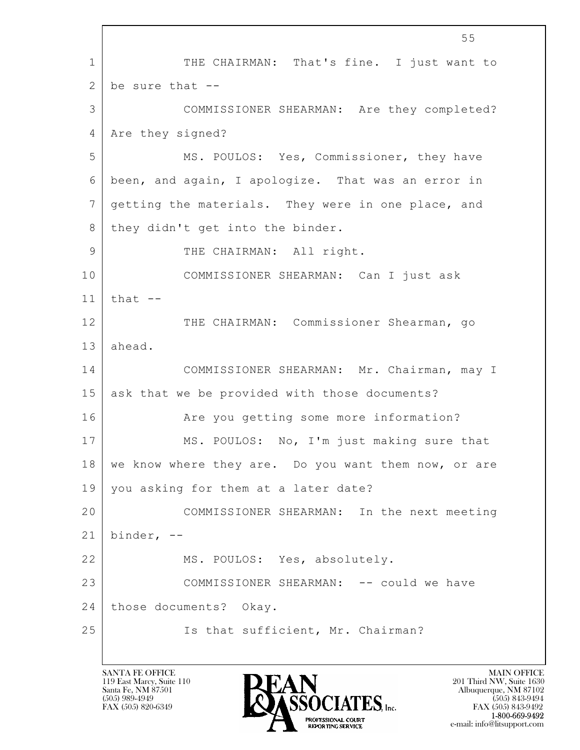$\mathbf{L}$  55 1 THE CHAIRMAN: That's fine. I just want to 2 be sure that  $-$ 3 COMMISSIONER SHEARMAN: Are they completed? 4 | Are they signed? 5 MS. POULOS: Yes, Commissioner, they have 6 been, and again, I apologize. That was an error in 7 getting the materials. They were in one place, and 8 | they didn't get into the binder. 9 THE CHAIRMAN: All right. 10 COMMISSIONER SHEARMAN: Can I just ask  $11$  that  $-$ 12 THE CHAIRMAN: Commissioner Shearman, go 13 ahead. 14 COMMISSIONER SHEARMAN: Mr. Chairman, may I 15 ask that we be provided with those documents? 16 Are you getting some more information? 17 MS. POULOS: No, I'm just making sure that 18 we know where they are. Do you want them now, or are 19 you asking for them at a later date? 20 COMMISSIONER SHEARMAN: In the next meeting  $21$  binder,  $-$ 22 MS. POULOS: Yes, absolutely. 23 COMMISSIONER SHEARMAN: -- could we have 24 those documents? Okay. 25 | Is that sufficient, Mr. Chairman?

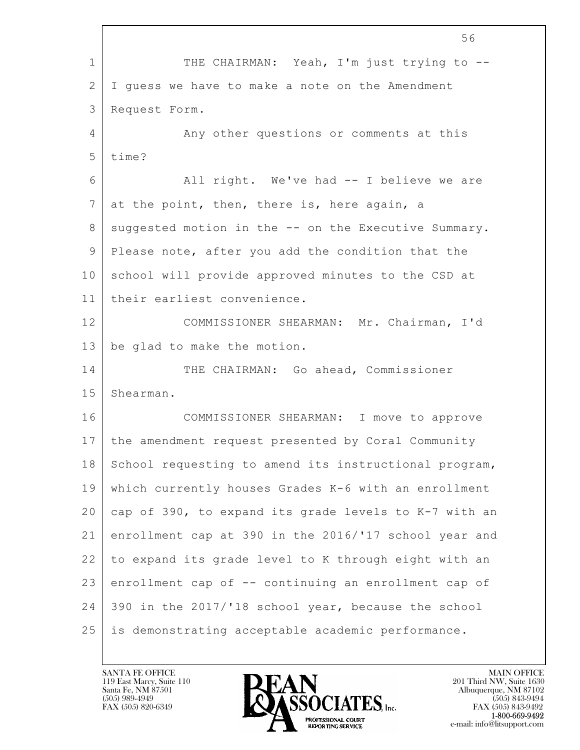$\mathbf{L}$  56 1 THE CHAIRMAN: Yeah, I'm just trying to --2 | I guess we have to make a note on the Amendment 3 Request Form. 4 Any other questions or comments at this 5 time? 6 All right. We've had -- I believe we are  $7$  at the point, then, there is, here again, a 8 | suggested motion in the -- on the Executive Summary. 9 Please note, after you add the condition that the 10 school will provide approved minutes to the CSD at 11 their earliest convenience. 12 COMMISSIONER SHEARMAN: Mr. Chairman, I'd 13 be glad to make the motion. 14 THE CHAIRMAN: Go ahead, Commissioner 15 Shearman. 16 COMMISSIONER SHEARMAN: I move to approve 17 the amendment request presented by Coral Community 18 School requesting to amend its instructional program, 19 which currently houses Grades K-6 with an enrollment 20 cap of 390, to expand its grade levels to K-7 with an 21 enrollment cap at 390 in the 2016/'17 school year and 22 to expand its grade level to K through eight with an 23 enrollment cap of -- continuing an enrollment cap of 24 390 in the 2017/'18 school year, because the school 25 is demonstrating acceptable academic performance.

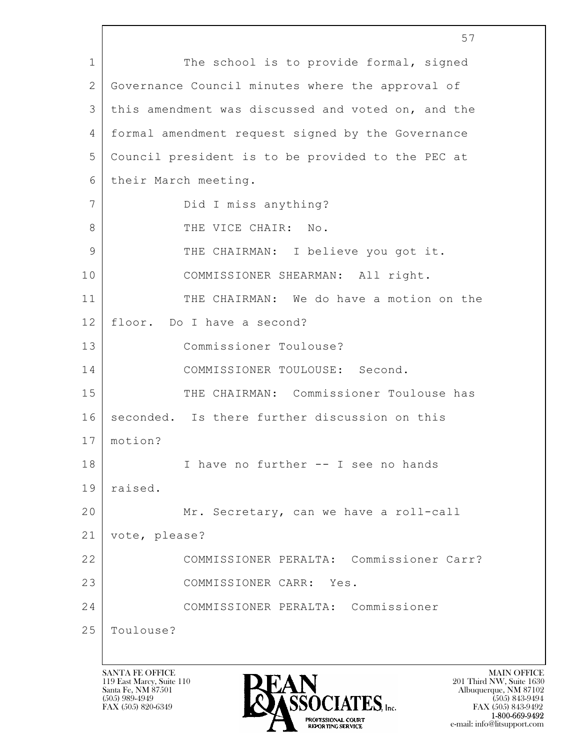$\mathbf{L}$  57 1 The school is to provide formal, signed 2 Governance Council minutes where the approval of 3 this amendment was discussed and voted on, and the 4 formal amendment request signed by the Governance 5 Council president is to be provided to the PEC at 6 their March meeting. 7 Did I miss anything? 8 THE VICE CHAIR: No. 9 THE CHAIRMAN: I believe you got it. 10 | COMMISSIONER SHEARMAN: All right. 11 THE CHAIRMAN: We do have a motion on the 12 floor. Do I have a second? 13 Commissioner Toulouse? 14 COMMISSIONER TOULOUSE: Second. 15 THE CHAIRMAN: Commissioner Toulouse has 16 seconded. Is there further discussion on this 17 motion? 18 | I have no further -- I see no hands 19 raised. 20 Mr. Secretary, can we have a roll-call 21 vote, please? 22 COMMISSIONER PERALTA: Commissioner Carr? 23 COMMISSIONER CARR: Yes. 24 COMMISSIONER PERALTA: Commissioner 25 Toulouse?

119 East Marcy, Suite 110<br>Santa Fe, NM 87501



FAX (505) 843-9492 e-mail: info@litsupport.com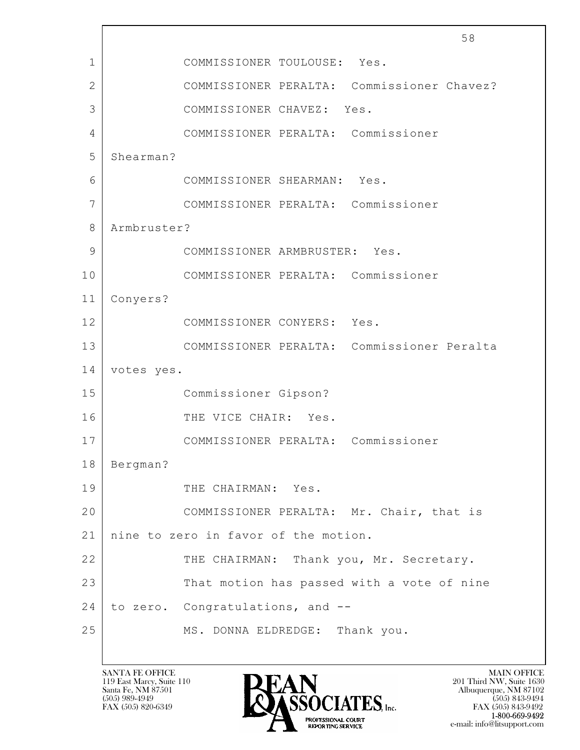|              |             |                                      |      |                                            | 58 |  |  |
|--------------|-------------|--------------------------------------|------|--------------------------------------------|----|--|--|
| $\mathbf{1}$ |             | COMMISSIONER TOULOUSE: Yes.          |      |                                            |    |  |  |
| $\mathbf{2}$ |             |                                      |      | COMMISSIONER PERALTA: Commissioner Chavez? |    |  |  |
| 3            |             | COMMISSIONER CHAVEZ: Yes.            |      |                                            |    |  |  |
| 4            |             | COMMISSIONER PERALTA: Commissioner   |      |                                            |    |  |  |
| 5            | Shearman?   |                                      |      |                                            |    |  |  |
| 6            |             | COMMISSIONER SHEARMAN: Yes.          |      |                                            |    |  |  |
| 7            |             | COMMISSIONER PERALTA: Commissioner   |      |                                            |    |  |  |
| 8            | Armbruster? |                                      |      |                                            |    |  |  |
| 9            |             | COMMISSIONER ARMBRUSTER: Yes.        |      |                                            |    |  |  |
| 10           |             | COMMISSIONER PERALTA: Commissioner   |      |                                            |    |  |  |
| 11           | Conyers?    |                                      |      |                                            |    |  |  |
| 12           |             | COMMISSIONER CONYERS: Yes.           |      |                                            |    |  |  |
| 13           |             |                                      |      | COMMISSIONER PERALTA: Commissioner Peralta |    |  |  |
| 14           | votes yes.  |                                      |      |                                            |    |  |  |
| 15           |             | Commissioner Gipson?                 |      |                                            |    |  |  |
| 16           |             | THE VICE CHAIR:                      | Yes. |                                            |    |  |  |
| 17           |             | COMMISSIONER PERALTA: Commissioner   |      |                                            |    |  |  |
| 18           | Bergman?    |                                      |      |                                            |    |  |  |
| 19           |             | THE CHAIRMAN: Yes.                   |      |                                            |    |  |  |
| 20           |             |                                      |      | COMMISSIONER PERALTA: Mr. Chair, that is   |    |  |  |
| 21           |             | nine to zero in favor of the motion. |      |                                            |    |  |  |
| 22           |             |                                      |      | THE CHAIRMAN: Thank you, Mr. Secretary.    |    |  |  |
| 23           |             |                                      |      | That motion has passed with a vote of nine |    |  |  |
| 24           |             | to zero. Congratulations, and --     |      |                                            |    |  |  |
| 25           |             | MS. DONNA ELDREDGE: Thank you.       |      |                                            |    |  |  |
|              |             |                                      |      |                                            |    |  |  |

 $\overline{1}$ 

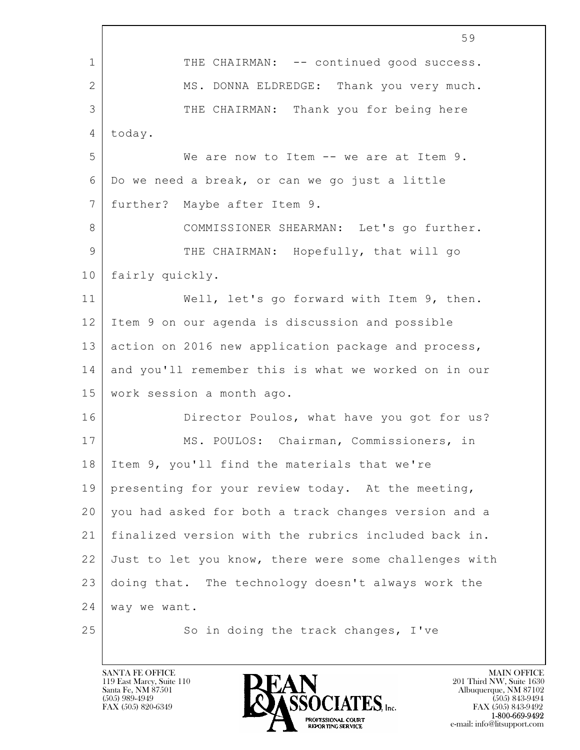$\mathbf{L}$  59 1 THE CHAIRMAN: -- continued good success. 2 MS. DONNA ELDREDGE: Thank you very much. 3 THE CHAIRMAN: Thank you for being here 4 today. 5 We are now to Item -- we are at Item 9. 6 Do we need a break, or can we go just a little 7 further? Maybe after Item 9. 8 | COMMISSIONER SHEARMAN: Let's go further. 9 THE CHAIRMAN: Hopefully, that will go 10 fairly quickly. 11 | Well, let's go forward with Item 9, then. 12 Item 9 on our agenda is discussion and possible 13 action on 2016 new application package and process, 14 and you'll remember this is what we worked on in our 15 work session a month ago. 16 Director Poulos, what have you got for us? 17 | MS. POULOS: Chairman, Commissioners, in 18 Item 9, you'll find the materials that we're 19 presenting for your review today. At the meeting, 20 you had asked for both a track changes version and a 21 finalized version with the rubrics included back in. 22 Just to let you know, there were some challenges with 23 doing that. The technology doesn't always work the 24 way we want. 25 So in doing the track changes, I've

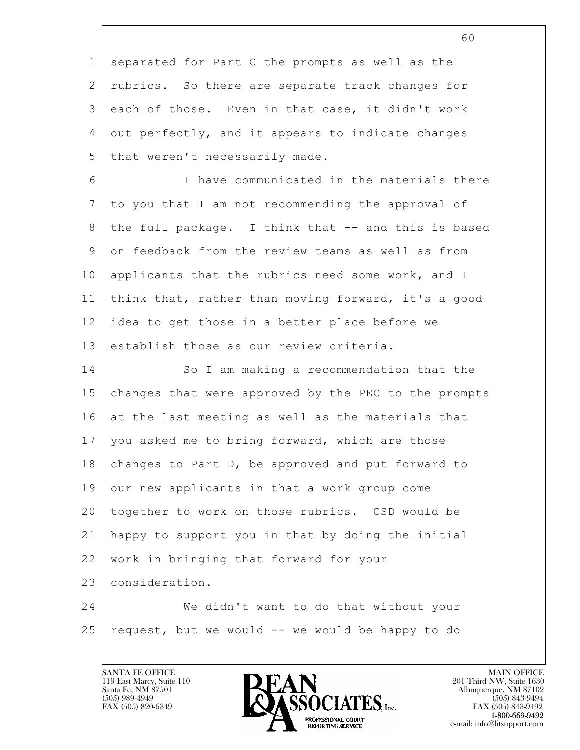|                 | 60                                                   |
|-----------------|------------------------------------------------------|
| $\mathbf 1$     | separated for Part C the prompts as well as the      |
| $\mathbf{2}$    | rubrics. So there are separate track changes for     |
| 3               | each of those. Even in that case, it didn't work     |
| 4               | out perfectly, and it appears to indicate changes    |
| 5               | that weren't necessarily made.                       |
| 6               | I have communicated in the materials there           |
| $7\phantom{.0}$ | to you that I am not recommending the approval of    |
| 8               | the full package. I think that -- and this is based  |
| 9               | on feedback from the review teams as well as from    |
| 10              | applicants that the rubrics need some work, and I    |
| 11              | think that, rather than moving forward, it's a good  |
| 12              | idea to get those in a better place before we        |
| 13              | establish those as our review criteria.              |
| 14              | So I am making a recommendation that the             |
| 15              | changes that were approved by the PEC to the prompts |
| 16              | at the last meeting as well as the materials that    |
| 17              | you asked me to bring forward, which are those       |
| 18              | changes to Part D, be approved and put forward to    |
| 19              | our new applicants in that a work group come         |
| 20              | together to work on those rubrics. CSD would be      |
| 21              | happy to support you in that by doing the initial    |
| 22              | work in bringing that forward for your               |
| 23              | consideration.                                       |
| 24              | We didn't want to do that without your               |
| 25              | request, but we would -- we would be happy to do     |

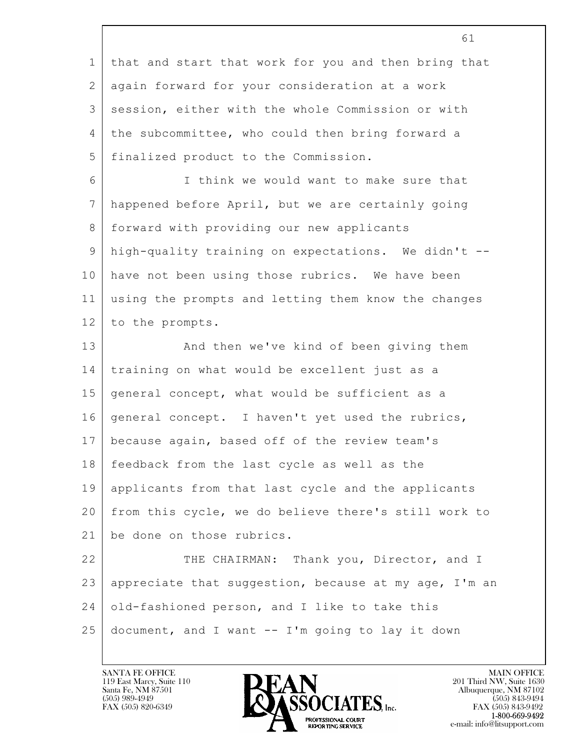|              | 61                                                    |
|--------------|-------------------------------------------------------|
| $\mathbf{1}$ | that and start that work for you and then bring that  |
| 2            | again forward for your consideration at a work        |
| 3            | session, either with the whole Commission or with     |
| 4            | the subcommittee, who could then bring forward a      |
| 5            | finalized product to the Commission.                  |
| 6            | I think we would want to make sure that               |
| 7            | happened before April, but we are certainly going     |
| 8            | forward with providing our new applicants             |
| $\mathsf 9$  | high-quality training on expectations. We didn't --   |
| 10           | have not been using those rubrics. We have been       |
| 11           | using the prompts and letting them know the changes   |
| 12           | to the prompts.                                       |
| 13           | And then we've kind of been giving them               |
| 14           | training on what would be excellent just as a         |
| 15           | general concept, what would be sufficient as a        |
| 16           | general concept. I haven't yet used the rubrics,      |
| 17           | because again, based off of the review team's         |
| 18           | feedback from the last cycle as well as the           |
| 19           | applicants from that last cycle and the applicants    |
| 20           | from this cycle, we do believe there's still work to  |
| 21           | be done on those rubrics.                             |
| 22           | THE CHAIRMAN: Thank you, Director, and I              |
| 23           | appreciate that suggestion, because at my age, I'm an |
| 24           | old-fashioned person, and I like to take this         |
| 25           | document, and I want -- I'm going to lay it down      |

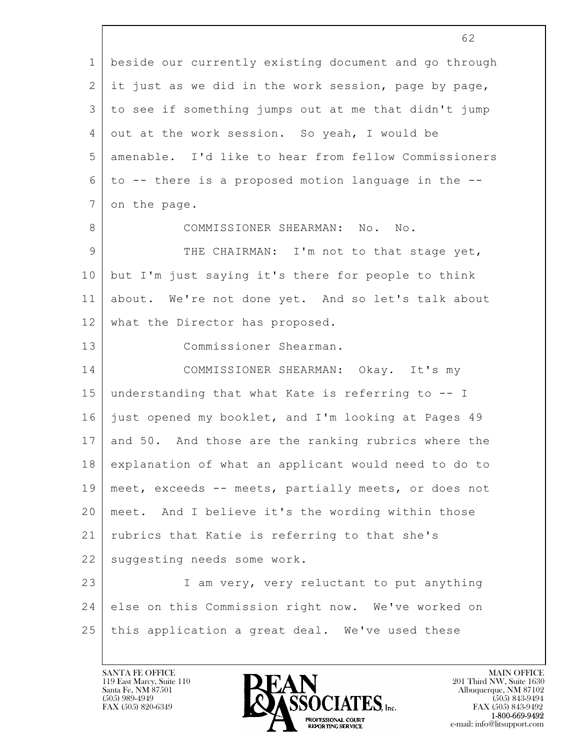|                | 62                                                    |
|----------------|-------------------------------------------------------|
| $\mathbf 1$    | beside our currently existing document and go through |
| 2              | it just as we did in the work session, page by page,  |
| 3              | to see if something jumps out at me that didn't jump  |
| 4              | out at the work session. So yeah, I would be          |
| 5              | amenable. I'd like to hear from fellow Commissioners  |
| 6              | to -- there is a proposed motion language in the --   |
| $\overline{7}$ | on the page.                                          |
| 8              | COMMISSIONER SHEARMAN: No.<br>No.                     |
| 9              | THE CHAIRMAN: I'm not to that stage yet,              |
| 10             | but I'm just saying it's there for people to think    |
| 11             | about. We're not done yet. And so let's talk about    |
| 12             | what the Director has proposed.                       |
| 13             | Commissioner Shearman.                                |
| 14             | COMMISSIONER SHEARMAN: Okay. It's my                  |
| 15             | understanding that what Kate is referring to -- I     |
| 16             | just opened my booklet, and I'm looking at Pages 49   |
| 17             | and 50. And those are the ranking rubrics where the   |
| 18             | explanation of what an applicant would need to do to  |
| 19             | meet, exceeds -- meets, partially meets, or does not  |
| 20             | meet. And I believe it's the wording within those     |
| 21             | rubrics that Katie is referring to that she's         |
| 22             | suggesting needs some work.                           |
| 23             | I am very, very reluctant to put anything             |
| 24             | else on this Commission right now. We've worked on    |
| 25             | this application a great deal. We've used these       |
|                |                                                       |

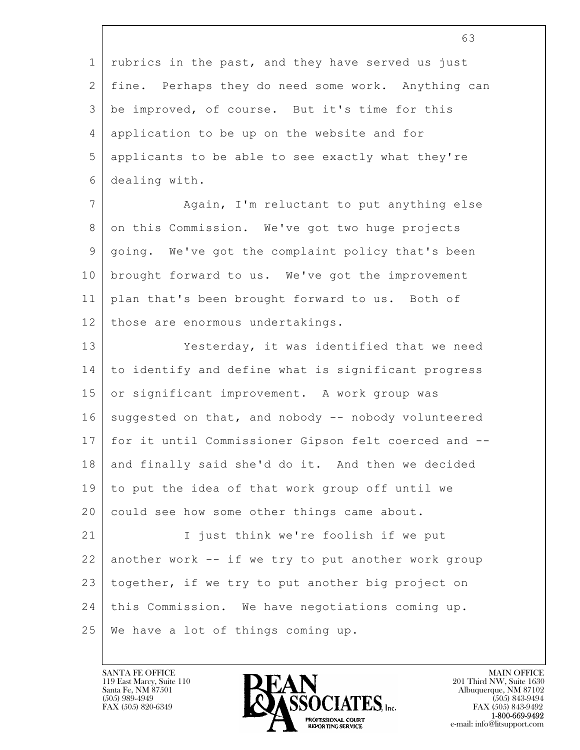$\mathbf{L}$  63 1 rubrics in the past, and they have served us just 2 fine. Perhaps they do need some work. Anything can 3 be improved, of course. But it's time for this 4 application to be up on the website and for 5 applicants to be able to see exactly what they're 6 dealing with. 7 Again, I'm reluctant to put anything else 8 on this Commission. We've got two huge projects 9 going. We've got the complaint policy that's been 10 brought forward to us. We've got the improvement 11 plan that's been brought forward to us. Both of 12 | those are enormous undertakings. 13 Yesterday, it was identified that we need 14 to identify and define what is significant progress 15 or significant improvement. A work group was 16 suggested on that, and nobody -- nobody volunteered 17 for it until Commissioner Gipson felt coerced and -- 18 and finally said she'd do it. And then we decided 19 to put the idea of that work group off until we 20 could see how some other things came about. 21 | I just think we're foolish if we put  $22$  another work  $--$  if we try to put another work group 23 together, if we try to put another big project on 24 this Commission. We have negotiations coming up. 25 We have a lot of things coming up.

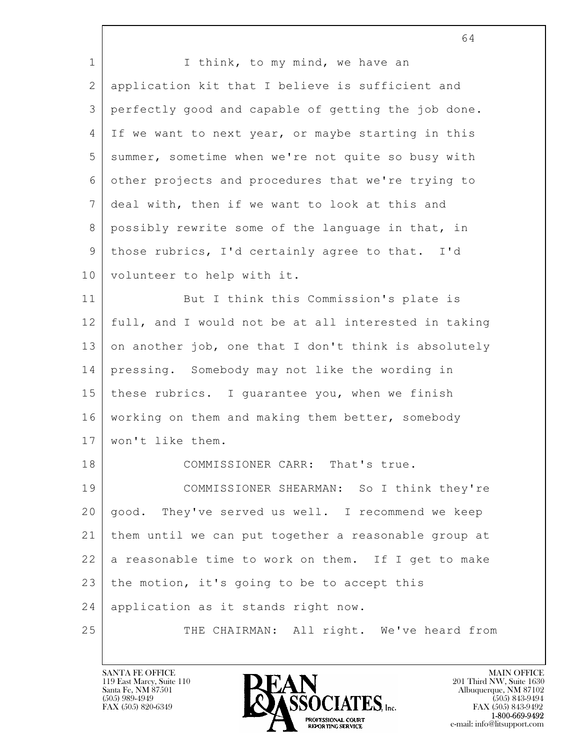|                | 64                                                   |
|----------------|------------------------------------------------------|
| $\mathbf 1$    | I think, to my mind, we have an                      |
| $\overline{2}$ | application kit that I believe is sufficient and     |
| 3              | perfectly good and capable of getting the job done.  |
| $\overline{4}$ | If we want to next year, or maybe starting in this   |
| 5              | summer, sometime when we're not quite so busy with   |
| 6              | other projects and procedures that we're trying to   |
| 7              | deal with, then if we want to look at this and       |
| 8              | possibly rewrite some of the language in that, in    |
| 9              | those rubrics, I'd certainly agree to that. I'd      |
| 10             | volunteer to help with it.                           |
| 11             | But I think this Commission's plate is               |
| 12             | full, and I would not be at all interested in taking |
| 13             | on another job, one that I don't think is absolutely |
| 14             | pressing. Somebody may not like the wording in       |
| 15             | these rubrics. I guarantee you, when we finish       |
| 16             | working on them and making them better, somebody     |
| 17             | won't like them.                                     |
| 18             | COMMISSIONER CARR: That's true.                      |
| 19             | COMMISSIONER SHEARMAN: So I think they're            |
| 20             | good. They've served us well. I recommend we keep    |
| 21             | them until we can put together a reasonable group at |
| 22             | a reasonable time to work on them. If I get to make  |
| 23             | the motion, it's going to be to accept this          |
| 24             | application as it stands right now.                  |
| 25             | THE CHAIRMAN: All right. We've heard from            |

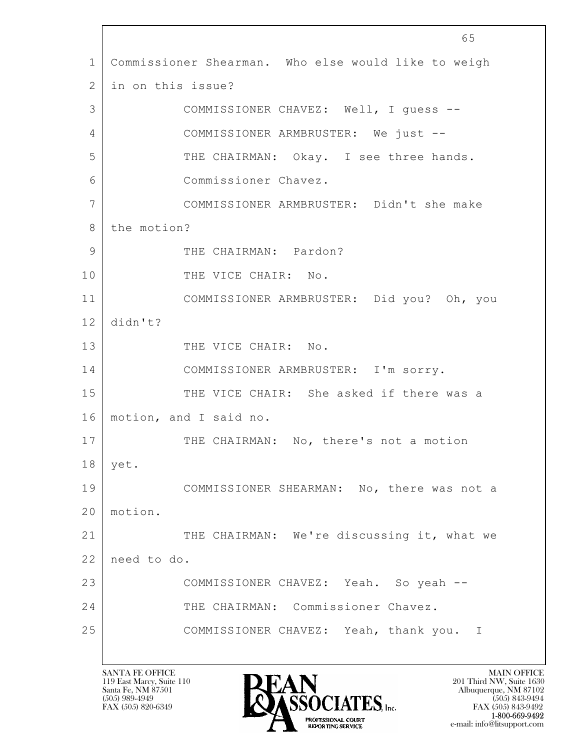$\mathbf{L}$  65 1 Commissioner Shearman. Who else would like to weigh 2 in on this issue? 3 COMMISSIONER CHAVEZ: Well, I guess -- 4 COMMISSIONER ARMBRUSTER: We just -- 5 THE CHAIRMAN: Okay. I see three hands. 6 Commissioner Chavez. 7 COMMISSIONER ARMBRUSTER: Didn't she make 8 the motion? 9 THE CHAIRMAN: Pardon? 10 THE VICE CHAIR: No. 11 COMMISSIONER ARMBRUSTER: Did you? Oh, you 12 didn't? 13 THE VICE CHAIR: No. 14 COMMISSIONER ARMBRUSTER: I'm sorry. 15 THE VICE CHAIR: She asked if there was a 16 motion, and I said no. 17 | THE CHAIRMAN: No, there's not a motion 18 yet. 19 COMMISSIONER SHEARMAN: No, there was not a 20 motion. 21 THE CHAIRMAN: We're discussing it, what we 22 need to do. 23 COMMISSIONER CHAVEZ: Yeah. So yeah -- 24 THE CHAIRMAN: Commissioner Chavez. 25 COMMISSIONER CHAVEZ: Yeah, thank you. I

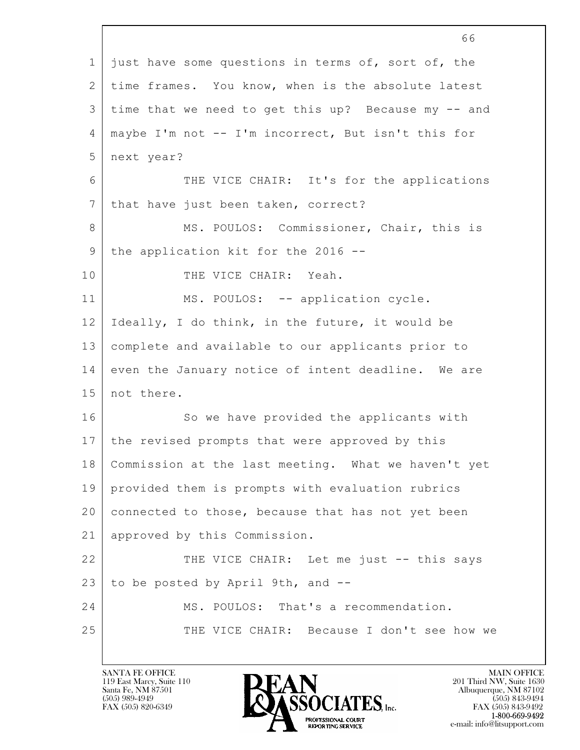|             | 66                                                  |
|-------------|-----------------------------------------------------|
| $\mathbf 1$ | just have some questions in terms of, sort of, the  |
| 2           | time frames. You know, when is the absolute latest  |
| 3           | time that we need to get this up? Because my -- and |
| 4           | maybe I'm not -- I'm incorrect, But isn't this for  |
| 5           | next year?                                          |
| 6           | THE VICE CHAIR: It's for the applications           |
| 7           | that have just been taken, correct?                 |
| 8           | MS. POULOS: Commissioner, Chair, this is            |
| 9           | the application kit for the 2016 --                 |
| 10          | THE VICE CHAIR: Yeah.                               |
| 11          | MS. POULOS: -- application cycle.                   |
| 12          | Ideally, I do think, in the future, it would be     |
| 13          | complete and available to our applicants prior to   |
| 14          | even the January notice of intent deadline. We are  |
| 15          | not there.                                          |
| 16          | So we have provided the applicants with             |
| 17          | the revised prompts that were approved by this      |
| 18          | Commission at the last meeting. What we haven't yet |
| 19          | provided them is prompts with evaluation rubrics    |
| 20          | connected to those, because that has not yet been   |
| 21          | approved by this Commission.                        |
| 22          | THE VICE CHAIR: Let me just -- this says            |
| 23          | to be posted by April 9th, and --                   |
| 24          | MS. POULOS: That's a recommendation.                |
| 25          | THE VICE CHAIR: Because I don't see how we          |
|             |                                                     |

 $\overline{\phantom{a}}$ 

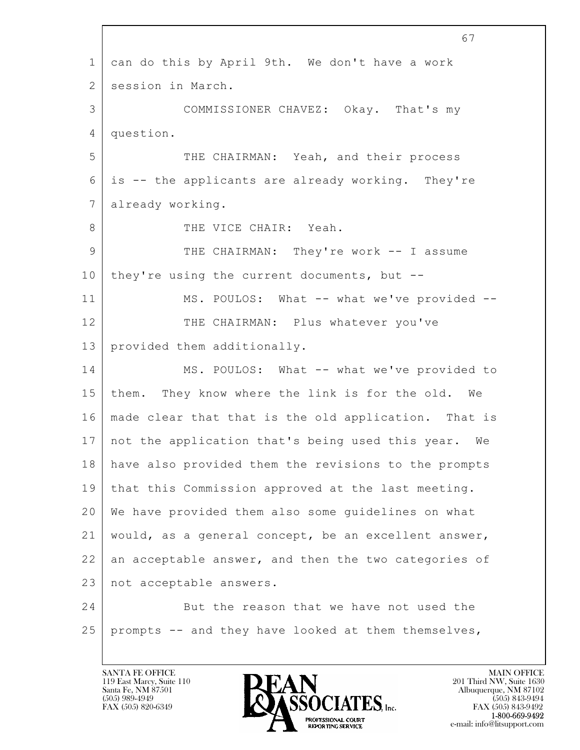$\mathbf{L}$  67 1 can do this by April 9th. We don't have a work 2 session in March. 3 COMMISSIONER CHAVEZ: Okay. That's my 4 question. 5 THE CHAIRMAN: Yeah, and their process 6 is -- the applicants are already working. They're 7 already working. 8 THE VICE CHAIR: Yeah. 9 THE CHAIRMAN: They're work -- I assume 10 they're using the current documents, but  $-$ -11 MS. POULOS: What -- what we've provided --12 THE CHAIRMAN: Plus whatever you've 13 provided them additionally. 14 MS. POULOS: What -- what we've provided to 15 them. They know where the link is for the old. We 16 | made clear that that is the old application. That is 17 not the application that's being used this year. We 18 have also provided them the revisions to the prompts 19 that this Commission approved at the last meeting. 20 We have provided them also some guidelines on what 21 would, as a general concept, be an excellent answer, 22 an acceptable answer, and then the two categories of 23 | not acceptable answers. 24 But the reason that we have not used the  $25$  prompts -- and they have looked at them themselves,

119 East Marcy, Suite 110<br>Santa Fe, NM 87501



FAX (505) 843-9492 e-mail: info@litsupport.com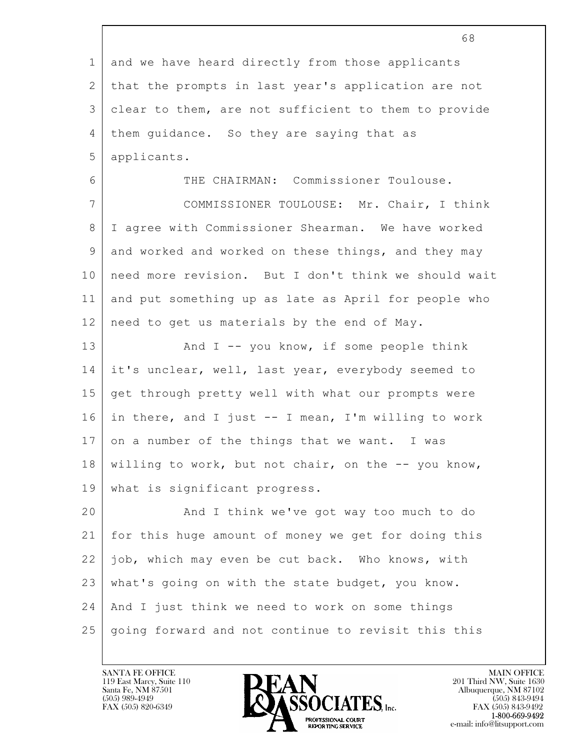|             | 68                                                   |
|-------------|------------------------------------------------------|
| $\mathbf 1$ | and we have heard directly from those applicants     |
| 2           | that the prompts in last year's application are not  |
| 3           | clear to them, are not sufficient to them to provide |
| 4           | them quidance. So they are saying that as            |
| 5           | applicants.                                          |
| 6           | THE CHAIRMAN: Commissioner Toulouse.                 |
| 7           | COMMISSIONER TOULOUSE: Mr. Chair, I think            |
| 8           | I agree with Commissioner Shearman. We have worked   |
| 9           | and worked and worked on these things, and they may  |
| 10          | need more revision. But I don't think we should wait |
| 11          | and put something up as late as April for people who |
| 12          | need to get us materials by the end of May.          |
| 13          | And $I$ -- you know, if some people think            |
| 14          | it's unclear, well, last year, everybody seemed to   |
| 15          | get through pretty well with what our prompts were   |
| 16          | in there, and I just -- I mean, I'm willing to work  |
| 17          | on a number of the things that we want. I was        |
| 18          | willing to work, but not chair, on the -- you know,  |
| 19          | what is significant progress.                        |
| 20          | And I think we've got way too much to do             |
| 21          | for this huge amount of money we get for doing this  |
| 22          | job, which may even be cut back. Who knows, with     |
| 23          | what's going on with the state budget, you know.     |
| 24          | And I just think we need to work on some things      |
| 25          | going forward and not continue to revisit this this  |
|             |                                                      |

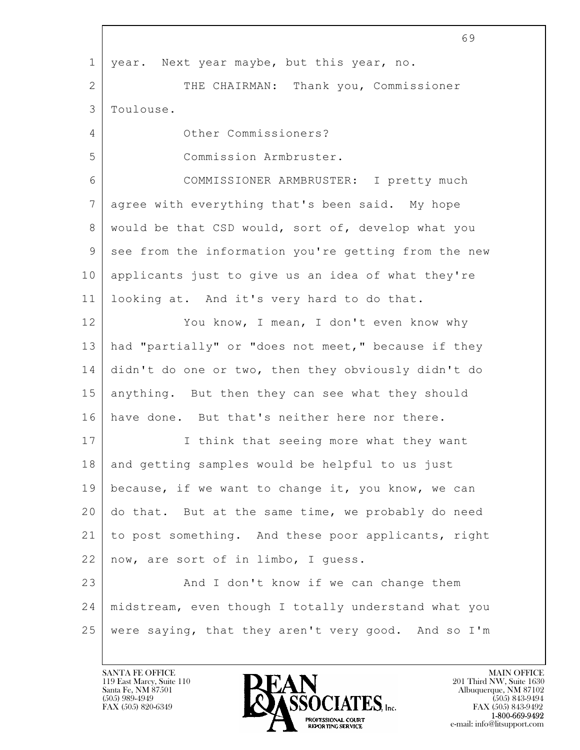|                | 69                                                   |
|----------------|------------------------------------------------------|
| $\mathbf 1$    | year. Next year maybe, but this year, no.            |
| $\overline{2}$ | THE CHAIRMAN: Thank you, Commissioner                |
| 3              | Toulouse.                                            |
| 4              | Other Commissioners?                                 |
| 5              | Commission Armbruster.                               |
| 6              | COMMISSIONER ARMBRUSTER: I pretty much               |
| 7              | agree with everything that's been said. My hope      |
| 8              | would be that CSD would, sort of, develop what you   |
| 9              | see from the information you're getting from the new |
| 10             | applicants just to give us an idea of what they're   |
| 11             | looking at. And it's very hard to do that.           |
| 12             | You know, I mean, I don't even know why              |
| 13             | had "partially" or "does not meet," because if they  |
| 14             | didn't do one or two, then they obviously didn't do  |
| 15             | anything. But then they can see what they should     |
| 16             | have done. But that's neither here nor there.        |
| 17             | think that seeing more what they want<br>I.          |
| 18             | and getting samples would be helpful to us just      |
| 19             | because, if we want to change it, you know, we can   |
| 20             | do that. But at the same time, we probably do need   |
| 21             | to post something. And these poor applicants, right  |
| 22             | now, are sort of in limbo, I guess.                  |
| 23             | And I don't know if we can change them               |
| 24             | midstream, even though I totally understand what you |
| 25             | were saying, that they aren't very good. And so I'm  |

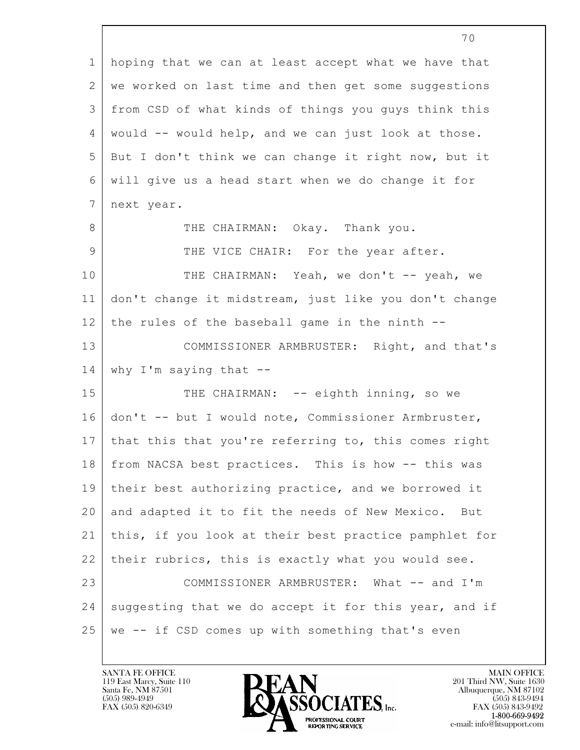|                | 70                                                    |
|----------------|-------------------------------------------------------|
| $\mathbf 1$    | hoping that we can at least accept what we have that  |
| $\mathbf{2}$   | we worked on last time and then get some suggestions  |
| 3              | from CSD of what kinds of things you guys think this  |
| $\overline{4}$ | would -- would help, and we can just look at those.   |
| 5              | But I don't think we can change it right now, but it  |
| 6              | will give us a head start when we do change it for    |
| $7\phantom{.}$ | next year.                                            |
| 8              | THE CHAIRMAN: Okay. Thank you.                        |
| 9              | THE VICE CHAIR: For the year after.                   |
| 10             | THE CHAIRMAN: Yeah, we don't -- yeah, we              |
| 11             | don't change it midstream, just like you don't change |
| 12             | the rules of the baseball game in the ninth --        |
| 13             | COMMISSIONER ARMBRUSTER: Right, and that's            |
| 14             | why I'm saying that $--$                              |
| 15             | THE CHAIRMAN: -- eighth inning, so we                 |
| 16             | don't -- but I would note, Commissioner Armbruster,   |
| 17             | that this that you're referring to, this comes right  |
| 18             | from NACSA best practices. This is how -- this was    |
| 19             | their best authorizing practice, and we borrowed it   |
| 20             | and adapted it to fit the needs of New Mexico. But    |
| 21             | this, if you look at their best practice pamphlet for |
| 22             | their rubrics, this is exactly what you would see.    |
| 23             | COMMISSIONER ARMBRUSTER: What -- and I'm              |
| 24             | suggesting that we do accept it for this year, and if |
| 25             | we -- if CSD comes up with something that's even      |

Г

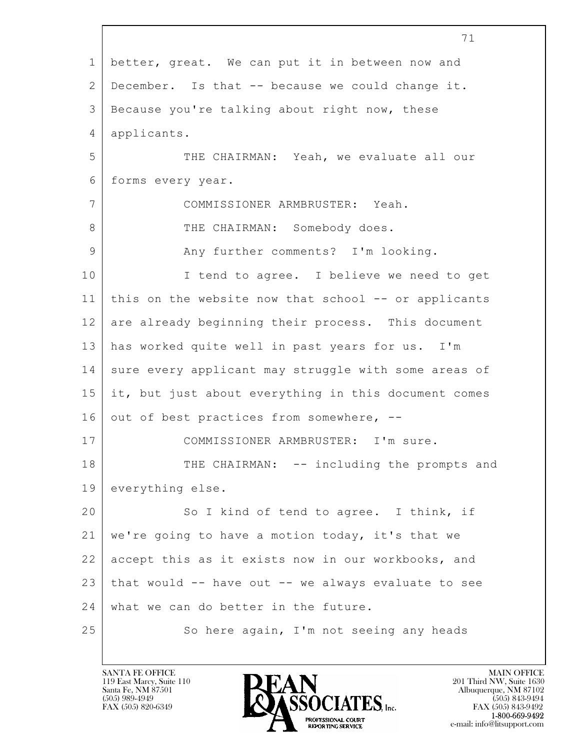$\mathbf{L}$  71 1 better, great. We can put it in between now and 2 December. Is that -- because we could change it. 3 Because you're talking about right now, these 4 applicants. 5 THE CHAIRMAN: Yeah, we evaluate all our 6 forms every year. 7 COMMISSIONER ARMBRUSTER: Yeah. 8 | THE CHAIRMAN: Somebody does. 9 Any further comments? I'm looking. 10 | I tend to agree. I believe we need to get 11 this on the website now that school -- or applicants 12 are already beginning their process. This document 13 has worked quite well in past years for us. I'm 14 sure every applicant may struggle with some areas of 15 it, but just about everything in this document comes 16 out of best practices from somewhere,  $-$ -17 | COMMISSIONER ARMBRUSTER: I'm sure. 18 THE CHAIRMAN: -- including the prompts and 19 everything else. 20 So I kind of tend to agree. I think, if 21 we're going to have a motion today, it's that we 22 accept this as it exists now in our workbooks, and 23 that would -- have out -- we always evaluate to see 24 what we can do better in the future. 25 So here again, I'm not seeing any heads

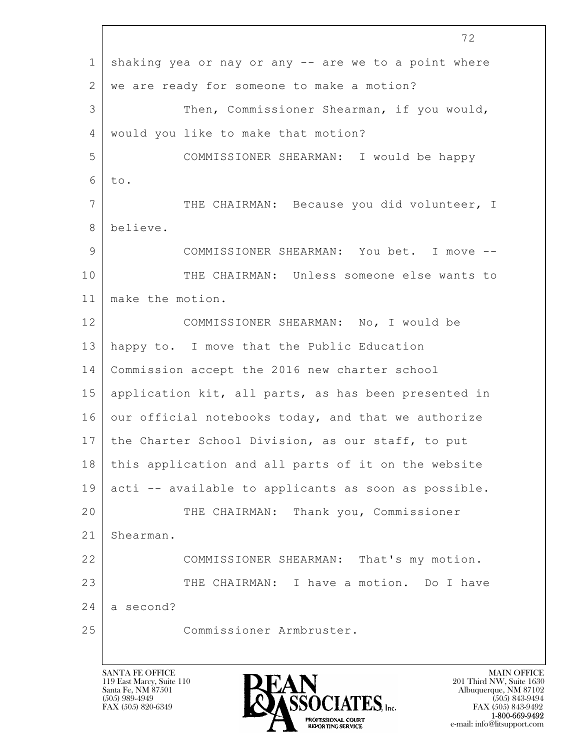$\mathbf{L}$  72 1 shaking yea or nay or any -- are we to a point where 2 we are ready for someone to make a motion? 3 Then, Commissioner Shearman, if you would, 4 would you like to make that motion? 5 COMMISSIONER SHEARMAN: I would be happy  $6$  to. 7 THE CHAIRMAN: Because you did volunteer, I 8 believe. 9 COMMISSIONER SHEARMAN: You bet. I move -- 10 THE CHAIRMAN: Unless someone else wants to 11 make the motion. 12 COMMISSIONER SHEARMAN: No, I would be 13 happy to. I move that the Public Education 14 Commission accept the 2016 new charter school 15 application kit, all parts, as has been presented in 16 our official notebooks today, and that we authorize 17 the Charter School Division, as our staff, to put 18 this application and all parts of it on the website 19 acti -- available to applicants as soon as possible. 20 THE CHAIRMAN: Thank you, Commissioner 21 Shearman. 22 COMMISSIONER SHEARMAN: That's my motion. 23 | THE CHAIRMAN: I have a motion. Do I have  $24$  a second? 25 Commissioner Armbruster.

119 East Marcy, Suite 110<br>Santa Fe, NM 87501



FAX (505) 843-9492 e-mail: info@litsupport.com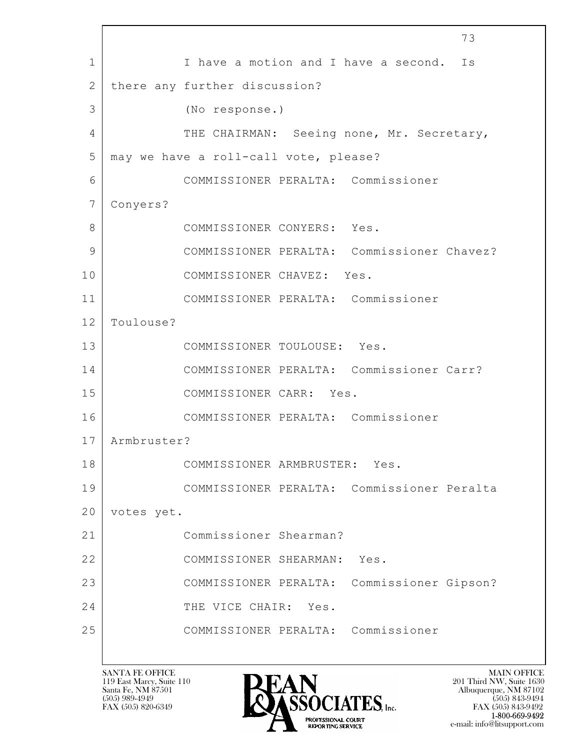$\mathbf{L}$  73 1 I have a motion and I have a second. Is 2 there any further discussion? 3 (No response.) 4 THE CHAIRMAN: Seeing none, Mr. Secretary, 5 | may we have a roll-call vote, please? 6 COMMISSIONER PERALTA: Commissioner 7 Conyers? 8 COMMISSIONER CONYERS: Yes. 9 COMMISSIONER PERALTA: Commissioner Chavez? 10 COMMISSIONER CHAVEZ: Yes. 11 COMMISSIONER PERALTA: Commissioner 12 Toulouse? 13 COMMISSIONER TOULOUSE: Yes. 14 COMMISSIONER PERALTA: Commissioner Carr? 15 COMMISSIONER CARR: Yes. 16 COMMISSIONER PERALTA: Commissioner 17 Armbruster? 18 COMMISSIONER ARMBRUSTER: Yes. 19 COMMISSIONER PERALTA: Commissioner Peralta 20 votes yet. 21 Commissioner Shearman? 22 COMMISSIONER SHEARMAN: Yes. 23 COMMISSIONER PERALTA: Commissioner Gipson? 24 THE VICE CHAIR: Yes. 25 COMMISSIONER PERALTA: Commissioner

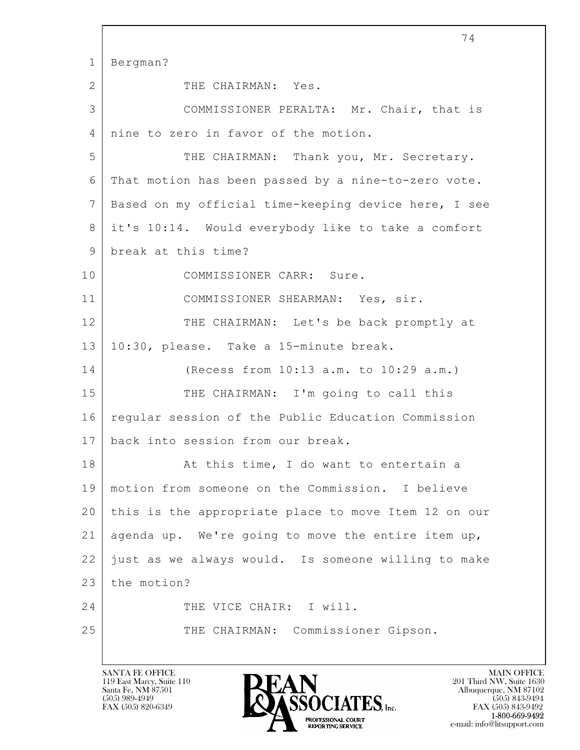$\mathbf{L}$  74 1 Bergman? 2 THE CHAIRMAN: Yes. 3 COMMISSIONER PERALTA: Mr. Chair, that is 4 nine to zero in favor of the motion. 5 THE CHAIRMAN: Thank you, Mr. Secretary. 6 That motion has been passed by a nine-to-zero vote. 7 | Based on my official time-keeping device here, I see 8 it's 10:14. Would everybody like to take a comfort 9 break at this time? 10 COMMISSIONER CARR: Sure. 11 | COMMISSIONER SHEARMAN: Yes, sir. 12 THE CHAIRMAN: Let's be back promptly at 13 10:30, please. Take a 15-minute break. 14 (Recess from 10:13 a.m. to 10:29 a.m.) 15 THE CHAIRMAN: I'm going to call this 16 regular session of the Public Education Commission 17 back into session from our break. 18 At this time, I do want to entertain a 19 motion from someone on the Commission. I believe 20 this is the appropriate place to move Item 12 on our 21 agenda up. We're going to move the entire item up,  $22$  ) just as we always would. Is someone willing to make 23 the motion? 24 THE VICE CHAIR: I will. 25 THE CHAIRMAN: Commissioner Gipson.

119 East Marcy, Suite 110<br>Santa Fe, NM 87501



FAX (505) 843-9492 e-mail: info@litsupport.com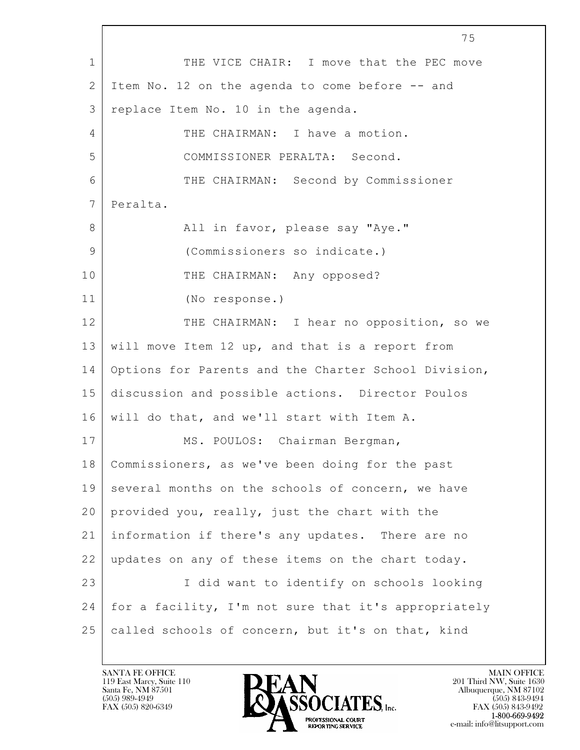$\mathbf{L}$  75 1 THE VICE CHAIR: I move that the PEC move 2 I Item No. 12 on the agenda to come before -- and 3 replace Item No. 10 in the agenda. 4 THE CHAIRMAN: I have a motion. 5 COMMISSIONER PERALTA: Second. 6 THE CHAIRMAN: Second by Commissioner 7 Peralta. 8 | Rall in favor, please say "Aye." 9 (Commissioners so indicate.) 10 THE CHAIRMAN: Any opposed? 11 (No response.) 12 THE CHAIRMAN: I hear no opposition, so we 13 will move Item 12 up, and that is a report from 14 Options for Parents and the Charter School Division, 15 discussion and possible actions. Director Poulos 16 will do that, and we'll start with Item A. 17 | MS. POULOS: Chairman Bergman, 18 | Commissioners, as we've been doing for the past 19 several months on the schools of concern, we have 20 provided you, really, just the chart with the 21 information if there's any updates. There are no 22 updates on any of these items on the chart today. 23 | I did want to identify on schools looking 24 | for a facility, I'm not sure that it's appropriately 25 called schools of concern, but it's on that, kind

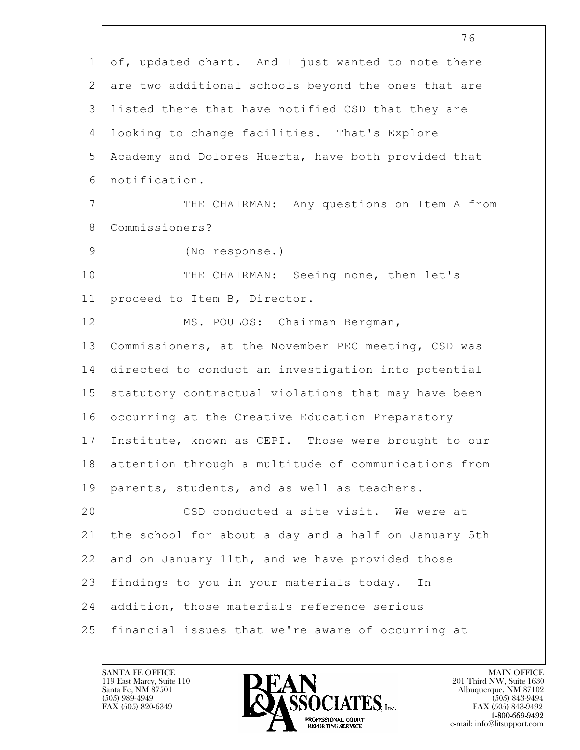$\mathbf{L}$  76 1 of, updated chart. And I just wanted to note there 2 are two additional schools beyond the ones that are 3 listed there that have notified CSD that they are 4 looking to change facilities. That's Explore 5 Academy and Dolores Huerta, have both provided that 6 notification. 7 THE CHAIRMAN: Any questions on Item A from 8 Commissioners? 9 (No response.) 10 THE CHAIRMAN: Seeing none, then let's 11 proceed to Item B, Director. 12 | MS. POULOS: Chairman Bergman, 13 Commissioners, at the November PEC meeting, CSD was 14 directed to conduct an investigation into potential 15 statutory contractual violations that may have been 16 | occurring at the Creative Education Preparatory 17 Institute, known as CEPI. Those were brought to our 18 attention through a multitude of communications from 19 parents, students, and as well as teachers. 20 CSD conducted a site visit. We were at 21 the school for about a day and a half on January 5th 22 and on January 11th, and we have provided those 23 findings to you in your materials today. In 24 addition, those materials reference serious 25 financial issues that we're aware of occurring at

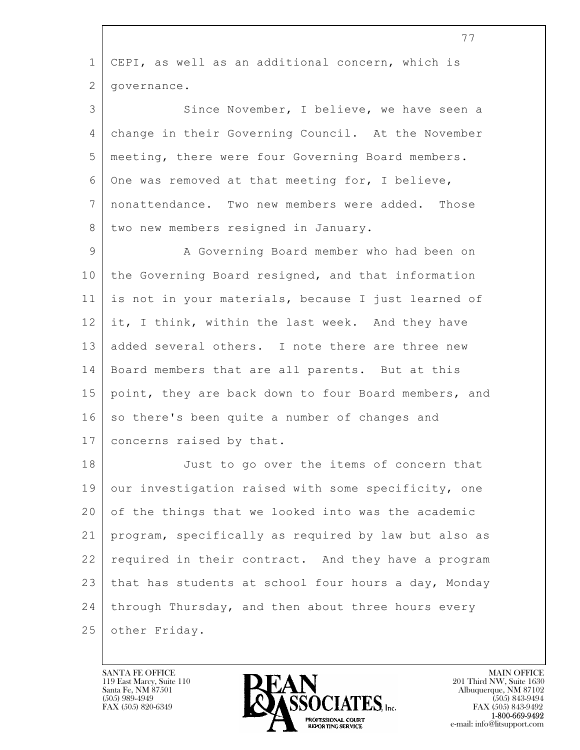| 77                                                   |
|------------------------------------------------------|
| CEPI, as well as an additional concern, which is     |
| governance.                                          |
| Since November, I believe, we have seen a            |
| change in their Governing Council. At the November   |
| meeting, there were four Governing Board members.    |
| One was removed at that meeting for, I believe,      |
| nonattendance. Two new members were added. Those     |
| two new members resigned in January.                 |
| A Governing Board member who had been on             |
| the Governing Board resigned, and that information   |
| is not in your materials, because I just learned of  |
| it, I think, within the last week. And they have     |
| added several others. I note there are three new     |
| Board members that are all parents. But at this      |
| point, they are back down to four Board members, and |
| so there's been quite a number of changes and        |
| concerns raised by that.                             |
| Just to go over the items of concern that            |
| our investigation raised with some specificity, one  |
| of the things that we looked into was the academic   |
| program, specifically as required by law but also as |
| required in their contract. And they have a program  |
| that has students at school four hours a day, Monday |
| through Thursday, and then about three hours every   |
| other Friday.                                        |
|                                                      |

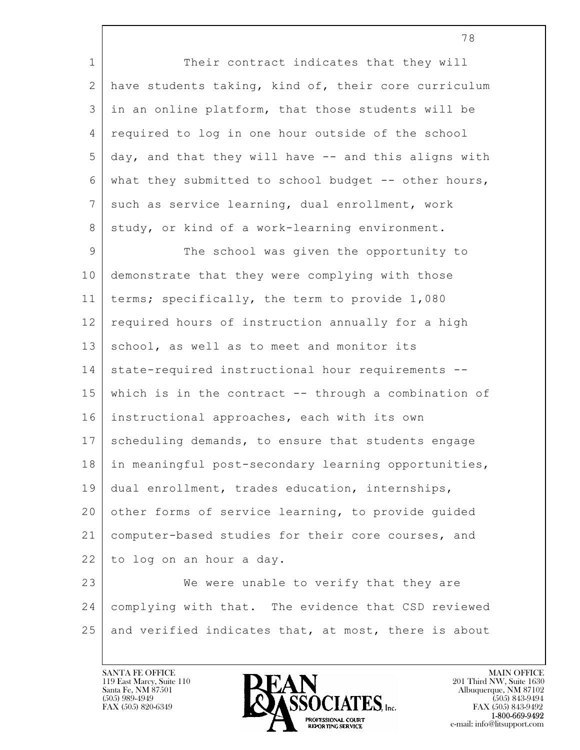$\mathbf{L}$  1 Their contract indicates that they will 2 have students taking, kind of, their core curriculum 3 in an online platform, that those students will be 4 required to log in one hour outside of the school 5 day, and that they will have -- and this aligns with 6 | what they submitted to school budget  $-$ - other hours, 7 such as service learning, dual enrollment, work 8 | study, or kind of a work-learning environment. 9 | The school was given the opportunity to 10 demonstrate that they were complying with those 11 terms; specifically, the term to provide 1,080 12 required hours of instruction annually for a high 13 school, as well as to meet and monitor its 14 state-required instructional hour requirements --15 which is in the contract -- through a combination of 16 instructional approaches, each with its own 17 | scheduling demands, to ensure that students engage 18 | in meaningful post-secondary learning opportunities, 19 dual enrollment, trades education, internships, 20 other forms of service learning, to provide guided 21 computer-based studies for their core courses, and 22 to log on an hour a day. 23 We were unable to verify that they are 24 complying with that. The evidence that CSD reviewed 25 and verified indicates that, at most, there is about

119 East Marcy, Suite 110<br>Santa Fe, NM 87501



FAX (505) 843-9492 e-mail: info@litsupport.com

78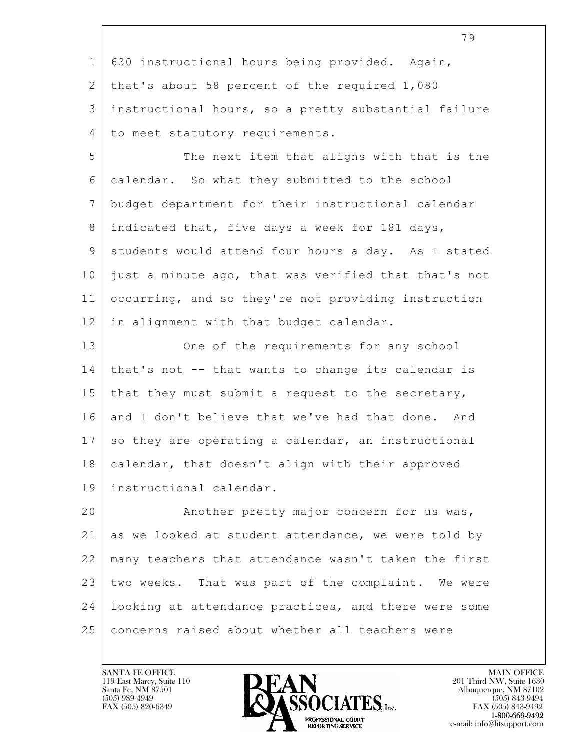79 1 630 instructional hours being provided. Again, 2 that's about 58 percent of the required 1,080 3 instructional hours, so a pretty substantial failure 4 to meet statutory requirements. 5 The next item that aligns with that is the 6 calendar. So what they submitted to the school 7 budget department for their instructional calendar 8 indicated that, five days a week for 181 days, 9 students would attend four hours a day. As I stated 10 just a minute ago, that was verified that that's not 11 occurring, and so they're not providing instruction 12 in alignment with that budget calendar. 13 One of the requirements for any school 14 that's not -- that wants to change its calendar is 15 | that they must submit a request to the secretary, 16 and I don't believe that we've had that done. And 17 so they are operating a calendar, an instructional 18 | calendar, that doesn't align with their approved 19 instructional calendar. 22 many teachers that attendance wasn't taken the first 23 two weeks. That was part of the complaint. We were

 $\mathbf{L}$  20 | Another pretty major concern for us was, 21 as we looked at student attendance, we were told by 24 looking at attendance practices, and there were some 25 concerns raised about whether all teachers were

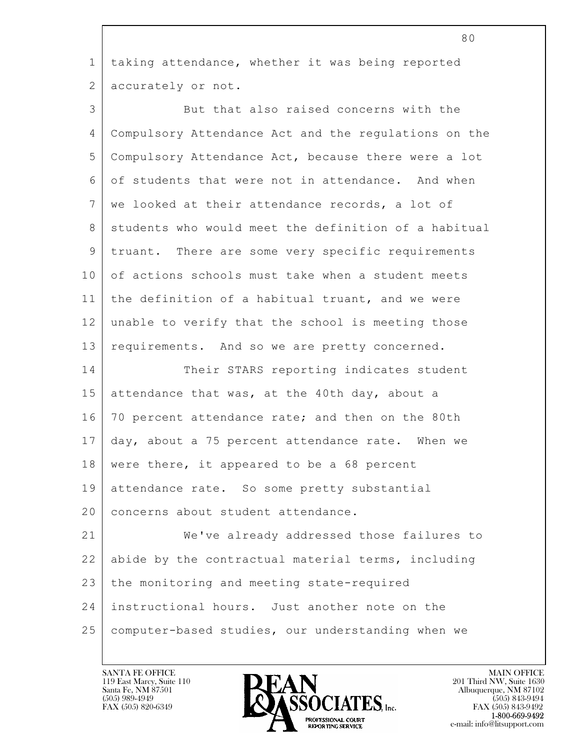| $\mathbf{1}$ | taking attendance, whether it was being reported     |
|--------------|------------------------------------------------------|
| 2            | accurately or not.                                   |
| 3            | But that also raised concerns with the               |
| 4            | Compulsory Attendance Act and the regulations on the |
| 5            | Compulsory Attendance Act, because there were a lot  |
| 6            | of students that were not in attendance. And when    |
| 7            | we looked at their attendance records, a lot of      |
| 8            | students who would meet the definition of a habitual |
| 9            | truant. There are some very specific requirements    |
| 10           | of actions schools must take when a student meets    |
| 11           | the definition of a habitual truant, and we were     |
| 12           | unable to verify that the school is meeting those    |
| 13           | requirements. And so we are pretty concerned.        |
| 14           | Their STARS reporting indicates student              |
| 15           | attendance that was, at the 40th day, about a        |
| 16           | 70 percent attendance rate; and then on the 80th     |
| 17           | day, about a 75 percent attendance rate. When we     |
|              | 18   were there, it appeared to be a 68 percent      |
| 19           | attendance rate. So some pretty substantial          |
| 20           | concerns about student attendance.                   |
| 21           | We've already addressed those failures to            |
| 22           | abide by the contractual material terms, including   |
| 23           | the monitoring and meeting state-required            |
| 24           | instructional hours. Just another note on the        |
| 25           | computer-based studies, our understanding when we    |
|              |                                                      |

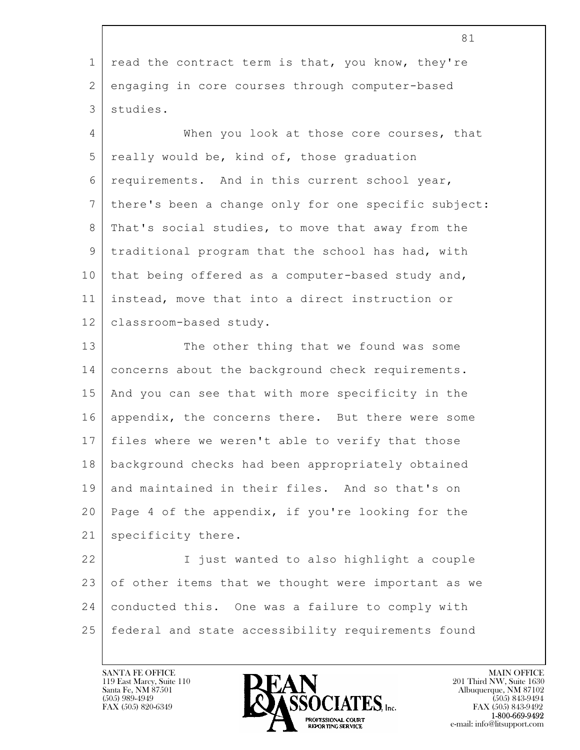|                | ΟT.                                                    |
|----------------|--------------------------------------------------------|
| 1              | read the contract term is that, you know, they're      |
| $\overline{2}$ | engaging in core courses through computer-based        |
| 3              | studies.                                               |
| 4              | When you look at those core courses, that              |
| 5              | really would be, kind of, those graduation             |
| 6              | requirements. And in this current school year,         |
| 7              | there's been a change only for one specific subject:   |
| 8              | That's social studies, to move that away from the      |
| 9              | traditional program that the school has had, with      |
| 10             | that being offered as a computer-based study and,      |
| 11             | instead, move that into a direct instruction or        |
| 12             | classroom-based study.                                 |
| 13             | The other thing that we found was some                 |
| 14             | concerns about the background check requirements.      |
| 15             | And you can see that with more specificity in the      |
| 16             | appendix, the concerns there. But there were some      |
| 17             | files where we weren't able to verify that those       |
|                | 18   background checks had been appropriately obtained |
| 19             | and maintained in their files. And so that's on        |
| 20             | Page 4 of the appendix, if you're looking for the      |
| 21             | specificity there.                                     |
| 22             | I just wanted to also highlight a couple               |
| 23             | of other items that we thought were important as we    |
| 24             | conducted this. One was a failure to comply with       |
| 25             | federal and state accessibility requirements found     |

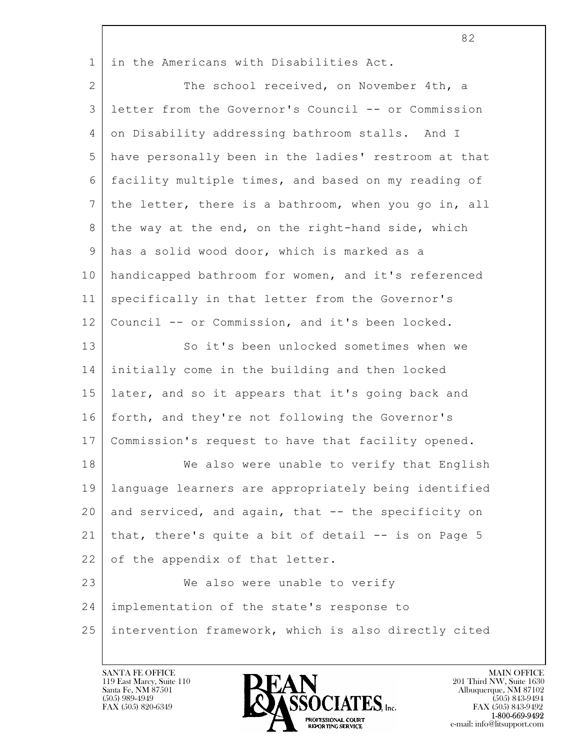1 in the Americans with Disabilities Act.

 $\mathbf{L}$  2 The school received, on November 4th, a 3 letter from the Governor's Council -- or Commission 4 on Disability addressing bathroom stalls. And I 5 have personally been in the ladies' restroom at that 6 facility multiple times, and based on my reading of  $7$  the letter, there is a bathroom, when you go in, all 8 | the way at the end, on the right-hand side, which 9 has a solid wood door, which is marked as a 10 handicapped bathroom for women, and it's referenced 11 specifically in that letter from the Governor's 12 Council -- or Commission, and it's been locked. 13 So it's been unlocked sometimes when we 14 initially come in the building and then locked 15 later, and so it appears that it's going back and 16 forth, and they're not following the Governor's 17 Commission's request to have that facility opened. 18 We also were unable to verify that English 19 language learners are appropriately being identified 20 and serviced, and again, that  $-$  the specificity on 21 that, there's quite a bit of detail -- is on Page 5 22 of the appendix of that letter. 23 We also were unable to verify 24 implementation of the state's response to 25 intervention framework, which is also directly cited

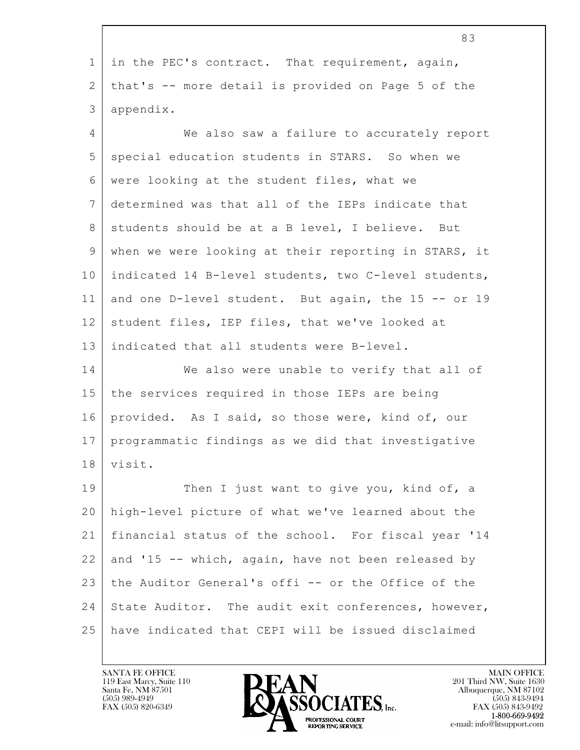|                | 83                                                   |
|----------------|------------------------------------------------------|
| $\mathbf{1}$   | in the PEC's contract. That requirement, again,      |
| $\mathbf{2}$   | that's -- more detail is provided on Page 5 of the   |
| 3              | appendix.                                            |
| $\overline{4}$ | We also saw a failure to accurately report           |
| 5              | special education students in STARS. So when we      |
| 6              | were looking at the student files, what we           |
| 7              | determined was that all of the IEPs indicate that    |
| 8              | students should be at a B level, I believe. But      |
| $\mathsf 9$    | when we were looking at their reporting in STARS, it |
| 10             | indicated 14 B-level students, two C-level students, |
| 11             | and one D-level student. But again, the 15 -- or 19  |
| 12             | student files, IEP files, that we've looked at       |
| 13             | indicated that all students were B-level.            |
| 14             | We also were unable to verify that all of            |
| 15             | the services required in those IEPs are being        |
| 16             | provided. As I said, so those were, kind of, our     |
| 17             | programmatic findings as we did that investigative   |
| 18             | visit.                                               |
| 19             | Then I just want to give you, kind of, a             |
| 20             | high-level picture of what we've learned about the   |
| 21             | financial status of the school. For fiscal year '14  |
| 22             | and '15 -- which, again, have not been released by   |
| 23             | the Auditor General's offi -- or the Office of the   |
| 24             | State Auditor. The audit exit conferences, however,  |
| 25             | have indicated that CEPI will be issued disclaimed   |

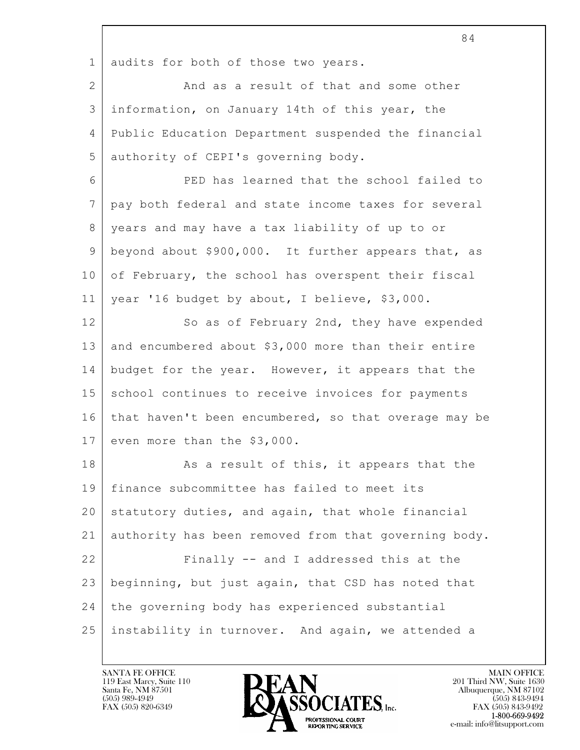|                 | 84                                                   |
|-----------------|------------------------------------------------------|
| $\mathbf 1$     | audits for both of those two years.                  |
| 2               | And as a result of that and some other               |
| 3               | information, on January 14th of this year, the       |
| 4               | Public Education Department suspended the financial  |
| 5               | authority of CEPI's governing body.                  |
| 6               | PED has learned that the school failed to            |
| $7\phantom{.0}$ | pay both federal and state income taxes for several  |
| 8               | years and may have a tax liability of up to or       |
| 9               | beyond about \$900,000. It further appears that, as  |
| 10              | of February, the school has overspent their fiscal   |
| 11              | year '16 budget by about, I believe, \$3,000.        |
| 12              | So as of February 2nd, they have expended            |
| 13              | and encumbered about \$3,000 more than their entire  |
| 14              | budget for the year. However, it appears that the    |
| 15              | school continues to receive invoices for payments    |
| 16              | that haven't been encumbered, so that overage may be |
| 17              | even more than the \$3,000.                          |
| 18              | As a result of this, it appears that the             |
| 19              | finance subcommittee has failed to meet its          |
| 20              | statutory duties, and again, that whole financial    |
| 21              | authority has been removed from that governing body. |
| 22              | Finally -- and I addressed this at the               |
| 23              | beginning, but just again, that CSD has noted that   |
| 24              | the governing body has experienced substantial       |
| 25              | instability in turnover. And again, we attended a    |

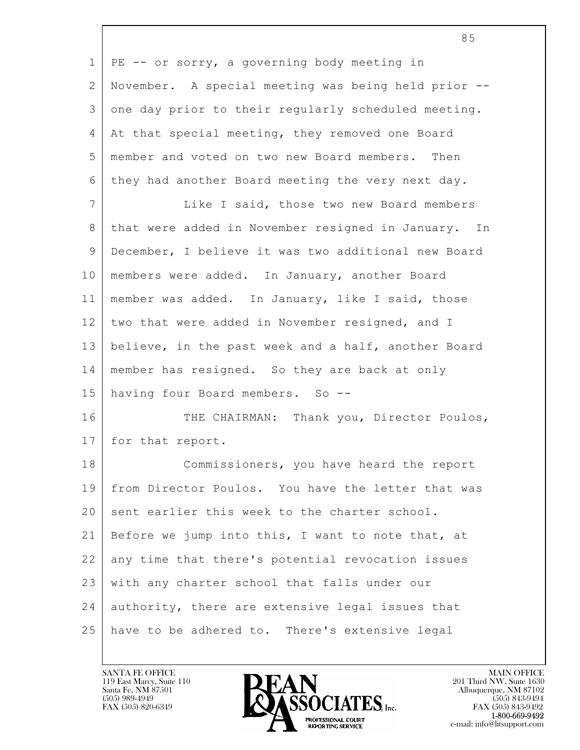| $\mathbf{1}$   | PE -- or sorry, a governing body meeting in         |
|----------------|-----------------------------------------------------|
| 2              | November. A special meeting was being held prior -- |
| 3              | one day prior to their regularly scheduled meeting. |
| 4              | At that special meeting, they removed one Board     |
| 5              | member and voted on two new Board members. Then     |
| 6              | they had another Board meeting the very next day.   |
| $\overline{7}$ | Like I said, those two new Board members            |
| 8              | that were added in November resigned in January. In |
| 9              | December, I believe it was two additional new Board |
| 10             | members were added. In January, another Board       |
| 11             | member was added. In January, like I said, those    |
| 12             | two that were added in November resigned, and I     |
| 13             | believe, in the past week and a half, another Board |
| 14             | member has resigned. So they are back at only       |
| 15             | having four Board members. So --                    |
| 16             | THE CHAIRMAN: Thank you, Director Poulos,           |
| 17             | for that report.                                    |
| 18             | Commissioners, you have heard the report            |
| 19             | from Director Poulos. You have the letter that was  |
| 20             | sent earlier this week to the charter school.       |
| 21             | Before we jump into this, I want to note that, at   |
| 22             | any time that there's potential revocation issues   |
| 23             | with any charter school that falls under our        |
| 24             | authority, there are extensive legal issues that    |
| 25             | have to be adhered to. There's extensive legal      |

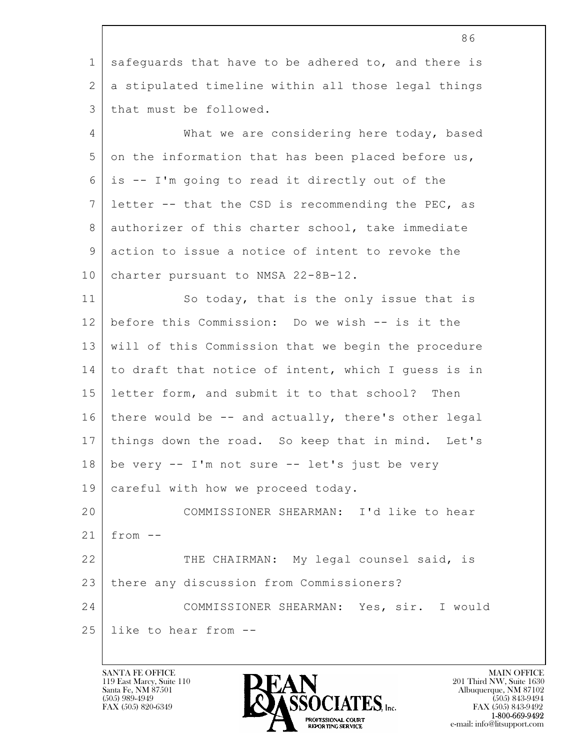| 86                                                  |
|-----------------------------------------------------|
| safeguards that have to be adhered to, and there is |
| a stipulated timeline within all those legal things |
| that must be followed.                              |
| What we are considering here today, based           |
| on the information that has been placed before us,  |
| is -- I'm going to read it directly out of the      |
| letter -- that the CSD is recommending the PEC, as  |
| authorizer of this charter school, take immediate   |
| action to issue a notice of intent to revoke the    |
| charter pursuant to NMSA 22-8B-12.                  |
| So today, that is the only issue that is            |
| before this Commission: Do we wish -- is it the     |
| will of this Commission that we begin the procedure |
| to draft that notice of intent, which I guess is in |
| letter form, and submit it to that school? Then     |
| there would be -- and actually, there's other legal |
| things down the road. So keep that in mind. Let's   |
| be very -- I'm not sure -- let's just be very       |
| careful with how we proceed today.                  |
| COMMISSIONER SHEARMAN: I'd like to hear             |
| $from --$                                           |
| THE CHAIRMAN: My legal counsel said, is             |
| there any discussion from Commissioners?            |
| COMMISSIONER SHEARMAN: Yes, sir. I would            |
| like to hear from --                                |
|                                                     |

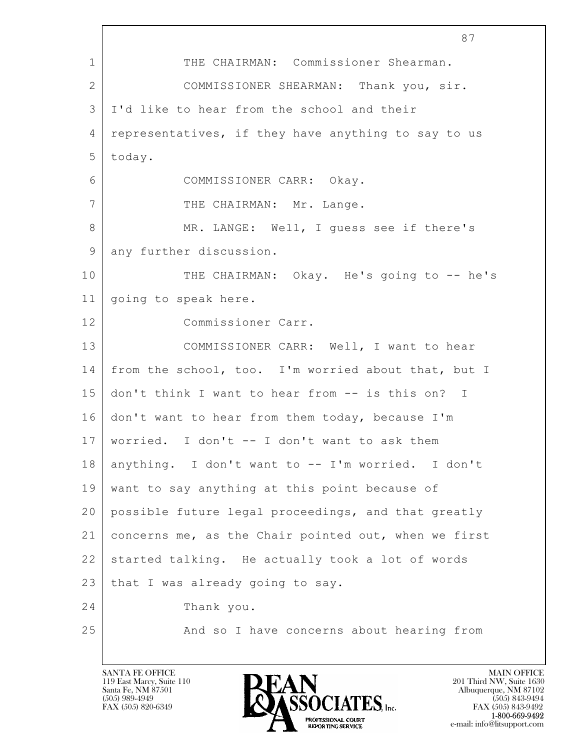|                | 87                                                   |
|----------------|------------------------------------------------------|
| $\mathbf 1$    | THE CHAIRMAN: Commissioner Shearman.                 |
| $\overline{2}$ | COMMISSIONER SHEARMAN: Thank you, sir.               |
| 3              | I'd like to hear from the school and their           |
| 4              | representatives, if they have anything to say to us  |
| 5              | today.                                               |
| 6              | COMMISSIONER CARR: Okay.                             |
| $\overline{7}$ | THE CHAIRMAN: Mr. Lange.                             |
| 8              | MR. LANGE: Well, I guess see if there's              |
| 9              | any further discussion.                              |
| 10             | THE CHAIRMAN: Okay. He's going to -- he's            |
| 11             | going to speak here.                                 |
| 12             | Commissioner Carr.                                   |
| 13             | COMMISSIONER CARR: Well, I want to hear              |
| 14             | from the school, too. I'm worried about that, but I  |
| 15             | don't think I want to hear from -- is this on? I     |
| 16             | don't want to hear from them today, because I'm      |
| 17             | worried. I don't -- I don't want to ask them         |
| 18             | anything. I don't want to -- I'm worried. I don't    |
| 19             | want to say anything at this point because of        |
| 20             | possible future legal proceedings, and that greatly  |
| 21             | concerns me, as the Chair pointed out, when we first |
| 22             | started talking. He actually took a lot of words     |
| 23             | that I was already going to say.                     |
| 24             | Thank you.                                           |
| 25             | And so I have concerns about hearing from            |
|                |                                                      |

 $\overline{1}$ 

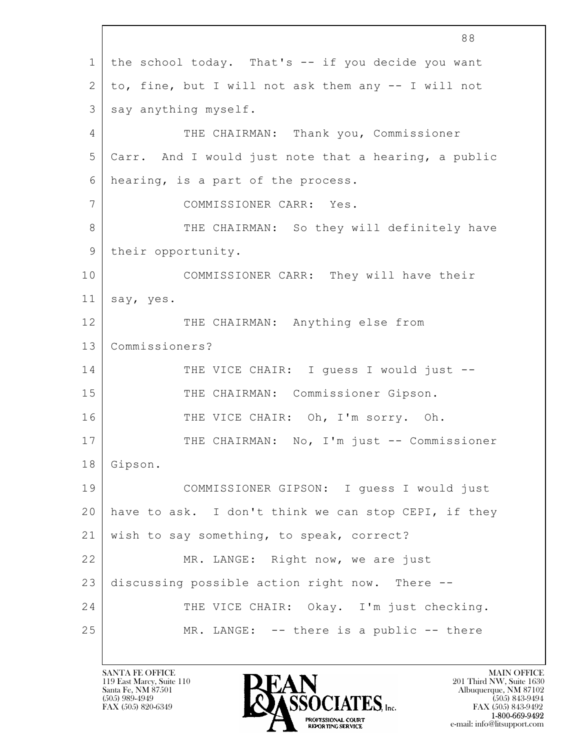$\mathbf{L}$  88 1 the school today. That's -- if you decide you want 2 to, fine, but I will not ask them any -- I will not 3 say anything myself. 4 THE CHAIRMAN: Thank you, Commissioner 5 Carr. And I would just note that a hearing, a public 6 hearing, is a part of the process. 7 COMMISSIONER CARR: Yes. 8 THE CHAIRMAN: So they will definitely have 9 their opportunity. 10 COMMISSIONER CARR: They will have their 11 say, yes. 12 THE CHAIRMAN: Anything else from 13 Commissioners? 14 THE VICE CHAIR: I guess I would just --15 | THE CHAIRMAN: Commissioner Gipson. 16 THE VICE CHAIR: Oh, I'm sorry. Oh. 17 | THE CHAIRMAN: No, I'm just -- Commissioner 18 Gipson. 19 COMMISSIONER GIPSON: I guess I would just 20 have to ask. I don't think we can stop CEPI, if they 21 wish to say something, to speak, correct? 22 MR. LANGE: Right now, we are just 23 discussing possible action right now. There -- 24 THE VICE CHAIR: Okay. I'm just checking. 25 MR. LANGE: -- there is a public -- there

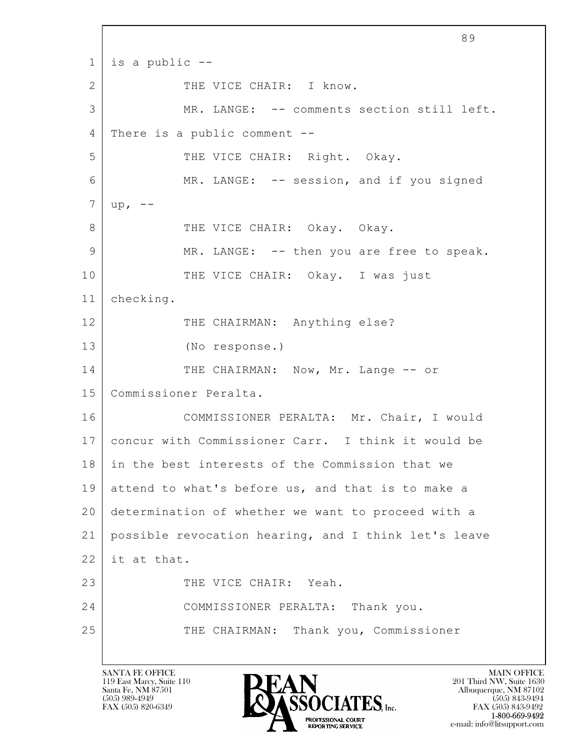$\mathbf{L}$  89  $1$  is a public  $-$ -2 | THE VICE CHAIR: I know. 3 MR. LANGE: -- comments section still left. 4 There is a public comment -- 5 THE VICE CHAIR: Right. Okay. 6 MR. LANGE: -- session, and if you signed  $7 \mid up.$ 8 THE VICE CHAIR: Okay. Okay. 9 MR. LANGE: -- then you are free to speak. 10 THE VICE CHAIR: Okay. I was just 11 checking. 12 THE CHAIRMAN: Anything else? 13 (No response.) 14 THE CHAIRMAN: Now, Mr. Lange -- or 15 Commissioner Peralta. 16 COMMISSIONER PERALTA: Mr. Chair, I would 17 concur with Commissioner Carr. I think it would be 18 in the best interests of the Commission that we 19 attend to what's before us, and that is to make a 20 determination of whether we want to proceed with a 21 possible revocation hearing, and I think let's leave  $22$  it at that. 23 THE VICE CHAIR: Yeah. 24 COMMISSIONER PERALTA: Thank you. 25 THE CHAIRMAN: Thank you, Commissioner

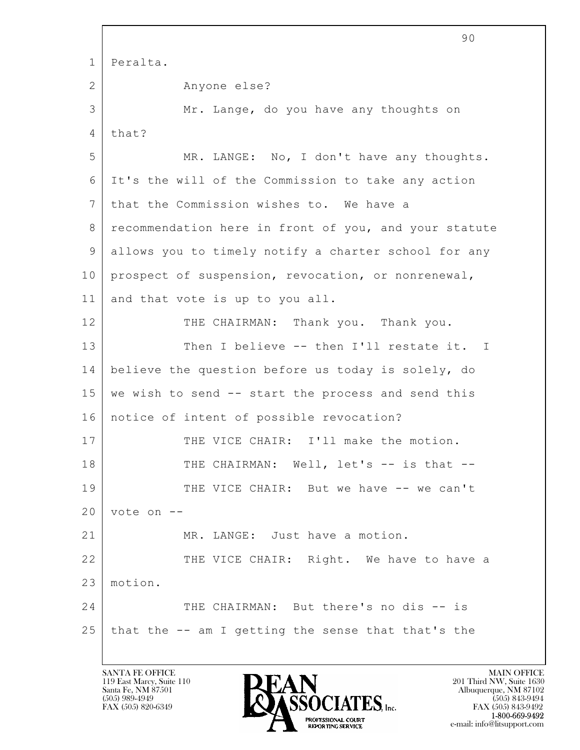|              | 90                                                    |
|--------------|-------------------------------------------------------|
| $\mathbf{1}$ | Peralta.                                              |
| 2            | Anyone else?                                          |
| 3            | Mr. Lange, do you have any thoughts on                |
| 4            | that?                                                 |
| 5            | MR. LANGE: No, I don't have any thoughts.             |
| 6            | It's the will of the Commission to take any action    |
| 7            | that the Commission wishes to. We have a              |
| 8            | recommendation here in front of you, and your statute |
| 9            | allows you to timely notify a charter school for any  |
| 10           | prospect of suspension, revocation, or nonrenewal,    |
| 11           | and that vote is up to you all.                       |
| 12           | THE CHAIRMAN: Thank you. Thank you.                   |
| 13           | Then I believe -- then I'll restate it. I             |
| 14           | believe the question before us today is solely, do    |
| 15           | we wish to send -- start the process and send this    |
| 16           | notice of intent of possible revocation?              |
| 17           | THE VICE CHAIR: I'll make the motion.                 |
| 18           | THE CHAIRMAN: Well, let's -- is that --               |
| 19           | THE VICE CHAIR: But we have -- we can't               |
| 20           | vote on --                                            |
| 21           | MR. LANGE: Just have a motion.                        |
| 22           | THE VICE CHAIR: Right. We have to have a              |
| 23           | motion.                                               |
| 24           | THE CHAIRMAN: But there's no dis -- is                |
| 25           | that the -- am I getting the sense that that's the    |
|              |                                                       |

 $\overline{\phantom{a}}$ 

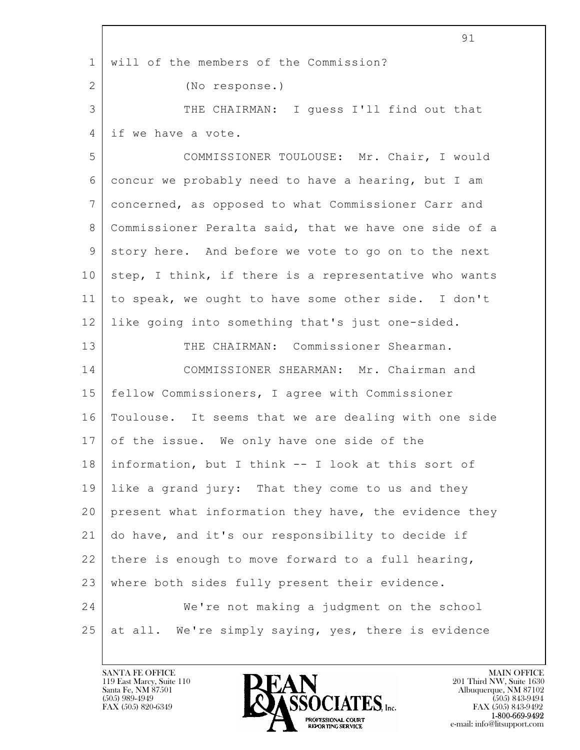|                | 91                                                    |
|----------------|-------------------------------------------------------|
| $\mathbf 1$    | will of the members of the Commission?                |
| $\overline{2}$ | (No response.)                                        |
| 3              | THE CHAIRMAN: I quess I'll find out that              |
| 4              | if we have a vote.                                    |
| 5              | COMMISSIONER TOULOUSE: Mr. Chair, I would             |
| 6              | concur we probably need to have a hearing, but I am   |
| $7\phantom{.}$ | concerned, as opposed to what Commissioner Carr and   |
| 8              | Commissioner Peralta said, that we have one side of a |
| 9              | story here. And before we vote to go on to the next   |
| 10             | step, I think, if there is a representative who wants |
| 11             | to speak, we ought to have some other side. I don't   |
| 12             | like going into something that's just one-sided.      |
| 13             | THE CHAIRMAN: Commissioner Shearman.                  |
| 14             | COMMISSIONER SHEARMAN: Mr. Chairman and               |
| 15             | fellow Commissioners, I agree with Commissioner       |
| 16             | Toulouse. It seems that we are dealing with one side  |
| 17             | of the issue. We only have one side of the            |
| 18             | information, but I think -- I look at this sort of    |
| 19             | like a grand jury: That they come to us and they      |
| 20             | present what information they have, the evidence they |
| 21             | do have, and it's our responsibility to decide if     |
| 22             | there is enough to move forward to a full hearing,    |
| 23             | where both sides fully present their evidence.        |
| 24             | We're not making a judgment on the school             |
| 25             | at all. We're simply saying, yes, there is evidence   |
|                |                                                       |

 $\overline{1}$ 

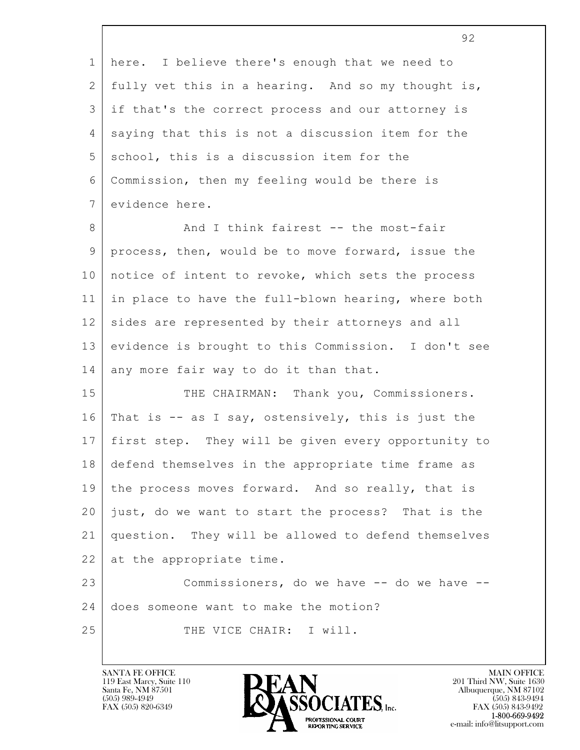$\mathbf{L}$  92 1 here. I believe there's enough that we need to 2 fully vet this in a hearing. And so my thought is, 3 if that's the correct process and our attorney is 4 saying that this is not a discussion item for the 5 school, this is a discussion item for the 6 Commission, then my feeling would be there is 7 evidence here. 8 And I think fairest -- the most-fair 9 process, then, would be to move forward, issue the 10 notice of intent to revoke, which sets the process 11 in place to have the full-blown hearing, where both 12 sides are represented by their attorneys and all 13 evidence is brought to this Commission. I don't see 14 any more fair way to do it than that. 15 THE CHAIRMAN: Thank you, Commissioners. 16 That is -- as I say, ostensively, this is just the 17 first step. They will be given every opportunity to 18 defend themselves in the appropriate time frame as 19 the process moves forward. And so really, that is 20 just, do we want to start the process? That is the 21 question. They will be allowed to defend themselves 22 at the appropriate time. 23 | Commissioners, do we have -- do we have --24 does someone want to make the motion? 25 THE VICE CHAIR: I will.

119 East Marcy, Suite 110<br>Santa Fe, NM 87501



FAX (505) 843-9492 e-mail: info@litsupport.com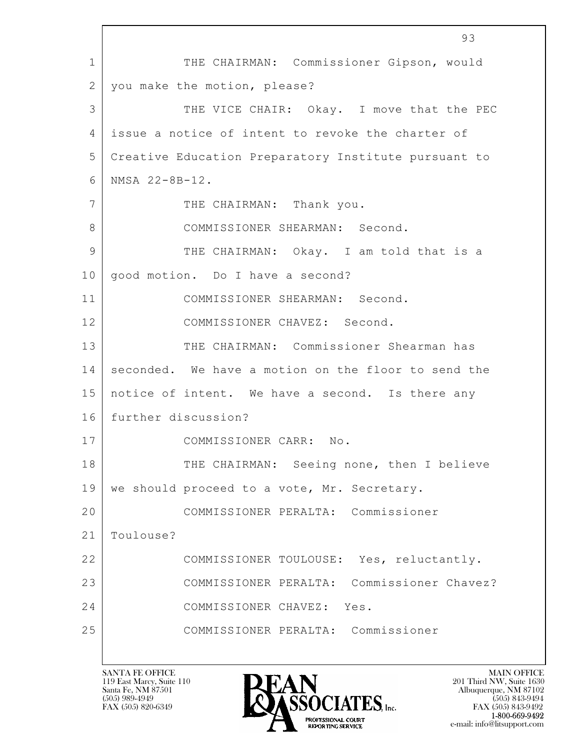$\mathbf{L}$  93 1 THE CHAIRMAN: Commissioner Gipson, would 2 you make the motion, please? 3 THE VICE CHAIR: Okay. I move that the PEC 4 issue a notice of intent to revoke the charter of 5 Creative Education Preparatory Institute pursuant to 6 NMSA 22-8B-12. 7 THE CHAIRMAN: Thank you. 8 COMMISSIONER SHEARMAN: Second. 9 THE CHAIRMAN: Okay. I am told that is a 10 | good motion. Do I have a second? 11 COMMISSIONER SHEARMAN: Second. 12 COMMISSIONER CHAVEZ: Second. 13 THE CHAIRMAN: Commissioner Shearman has 14 seconded. We have a motion on the floor to send the 15 notice of intent. We have a second. Is there any 16 further discussion? 17 | COMMISSIONER CARR: No. 18 THE CHAIRMAN: Seeing none, then I believe 19 we should proceed to a vote, Mr. Secretary. 20 COMMISSIONER PERALTA: Commissioner 21 Toulouse? 22 COMMISSIONER TOULOUSE: Yes, reluctantly. 23 COMMISSIONER PERALTA: Commissioner Chavez? 24 COMMISSIONER CHAVEZ: Yes. 25 COMMISSIONER PERALTA: Commissioner

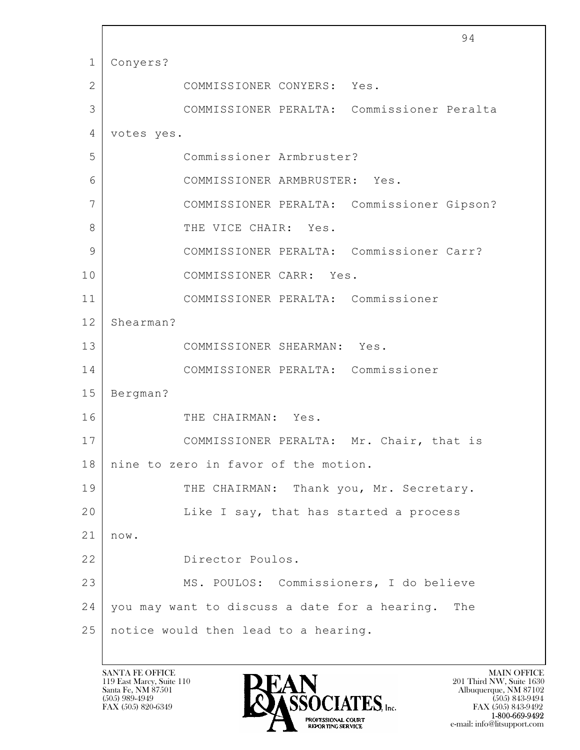$\mathbf{L}$  94 1 Conyers? 2 COMMISSIONER CONYERS: Yes. 3 COMMISSIONER PERALTA: Commissioner Peralta 4 votes yes. 5 Commissioner Armbruster? 6 COMMISSIONER ARMBRUSTER: Yes. 7 COMMISSIONER PERALTA: Commissioner Gipson? 8 GENERAL PLACE CHAIR: Yes. 9 COMMISSIONER PERALTA: Commissioner Carr? 10 COMMISSIONER CARR: Yes. 11 COMMISSIONER PERALTA: Commissioner 12 Shearman? 13 COMMISSIONER SHEARMAN: Yes. 14 COMMISSIONER PERALTA: Commissioner 15 Bergman? 16 THE CHAIRMAN: Yes. 17 | COMMISSIONER PERALTA: Mr. Chair, that is 18 nine to zero in favor of the motion. 19 THE CHAIRMAN: Thank you, Mr. Secretary. 20 | Like I say, that has started a process 21 now. 22 Director Poulos. 23 MS. POULOS: Commissioners, I do believe 24 you may want to discuss a date for a hearing. The 25 notice would then lead to a hearing.

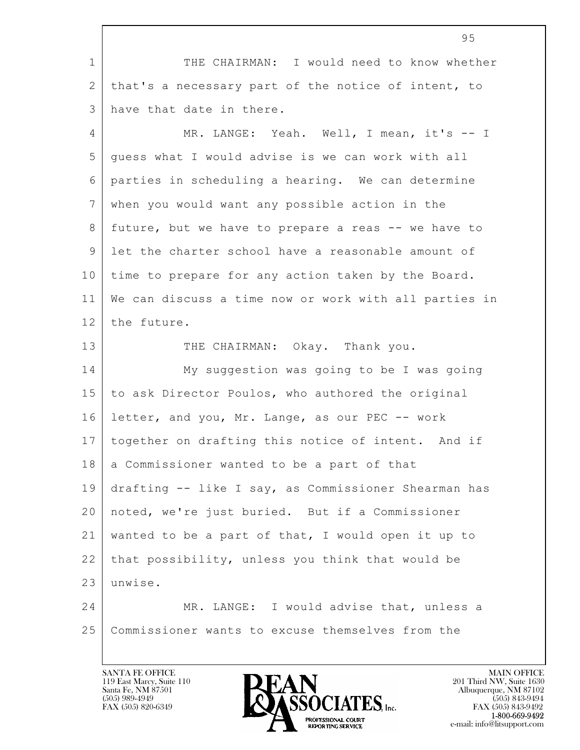$\mathbf{L}$  95 1 THE CHAIRMAN: I would need to know whether 2 | that's a necessary part of the notice of intent, to 3 have that date in there. 4 MR. LANGE: Yeah. Well, I mean, it's -- I 5 guess what I would advise is we can work with all 6 parties in scheduling a hearing. We can determine 7 when you would want any possible action in the 8 future, but we have to prepare a reas -- we have to 9 let the charter school have a reasonable amount of 10 time to prepare for any action taken by the Board. 11 We can discuss a time now or work with all parties in 12 the future. 13 THE CHAIRMAN: Okay. Thank you. 14 My suggestion was going to be I was going 15 to ask Director Poulos, who authored the original 16 letter, and you, Mr. Lange, as our PEC -- work 17 together on drafting this notice of intent. And if 18 a Commissioner wanted to be a part of that 19 drafting -- like I say, as Commissioner Shearman has 20 noted, we're just buried. But if a Commissioner 21 wanted to be a part of that, I would open it up to  $22$  that possibility, unless you think that would be 23 unwise. 24 MR. LANGE: I would advise that, unless a 25 Commissioner wants to excuse themselves from the

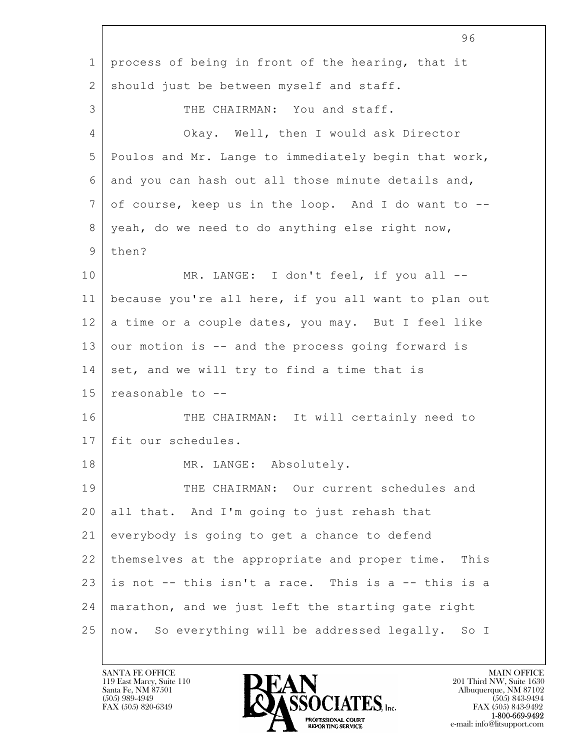|              | 96                                                     |
|--------------|--------------------------------------------------------|
| $\mathbf 1$  | process of being in front of the hearing, that it      |
| $\mathbf{2}$ | should just be between myself and staff.               |
| 3            | THE CHAIRMAN: You and staff.                           |
| 4            | Okay. Well, then I would ask Director                  |
| 5            | Poulos and Mr. Lange to immediately begin that work,   |
| 6            | and you can hash out all those minute details and,     |
| 7            | of course, keep us in the loop. And I do want to --    |
| 8            | yeah, do we need to do anything else right now,        |
| $\mathsf 9$  | then?                                                  |
| 10           | MR. LANGE: I don't feel, if you all --                 |
| 11           | because you're all here, if you all want to plan out   |
| 12           | a time or a couple dates, you may. But I feel like     |
| 13           | our motion is -- and the process going forward is      |
| 14           | set, and we will try to find a time that is            |
| 15           | reasonable to --                                       |
| 16           | THE CHAIRMAN: It will certainly need to                |
| 17           | fit our schedules.                                     |
| 18           | MR. LANGE: Absolutely.                                 |
| 19           | THE CHAIRMAN: Our current schedules and                |
| 20           | all that. And I'm going to just rehash that            |
| 21           | everybody is going to get a chance to defend           |
| 22           | themselves at the appropriate and proper time.<br>This |
| 23           | is not -- this isn't a race. This is a -- this is a    |
| 24           | marathon, and we just left the starting gate right     |
| 25           | now. So everything will be addressed legally.<br>So I  |

Г

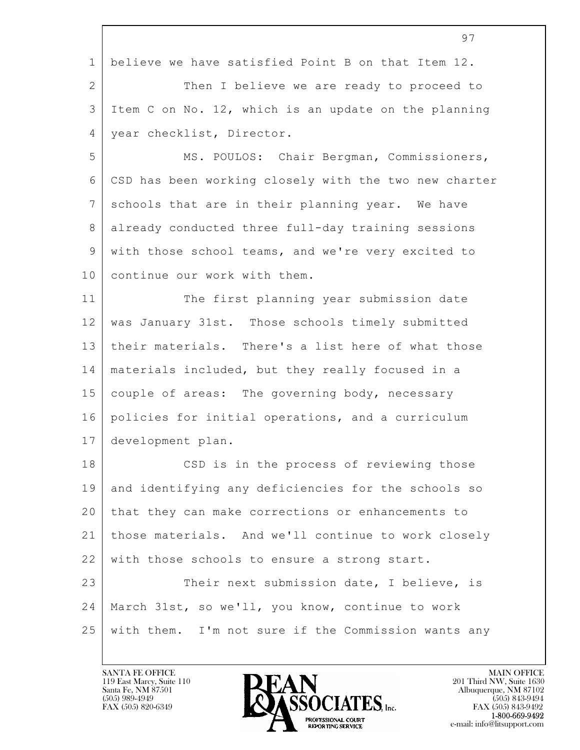|              | 97                                                    |
|--------------|-------------------------------------------------------|
| $\mathbf 1$  | believe we have satisfied Point B on that Item 12.    |
| $\mathbf{2}$ | Then I believe we are ready to proceed to             |
| 3            | Item C on No. 12, which is an update on the planning  |
| 4            | year checklist, Director.                             |
| 5            | MS. POULOS: Chair Bergman, Commissioners,             |
| 6            | CSD has been working closely with the two new charter |
| 7            | schools that are in their planning year. We have      |
| 8            | already conducted three full-day training sessions    |
| $\mathsf 9$  | with those school teams, and we're very excited to    |
| 10           | continue our work with them.                          |
| 11           | The first planning year submission date               |
| 12           | was January 31st. Those schools timely submitted      |
| 13           | their materials. There's a list here of what those    |
| 14           | materials included, but they really focused in a      |
| 15           | couple of areas: The governing body, necessary        |
| 16           | policies for initial operations, and a curriculum     |
| 17           | development plan.                                     |
| 18           | CSD is in the process of reviewing those              |
| 19           | and identifying any deficiencies for the schools so   |
| 20           | that they can make corrections or enhancements to     |
| 21           | those materials. And we'll continue to work closely   |
| 22           | with those schools to ensure a strong start.          |
| 23           | Their next submission date, I believe, is             |
| 24           | March 31st, so we'll, you know, continue to work      |
| 25           | with them. I'm not sure if the Commission wants any   |
|              |                                                       |

 $\Gamma$ 

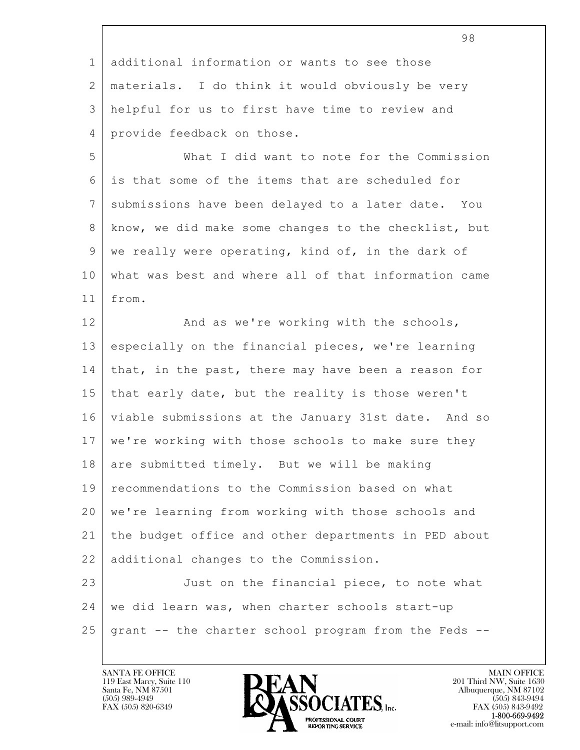|                | 98                                                   |
|----------------|------------------------------------------------------|
| $\mathbf 1$    | additional information or wants to see those         |
| 2              | materials. I do think it would obviously be very     |
| 3              | helpful for us to first have time to review and      |
| $\overline{4}$ | provide feedback on those.                           |
| 5              | What I did want to note for the Commission           |
| 6              | is that some of the items that are scheduled for     |
| 7              | submissions have been delayed to a later date. You   |
| 8              | know, we did make some changes to the checklist, but |
| 9              | we really were operating, kind of, in the dark of    |
| 10             | what was best and where all of that information came |
| 11             | from.                                                |
| 12             | And as we're working with the schools,               |
| 13             | especially on the financial pieces, we're learning   |
| 14             | that, in the past, there may have been a reason for  |
| 15             | that early date, but the reality is those weren't    |
| 16             | viable submissions at the January 31st date. And so  |
| 17             | we're working with those schools to make sure they   |
| 18             | are submitted timely. But we will be making          |
| 19             | recommendations to the Commission based on what      |
| 20             | we're learning from working with those schools and   |
| 21             | the budget office and other departments in PED about |
| 22             | additional changes to the Commission.                |
| 23             | Just on the financial piece, to note what            |
| 24             | we did learn was, when charter schools start-up      |
| 25             | grant -- the charter school program from the Feds -- |
|                |                                                      |

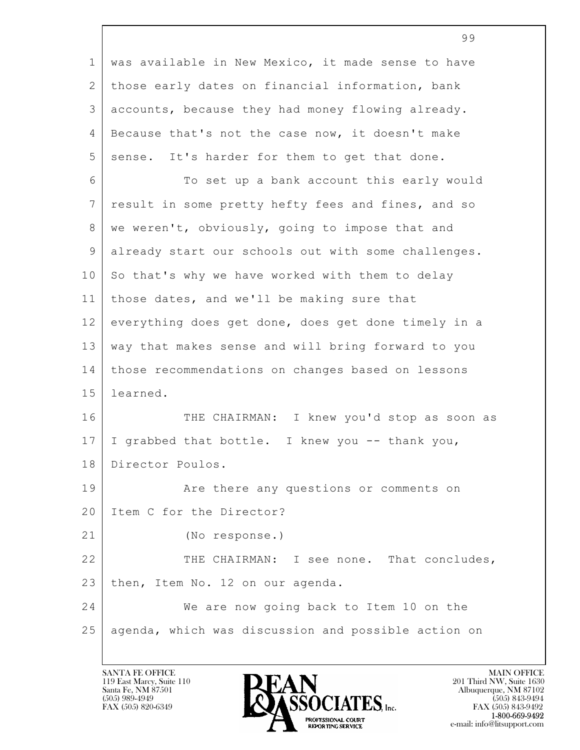|                | 99                                                  |
|----------------|-----------------------------------------------------|
| $\mathbf 1$    | was available in New Mexico, it made sense to have  |
| 2              | those early dates on financial information, bank    |
| $\mathfrak{Z}$ | accounts, because they had money flowing already.   |
| $\overline{4}$ | Because that's not the case now, it doesn't make    |
| 5              | sense. It's harder for them to get that done.       |
| 6              | To set up a bank account this early would           |
| 7              | result in some pretty hefty fees and fines, and so  |
| 8              | we weren't, obviously, going to impose that and     |
| $\mathsf 9$    | already start our schools out with some challenges. |
| 10             | So that's why we have worked with them to delay     |
| 11             | those dates, and we'll be making sure that          |
| 12             | everything does get done, does get done timely in a |
| 13             | way that makes sense and will bring forward to you  |
| 14             | those recommendations on changes based on lessons   |
| 15             | learned.                                            |
| 16             | THE CHAIRMAN: I knew you'd stop as soon as          |
| 17             | I grabbed that bottle. I knew you -- thank you,     |
| 18             | Director Poulos.                                    |
| 19             | Are there any questions or comments on              |
| 20             | Item C for the Director?                            |
| 21             | (No response.)                                      |
| 22             | THE CHAIRMAN: I see none. That concludes,           |
| 23             | then, Item No. 12 on our agenda.                    |
| 24             | We are now going back to Item 10 on the             |
| 25             | agenda, which was discussion and possible action on |
|                |                                                     |

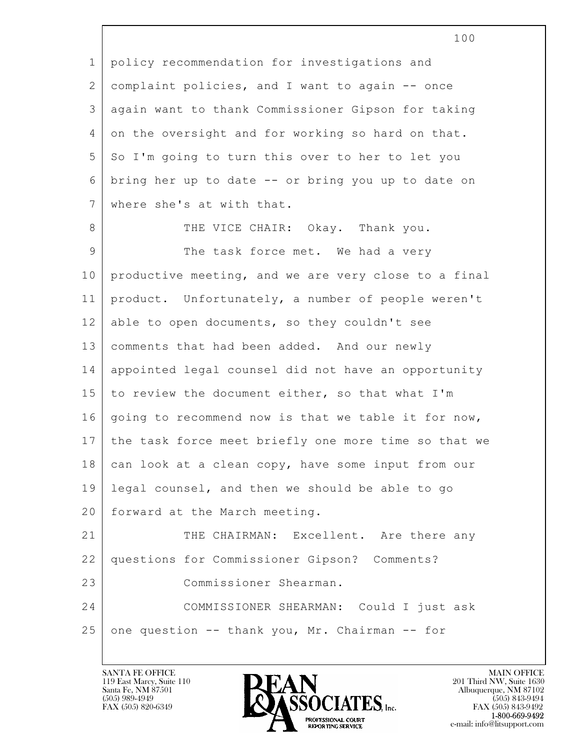|                 | TOO                                                  |
|-----------------|------------------------------------------------------|
| $\mathbf 1$     | policy recommendation for investigations and         |
| 2               | complaint policies, and I want to again -- once      |
| 3               | again want to thank Commissioner Gipson for taking   |
| 4               | on the oversight and for working so hard on that.    |
| 5               | So I'm going to turn this over to her to let you     |
| 6               | bring her up to date -- or bring you up to date on   |
| $7\phantom{.0}$ | where she's at with that.                            |
| 8               | THE VICE CHAIR: Okay. Thank you.                     |
| $\mathsf 9$     | The task force met. We had a very                    |
| 10              | productive meeting, and we are very close to a final |
| 11              | product. Unfortunately, a number of people weren't   |
| 12              | able to open documents, so they couldn't see         |
| 13              | comments that had been added. And our newly          |
| 14              | appointed legal counsel did not have an opportunity  |
| 15              | to review the document either, so that what I'm      |
| 16              | going to recommend now is that we table it for now,  |
| 17              | the task force meet briefly one more time so that we |
| 18              | can look at a clean copy, have some input from our   |
| 19              | legal counsel, and then we should be able to go      |
| 20              | forward at the March meeting.                        |
| 21              | THE CHAIRMAN: Excellent. Are there any               |
| 22              | questions for Commissioner Gipson? Comments?         |
| 23              | Commissioner Shearman.                               |
| 24              | COMMISSIONER SHEARMAN: Could I just ask              |
| 25              | one question -- thank you, Mr. Chairman -- for       |
|                 |                                                      |

 $\overline{\phantom{a}}$ 

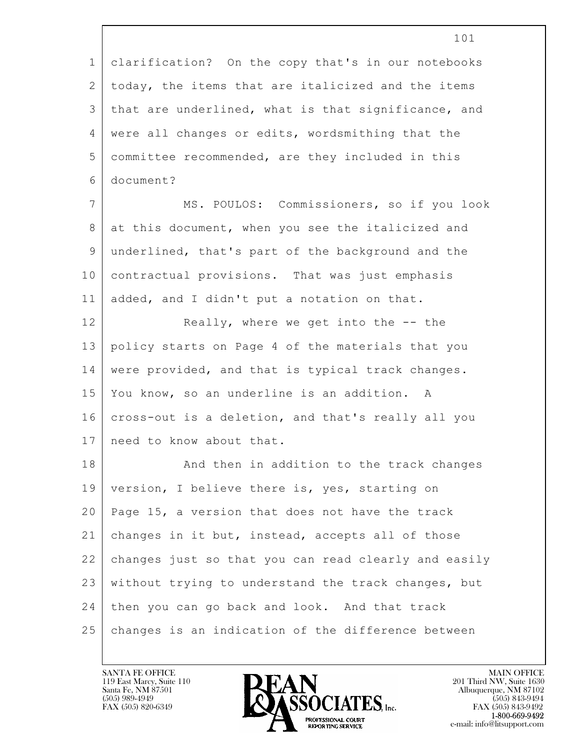|                | 101                                                  |
|----------------|------------------------------------------------------|
| $\mathbf 1$    | clarification? On the copy that's in our notebooks   |
| 2              | today, the items that are italicized and the items   |
| 3              | that are underlined, what is that significance, and  |
| 4              | were all changes or edits, wordsmithing that the     |
| 5              | committee recommended, are they included in this     |
| 6              | document?                                            |
| $7\phantom{.}$ | MS. POULOS: Commissioners, so if you look            |
| 8              | at this document, when you see the italicized and    |
| 9              | underlined, that's part of the background and the    |
| 10             | contractual provisions. That was just emphasis       |
| 11             | added, and I didn't put a notation on that.          |
| 12             | Really, where we get into the -- the                 |
| 13             | policy starts on Page 4 of the materials that you    |
| 14             | were provided, and that is typical track changes.    |
| 15             | You know, so an underline is an addition. A          |
| 16             | cross-out is a deletion, and that's really all you   |
| 17             | need to know about that.                             |
| 18             | And then in addition to the track changes            |
| 19             | version, I believe there is, yes, starting on        |
| 20             | Page 15, a version that does not have the track      |
| 21             | changes in it but, instead, accepts all of those     |
| 22             | changes just so that you can read clearly and easily |
| 23             | without trying to understand the track changes, but  |
| 24             | then you can go back and look. And that track        |
| 25             | changes is an indication of the difference between   |

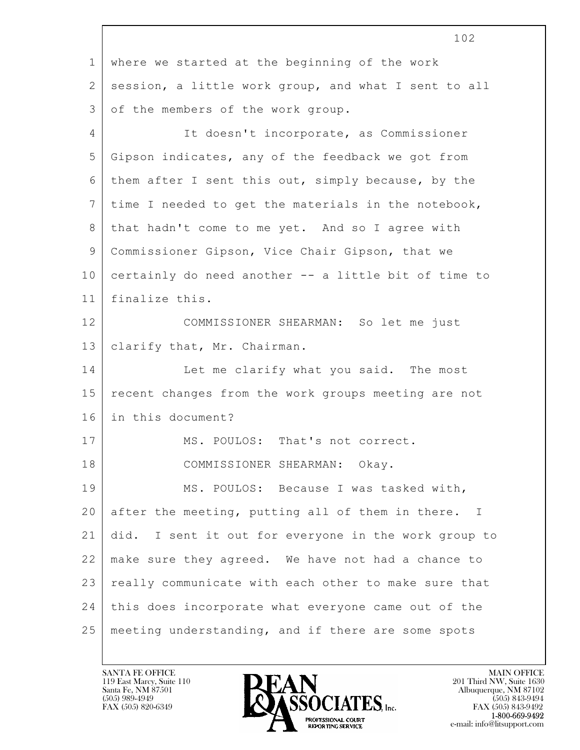|                | 102                                                  |
|----------------|------------------------------------------------------|
| $\mathbf{1}$   | where we started at the beginning of the work        |
| 2              | session, a little work group, and what I sent to all |
| 3              | of the members of the work group.                    |
| $\overline{4}$ | It doesn't incorporate, as Commissioner              |
| 5              | Gipson indicates, any of the feedback we got from    |
| 6              | them after I sent this out, simply because, by the   |
| 7              | time I needed to get the materials in the notebook,  |
| 8              | that hadn't come to me yet. And so I agree with      |
| 9              | Commissioner Gipson, Vice Chair Gipson, that we      |
| 10             | certainly do need another -- a little bit of time to |
| 11             | finalize this.                                       |
| 12             | COMMISSIONER SHEARMAN: So let me just                |
| 13             | clarify that, Mr. Chairman.                          |
| 14             | Let me clarify what you said. The most               |
| 15             | recent changes from the work groups meeting are not  |
| 16             | in this document?                                    |
| 17             | MS. POULOS: That's not correct.                      |
| 18             | COMMISSIONER SHEARMAN: Okay.                         |
| 19             | MS. POULOS: Because I was tasked with,               |
| 20             | after the meeting, putting all of them in there. I   |
| 21             | did. I sent it out for everyone in the work group to |
| 22             | make sure they agreed. We have not had a chance to   |
| 23             | really communicate with each other to make sure that |
| 24             | this does incorporate what everyone came out of the  |
| 25             | meeting understanding, and if there are some spots   |
|                |                                                      |

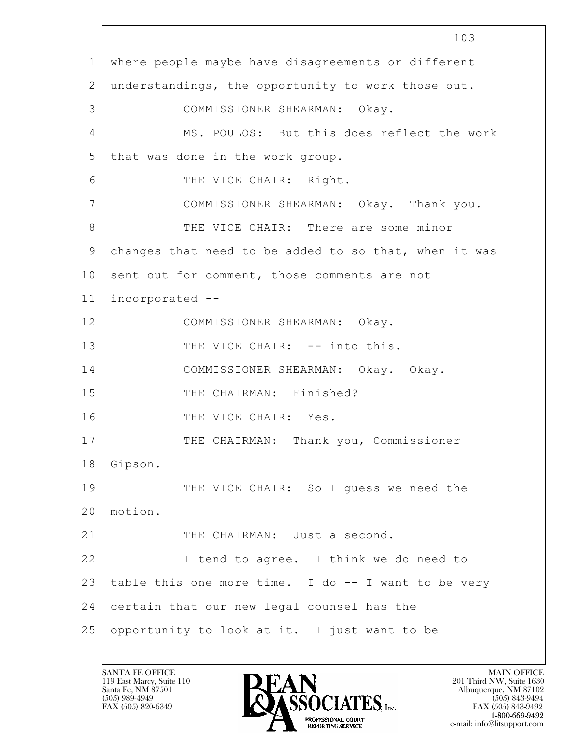$\mathbf{L}$  103 1 where people maybe have disagreements or different 2 understandings, the opportunity to work those out. 3 COMMISSIONER SHEARMAN: Okay. 4 MS. POULOS: But this does reflect the work 5 that was done in the work group. 6 THE VICE CHAIR: Right. 7 COMMISSIONER SHEARMAN: Okay. Thank you. 8 THE VICE CHAIR: There are some minor 9 changes that need to be added to so that, when it was 10 sent out for comment, those comments are not 11 incorporated -- 12 COMMISSIONER SHEARMAN: Okay. 13 THE VICE CHAIR: -- into this. 14 COMMISSIONER SHEARMAN: Okay. Okay. 15 THE CHAIRMAN: Finished? 16 THE VICE CHAIR: Yes. 17 | THE CHAIRMAN: Thank you, Commissioner 18 Gipson. 19 THE VICE CHAIR: So I guess we need the 20 motion. 21 THE CHAIRMAN: Just a second. 22 I tend to agree. I think we do need to 23 table this one more time. I do -- I want to be very 24 certain that our new legal counsel has the  $25$  opportunity to look at it. I just want to be

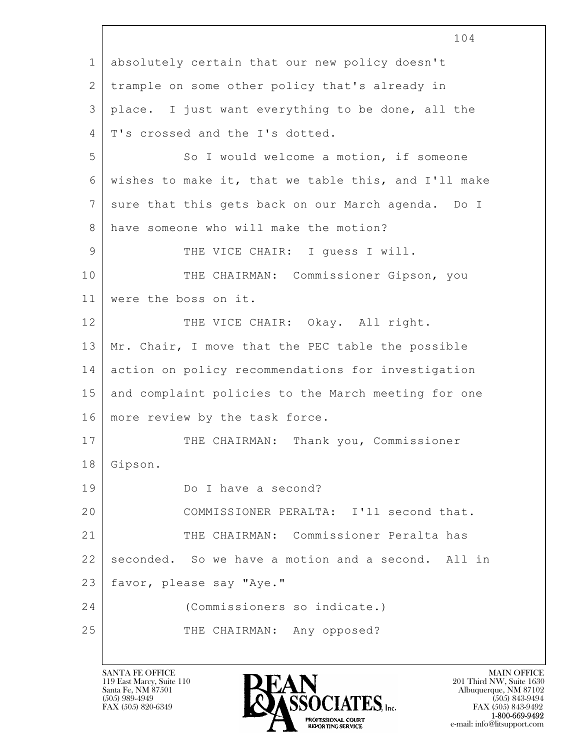$\mathbf{L}$  104 1 absolutely certain that our new policy doesn't 2 trample on some other policy that's already in 3 place. I just want everything to be done, all the 4 | T's crossed and the I's dotted. 5 So I would welcome a motion, if someone 6 wishes to make it, that we table this, and I'll make 7 sure that this gets back on our March agenda. Do I 8 | have someone who will make the motion? 9 THE VICE CHAIR: I quess I will. 10 | THE CHAIRMAN: Commissioner Gipson, you 11 were the boss on it. 12 THE VICE CHAIR: Okay. All right. 13 Mr. Chair, I move that the PEC table the possible 14 action on policy recommendations for investigation 15 and complaint policies to the March meeting for one 16 | more review by the task force. 17 | THE CHAIRMAN: Thank you, Commissioner 18 Gipson. 19 Do I have a second? 20 COMMISSIONER PERALTA: I'll second that. 21 THE CHAIRMAN: Commissioner Peralta has 22 seconded. So we have a motion and a second. All in 23 favor, please say "Aye." 24 (Commissioners so indicate.) 25 THE CHAIRMAN: Any opposed?

119 East Marcy, Suite 110<br>Santa Fe, NM 87501



FAX (505) 843-9492 e-mail: info@litsupport.com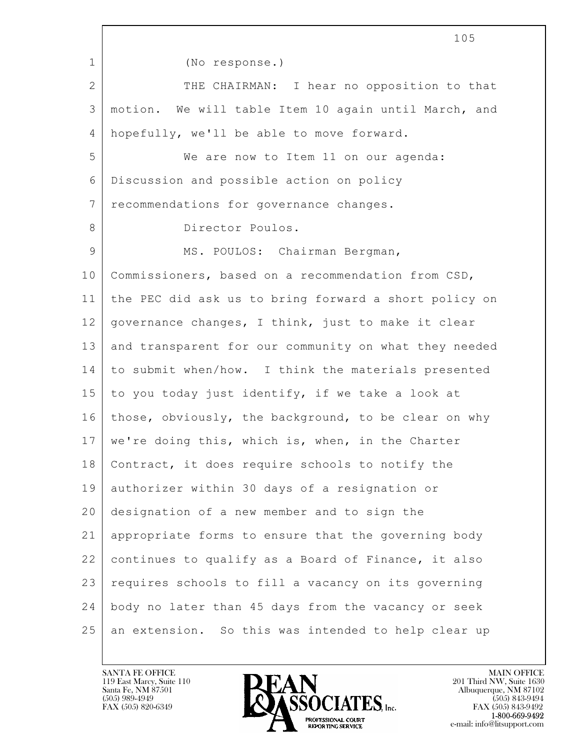$\mathbf{L}$  105 1 (No response.) 2 THE CHAIRMAN: I hear no opposition to that 3 motion. We will table Item 10 again until March, and 4 hopefully, we'll be able to move forward. 5 We are now to Item 11 on our agenda: 6 Discussion and possible action on policy 7 recommendations for governance changes. 8 Director Poulos. 9 | MS. POULOS: Chairman Bergman, 10 Commissioners, based on a recommendation from CSD, 11 the PEC did ask us to bring forward a short policy on 12 governance changes, I think, just to make it clear 13 and transparent for our community on what they needed 14 to submit when/how. I think the materials presented 15 to you today just identify, if we take a look at 16 those, obviously, the background, to be clear on why  $17$  we're doing this, which is, when, in the Charter 18 Contract, it does require schools to notify the 19 authorizer within 30 days of a resignation or 20 designation of a new member and to sign the 21 appropriate forms to ensure that the governing body 22 continues to qualify as a Board of Finance, it also 23 requires schools to fill a vacancy on its governing 24 body no later than 45 days from the vacancy or seek 25 an extension. So this was intended to help clear up

119 East Marcy, Suite 110<br>Santa Fe, NM 87501



FAX (505) 843-9492 e-mail: info@litsupport.com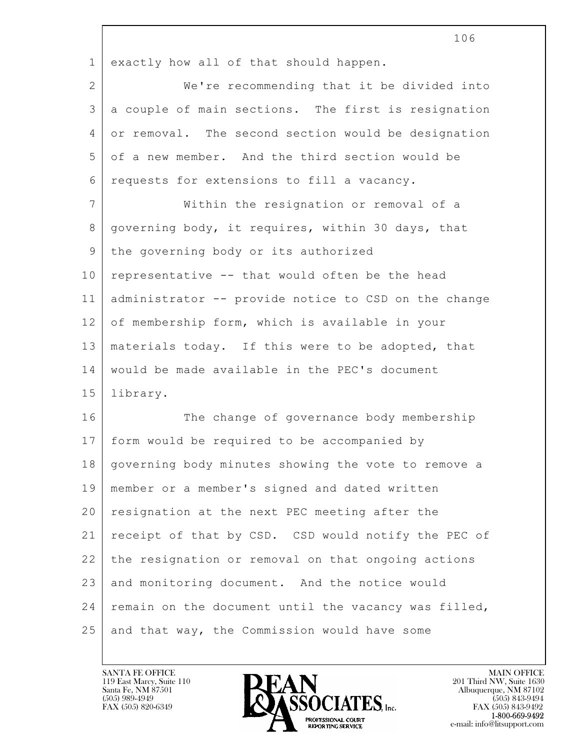|             | 106                                                  |
|-------------|------------------------------------------------------|
| $\mathbf 1$ | exactly how all of that should happen.               |
| 2           | We're recommending that it be divided into           |
| 3           | a couple of main sections. The first is resignation  |
| 4           | or removal. The second section would be designation  |
| 5           | of a new member. And the third section would be      |
| 6           | requests for extensions to fill a vacancy.           |
| 7           | Within the resignation or removal of a               |
| 8           | governing body, it requires, within 30 days, that    |
| 9           | the governing body or its authorized                 |
| 10          | representative -- that would often be the head       |
| 11          | administrator -- provide notice to CSD on the change |
| 12          | of membership form, which is available in your       |
| 13          | materials today. If this were to be adopted, that    |
| 14          | would be made available in the PEC's document        |
| 15          | library.                                             |
| 16          | The change of governance body membership             |
| 17          | form would be required to be accompanied by          |
| 18          | governing body minutes showing the vote to remove a  |
| 19          | member or a member's signed and dated written        |
| 20          | resignation at the next PEC meeting after the        |
| 21          | receipt of that by CSD. CSD would notify the PEC of  |
| 22          | the resignation or removal on that ongoing actions   |
| 23          | and monitoring document. And the notice would        |
| 24          | remain on the document until the vacancy was filled, |
| 25          | and that way, the Commission would have some         |

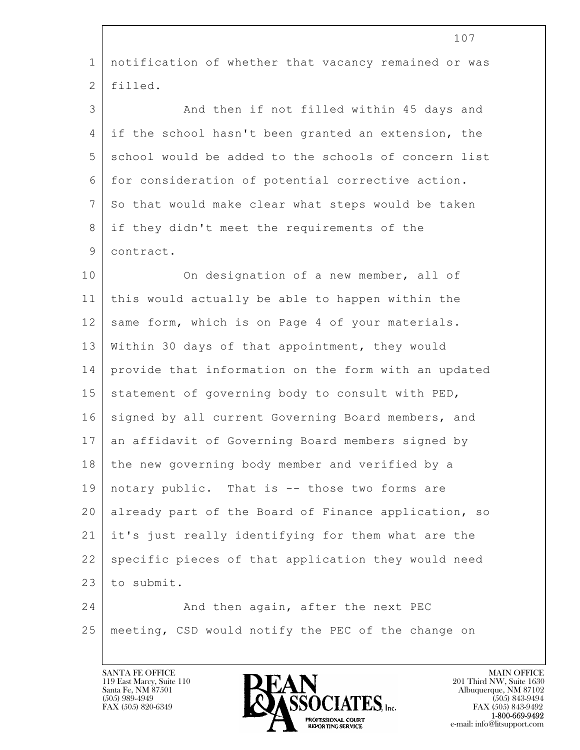|              | 107                                                  |
|--------------|------------------------------------------------------|
| $\mathbf{1}$ | notification of whether that vacancy remained or was |
| 2            | filled.                                              |
| 3            | And then if not filled within 45 days and            |
| 4            | if the school hasn't been granted an extension, the  |
| 5            | school would be added to the schools of concern list |
| 6            | for consideration of potential corrective action.    |
| 7            | So that would make clear what steps would be taken   |
| 8            | if they didn't meet the requirements of the          |
| 9            | contract.                                            |
| 10           | On designation of a new member, all of               |
| 11           | this would actually be able to happen within the     |
| 12           | same form, which is on Page 4 of your materials.     |
| 13           | Within 30 days of that appointment, they would       |
| 14           | provide that information on the form with an updated |
| 15           | statement of governing body to consult with PED,     |
| 16           | signed by all current Governing Board members, and   |
| 17           | an affidavit of Governing Board members signed by    |
| 18           | the new governing body member and verified by a      |
| 19           | notary public. That is -- those two forms are        |
| 20           | already part of the Board of Finance application, so |
| 21           | it's just really identifying for them what are the   |
| 22           | specific pieces of that application they would need  |
| 23           | to submit.                                           |
| 24           | And then again, after the next PEC                   |
| 25           | meeting, CSD would notify the PEC of the change on   |
|              |                                                      |

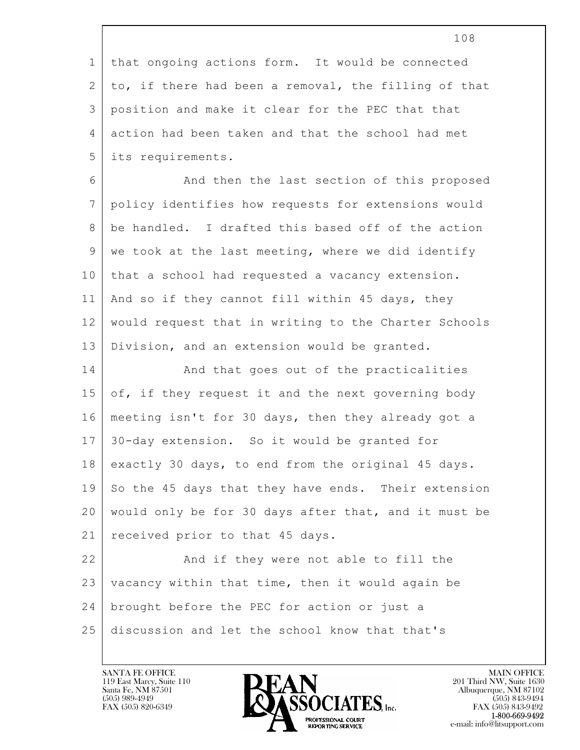|              | 108                                                  |
|--------------|------------------------------------------------------|
| $\mathbf 1$  | that ongoing actions form. It would be connected     |
| $\mathbf{2}$ | to, if there had been a removal, the filling of that |
| 3            | position and make it clear for the PEC that that     |
| 4            | action had been taken and that the school had met    |
| 5            | its requirements.                                    |
| 6            | And then the last section of this proposed           |
| 7            | policy identifies how requests for extensions would  |
| 8            | be handled. I drafted this based off of the action   |
| 9            | we took at the last meeting, where we did identify   |
| 10           | that a school had requested a vacancy extension.     |
| 11           | And so if they cannot fill within 45 days, they      |
| 12           | would request that in writing to the Charter Schools |
| 13           | Division, and an extension would be granted.         |
| 14           | And that goes out of the practicalities              |
| 15           | of, if they request it and the next governing body   |
| 16           | meeting isn't for 30 days, then they already got a   |
| 17           | 30-day extension. So it would be granted for         |
| 18           | exactly 30 days, to end from the original 45 days.   |
| 19           | So the 45 days that they have ends. Their extension  |
| 20           | would only be for 30 days after that, and it must be |
| 21           | received prior to that 45 days.                      |
| 22           | And if they were not able to fill the                |
| 23           | vacancy within that time, then it would again be     |
| 24           | brought before the PEC for action or just a          |
| 25           | discussion and let the school know that that's       |

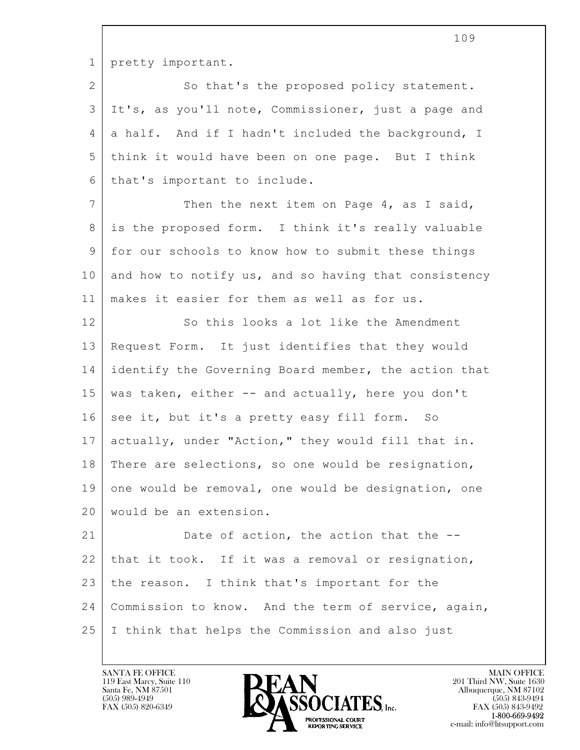1 pretty important.

2 So that's the proposed policy statement. 3 It's, as you'll note, Commissioner, just a page and 4 a half. And if I hadn't included the background, I 5 think it would have been on one page. But I think 6 | that's important to include.

7 Then the next item on Page 4, as I said, 8 is the proposed form. I think it's really valuable 9 for our schools to know how to submit these things  $10$  and how to notify us, and so having that consistency 11 makes it easier for them as well as for us.

12 So this looks a lot like the Amendment 13 Request Form. It just identifies that they would 14 identify the Governing Board member, the action that 15 was taken, either -- and actually, here you don't 16 see it, but it's a pretty easy fill form. So 17 actually, under "Action," they would fill that in. 18 | There are selections, so one would be resignation, 19 one would be removal, one would be designation, one 20 would be an extension.

 $\mathbf{L}$  21 Date of action, the action that the  $-$ 22 that it took. If it was a removal or resignation, 23 the reason. I think that's important for the 24 Commission to know. And the term of service, again, 25 I think that helps the Commission and also just

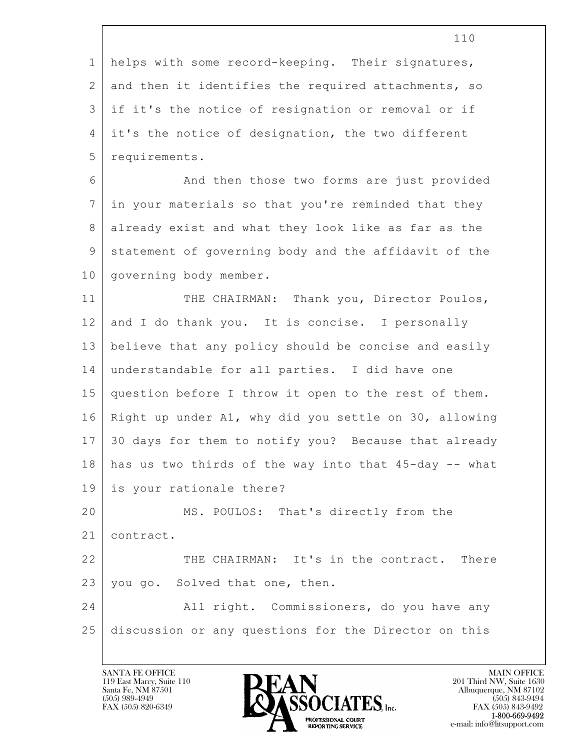|                | 110                                                   |
|----------------|-------------------------------------------------------|
| $\mathbf 1$    | helps with some record-keeping. Their signatures,     |
| $\mathbf{2}$   | and then it identifies the required attachments, so   |
| 3              | if it's the notice of resignation or removal or if    |
| 4              | it's the notice of designation, the two different     |
| 5              | requirements.                                         |
| 6              | And then those two forms are just provided            |
| $\overline{7}$ | in your materials so that you're reminded that they   |
| 8              | already exist and what they look like as far as the   |
| 9              | statement of governing body and the affidavit of the  |
| 10             | governing body member.                                |
| 11             | THE CHAIRMAN: Thank you, Director Poulos,             |
| 12             | and I do thank you. It is concise. I personally       |
| 13             | believe that any policy should be concise and easily  |
| 14             | understandable for all parties. I did have one        |
| 15             | question before I throw it open to the rest of them.  |
| 16             | Right up under A1, why did you settle on 30, allowing |
| 17             | 30 days for them to notify you? Because that already  |
| 18             | has us two thirds of the way into that 45-day -- what |
| 19             | is your rationale there?                              |
| 20             | MS. POULOS: That's directly from the                  |
| 21             | contract.                                             |
| 22             | THE CHAIRMAN: It's in the contract. There             |
| 23             | you go. Solved that one, then.                        |
| 24             | All right. Commissioners, do you have any             |
| 25             | discussion or any questions for the Director on this  |
|                |                                                       |

 $\sqrt{ }$ 

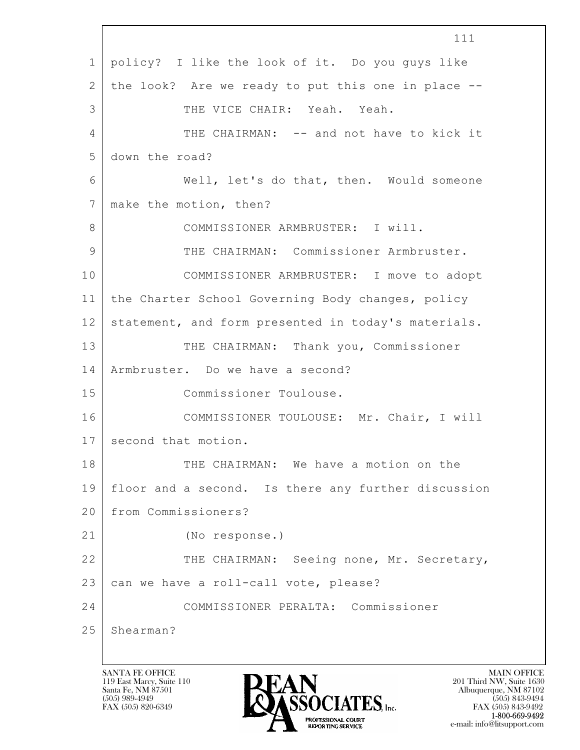$\mathbf{L}$  111 1 policy? I like the look of it. Do you guys like 2 the look? Are we ready to put this one in place -- 3 THE VICE CHAIR: Yeah. Yeah. 4 THE CHAIRMAN: -- and not have to kick it 5 down the road? 6 Well, let's do that, then. Would someone 7 | make the motion, then? 8 COMMISSIONER ARMBRUSTER: I will. 9 THE CHAIRMAN: Commissioner Armbruster. 10 COMMISSIONER ARMBRUSTER: I move to adopt 11 the Charter School Governing Body changes, policy 12 statement, and form presented in today's materials. 13 THE CHAIRMAN: Thank you, Commissioner 14 Armbruster. Do we have a second? 15 Commissioner Toulouse. 16 COMMISSIONER TOULOUSE: Mr. Chair, I will 17 second that motion. 18 THE CHAIRMAN: We have a motion on the 19 floor and a second. Is there any further discussion 20 from Commissioners? 21 (No response.) 22 THE CHAIRMAN: Seeing none, Mr. Secretary, 23 can we have a roll-call vote, please? 24 COMMISSIONER PERALTA: Commissioner 25 Shearman?

119 East Marcy, Suite 110<br>Santa Fe, NM 87501



FAX (505) 843-9492 e-mail: info@litsupport.com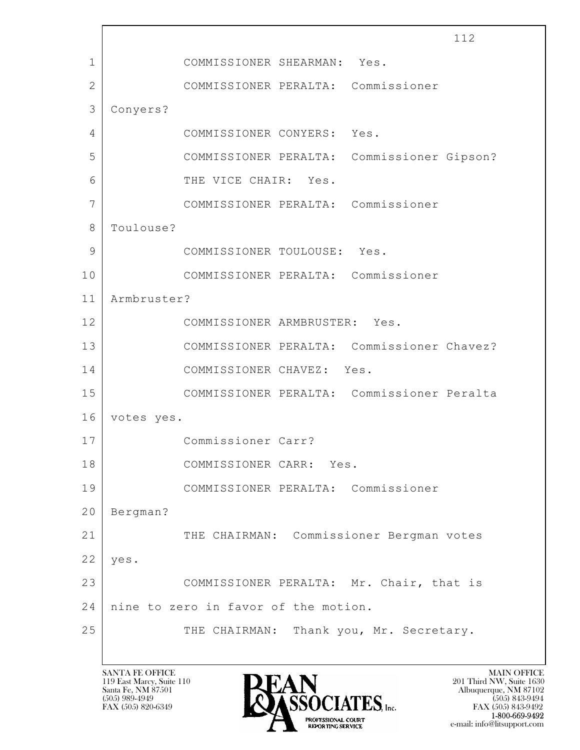$\mathbf{L}$  112 1 COMMISSIONER SHEARMAN: Yes. 2 COMMISSIONER PERALTA: Commissioner 3 Conyers? 4 COMMISSIONER CONYERS: Yes. 5 COMMISSIONER PERALTA: Commissioner Gipson? 6 THE VICE CHAIR: Yes. 7 COMMISSIONER PERALTA: Commissioner 8 Toulouse? 9 COMMISSIONER TOULOUSE: Yes. 10 COMMISSIONER PERALTA: Commissioner 11 Armbruster? 12 COMMISSIONER ARMBRUSTER: Yes. 13 COMMISSIONER PERALTA: Commissioner Chavez? 14 COMMISSIONER CHAVEZ: Yes. 15 COMMISSIONER PERALTA: Commissioner Peralta 16 votes yes. 17 Commissioner Carr? 18 COMMISSIONER CARR: Yes. 19 COMMISSIONER PERALTA: Commissioner 20 Bergman? 21 THE CHAIRMAN: Commissioner Bergman votes  $22$  yes. 23 | COMMISSIONER PERALTA: Mr. Chair, that is 24 nine to zero in favor of the motion. 25 THE CHAIRMAN: Thank you, Mr. Secretary.

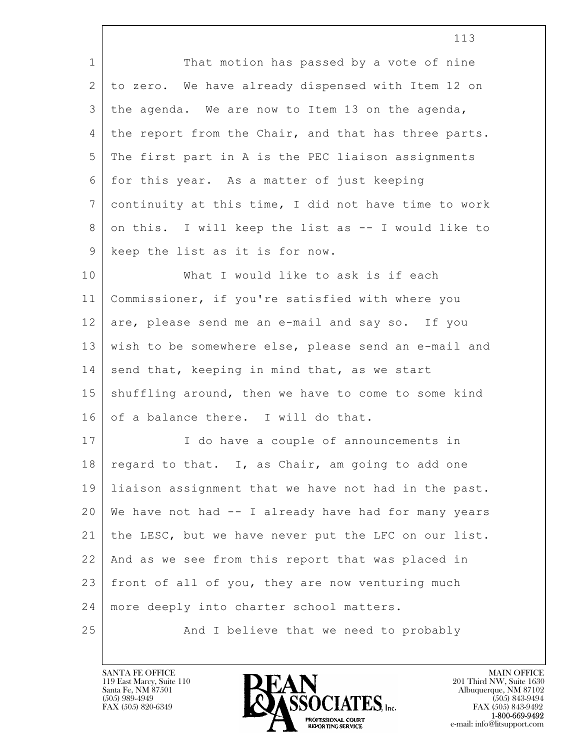$\mathbf{L}$  113 1 That motion has passed by a vote of nine 2 to zero. We have already dispensed with Item 12 on 3 the agenda. We are now to Item 13 on the agenda, 4 the report from the Chair, and that has three parts. 5 The first part in A is the PEC liaison assignments 6 for this year. As a matter of just keeping 7 continuity at this time, I did not have time to work 8 on this. I will keep the list as -- I would like to 9 keep the list as it is for now. 10 What I would like to ask is if each 11 Commissioner, if you're satisfied with where you 12 are, please send me an e-mail and say so. If you 13 wish to be somewhere else, please send an e-mail and  $14$  send that, keeping in mind that, as we start 15 | shuffling around, then we have to come to some kind 16 of a balance there. I will do that. 17 | I do have a couple of announcements in 18  $\vert$  regard to that. I, as Chair, am going to add one 19 liaison assignment that we have not had in the past. 20 We have not had -- I already have had for many years 21 the LESC, but we have never put the LFC on our list. 22 And as we see from this report that was placed in 23 front of all of you, they are now venturing much 24 | more deeply into charter school matters. 25 And I believe that we need to probably

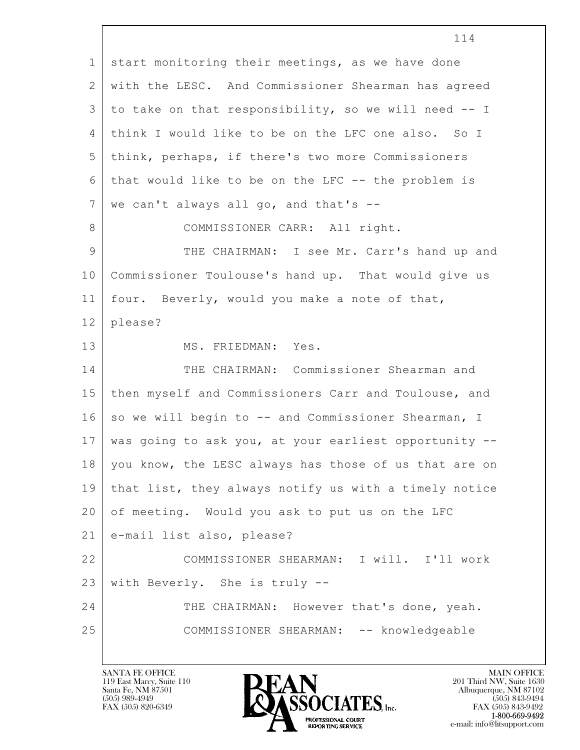$\mathbf{L}$  114 1 start monitoring their meetings, as we have done 2 with the LESC. And Commissioner Shearman has agreed 3 to take on that responsibility, so we will need -- I 4 think I would like to be on the LFC one also. So I 5 think, perhaps, if there's two more Commissioners 6 that would like to be on the LFC -- the problem is  $7$  we can't always all go, and that's  $-$ 8 | COMMISSIONER CARR: All right. 9 THE CHAIRMAN: I see Mr. Carr's hand up and 10 Commissioner Toulouse's hand up. That would give us 11 four. Beverly, would you make a note of that, 12 please? 13 MS. FRIEDMAN: Yes. 14 THE CHAIRMAN: Commissioner Shearman and 15 then myself and Commissioners Carr and Toulouse, and 16 | so we will begin to -- and Commissioner Shearman, I 17 was going to ask you, at your earliest opportunity -- 18 | you know, the LESC always has those of us that are on 19 that list, they always notify us with a timely notice 20 of meeting. Would you ask to put us on the LFC 21 e-mail list also, please? 22 COMMISSIONER SHEARMAN: I will. I'll work 23 with Beverly. She is truly -- 24 THE CHAIRMAN: However that's done, yeah. 25 COMMISSIONER SHEARMAN: -- knowledgeable

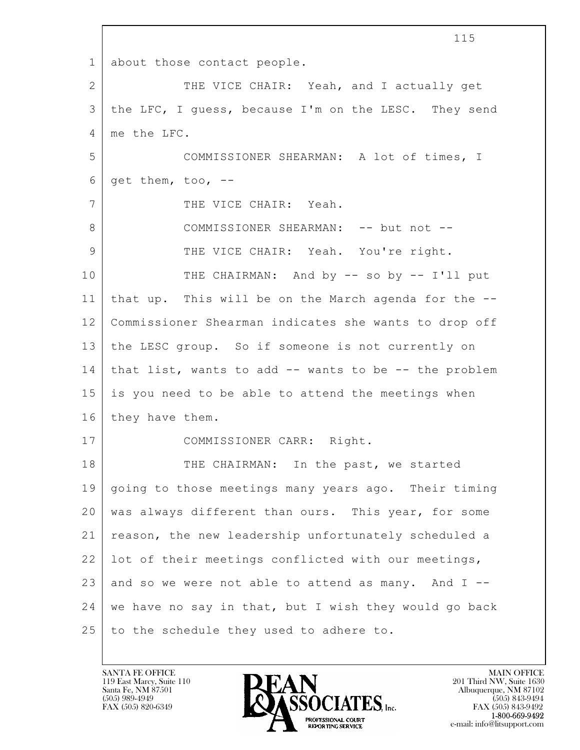$\mathbf{L}$  115 1 about those contact people. 2 | THE VICE CHAIR: Yeah, and I actually get 3 | the LFC, I guess, because I'm on the LESC. They send 4 me the LFC. 5 COMMISSIONER SHEARMAN: A lot of times, I  $6 \mid$  get them, too, --7 THE VICE CHAIR: Yeah. 8 | COMMISSIONER SHEARMAN: -- but not --9 THE VICE CHAIR: Yeah. You're right. 10 THE CHAIRMAN: And by -- so by -- I'll put 11 that up. This will be on the March agenda for the -- 12 Commissioner Shearman indicates she wants to drop off 13 the LESC group. So if someone is not currently on 14 that list, wants to add -- wants to be -- the problem 15 is you need to be able to attend the meetings when 16 they have them. 17 | COMMISSIONER CARR: Right. 18 THE CHAIRMAN: In the past, we started 19 going to those meetings many years ago. Their timing 20 was always different than ours. This year, for some 21 reason, the new leadership unfortunately scheduled a 22 lot of their meetings conflicted with our meetings, 23 and so we were not able to attend as many. And  $I$  -- $24$  we have no say in that, but I wish they would go back 25 to the schedule they used to adhere to.

119 East Marcy, Suite 110<br>Santa Fe, NM 87501



FAX (505) 843-9492 e-mail: info@litsupport.com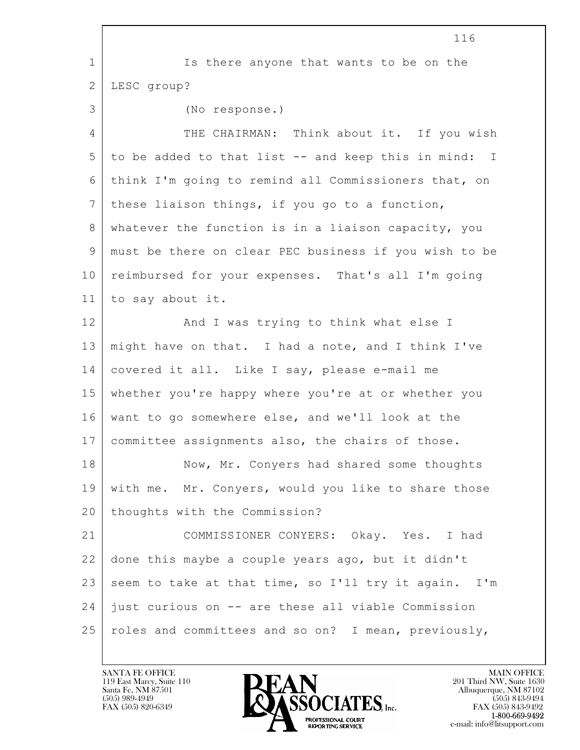|                | 116                                                   |
|----------------|-------------------------------------------------------|
| $\mathbf 1$    | Is there anyone that wants to be on the               |
| $\mathbf{2}$   | LESC group?                                           |
| 3              | (No response.)                                        |
| $\overline{4}$ | THE CHAIRMAN: Think about it. If you wish             |
| 5              | to be added to that list -- and keep this in mind: I  |
| 6              | think I'm going to remind all Commissioners that, on  |
| $7\phantom{.}$ | these liaison things, if you go to a function,        |
| 8              | whatever the function is in a liaison capacity, you   |
| 9              | must be there on clear PEC business if you wish to be |
| 10             | reimbursed for your expenses. That's all I'm going    |
| 11             | to say about it.                                      |
| 12             | And I was trying to think what else I                 |
| 13             | might have on that. I had a note, and I think I've    |
| 14             | covered it all. Like I say, please e-mail me          |
| 15             | whether you're happy where you're at or whether you   |
| 16             | want to go somewhere else, and we'll look at the      |
| 17             | committee assignments also, the chairs of those.      |
| 18             | Now, Mr. Conyers had shared some thoughts             |
| 19             | with me. Mr. Conyers, would you like to share those   |
| 20             | thoughts with the Commission?                         |
| 21             | COMMISSIONER CONYERS: Okay. Yes. I had                |
| 22             | done this maybe a couple years ago, but it didn't     |
| 23             | seem to take at that time, so I'll try it again. I'm  |
| 24             | just curious on -- are these all viable Commission    |
| 25             | roles and committees and so on? I mean, previously,   |

 $\sqrt{ }$ 

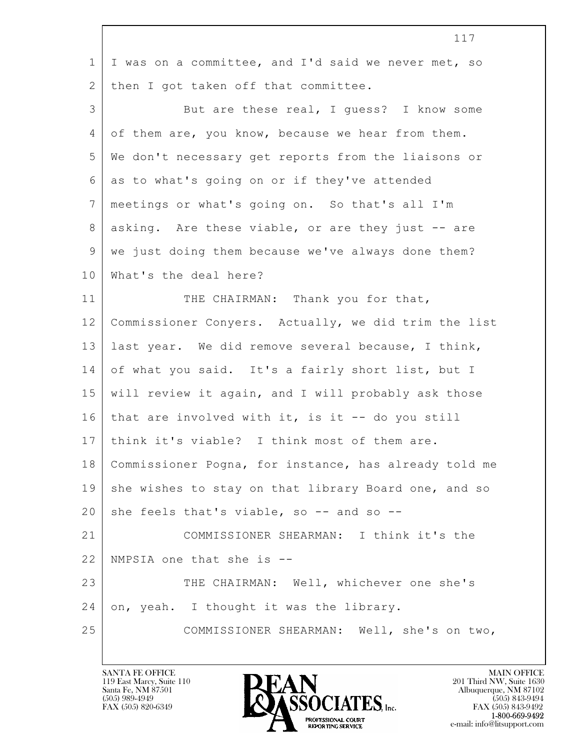|                | 117                                                   |
|----------------|-------------------------------------------------------|
| $\mathbf 1$    | I was on a committee, and I'd said we never met, so   |
| 2              | then I got taken off that committee.                  |
| $\mathfrak{Z}$ | But are these real, I guess? I know some              |
| 4              | of them are, you know, because we hear from them.     |
| 5              | We don't necessary get reports from the liaisons or   |
| 6              | as to what's going on or if they've attended          |
| $7\phantom{.}$ | meetings or what's going on. So that's all I'm        |
| $8\,$          | asking. Are these viable, or are they just -- are     |
| $\mathsf 9$    | we just doing them because we've always done them?    |
| 10             | What's the deal here?                                 |
| 11             | THE CHAIRMAN: Thank you for that,                     |
| 12             | Commissioner Conyers. Actually, we did trim the list  |
| 13             | last year. We did remove several because, I think,    |
| 14             | of what you said. It's a fairly short list, but I     |
| 15             | will review it again, and I will probably ask those   |
| 16             | that are involved with it, is it $-$ do you still     |
| 17             | think it's viable? I think most of them are.          |
| 18             | Commissioner Pogna, for instance, has already told me |
| 19             | she wishes to stay on that library Board one, and so  |
| 20             | she feels that's viable, so -- and so --              |
| 21             | COMMISSIONER SHEARMAN: I think it's the               |
| 22             | NMPSIA one that she is --                             |
| 23             | THE CHAIRMAN: Well, whichever one she's               |
| 24             | on, yeah. I thought it was the library.               |
| 25             | COMMISSIONER SHEARMAN: Well, she's on two,            |
|                |                                                       |

 $\sqrt{ }$ 

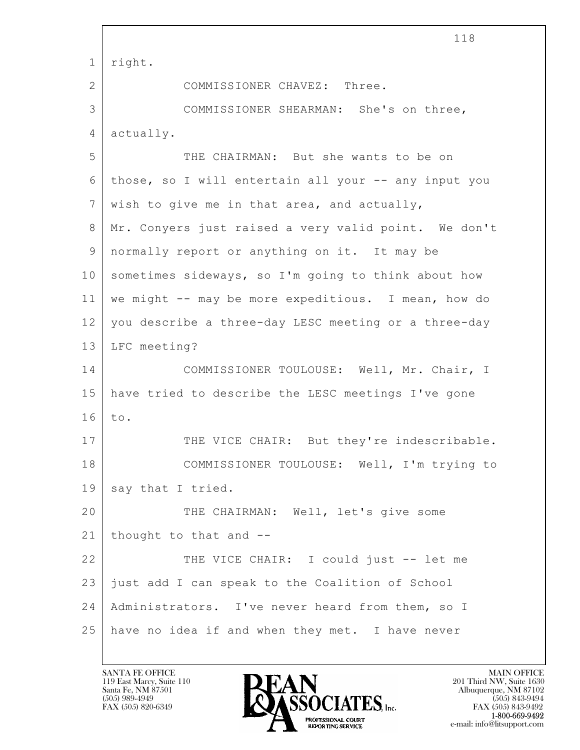|                | 118                                                  |
|----------------|------------------------------------------------------|
| 1              | right.                                               |
| $\overline{2}$ | COMMISSIONER CHAVEZ: Three.                          |
| 3              | COMMISSIONER SHEARMAN: She's on three,               |
| 4              | actually.                                            |
| 5              | THE CHAIRMAN: But she wants to be on                 |
| 6              | those, so I will entertain all your -- any input you |
| 7              | wish to give me in that area, and actually,          |
| 8              | Mr. Conyers just raised a very valid point. We don't |
| $\mathsf 9$    | normally report or anything on it. It may be         |
| 10             | sometimes sideways, so I'm going to think about how  |
| 11             | we might -- may be more expeditious. I mean, how do  |
| 12             | you describe a three-day LESC meeting or a three-day |
| 13             | LFC meeting?                                         |
| 14             | COMMISSIONER TOULOUSE: Well, Mr. Chair, I            |
| 15             | have tried to describe the LESC meetings I've gone   |
| 16             | to.                                                  |
| 17             | THE VICE CHAIR: But they're indescribable.           |
| 18             | COMMISSIONER TOULOUSE: Well, I'm trying to           |
| 19             | say that I tried.                                    |
| 20             | THE CHAIRMAN: Well, let's give some                  |
| 21             | thought to that and --                               |
| 22             | THE VICE CHAIR: I could just -- let me               |
| 23             | just add I can speak to the Coalition of School      |
| 24             | Administrators. I've never heard from them, so I     |
| 25             | have no idea if and when they met. I have never      |

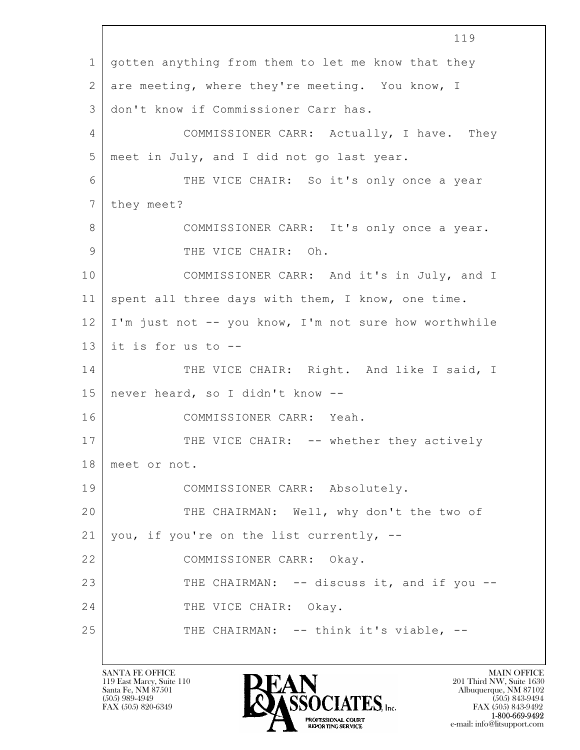$\mathbf{L}$  119 1 gotten anything from them to let me know that they 2 are meeting, where they're meeting. You know, I 3 don't know if Commissioner Carr has. 4 | COMMISSIONER CARR: Actually, I have. They 5 meet in July, and I did not go last year. 6 THE VICE CHAIR: So it's only once a year 7 they meet? 8 COMMISSIONER CARR: It's only once a year. 9 I THE VICE CHAIR: Oh. 10 COMMISSIONER CARR: And it's in July, and I 11 spent all three days with them, I know, one time. 12 I'm just not -- you know, I'm not sure how worthwhile 13 it is for us to  $-$ 14 THE VICE CHAIR: Right. And like I said, I 15 never heard, so I didn't know -- 16 COMMISSIONER CARR: Yeah. 17 | THE VICE CHAIR: -- whether they actively 18 meet or not. 19 COMMISSIONER CARR: Absolutely. 20 THE CHAIRMAN: Well, why don't the two of  $21$  you, if you're on the list currently,  $-$ 22 COMMISSIONER CARR: Okay. 23 THE CHAIRMAN: -- discuss it, and if you --24 THE VICE CHAIR: Okay. 25 THE CHAIRMAN: -- think it's viable, --

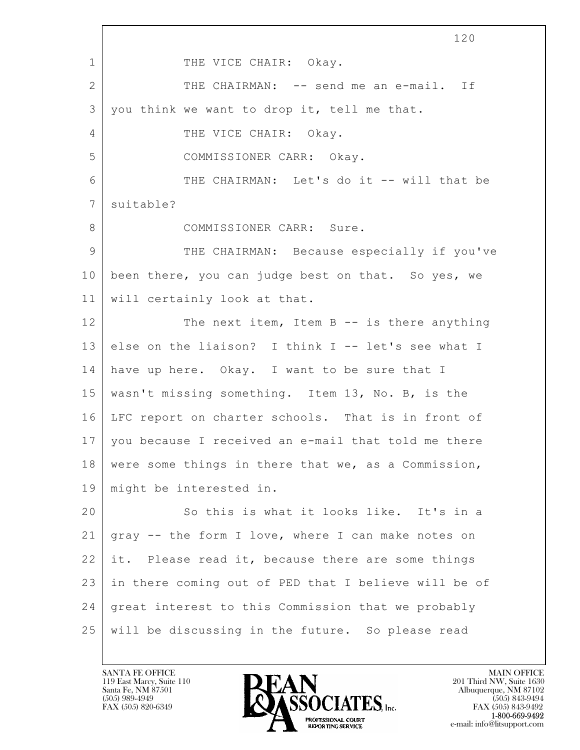$\mathbf{L}$  120 1 THE VICE CHAIR: Okay. 2 THE CHAIRMAN: -- send me an e-mail. If 3 you think we want to drop it, tell me that. 4 THE VICE CHAIR: Okay. 5 COMMISSIONER CARR: Okay. 6 | THE CHAIRMAN: Let's do it -- will that be 7 | suitable? 8 COMMISSIONER CARR: Sure. 9 THE CHAIRMAN: Because especially if you've 10 been there, you can judge best on that. So yes, we 11 will certainly look at that. 12 The next item, Item B -- is there anything  $13$  else on the liaison? I think I -- let's see what I 14 have up here. Okay. I want to be sure that I 15 wasn't missing something. Item 13, No. B, is the 16 LFC report on charter schools. That is in front of 17 you because I received an e-mail that told me there 18 were some things in there that we, as a Commission, 19 might be interested in. 20 So this is what it looks like. It's in a 21 gray -- the form I love, where I can make notes on 22 it. Please read it, because there are some things 23 in there coming out of PED that I believe will be of 24 great interest to this Commission that we probably 25 will be discussing in the future. So please read

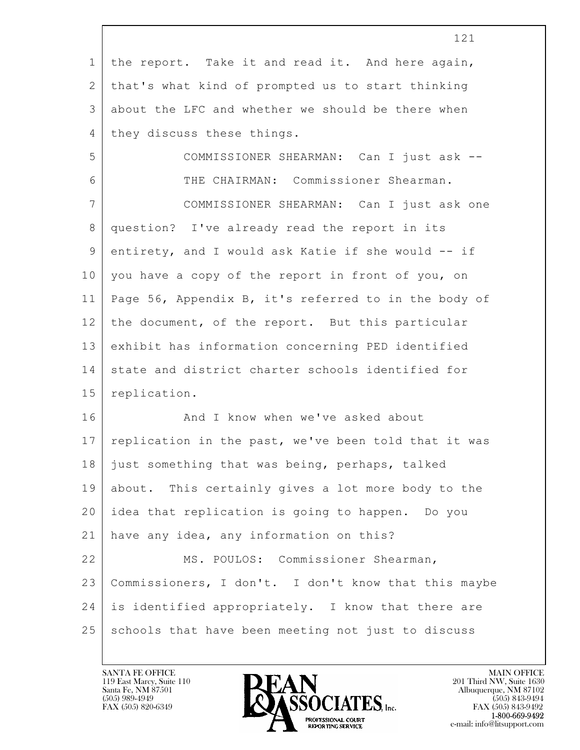|              | 121                                                  |
|--------------|------------------------------------------------------|
| $\mathbf 1$  | the report. Take it and read it. And here again,     |
| $\mathbf{2}$ | that's what kind of prompted us to start thinking    |
| 3            | about the LFC and whether we should be there when    |
| 4            | they discuss these things.                           |
| 5            | COMMISSIONER SHEARMAN: Can I just ask --             |
| 6            | THE CHAIRMAN: Commissioner Shearman.                 |
| 7            | COMMISSIONER SHEARMAN: Can I just ask one            |
| $8\,$        | question? I've already read the report in its        |
| 9            | entirety, and I would ask Katie if she would -- if   |
| 10           | you have a copy of the report in front of you, on    |
| 11           | Page 56, Appendix B, it's referred to in the body of |
| 12           | the document, of the report. But this particular     |
| 13           | exhibit has information concerning PED identified    |
| 14           | state and district charter schools identified for    |
| 15           | replication.                                         |
| 16           | And I know when we've asked about                    |
| 17           | replication in the past, we've been told that it was |
| 18           | just something that was being, perhaps, talked       |
| 19           | about. This certainly gives a lot more body to the   |
| 20           | idea that replication is going to happen. Do you     |
| 21           | have any idea, any information on this?              |
| 22           | MS. POULOS: Commissioner Shearman,                   |
| 23           | Commissioners, I don't. I don't know that this maybe |
| 24           | is identified appropriately. I know that there are   |
| 25           | schools that have been meeting not just to discuss   |

 $\lceil$ 

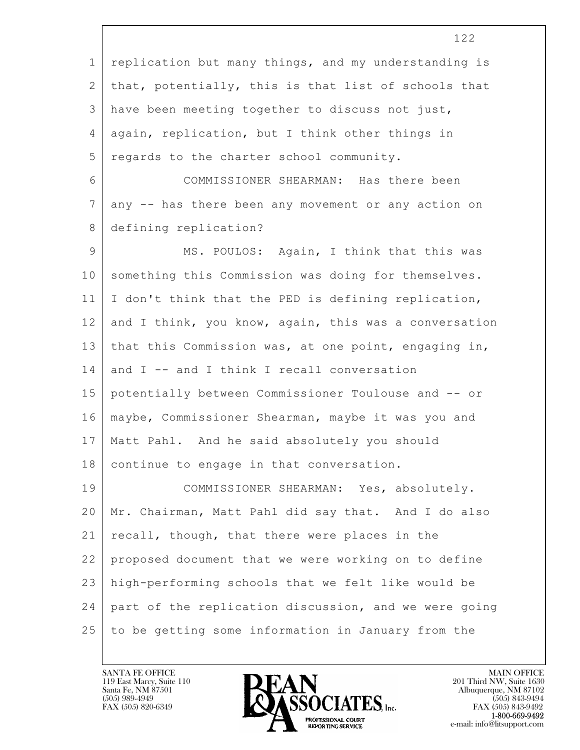|                | エムム                                                   |
|----------------|-------------------------------------------------------|
| $\mathbf 1$    | replication but many things, and my understanding is  |
| 2              | that, potentially, this is that list of schools that  |
| 3              | have been meeting together to discuss not just,       |
| $\overline{4}$ | again, replication, but I think other things in       |
| 5              | regards to the charter school community.              |
| 6              | COMMISSIONER SHEARMAN: Has there been                 |
| $7\phantom{.}$ | any -- has there been any movement or any action on   |
| 8              | defining replication?                                 |
| $\mathcal{G}$  | MS. POULOS: Again, I think that this was              |
| 10             | something this Commission was doing for themselves.   |
| 11             | I don't think that the PED is defining replication,   |
| 12             | and I think, you know, again, this was a conversation |
| 13             | that this Commission was, at one point, engaging in,  |
| 14             | and I -- and I think I recall conversation            |
| 15             | potentially between Commissioner Toulouse and -- or   |
| 16             | maybe, Commissioner Shearman, maybe it was you and    |
| 17             | Matt Pahl. And he said absolutely you should          |
| 18             | continue to engage in that conversation.              |
| 19             | COMMISSIONER SHEARMAN: Yes, absolutely.               |
| 20             | Mr. Chairman, Matt Pahl did say that. And I do also   |
| 21             | recall, though, that there were places in the         |
| 22             | proposed document that we were working on to define   |
| 23             | high-performing schools that we felt like would be    |
| 24             | part of the replication discussion, and we were going |
| 25             | to be getting some information in January from the    |

 $\overline{\phantom{a}}$ 

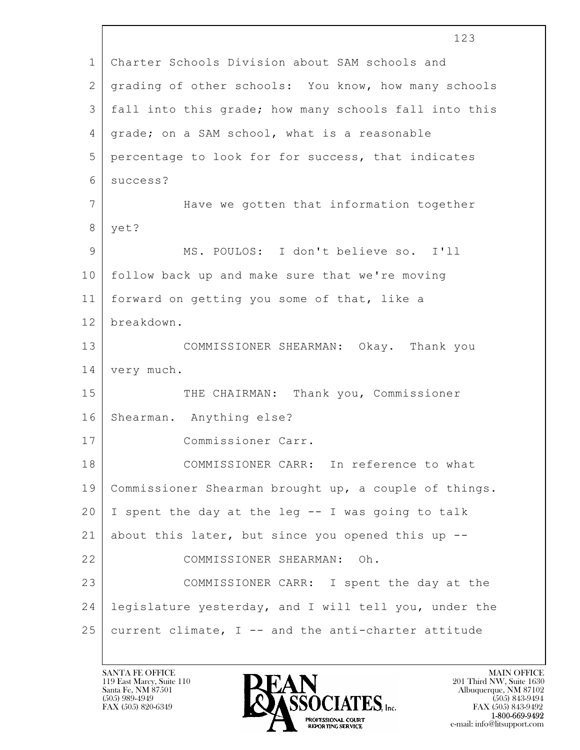|              | 123                                                   |
|--------------|-------------------------------------------------------|
| $\mathbf 1$  | Charter Schools Division about SAM schools and        |
| $\mathbf{2}$ | grading of other schools: You know, how many schools  |
| 3            | fall into this grade; how many schools fall into this |
| 4            | grade; on a SAM school, what is a reasonable          |
| 5            | percentage to look for for success, that indicates    |
| 6            | success?                                              |
| 7            | Have we gotten that information together              |
| 8            | yet?                                                  |
| 9            | MS. POULOS: I don't believe so. I'll                  |
| 10           | follow back up and make sure that we're moving        |
| 11           | forward on getting you some of that, like a           |
| 12           | breakdown.                                            |
| 13           | COMMISSIONER SHEARMAN: Okay. Thank you                |
| 14           | very much.                                            |
| 15           | THE CHAIRMAN: Thank you, Commissioner                 |
| 16           | Shearman. Anything else?                              |
| 17           | Commissioner Carr.                                    |
| 18           | COMMISSIONER CARR: In reference to what               |
| 19           | Commissioner Shearman brought up, a couple of things. |
| 20           | I spent the day at the leg -- I was going to talk     |
| 21           | about this later, but since you opened this up --     |
| 22           | COMMISSIONER SHEARMAN: Oh.                            |
| 23           | COMMISSIONER CARR: I spent the day at the             |
| 24           | legislature yesterday, and I will tell you, under the |
| 25           | current climate, I -- and the anti-charter attitude   |
|              |                                                       |

 $\sqrt{ }$ 

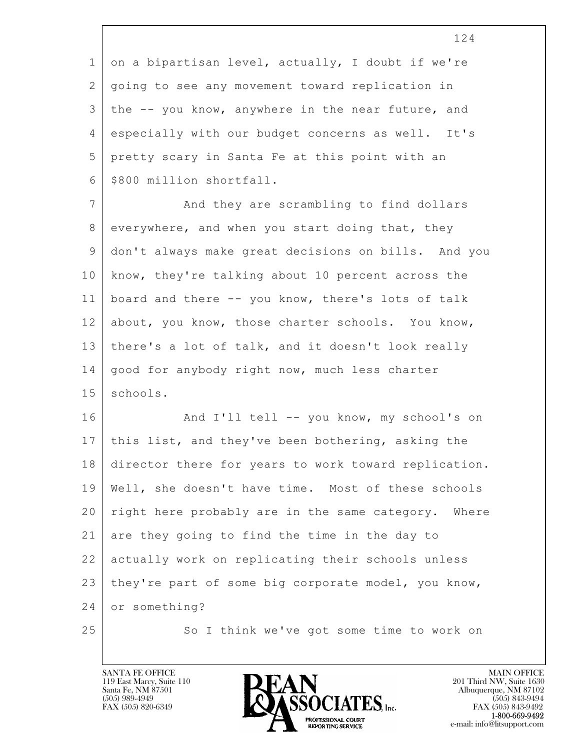1 on a bipartisan level, actually, I doubt if we're 2 going to see any movement toward replication in 3 the -- you know, anywhere in the near future, and 4 especially with our budget concerns as well. It's 5 pretty scary in Santa Fe at this point with an 6 | \$800 million shortfall. 7 And they are scrambling to find dollars 8 everywhere, and when you start doing that, they

9 don't always make great decisions on bills. And you 10 know, they're talking about 10 percent across the 11 board and there -- you know, there's lots of talk 12 about, you know, those charter schools. You know, 13 there's a lot of talk, and it doesn't look really 14 | good for anybody right now, much less charter 15 | schools.

 $\mathbf{L}$  16 And I'll tell -- you know, my school's on 17 this list, and they've been bothering, asking the 18 director there for years to work toward replication. 19 Well, she doesn't have time. Most of these schools 20 right here probably are in the same category. Where 21 are they going to find the time in the day to 22 actually work on replicating their schools unless 23 they're part of some big corporate model, you know, 24 or something?

25 So I think we've got some time to work on

119 East Marcy, Suite 110<br>Santa Fe, NM 87501



FAX (505) 843-9492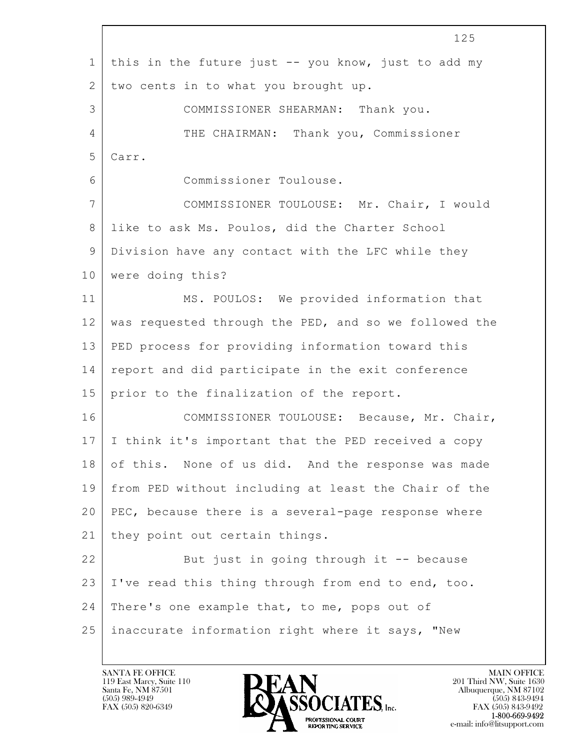$\mathbf{L}$  125 1 this in the future just -- you know, just to add my 2 two cents in to what you brought up. 3 COMMISSIONER SHEARMAN: Thank you. 4 THE CHAIRMAN: Thank you, Commissioner 5 Carr. 6 Commissioner Toulouse. 7 COMMISSIONER TOULOUSE: Mr. Chair, I would 8 like to ask Ms. Poulos, did the Charter School 9 Division have any contact with the LFC while they 10 | were doing this? 11 MS. POULOS: We provided information that 12 was requested through the PED, and so we followed the 13 PED process for providing information toward this 14 report and did participate in the exit conference 15 prior to the finalization of the report. 16 COMMISSIONER TOULOUSE: Because, Mr. Chair, 17 I think it's important that the PED received a copy 18 of this. None of us did. And the response was made 19 from PED without including at least the Chair of the 20 PEC, because there is a several-page response where 21 | they point out certain things. 22 But just in going through it -- because 23 I've read this thing through from end to end, too. 24 | There's one example that, to me, pops out of 25 inaccurate information right where it says, "New

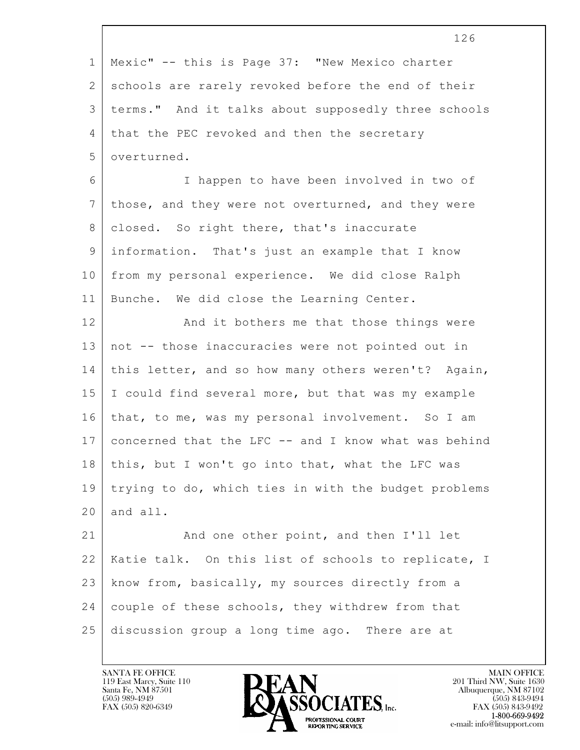|             | 126                                                  |
|-------------|------------------------------------------------------|
| $\mathbf 1$ | Mexic" -- this is Page 37: "New Mexico charter       |
| 2           | schools are rarely revoked before the end of their   |
| 3           | terms." And it talks about supposedly three schools  |
| 4           | that the PEC revoked and then the secretary          |
| 5           | overturned.                                          |
| 6           | I happen to have been involved in two of             |
| 7           | those, and they were not overturned, and they were   |
| 8           | closed. So right there, that's inaccurate            |
| 9           | information. That's just an example that I know      |
| 10          | from my personal experience. We did close Ralph      |
| 11          | Bunche. We did close the Learning Center.            |
| 12          | And it bothers me that those things were             |
| 13          | not -- those inaccuracies were not pointed out in    |
| 14          | this letter, and so how many others weren't? Again,  |
| 15          | I could find several more, but that was my example   |
| 16          | that, to me, was my personal involvement. So I am    |
| 17          | concerned that the LFC -- and I know what was behind |
| 18          | this, but I won't go into that, what the LFC was     |
| 19          | trying to do, which ties in with the budget problems |
| 20          | and all.                                             |
| 21          | And one other point, and then I'll let               |
| 22          | Katie talk. On this list of schools to replicate, I  |
| 23          | know from, basically, my sources directly from a     |
| 24          | couple of these schools, they withdrew from that     |
| 25          | discussion group a long time ago. There are at       |
|             |                                                      |

Г

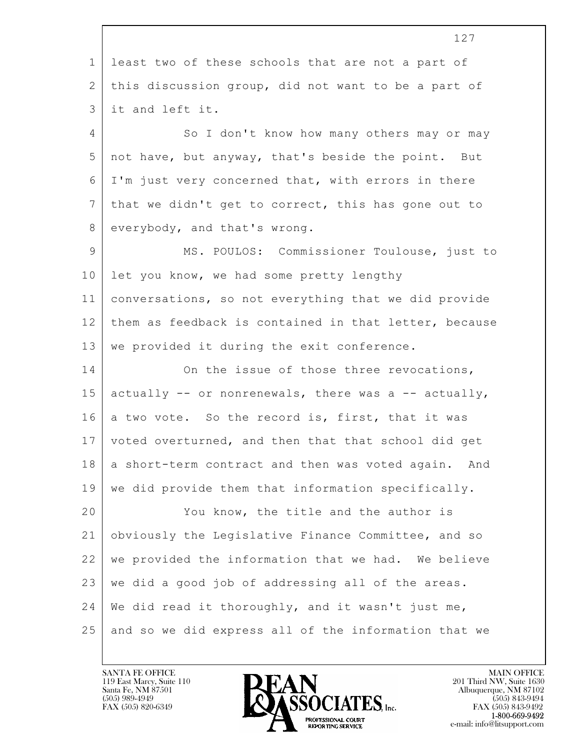$\mathbf{L}$  127 1 least two of these schools that are not a part of 2 | this discussion group, did not want to be a part of 3 it and left it. 4 So I don't know how many others may or may 5 not have, but anyway, that's beside the point. But 6 I'm just very concerned that, with errors in there  $7$  that we didn't get to correct, this has gone out to 8 everybody, and that's wrong. 9 MS. POULOS: Commissioner Toulouse, just to 10 let you know, we had some pretty lengthy 11 conversations, so not everything that we did provide 12 them as feedback is contained in that letter, because 13 | we provided it during the exit conference. 14 On the issue of those three revocations, 15 actually  $-$  or nonrenewals, there was a  $-$  actually, 16 a two vote. So the record is, first, that it was 17 voted overturned, and then that that school did get 18 a short-term contract and then was voted again. And 19 we did provide them that information specifically. 20 You know, the title and the author is 21 obviously the Legislative Finance Committee, and so 22 we provided the information that we had. We believe 23 we did a good job of addressing all of the areas.  $24$  We did read it thoroughly, and it wasn't just me, 25 and so we did express all of the information that we

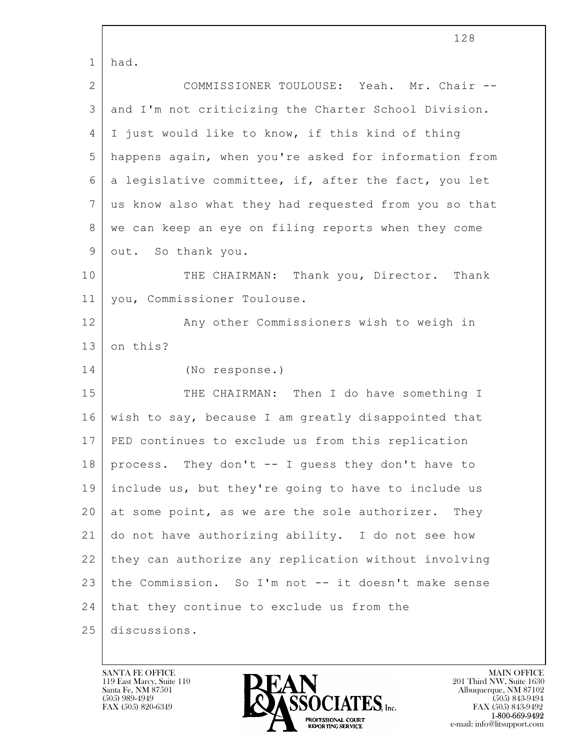$\mathbf{L}$  128 1 had. 2 COMMISSIONER TOULOUSE: Yeah. Mr. Chair -- 3 and I'm not criticizing the Charter School Division. 4 I just would like to know, if this kind of thing 5 happens again, when you're asked for information from  $6$  a legislative committee, if, after the fact, you let 7 us know also what they had requested from you so that 8 | we can keep an eye on filing reports when they come 9 out. So thank you. 10 THE CHAIRMAN: Thank you, Director. Thank 11 you, Commissioner Toulouse. 12 | The Pany other Commissioners wish to weigh in 13 on this? 14 (No response.) 15 THE CHAIRMAN: Then I do have something I 16 wish to say, because I am greatly disappointed that 17 PED continues to exclude us from this replication 18 process. They don't -- I guess they don't have to 19 include us, but they're going to have to include us 20 at some point, as we are the sole authorizer. They 21 do not have authorizing ability. I do not see how 22 they can authorize any replication without involving 23 the Commission. So I'm not -- it doesn't make sense  $24$  that they continue to exclude us from the 25 discussions.

119 East Marcy, Suite 110<br>Santa Fe, NM 87501



FAX (505) 843-9492 e-mail: info@litsupport.com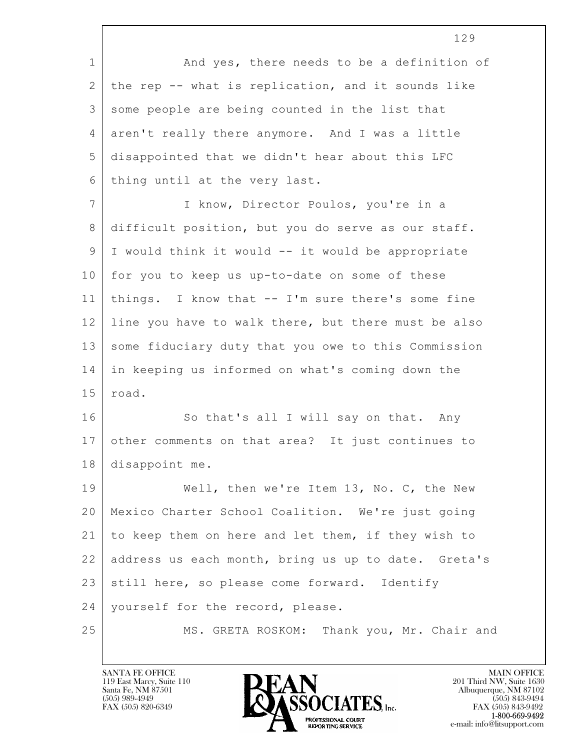|                | 129                                                 |
|----------------|-----------------------------------------------------|
| $\mathbf 1$    | And yes, there needs to be a definition of          |
| $\mathbf{2}$   | the rep -- what is replication, and it sounds like  |
| 3              | some people are being counted in the list that      |
| 4              | aren't really there anymore. And I was a little     |
| 5              | disappointed that we didn't hear about this LFC     |
| 6              | thing until at the very last.                       |
| $\overline{7}$ | I know, Director Poulos, you're in a                |
| 8              | difficult position, but you do serve as our staff.  |
| 9              | I would think it would -- it would be appropriate   |
| 10             | for you to keep us up-to-date on some of these      |
| 11             | things. I know that -- I'm sure there's some fine   |
| 12             | line you have to walk there, but there must be also |
| 13             | some fiduciary duty that you owe to this Commission |
| 14             | in keeping us informed on what's coming down the    |
| 15             | road.                                               |
| 16             | So that's all I will say on that. Any               |
| 17             | other comments on that area? It just continues to   |
| 18             | disappoint me.                                      |
| 19             | Well, then we're Item 13, No. C, the New            |
| 20             | Mexico Charter School Coalition. We're just going   |
| 21             | to keep them on here and let them, if they wish to  |
| 22             | address us each month, bring us up to date. Greta's |
| 23             | still here, so please come forward. Identify        |
| 24             | yourself for the record, please.                    |
| 25             | MS. GRETA ROSKOM: Thank you, Mr. Chair and          |

 $\lceil$ 

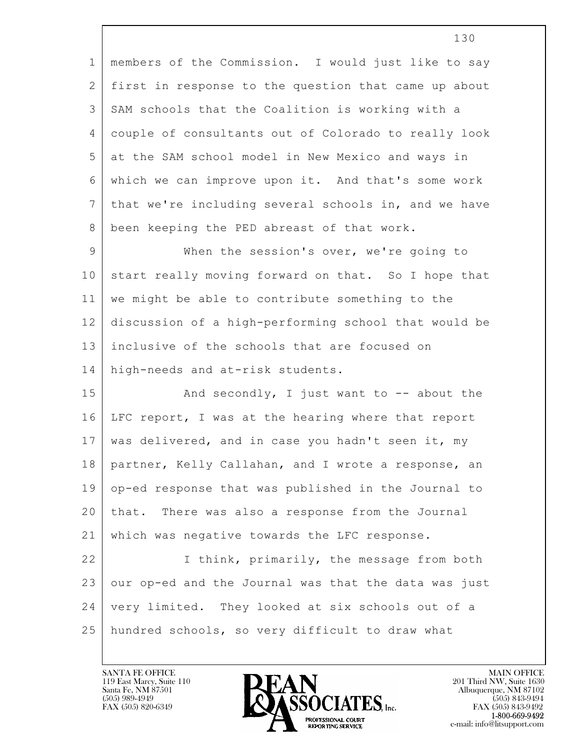| $\mathbf{1}$  | members of the Commission. I would just like to say  |
|---------------|------------------------------------------------------|
| 2             | first in response to the question that came up about |
| 3             | SAM schools that the Coalition is working with a     |
| 4             | couple of consultants out of Colorado to really look |
| 5             | at the SAM school model in New Mexico and ways in    |
| 6             | which we can improve upon it. And that's some work   |
| 7             | that we're including several schools in, and we have |
| 8             | been keeping the PED abreast of that work.           |
| $\mathcal{G}$ | When the session's over, we're going to              |
| 10            | start really moving forward on that. So I hope that  |
| 11            | we might be able to contribute something to the      |
| 12            | discussion of a high-performing school that would be |
| 13            | inclusive of the schools that are focused on         |
| 14            | high-needs and at-risk students.                     |
| 15            | And secondly, I just want to $-$ about the           |
| 16            | LFC report, I was at the hearing where that report   |
| 17            | was delivered, and in case you hadn't seen it, my    |
| 18            | partner, Kelly Callahan, and I wrote a response, an  |
| 19            | op-ed response that was published in the Journal to  |
| 20            | that. There was also a response from the Journal     |
| 21            | which was negative towards the LFC response.         |
| 22            | I think, primarily, the message from both            |
| 23            | our op-ed and the Journal was that the data was just |
| 24            | very limited. They looked at six schools out of a    |
| 25            | hundred schools, so very difficult to draw what      |

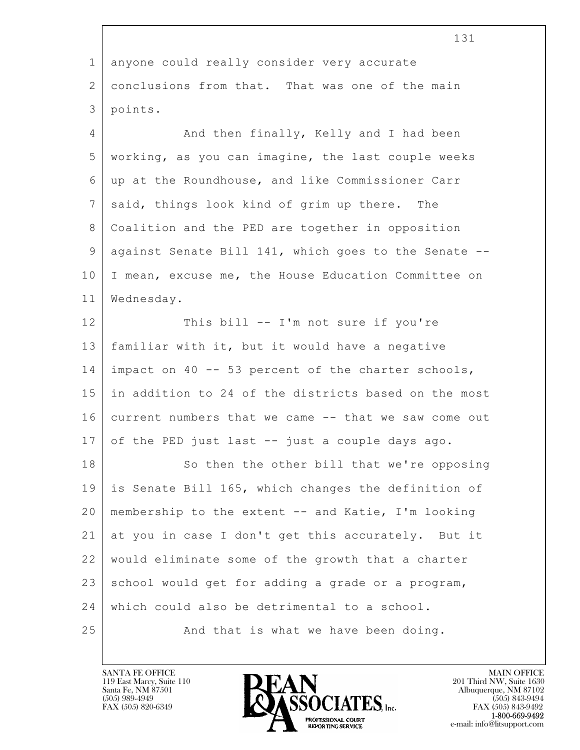|                 | TRT                                                  |
|-----------------|------------------------------------------------------|
| $\mathbf{1}$    | anyone could really consider very accurate           |
| 2               | conclusions from that. That was one of the main      |
| 3               | points.                                              |
| $\overline{4}$  | And then finally, Kelly and I had been               |
| 5               | working, as you can imagine, the last couple weeks   |
| 6               | up at the Roundhouse, and like Commissioner Carr     |
| $7\phantom{.0}$ | said, things look kind of grim up there.<br>The      |
| 8               | Coalition and the PED are together in opposition     |
| $\mathsf 9$     | against Senate Bill 141, which goes to the Senate -- |
| 10              | I mean, excuse me, the House Education Committee on  |
| 11              | Wednesday.                                           |
| 12              | This bill -- I'm not sure if you're                  |
| 13              | familiar with it, but it would have a negative       |
| 14              | impact on 40 -- 53 percent of the charter schools,   |
| 15              | in addition to 24 of the districts based on the most |
| 16              | current numbers that we came -- that we saw come out |
| 17              | of the PED just last -- just a couple days ago.      |
| 18              | So then the other bill that we're opposing           |
| 19              | is Senate Bill 165, which changes the definition of  |
| 20              | membership to the extent -- and Katie, I'm looking   |
| 21              | at you in case I don't get this accurately. But it   |
| 22              | would eliminate some of the growth that a charter    |
| 23              | school would get for adding a grade or a program,    |
| 24              | which could also be detrimental to a school.         |
| 25              | And that is what we have been doing.                 |

 $\overline{\phantom{a}}$ 

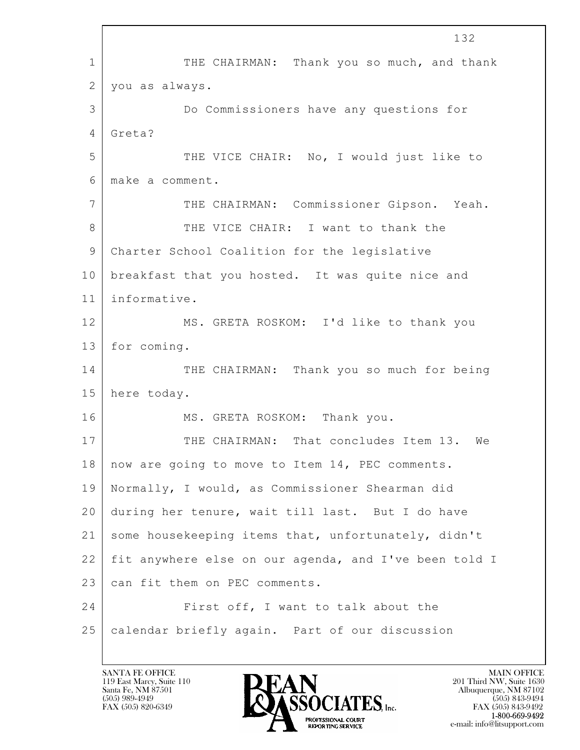$\mathbf{L}$  132 1 THE CHAIRMAN: Thank you so much, and thank 2 you as always. 3 Do Commissioners have any questions for 4 Greta? 5 THE VICE CHAIR: No, I would just like to 6 make a comment. 7 THE CHAIRMAN: Commissioner Gipson. Yeah. 8 THE VICE CHAIR: I want to thank the 9 Charter School Coalition for the legislative 10 breakfast that you hosted. It was quite nice and 11 informative. 12 MS. GRETA ROSKOM: I'd like to thank you 13 for coming. 14 THE CHAIRMAN: Thank you so much for being 15 here today. 16 MS. GRETA ROSKOM: Thank you. 17 THE CHAIRMAN: That concludes Item 13. We 18 now are going to move to Item 14, PEC comments. 19 Normally, I would, as Commissioner Shearman did 20 during her tenure, wait till last. But I do have 21 some housekeeping items that, unfortunately, didn't 22 fit anywhere else on our agenda, and I've been told I 23 can fit them on PEC comments. 24 First off, I want to talk about the 25 calendar briefly again. Part of our discussion

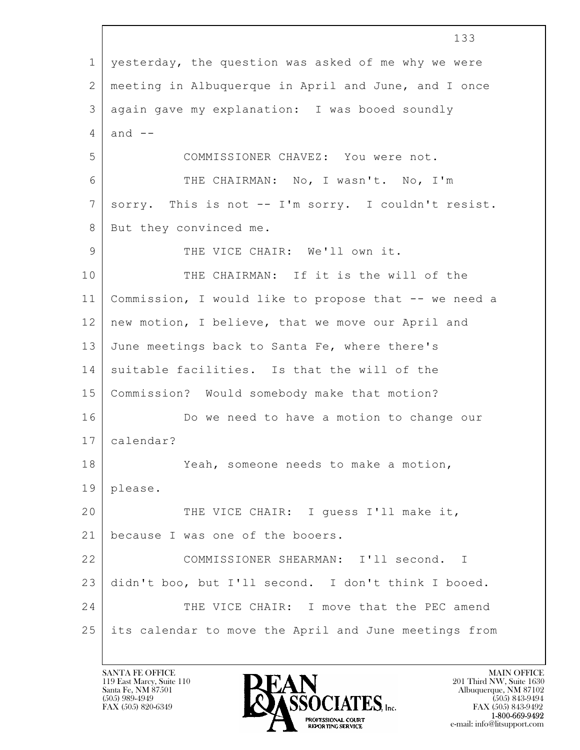$\mathbf{L}$  133 1 yesterday, the question was asked of me why we were 2 meeting in Albuquerque in April and June, and I once 3 again gave my explanation: I was booed soundly  $4$  and  $-$ 5 COMMISSIONER CHAVEZ: You were not. 6 THE CHAIRMAN: No, I wasn't. No, I'm 7 sorry. This is not -- I'm sorry. I couldn't resist. 8 But they convinced me. 9 THE VICE CHAIR: We'll own it. 10 THE CHAIRMAN: If it is the will of the 11 Commission, I would like to propose that -- we need a 12 new motion, I believe, that we move our April and 13 June meetings back to Santa Fe, where there's 14 suitable facilities. Is that the will of the 15 Commission? Would somebody make that motion? 16 Do we need to have a motion to change our 17 calendar? 18 Yeah, someone needs to make a motion, 19 please. 20 THE VICE CHAIR: I quess I'll make it, 21 | because I was one of the booers. 22 COMMISSIONER SHEARMAN: I'll second. I 23 didn't boo, but I'll second. I don't think I booed. 24 THE VICE CHAIR: I move that the PEC amend 25 its calendar to move the April and June meetings from

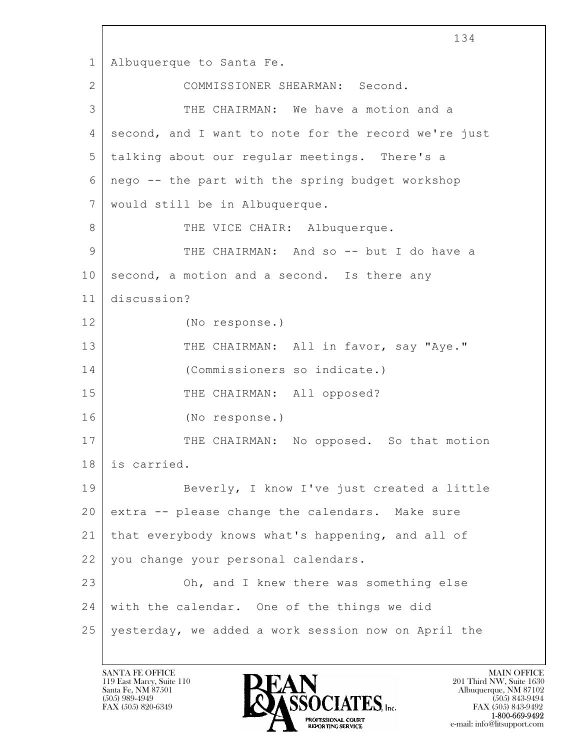$\mathbf{L}$  134 1 Albuquerque to Santa Fe. 2 COMMISSIONER SHEARMAN: Second. 3 THE CHAIRMAN: We have a motion and a 4 second, and I want to note for the record we're just 5 talking about our regular meetings. There's a 6 nego -- the part with the spring budget workshop 7 would still be in Albuquerque. 8 | THE VICE CHAIR: Albuquerque. 9 THE CHAIRMAN: And so -- but I do have a  $10$  second, a motion and a second. Is there any 11 discussion? 12 (No response.) 13 THE CHAIRMAN: All in favor, say "Aye." 14 (Commissioners so indicate.) 15 THE CHAIRMAN: All opposed? 16 (No response.) 17 THE CHAIRMAN: No opposed. So that motion 18 is carried. 19 Beverly, I know I've just created a little  $20$  extra  $-$  please change the calendars. Make sure 21 that everybody knows what's happening, and all of 22 you change your personal calendars. 23 Oh, and I knew there was something else 24 with the calendar. One of the things we did 25 yesterday, we added a work session now on April the

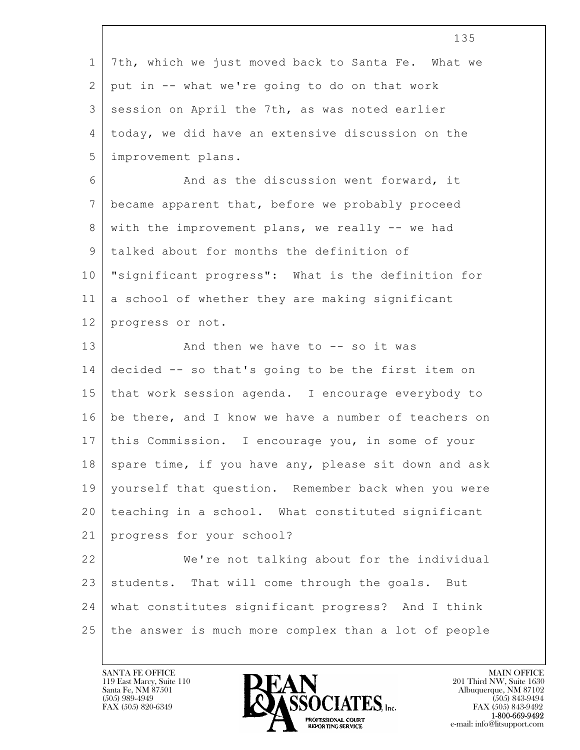|             | 135                                                  |
|-------------|------------------------------------------------------|
| $\mathbf 1$ | 7th, which we just moved back to Santa Fe. What we   |
| 2           | put in -- what we're going to do on that work        |
| 3           | session on April the 7th, as was noted earlier       |
| 4           | today, we did have an extensive discussion on the    |
| 5           | improvement plans.                                   |
| 6           | And as the discussion went forward, it               |
| 7           | became apparent that, before we probably proceed     |
| 8           | with the improvement plans, we really -- we had      |
| 9           | talked about for months the definition of            |
| 10          | "significant progress": What is the definition for   |
| 11          | a school of whether they are making significant      |
| 12          | progress or not.                                     |
| 13          | And then we have to $-$ so it was                    |
|             | decided -- so that's going to be the first item on   |
| 14          |                                                      |
| 15          | that work session agenda. I encourage everybody to   |
| 16          | be there, and I know we have a number of teachers on |
| 17          | this Commission. I encourage you, in some of your    |
| 18          | spare time, if you have any, please sit down and ask |
| 19          | yourself that question. Remember back when you were  |
| 20          | teaching in a school. What constituted significant   |
| 21          | progress for your school?                            |
| 22          | We're not talking about for the individual           |
| 23          | students. That will come through the goals. But      |
| 24          | what constitutes significant progress? And I think   |

 $\lceil$ 

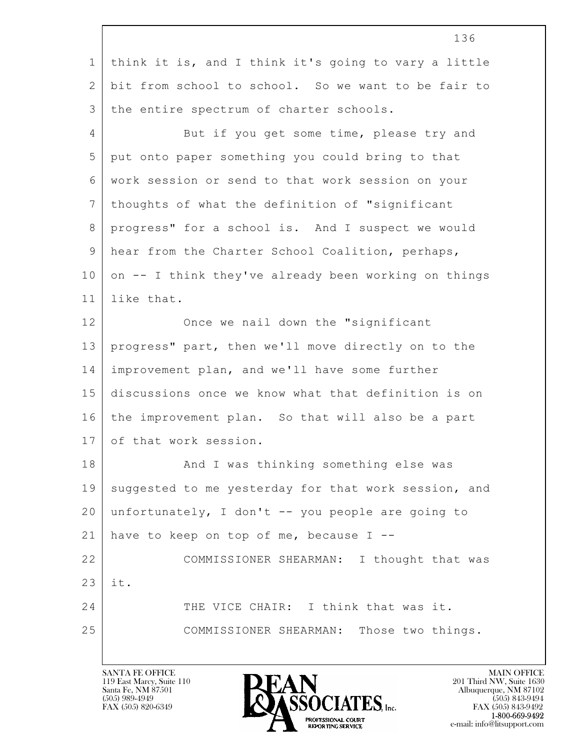|                 | 136                                                  |
|-----------------|------------------------------------------------------|
| $\mathbf{1}$    | think it is, and I think it's going to vary a little |
| 2               | bit from school to school. So we want to be fair to  |
| 3               | the entire spectrum of charter schools.              |
| 4               | But if you get some time, please try and             |
| 5               | put onto paper something you could bring to that     |
| 6               | work session or send to that work session on your    |
| $7\phantom{.0}$ | thoughts of what the definition of "significant      |
| 8               | progress" for a school is. And I suspect we would    |
| 9               | hear from the Charter School Coalition, perhaps,     |
| 10              | on -- I think they've already been working on things |
| 11              | like that.                                           |
| 12              | Once we nail down the "significant                   |
| 13              | progress" part, then we'll move directly on to the   |
| 14              | improvement plan, and we'll have some further        |
| 15              | discussions once we know what that definition is on  |
| 16              | the improvement plan. So that will also be a part    |
| 17              | of that work session.                                |
| 18              | And I was thinking something else was                |
| 19              | suggested to me yesterday for that work session, and |
| 20              | unfortunately, I don't -- you people are going to    |
| 21              | have to keep on top of me, because $I$ --            |
| 22              | COMMISSIONER SHEARMAN: I thought that was            |
| 23              | it.                                                  |
| 24              | THE VICE CHAIR: I think that was it.                 |
| 25              | COMMISSIONER SHEARMAN: Those two things.             |
|                 |                                                      |

Г

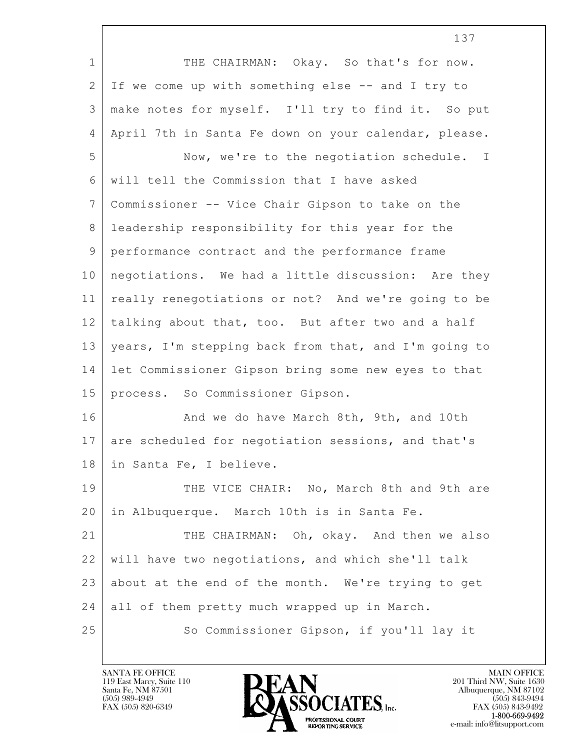|                | 137                                                  |
|----------------|------------------------------------------------------|
| $\mathbf 1$    | THE CHAIRMAN: Okay. So that's for now.               |
| 2              | If we come up with something else -- and I try to    |
| 3              | make notes for myself. I'll try to find it. So put   |
| 4              | April 7th in Santa Fe down on your calendar, please. |
| 5              | Now, we're to the negotiation schedule. I            |
| 6              | will tell the Commission that I have asked           |
| $7\phantom{.}$ | Commissioner -- Vice Chair Gipson to take on the     |
| 8              | leadership responsibility for this year for the      |
| $\mathcal{G}$  | performance contract and the performance frame       |
| 10             | negotiations. We had a little discussion: Are they   |
| 11             | really renegotiations or not? And we're going to be  |
| 12             | talking about that, too. But after two and a half    |
| 13             | years, I'm stepping back from that, and I'm going to |
| 14             | let Commissioner Gipson bring some new eyes to that  |
| 15             | process. So Commissioner Gipson.                     |
| 16             | And we do have March 8th, 9th, and 10th              |
| 17             | are scheduled for negotiation sessions, and that's   |
| 18             | in Santa Fe, I believe.                              |
| 19             | THE VICE CHAIR: No, March 8th and 9th are            |
| 20             | in Albuquerque. March 10th is in Santa Fe.           |
| 21             | THE CHAIRMAN: Oh, okay. And then we also             |
| 22             | will have two negotiations, and which she'll talk    |
| 23             | about at the end of the month. We're trying to get   |
| 24             | all of them pretty much wrapped up in March.         |
| 25             | So Commissioner Gipson, if you'll lay it             |

 $\overline{\phantom{a}}$ 

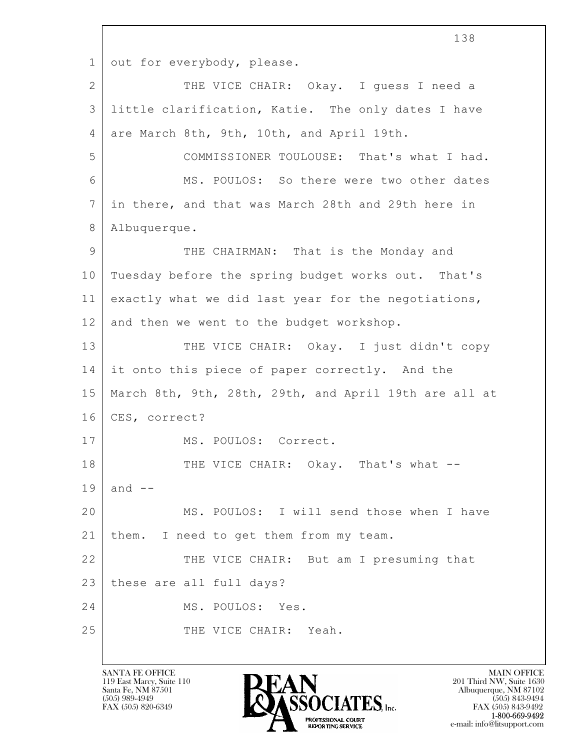$\mathbf{L}$  138 1 out for everybody, please. 2 THE VICE CHAIR: Okay. I guess I need a 3 little clarification, Katie. The only dates I have 4 are March 8th, 9th, 10th, and April 19th. 5 COMMISSIONER TOULOUSE: That's what I had. 6 MS. POULOS: So there were two other dates 7 in there, and that was March 28th and 29th here in 8 Albuquerque. 9 THE CHAIRMAN: That is the Monday and 10 Tuesday before the spring budget works out. That's 11 exactly what we did last year for the negotiations, 12 and then we went to the budget workshop. 13 THE VICE CHAIR: Okay. I just didn't copy 14 it onto this piece of paper correctly. And the 15 March 8th, 9th, 28th, 29th, and April 19th are all at 16 | CES, correct? 17 | MS. POULOS: Correct. 18 THE VICE CHAIR: Okay. That's what -- $19$  and  $-$ 20 MS. POULOS: I will send those when I have 21 | them. I need to get them from my team. 22 THE VICE CHAIR: But am I presuming that 23 these are all full days? 24 MS. POULOS: Yes. 25 THE VICE CHAIR: Yeah.

119 East Marcy, Suite 110<br>Santa Fe, NM 87501



FAX (505) 843-9492 e-mail: info@litsupport.com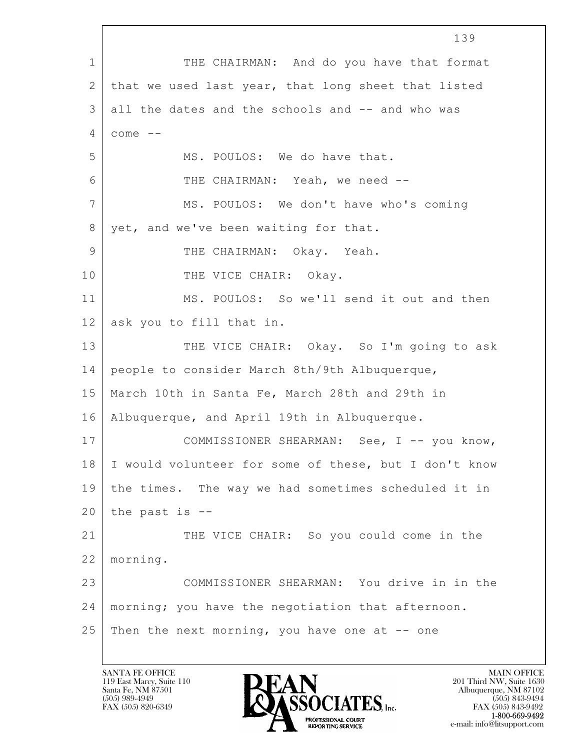$\mathbf{L}$  139 1 THE CHAIRMAN: And do you have that format 2 | that we used last year, that long sheet that listed 3 all the dates and the schools and -- and who was  $4 \mid \text{cone} \equiv$ 5 MS. POULOS: We do have that. 6 THE CHAIRMAN: Yeah, we need -- 7 MS. POULOS: We don't have who's coming 8 yet, and we've been waiting for that. 9 THE CHAIRMAN: Okay. Yeah. 10 THE VICE CHAIR: Okay. 11 MS. POULOS: So we'll send it out and then 12 ask you to fill that in. 13 THE VICE CHAIR: Okay. So I'm going to ask 14 people to consider March 8th/9th Albuquerque, 15 March 10th in Santa Fe, March 28th and 29th in 16 Albuquerque, and April 19th in Albuquerque. 17 COMMISSIONER SHEARMAN: See, I -- you know, 18 I would volunteer for some of these, but I don't know 19 the times. The way we had sometimes scheduled it in  $20$  the past is  $-$ 21 THE VICE CHAIR: So you could come in the 22 morning. 23 COMMISSIONER SHEARMAN: You drive in in the 24 morning; you have the negotiation that afternoon. 25 | Then the next morning, you have one at  $-$  one

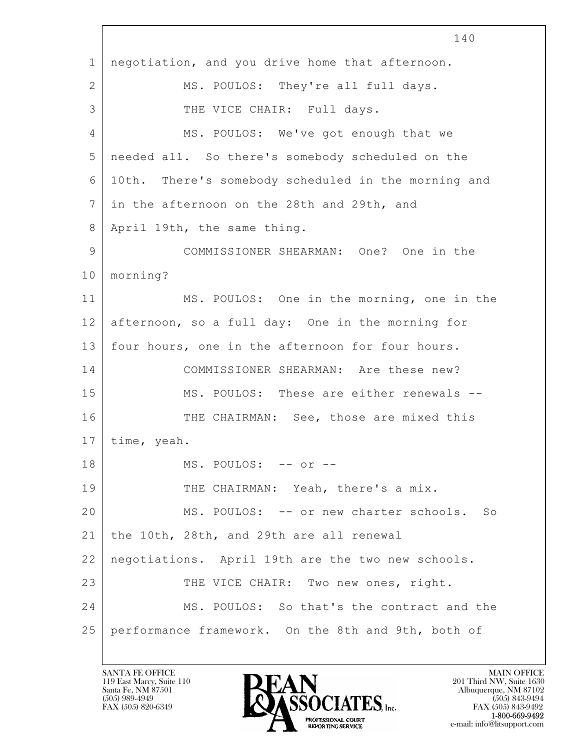$\mathbf{L}$  140 1 negotiation, and you drive home that afternoon. 2 | MS. POULOS: They're all full days. 3 THE VICE CHAIR: Full days. 4 MS. POULOS: We've got enough that we 5 needed all. So there's somebody scheduled on the 6 10th. There's somebody scheduled in the morning and 7 in the afternoon on the 28th and 29th, and 8 | April 19th, the same thing. 9 COMMISSIONER SHEARMAN: One? One in the 10 morning? 11 MS. POULOS: One in the morning, one in the 12 afternoon, so a full day: One in the morning for 13 four hours, one in the afternoon for four hours. 14 COMMISSIONER SHEARMAN: Are these new? 15 MS. POULOS: These are either renewals --16 THE CHAIRMAN: See, those are mixed this 17 time, yeah. 18 MS. POULOS: -- or --19 THE CHAIRMAN: Yeah, there's a mix. 20 MS. POULOS: -- or new charter schools. So 21 the 10th, 28th, and 29th are all renewal 22 negotiations. April 19th are the two new schools. 23 THE VICE CHAIR: Two new ones, right. 24 MS. POULOS: So that's the contract and the 25 performance framework. On the 8th and 9th, both of

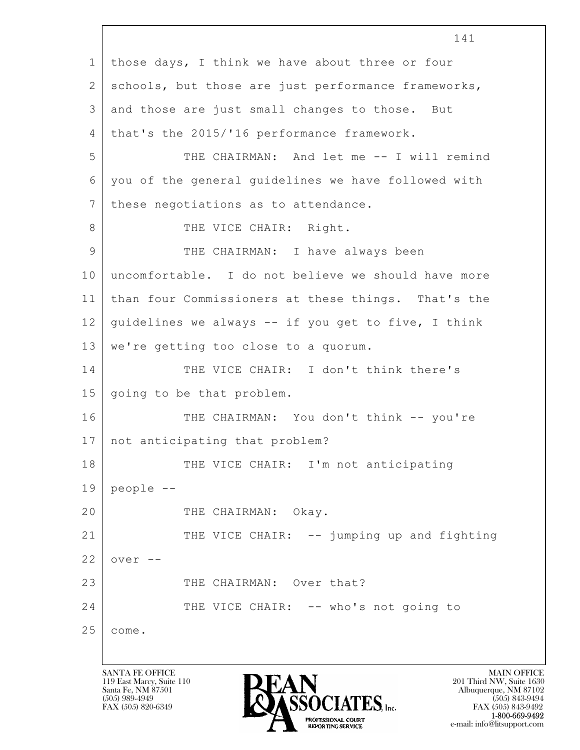$\mathbf{L}$  141 1 those days, I think we have about three or four 2 | schools, but those are just performance frameworks, 3 and those are just small changes to those. But 4 | that's the 2015/'16 performance framework. 5 THE CHAIRMAN: And let me -- I will remind 6 you of the general guidelines we have followed with 7 these negotiations as to attendance. 8 | THE VICE CHAIR: Right. 9 THE CHAIRMAN: I have always been 10 uncomfortable. I do not believe we should have more 11 than four Commissioners at these things. That's the 12 | guidelines we always  $-$  if you get to five, I think 13 | we're getting too close to a quorum. 14 THE VICE CHAIR: I don't think there's 15 going to be that problem. 16 THE CHAIRMAN: You don't think -- you're 17 not anticipating that problem? 18 THE VICE CHAIR: I'm not anticipating  $19$  people  $-$ 20 THE CHAIRMAN: Okay. 21 THE VICE CHAIR: -- jumping up and fighting  $22$  over  $-$ 23 THE CHAIRMAN: Over that? 24 THE VICE CHAIR: -- who's not going to 25 come.

119 East Marcy, Suite 110<br>Santa Fe, NM 87501



FAX (505) 843-9492 e-mail: info@litsupport.com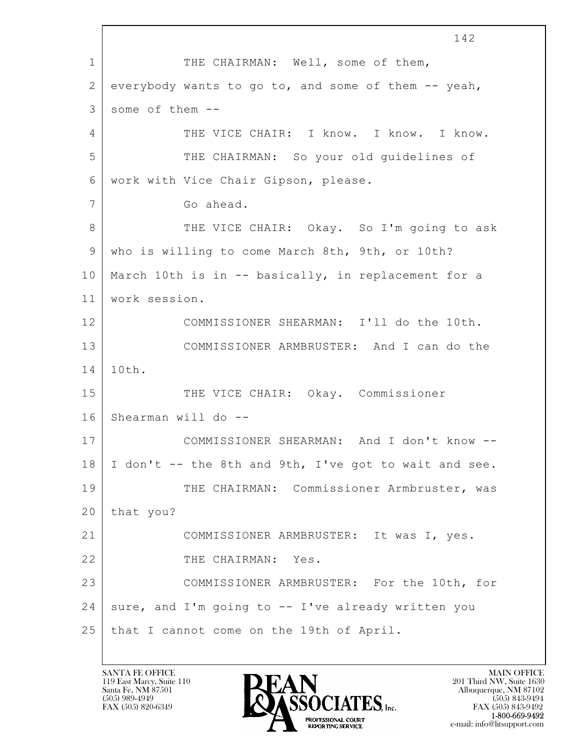$\mathbf{L}$  142 1 THE CHAIRMAN: Well, some of them, 2 everybody wants to go to, and some of them -- yeah,  $3$  some of them  $-$ 4 THE VICE CHAIR: I know. I know. I know. 5 THE CHAIRMAN: So your old guidelines of 6 work with Vice Chair Gipson, please. 7 Go ahead. 8 THE VICE CHAIR: Okay. So I'm going to ask 9 who is willing to come March 8th, 9th, or 10th? 10 March 10th is in -- basically, in replacement for a 11 work session. 12 COMMISSIONER SHEARMAN: I'll do the 10th. 13 COMMISSIONER ARMBRUSTER: And I can do the 14 10th. 15 | THE VICE CHAIR: Okay. Commissioner 16 Shearman will do -- 17 COMMISSIONER SHEARMAN: And I don't know --  $18$  I don't -- the 8th and 9th, I've got to wait and see. 19 | THE CHAIRMAN: Commissioner Armbruster, was  $20$  | that you? 21 COMMISSIONER ARMBRUSTER: It was I, yes. 22 THE CHAIRMAN: Yes. 23 COMMISSIONER ARMBRUSTER: For the 10th, for 24 sure, and I'm going to -- I've already written you 25 that I cannot come on the 19th of April.

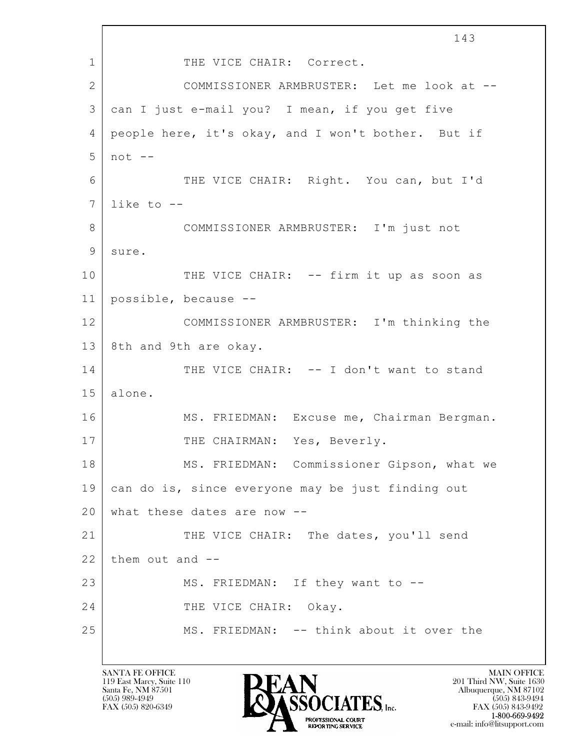$\mathbf{L}$  143 1 THE VICE CHAIR: Correct. 2 COMMISSIONER ARMBRUSTER: Let me look at -- 3 can I just e-mail you? I mean, if you get five 4 people here, it's okay, and I won't bother. But if 5 not -- 6 THE VICE CHAIR: Right. You can, but I'd  $7$  like to  $-$ 8 COMMISSIONER ARMBRUSTER: I'm just not 9 sure. 10 THE VICE CHAIR: -- firm it up as soon as 11 possible, because -- 12 COMMISSIONER ARMBRUSTER: I'm thinking the 13 8th and 9th are okay. 14 THE VICE CHAIR: -- I don't want to stand 15 alone. 16 MS. FRIEDMAN: Excuse me, Chairman Bergman. 17 THE CHAIRMAN: Yes, Beverly. 18 MS. FRIEDMAN: Commissioner Gipson, what we 19 can do is, since everyone may be just finding out 20 what these dates are now --21 THE VICE CHAIR: The dates, you'll send  $22$  them out and  $-$ 23 MS. FRIEDMAN: If they want to --24 THE VICE CHAIR: Okay. 25 MS. FRIEDMAN: -- think about it over the

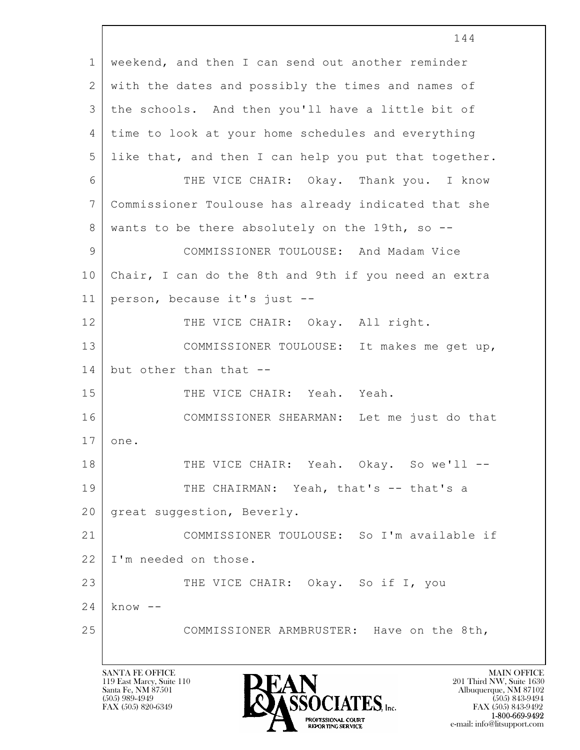|               | 144                                                   |
|---------------|-------------------------------------------------------|
| $\mathbf{1}$  | weekend, and then I can send out another reminder     |
| 2             | with the dates and possibly the times and names of    |
| 3             | the schools. And then you'll have a little bit of     |
| 4             | time to look at your home schedules and everything    |
| 5             | like that, and then I can help you put that together. |
| 6             | THE VICE CHAIR: Okay. Thank you. I know               |
| 7             | Commissioner Toulouse has already indicated that she  |
| 8             | wants to be there absolutely on the 19th, so --       |
| $\mathcal{G}$ | COMMISSIONER TOULOUSE: And Madam Vice                 |
| 10            | Chair, I can do the 8th and 9th if you need an extra  |
| 11            | person, because it's just --                          |
| 12            | THE VICE CHAIR: Okay. All right.                      |
| 13            | COMMISSIONER TOULOUSE: It makes me get up,            |
| 14            | but other than that --                                |
| 15            | THE VICE CHAIR: Yeah. Yeah.                           |
| 16            | COMMISSIONER SHEARMAN: Let me just do that            |
| 17            | one.                                                  |
| 18            | THE VICE CHAIR: Yeah. Okay. So we'll --               |
| 19            | THE CHAIRMAN: Yeah, that's -- that's a                |
| 20            | great suggestion, Beverly.                            |
| 21            | COMMISSIONER TOULOUSE: So I'm available if            |
| 22            | I'm needed on those.                                  |
| 23            | THE VICE CHAIR: Okay. So if I, you                    |
| 24            | $know --$                                             |
| 25            | COMMISSIONER ARMBRUSTER: Have on the 8th,             |
|               |                                                       |
|               | <b>SANTA FE OFFICE</b><br><b>MAIN OFFICE</b>          |

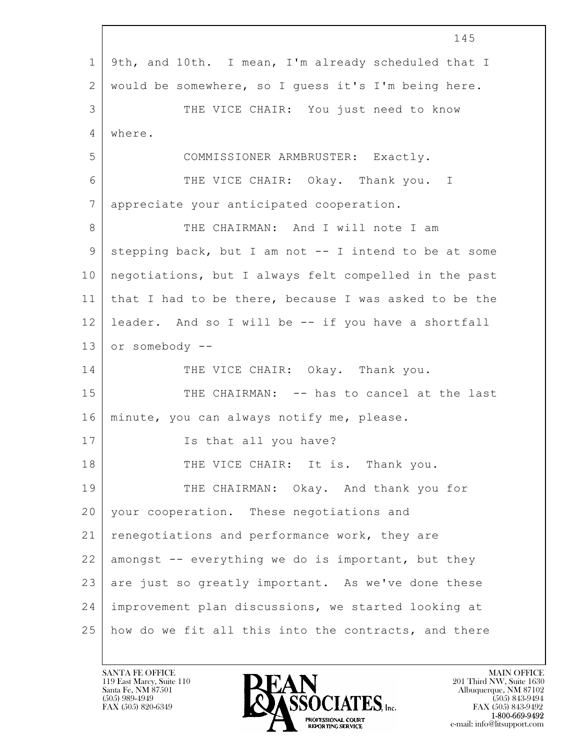|             | 145                                                   |
|-------------|-------------------------------------------------------|
| $\mathbf 1$ | 9th, and 10th. I mean, I'm already scheduled that I   |
| 2           | would be somewhere, so I guess it's I'm being here.   |
| 3           | THE VICE CHAIR: You just need to know                 |
| 4           | where.                                                |
| 5           | COMMISSIONER ARMBRUSTER: Exactly.                     |
| 6           | THE VICE CHAIR: Okay. Thank you. I                    |
| 7           | appreciate your anticipated cooperation.              |
| 8           | THE CHAIRMAN: And I will note I am                    |
| $\mathsf 9$ | stepping back, but I am not -- I intend to be at some |
| 10          | negotiations, but I always felt compelled in the past |
| 11          | that I had to be there, because I was asked to be the |
| 12          | leader. And so I will be -- if you have a shortfall   |
| 13          | or somebody --                                        |
| 14          | THE VICE CHAIR: Okay. Thank you.                      |
| 15          | THE CHAIRMAN: -- has to cancel at the last            |
| 16          | minute, you can always notify me, please.             |
| 17          | Is that all you have?                                 |
| 18          | THE VICE CHAIR: It is. Thank you.                     |
| 19          | THE CHAIRMAN: Okay. And thank you for                 |
| 20          | your cooperation. These negotiations and              |
| 21          | renegotiations and performance work, they are         |
| 22          | amongst -- everything we do is important, but they    |
| 23          | are just so greatly important. As we've done these    |
| 24          | improvement plan discussions, we started looking at   |
| 25          | how do we fit all this into the contracts, and there  |

 $\Gamma$ 

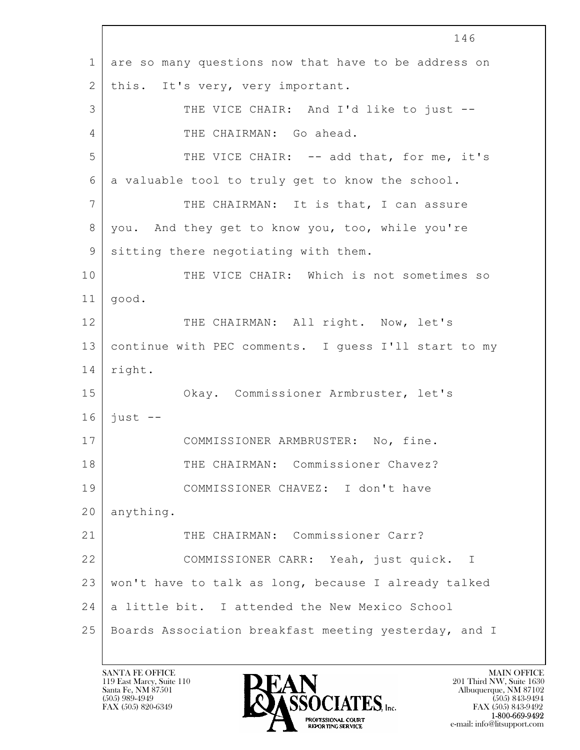$\mathbf{L}$  146 1 are so many questions now that have to be address on 2 | this. It's very, very important. 3 THE VICE CHAIR: And I'd like to just --4 THE CHAIRMAN: Go ahead. 5 THE VICE CHAIR: -- add that, for me, it's 6 a valuable tool to truly get to know the school. 7 THE CHAIRMAN: It is that, I can assure 8 you. And they get to know you, too, while you're 9 sitting there negotiating with them. 10 THE VICE CHAIR: Which is not sometimes so 11 good. 12 THE CHAIRMAN: All right. Now, let's 13 continue with PEC comments. I quess I'll start to my 14 right. 15 Okay. Commissioner Armbruster, let's  $16$  just  $-$ 17 | COMMISSIONER ARMBRUSTER: No, fine. 18 THE CHAIRMAN: Commissioner Chavez? 19 COMMISSIONER CHAVEZ: I don't have 20 anything. 21 THE CHAIRMAN: Commissioner Carr? 22 COMMISSIONER CARR: Yeah, just quick. I 23 won't have to talk as long, because I already talked 24 a little bit. I attended the New Mexico School 25 Boards Association breakfast meeting yesterday, and I

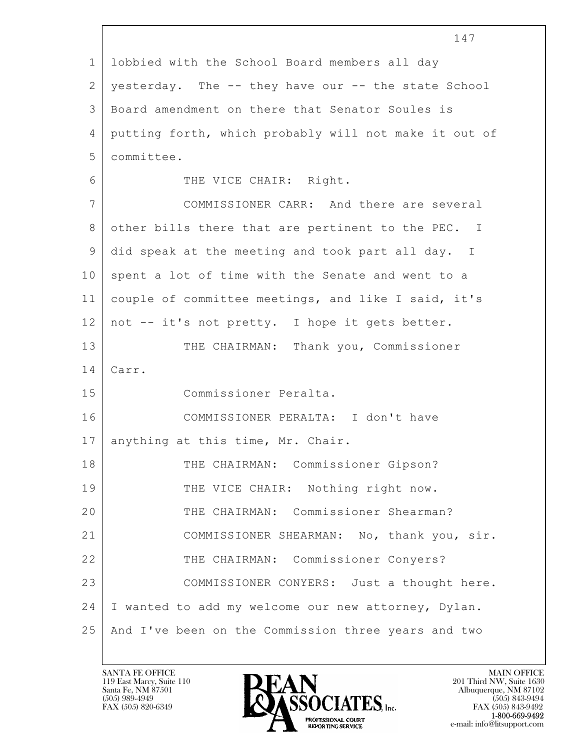|                | 147                                                   |
|----------------|-------------------------------------------------------|
| $\mathbf 1$    | lobbied with the School Board members all day         |
| $\mathbf{2}$   | yesterday. The -- they have our -- the state School   |
| 3              | Board amendment on there that Senator Soules is       |
| $\overline{4}$ | putting forth, which probably will not make it out of |
| 5              | committee.                                            |
| 6              | THE VICE CHAIR: Right.                                |
| $\overline{7}$ | COMMISSIONER CARR: And there are several              |
| $8\,$          | other bills there that are pertinent to the PEC. I    |
| 9              | did speak at the meeting and took part all day. I     |
| 10             | spent a lot of time with the Senate and went to a     |
| 11             | couple of committee meetings, and like I said, it's   |
| 12             | not -- it's not pretty. I hope it gets better.        |
| 13             | THE CHAIRMAN: Thank you, Commissioner                 |
| 14             | Carr.                                                 |
| 15             | Commissioner Peralta.                                 |
| 16             | COMMISSIONER PERALTA: I don't have                    |
| 17             | anything at this time, Mr. Chair.                     |
| 18             | THE CHAIRMAN: Commissioner Gipson?                    |
| 19             | THE VICE CHAIR: Nothing right now.                    |
| 20             | THE CHAIRMAN: Commissioner Shearman?                  |
| 21             | COMMISSIONER SHEARMAN: No, thank you, sir.            |
| 22             | THE CHAIRMAN: Commissioner Conyers?                   |
| 23             | COMMISSIONER CONYERS: Just a thought here.            |
| 24             | I wanted to add my welcome our new attorney, Dylan.   |
| 25             | And I've been on the Commission three years and two   |
|                |                                                       |

 $\sqrt{ }$ 

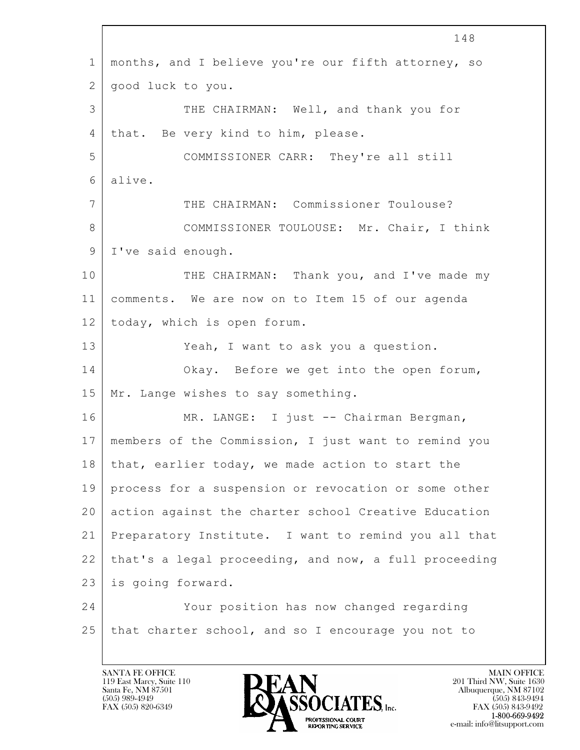$\mathbf{L}$  148 1 months, and I believe you're our fifth attorney, so 2 good luck to you. 3 THE CHAIRMAN: Well, and thank you for 4 | that. Be very kind to him, please. 5 COMMISSIONER CARR: They're all still 6 alive. 7 THE CHAIRMAN: Commissioner Toulouse? 8 COMMISSIONER TOULOUSE: Mr. Chair, I think 9 | I've said enough. 10 THE CHAIRMAN: Thank you, and I've made my 11 comments. We are now on to Item 15 of our agenda 12 today, which is open forum. 13 Yeah, I want to ask you a question. 14 Okay. Before we get into the open forum, 15 | Mr. Lange wishes to say something. 16 | MR. LANGE: I just -- Chairman Bergman, 17 members of the Commission, I just want to remind you 18 that, earlier today, we made action to start the 19 process for a suspension or revocation or some other 20 action against the charter school Creative Education 21 Preparatory Institute. I want to remind you all that 22 that's a legal proceeding, and now, a full proceeding 23 is going forward. 24 Your position has now changed regarding 25 that charter school, and so I encourage you not to

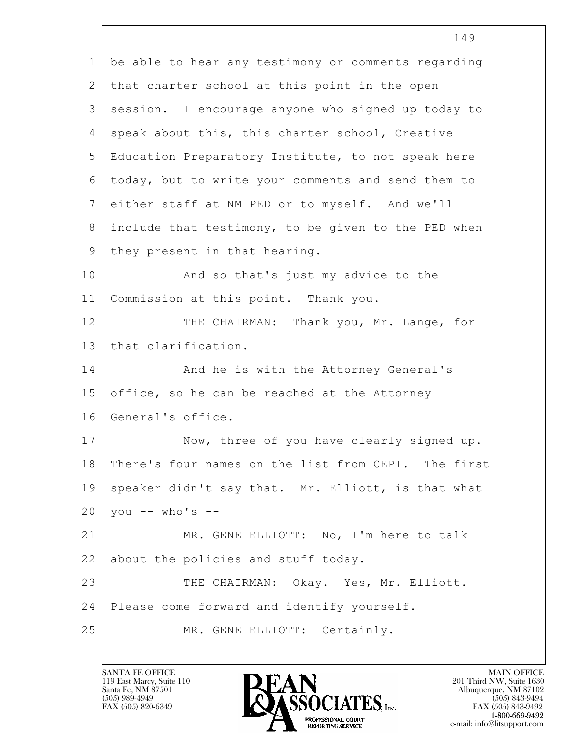|                 | 149                                                 |
|-----------------|-----------------------------------------------------|
| $\mathbf{1}$    | be able to hear any testimony or comments regarding |
| 2               | that charter school at this point in the open       |
| 3               | session. I encourage anyone who signed up today to  |
| 4               | speak about this, this charter school, Creative     |
| 5               | Education Preparatory Institute, to not speak here  |
| 6               | today, but to write your comments and send them to  |
| $7\phantom{.0}$ | either staff at NM PED or to myself. And we'll      |
| 8               | include that testimony, to be given to the PED when |
| 9               | they present in that hearing.                       |
| 10              | And so that's just my advice to the                 |
| 11              | Commission at this point. Thank you.                |
| 12              | THE CHAIRMAN: Thank you, Mr. Lange, for             |
| 13              | that clarification.                                 |
| 14              | And he is with the Attorney General's               |
| 15              | office, so he can be reached at the Attorney        |
| 16              | General's office.                                   |
| 17              | Now, three of you have clearly signed up.           |
| 18              | There's four names on the list from CEPI. The first |
| 19              | speaker didn't say that. Mr. Elliott, is that what  |
| 20              | you -- who's --                                     |
| 21              | MR. GENE ELLIOTT: No, I'm here to talk              |
| 22              | about the policies and stuff today.                 |
| 23              | THE CHAIRMAN: Okay. Yes, Mr. Elliott.               |
| 24              | Please come forward and identify yourself.          |
| 25              | MR. GENE ELLIOTT: Certainly.                        |
|                 |                                                     |

 $\overline{\phantom{a}}$ 

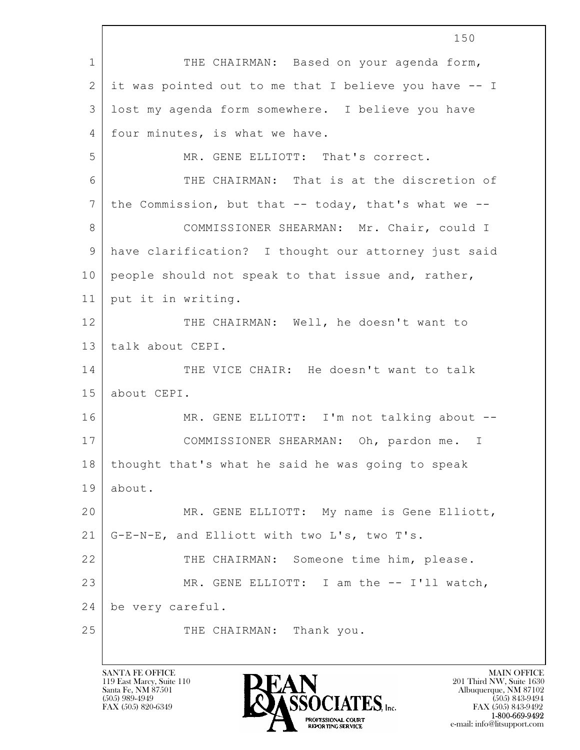$\mathbf{L}$  150 1 THE CHAIRMAN: Based on your agenda form, 2 it was pointed out to me that I believe you have -- I 3 lost my agenda form somewhere. I believe you have 4 | four minutes, is what we have. 5 MR. GENE ELLIOTT: That's correct. 6 THE CHAIRMAN: That is at the discretion of 7 the Commission, but that -- today, that's what we --8 COMMISSIONER SHEARMAN: Mr. Chair, could I 9 have clarification? I thought our attorney just said 10 people should not speak to that issue and, rather, 11 put it in writing. 12 THE CHAIRMAN: Well, he doesn't want to 13 talk about CEPI. 14 THE VICE CHAIR: He doesn't want to talk 15 about CEPI. 16 MR. GENE ELLIOTT: I'm not talking about --17 COMMISSIONER SHEARMAN: Oh, pardon me. I 18 thought that's what he said he was going to speak 19 about. 20 MR. GENE ELLIOTT: My name is Gene Elliott, 21 G-E-N-E, and Elliott with two L's, two T's. 22 THE CHAIRMAN: Someone time him, please. 23 | MR. GENE ELLIOTT: I am the -- I'll watch, 24 be very careful. 25 THE CHAIRMAN: Thank you.

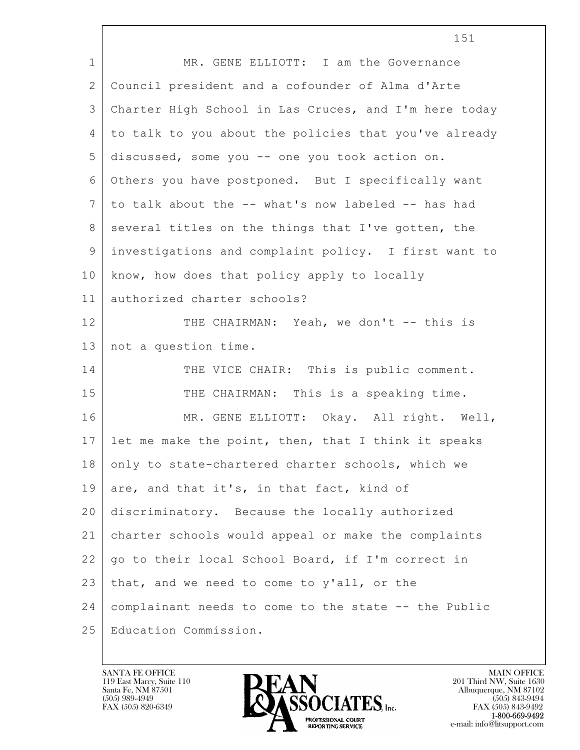|                | 151                                                   |
|----------------|-------------------------------------------------------|
| $\mathbf{1}$   | MR. GENE ELLIOTT: I am the Governance                 |
| 2              | Council president and a cofounder of Alma d'Arte      |
| 3              | Charter High School in Las Cruces, and I'm here today |
| $\overline{4}$ | to talk to you about the policies that you've already |
| 5              | discussed, some you -- one you took action on.        |
| 6              | Others you have postponed. But I specifically want    |
| 7              | to talk about the -- what's now labeled -- has had    |
| 8              | several titles on the things that I've gotten, the    |
| 9              | investigations and complaint policy. I first want to  |
| 10             | know, how does that policy apply to locally           |
| 11             | authorized charter schools?                           |
| 12             | THE CHAIRMAN: Yeah, we don't -- this is               |
| 13             | not a question time.                                  |
| 14             | THE VICE CHAIR: This is public comment.               |
| 15             | THE CHAIRMAN: This is a speaking time.                |
| 16             | MR. GENE ELLIOTT: Okay. All right. Well,              |
| 17             | let me make the point, then, that I think it speaks   |
| 18             | only to state-chartered charter schools, which we     |
| 19             | are, and that it's, in that fact, kind of             |
| 20             | discriminatory. Because the locally authorized        |
| 21             | charter schools would appeal or make the complaints   |
| 22             | go to their local School Board, if I'm correct in     |
| 23             | that, and we need to come to y'all, or the            |
| 24             | complainant needs to come to the state -- the Public  |
| 25             | Education Commission.                                 |

 $\overline{\phantom{a}}$ 

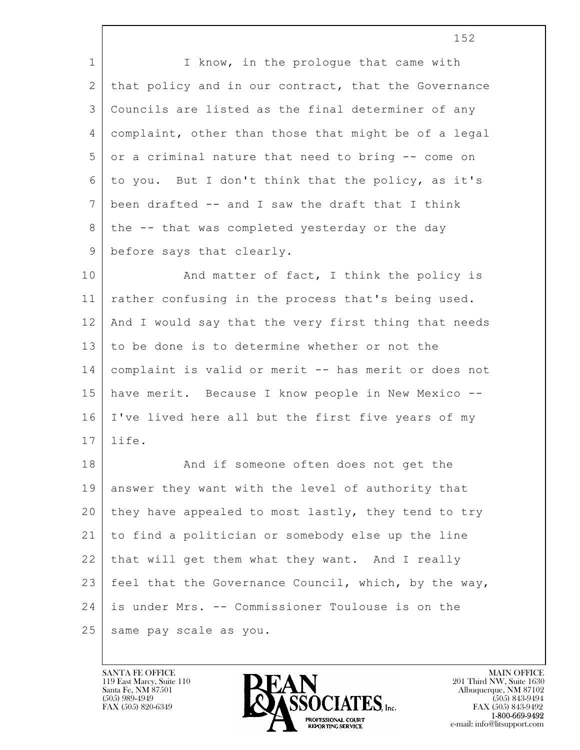1 I know, in the prologue that came with 2 | that policy and in our contract, that the Governance 3 Councils are listed as the final determiner of any 4 complaint, other than those that might be of a legal 5 or a criminal nature that need to bring -- come on 6 to you. But I don't think that the policy, as it's  $7$  been drafted  $-$  and I saw the draft that I think 8 | the -- that was completed yesterday or the day 9 before says that clearly.

10 | And matter of fact, I think the policy is 11 rather confusing in the process that's being used. 12 And I would say that the very first thing that needs 13 to be done is to determine whether or not the 14 complaint is valid or merit -- has merit or does not 15 have merit. Because I know people in New Mexico -- 16 I've lived here all but the first five years of my 17 life.

 $\mathbf{L}$  18 And if someone often does not get the 19 answer they want with the level of authority that 20 they have appealed to most lastly, they tend to try 21 to find a politician or somebody else up the line 22 that will get them what they want. And I really 23 | feel that the Governance Council, which, by the way, 24 is under Mrs. -- Commissioner Toulouse is on the 25 same pay scale as you.

119 East Marcy, Suite 110<br>Santa Fe, NM 87501



FAX (505) 843-9492 e-mail: info@litsupport.com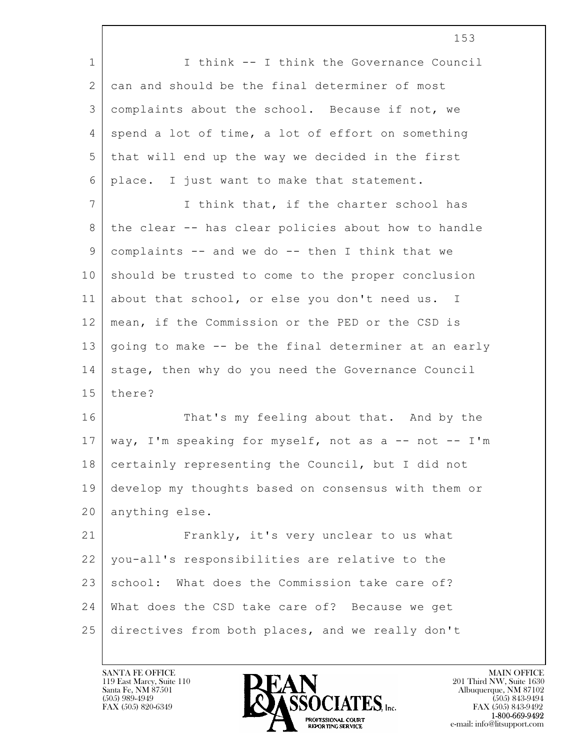|             | 153                                                  |
|-------------|------------------------------------------------------|
| $\mathbf 1$ | I think -- I think the Governance Council            |
| 2           | can and should be the final determiner of most       |
| 3           | complaints about the school. Because if not, we      |
| 4           | spend a lot of time, a lot of effort on something    |
| 5           | that will end up the way we decided in the first     |
| 6           | place. I just want to make that statement.           |
| 7           | I think that, if the charter school has              |
| 8           | the clear -- has clear policies about how to handle  |
| 9           | complaints -- and we do -- then I think that we      |
| 10          | should be trusted to come to the proper conclusion   |
| 11          | about that school, or else you don't need us. I      |
| 12          | mean, if the Commission or the PED or the CSD is     |
| 13          | going to make -- be the final determiner at an early |
| 14          | stage, then why do you need the Governance Council   |
| 15          | there?                                               |
| 16          | That's my feeling about that. And by the             |
| 17          | way, I'm speaking for myself, not as a -- not -- I'm |
| 18          | certainly representing the Council, but I did not    |
| 19          | develop my thoughts based on consensus with them or  |
| 20          | anything else.                                       |
| 21          | Frankly, it's very unclear to us what                |
| 22          | you-all's responsibilities are relative to the       |
| 23          | school: What does the Commission take care of?       |
| 24          | What does the CSD take care of? Because we get       |
| 25          | directives from both places, and we really don't     |

 $\lceil$ 

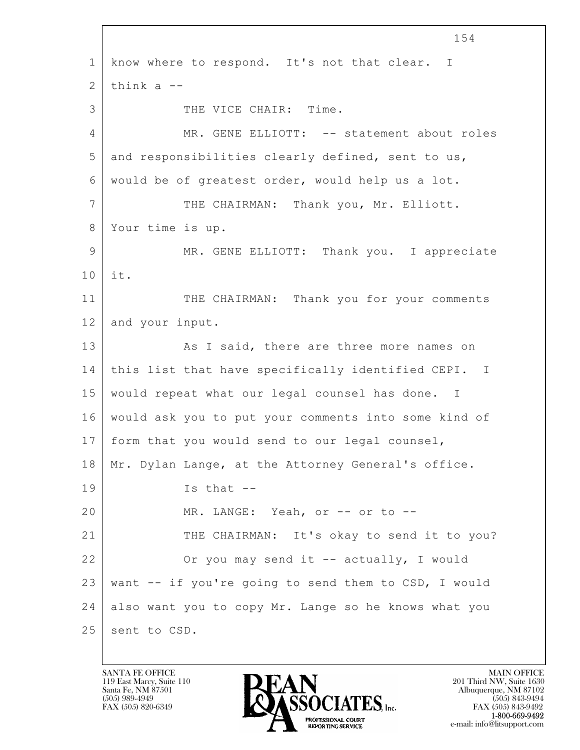$\mathbf{L}$  154 1 know where to respond. It's not that clear. I  $2$  think a  $-$ 3 THE VICE CHAIR: Time. 4 MR. GENE ELLIOTT: -- statement about roles 5 and responsibilities clearly defined, sent to us, 6 would be of greatest order, would help us a lot. 7 THE CHAIRMAN: Thank you, Mr. Elliott. 8 Your time is up. 9 MR. GENE ELLIOTT: Thank you. I appreciate 10 it. 11 | THE CHAIRMAN: Thank you for your comments 12 and your input. 13 As I said, there are three more names on 14 | this list that have specifically identified CEPI. I 15 would repeat what our legal counsel has done. I 16 would ask you to put your comments into some kind of 17 form that you would send to our legal counsel, 18 | Mr. Dylan Lange, at the Attorney General's office.  $19$  Is that  $-$ 20 MR. LANGE: Yeah, or -- or to --21 THE CHAIRMAN: It's okay to send it to you? 22 Or you may send it -- actually, I would 23 want -- if you're going to send them to CSD, I would 24 also want you to copy Mr. Lange so he knows what you 25 sent to CSD.

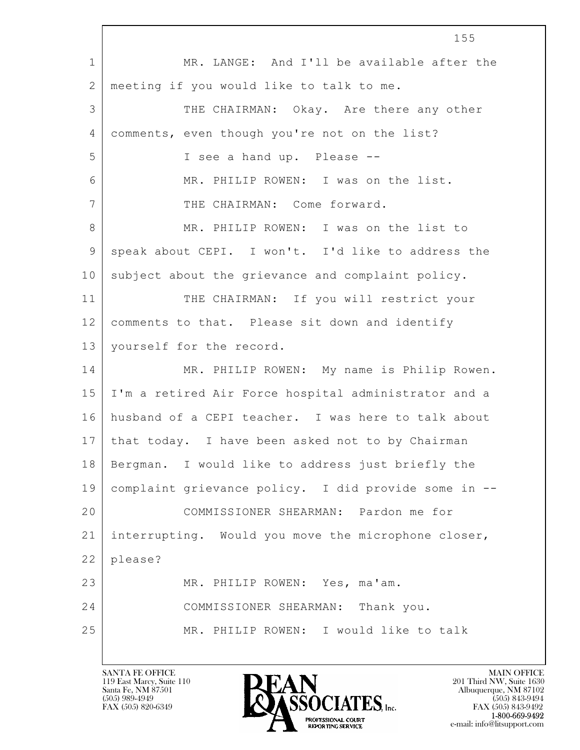|                | 155                                                  |
|----------------|------------------------------------------------------|
| $\mathbf{1}$   | MR. LANGE: And I'll be available after the           |
| $\mathbf{2}$   | meeting if you would like to talk to me.             |
| 3              | THE CHAIRMAN: Okay. Are there any other              |
| $\overline{4}$ | comments, even though you're not on the list?        |
| 5              | I see a hand up. Please --                           |
| 6              | MR. PHILIP ROWEN: I was on the list.                 |
| 7              | THE CHAIRMAN: Come forward.                          |
| 8              | MR. PHILIP ROWEN: I was on the list to               |
| $\mathsf 9$    | speak about CEPI. I won't. I'd like to address the   |
| 10             | subject about the grievance and complaint policy.    |
| 11             | THE CHAIRMAN: If you will restrict your              |
| 12             | comments to that. Please sit down and identify       |
| 13             | yourself for the record.                             |
| 14             | MR. PHILIP ROWEN: My name is Philip Rowen.           |
| 15             | I'm a retired Air Force hospital administrator and a |
| 16             | husband of a CEPI teacher. I was here to talk about  |
| 17             | that today. I have been asked not to by Chairman     |
| 18             | Bergman. I would like to address just briefly the    |
| 19             | complaint grievance policy. I did provide some in -- |
| 20             | COMMISSIONER SHEARMAN: Pardon me for                 |
| 21             | interrupting. Would you move the microphone closer,  |
| 22             | please?                                              |
| 23             | MR. PHILIP ROWEN: Yes, ma'am.                        |
| 24             | COMMISSIONER SHEARMAN: Thank you.                    |
| 25             | MR. PHILIP ROWEN: I would like to talk               |
|                |                                                      |

 $\Gamma$ 

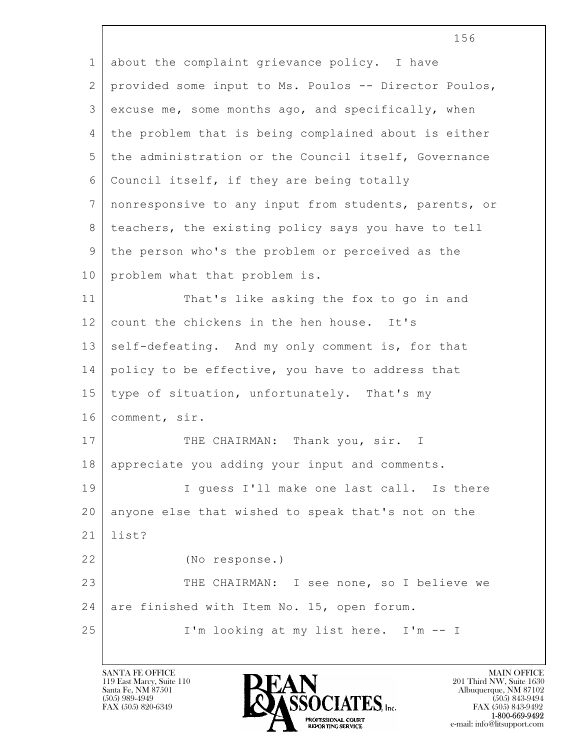$\mathbf{L}$  1 about the complaint grievance policy. I have 2 provided some input to Ms. Poulos -- Director Poulos,  $3$  excuse me, some months ago, and specifically, when 4 the problem that is being complained about is either 5 the administration or the Council itself, Governance 6 Council itself, if they are being totally 7 nonresponsive to any input from students, parents, or 8 teachers, the existing policy says you have to tell 9 the person who's the problem or perceived as the 10 problem what that problem is. 11 That's like asking the fox to go in and 12 | count the chickens in the hen house. It's 13 self-defeating. And my only comment is, for that 14 policy to be effective, you have to address that 15 type of situation, unfortunately. That's my 16 comment, sir. 17 THE CHAIRMAN: Thank you, sir. I 18 appreciate you adding your input and comments. 19 | I guess I'll make one last call. Is there 20 anyone else that wished to speak that's not on the 21 list? 22 (No response.) 23 THE CHAIRMAN: I see none, so I believe we 24 are finished with Item No. 15, open forum. 25 | I'm looking at my list here. I'm -- I

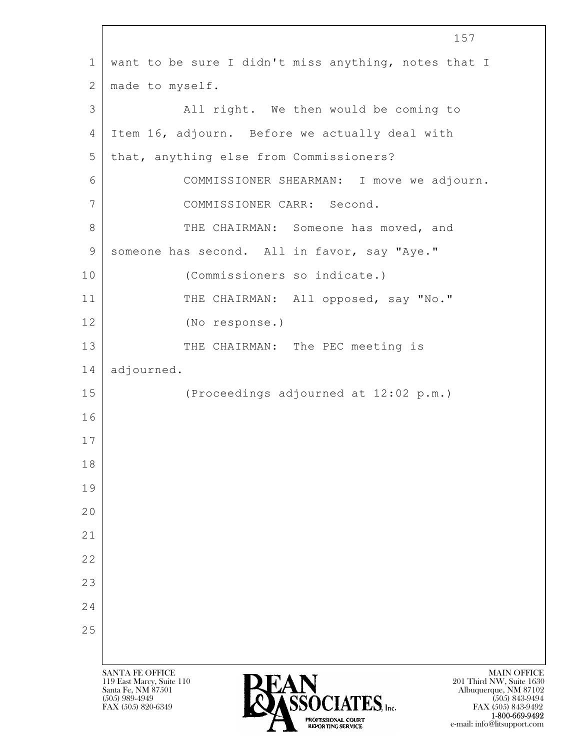$\mathbf{L}$  SANTA FE OFFICE MAIN OFFICE MAIN OFFICE MAIN OFFICE MAIN OFFICE 119 East Marcy, Suite 110 201 Third NW, Suite 1630<br>Santa Fe, NM 87501 201 Third NW, Suite 1630 Santa Fe, NM 87501 Albuquerque, NM 87102  $\sum_{\text{FAX (505) 889-4949}} \sum_{\text{FAX (505) 843-9492}} \sum_{\text{FAX (505) 843-9492}} \sum_{\text{FAX (505) 843-9492}}$ 1 want to be sure I didn't miss anything, notes that I 2 | made to myself. 3 | All right. We then would be coming to 4 Item 16, adjourn. Before we actually deal with 5 that, anything else from Commissioners? 6 COMMISSIONER SHEARMAN: I move we adjourn. 7 COMMISSIONER CARR: Second. 8 THE CHAIRMAN: Someone has moved, and 9 someone has second. All in favor, say "Aye." 10 (Commissioners so indicate.) 11 | THE CHAIRMAN: All opposed, say "No." 12 (No response.) 13 THE CHAIRMAN: The PEC meeting is 14 | adjourned. 15 (Proceedings adjourned at 12:02 p.m.) 16 17 18 19 20 21 22 23 24 25

FAX (505) 843-9492 1-800-669-9492 e-mail: info@litsupport.com